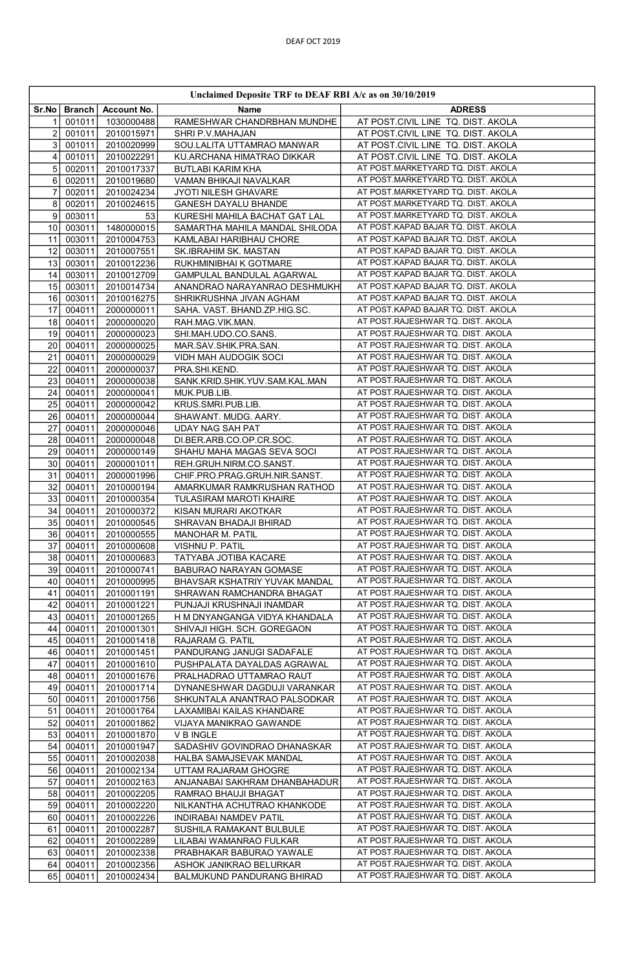|                          | Unclaimed Deposite TRF to DEAF RBI A/c as on 30/10/2019 |                          |                                                              |                                                                        |  |
|--------------------------|---------------------------------------------------------|--------------------------|--------------------------------------------------------------|------------------------------------------------------------------------|--|
| Sr.No                    | Branch                                                  | Account No.              | Name                                                         | <b>ADRESS</b>                                                          |  |
|                          | 001011                                                  | 1030000488               | RAMESHWAR CHANDRBHAN MUNDHE                                  | AT POST.CIVIL LINE TQ. DIST. AKOLA                                     |  |
| $\overline{c}$           | 001011                                                  | 2010015971               | SHRI P.V.MAHAJAN                                             | AT POST.CIVIL LINE TQ. DIST. AKOLA                                     |  |
| 3                        | 001011                                                  | 2010020999               | SOU.LALITA UTTAMRAO MANWAR                                   | AT POST.CIVIL LINE TQ. DIST. AKOLA                                     |  |
| 4                        | 001011                                                  | 2010022291               | KU.ARCHANA HIMATRAO DIKKAR                                   | AT POST.CIVIL LINE TQ. DIST. AKOLA                                     |  |
| 5                        | 002011                                                  | 2010017337               | <b>BUTLABI KARIM KHA</b>                                     | AT POST.MARKETYARD TQ. DIST. AKOLA                                     |  |
| 6                        | 002011                                                  | 2010019680               | VAMAN BHIKAJI NAVALKAR                                       | AT POST.MARKETYARD TQ. DIST. AKOLA                                     |  |
| $\overline{\mathcal{I}}$ | 002011                                                  | 2010024234               | JYOTI NILESH GHAVARE                                         | AT POST.MARKETYARD TQ. DIST. AKOLA                                     |  |
| 8                        | 002011                                                  | 2010024615               | GANESH DAYALU BHANDE                                         | AT POST.MARKETYARD TQ. DIST. AKOLA                                     |  |
| 9                        | 003011                                                  | 53                       | KURESHI MAHILA BACHAT GAT LAL                                | AT POST.MARKETYARD TQ. DIST. AKOLA                                     |  |
| 10                       | 003011                                                  | 1480000015               | SAMARTHA MAHILA MANDAL SHILODA                               | AT POST.KAPAD BAJAR TQ. DIST. AKOLA                                    |  |
| 11                       | 003011                                                  | 2010004753               | KAMLABAI HARIBHAU CHORE                                      | AT POST.KAPAD BAJAR TQ. DIST. AKOLA                                    |  |
| 12                       | 003011                                                  | 2010007551               | SK.IBRAHIM SK. MASTAN                                        | AT POST.KAPAD BAJAR TQ. DIST. AKOLA                                    |  |
| 13                       | 003011                                                  | 2010012236               | RUKHMINIBHAI K GOTMARE                                       | AT POST.KAPAD BAJAR TQ. DIST. AKOLA                                    |  |
| 14                       | 003011                                                  | 2010012709               | <b>GAMPULAL BANDULAL AGARWAL</b>                             | AT POST.KAPAD BAJAR TQ. DIST. AKOLA                                    |  |
| 15                       | 003011                                                  | 2010014734               | ANANDRAO NARAYANRAO DESHMUKH                                 | AT POST.KAPAD BAJAR TQ. DIST. AKOLA                                    |  |
| 16                       | 003011                                                  | 2010016275               | SHRIKRUSHNA JIVAN AGHAM                                      | AT POST.KAPAD BAJAR TQ. DIST. AKOLA                                    |  |
| 17                       | 004011                                                  | 2000000011               | SAHA. VAST. BHAND.ZP.HIG.SC.                                 | AT POST.KAPAD BAJAR TQ. DIST. AKOLA                                    |  |
| 18                       | 004011                                                  | 2000000020               | RAH.MAG.VIK.MAN.                                             | AT POST.RAJESHWAR TQ. DIST. AKOLA                                      |  |
| 19                       | 004011                                                  | 2000000023               | SHI.MAH.UDO.CO.SANS.                                         | AT POST.RAJESHWAR TQ. DIST. AKOLA                                      |  |
| 20                       | 004011                                                  | 2000000025               | MAR.SAV.SHIK.PRA.SAN.                                        | AT POST.RAJESHWAR TQ. DIST. AKOLA                                      |  |
| 21                       | 004011                                                  | 2000000029               | VIDH MAH AUDOGIK SOCI                                        | AT POST.RAJESHWAR TQ. DIST. AKOLA                                      |  |
| 22                       | 004011                                                  | 2000000037               | PRA.SHI.KEND.                                                | AT POST.RAJESHWAR TQ. DIST. AKOLA                                      |  |
| 23                       | 004011                                                  | 2000000038               | SANK.KRID.SHIK.YUV.SAM.KAL.MAN                               | AT POST.RAJESHWAR TQ. DIST. AKOLA                                      |  |
| 24                       | 004011                                                  | 2000000041               | MUK.PUB.LIB.                                                 | AT POST.RAJESHWAR TQ. DIST. AKOLA                                      |  |
| 25                       | 004011                                                  | 2000000042               | KRUS.SMRI.PUB.LIB.                                           | AT POST.RAJESHWAR TQ. DIST. AKOLA                                      |  |
| 26                       | 004011                                                  | 2000000044               | SHAWANT. MUDG. AARY.                                         | AT POST.RAJESHWAR TQ. DIST. AKOLA                                      |  |
| 27                       | 004011                                                  | 2000000046               | <b>UDAY NAG SAH PAT</b>                                      | AT POST.RAJESHWAR TQ. DIST. AKOLA                                      |  |
| 28                       | 004011                                                  | 2000000048               | DI.BER.ARB.CO.OP.CR.SOC                                      | AT POST.RAJESHWAR TQ. DIST. AKOLA                                      |  |
| 29                       | 004011                                                  | 2000000149               | SHAHU MAHA MAGAS SEVA SOCI                                   | AT POST.RAJESHWAR TQ. DIST. AKOLA                                      |  |
| 30                       | 004011                                                  | 2000001011               | REH.GRUH.NIRM.CO.SANST.                                      | AT POST.RAJESHWAR TQ. DIST. AKOLA                                      |  |
| 31                       | 004011                                                  | 2000001996               | CHIF.PRO.PRAG.GRUH.NIR.SANST.                                | AT POST.RAJESHWAR TQ. DIST. AKOLA                                      |  |
| 32                       | 004011                                                  | 2010000194               | AMARKUMAR RAMKRUSHAN RATHOD                                  | AT POST.RAJESHWAR TQ. DIST. AKOLA                                      |  |
| 33                       | 004011                                                  | 2010000354               | TULASIRAM MAROTI KHAIRE                                      | AT POST.RAJESHWAR TQ. DIST. AKOLA                                      |  |
| 34                       | 004011                                                  | 2010000372               | KISAN MURARI AKOTKAR                                         | AT POST.RAJESHWAR TQ. DIST. AKOLA                                      |  |
| 35                       | 004011                                                  | 2010000545               | SHRAVAN BHADAJI BHIRAD                                       | AT POST.RAJESHWAR TQ. DIST. AKOLA                                      |  |
| 36                       | 004011                                                  | 2010000555               | MANOHAR M. PATIL                                             | AT POST.RAJESHWAR TQ. DIST. AKOLA                                      |  |
| 37                       | 004011                                                  | 2010000608               | VISHNU P. PATIL                                              | AT POST.RAJESHWAR TQ. DIST. AKOLA                                      |  |
| 38                       | 004011                                                  | 2010000683               | TATYABA JOTIBA KACARE                                        | AT POST.RAJESHWAR TQ. DIST. AKOLA                                      |  |
| 39                       | 004011                                                  | 2010000741               | BABURAO NARAYAN GOMASE                                       | AT POST.RAJESHWAR TQ. DIST. AKOLA                                      |  |
| 40                       | 004011                                                  | 2010000995               | BHAVSAR KSHATRIY YUVAK MANDAL                                | AT POST.RAJESHWAR TQ. DIST. AKOLA                                      |  |
| 41                       | 004011                                                  | 2010001191               | SHRAWAN RAMCHANDRA BHAGAT                                    | AT POST.RAJESHWAR TQ. DIST. AKOLA                                      |  |
| 42                       | 004011                                                  | 2010001221               | PUNJAJI KRUSHNAJI INAMDAR                                    | AT POST.RAJESHWAR TQ. DIST. AKOLA                                      |  |
| 43                       | 004011                                                  | 2010001265               | H M DNYANGANGA VIDYA KHANDALA                                | AT POST.RAJESHWAR TQ. DIST. AKOLA                                      |  |
| 44                       | 004011                                                  | 2010001301               | SHIVAJI HIGH. SCH. GOREGAON                                  | AT POST.RAJESHWAR TQ. DIST. AKOLA                                      |  |
| 45                       | 004011                                                  | 2010001418               | RAJARAM G. PATIL                                             | AT POST.RAJESHWAR TQ. DIST. AKOLA                                      |  |
| 46                       | 004011                                                  | 2010001451               | PANDURANG JANUGI SADAFALE                                    | AT POST.RAJESHWAR TQ. DIST. AKOLA<br>AT POST.RAJESHWAR TQ. DIST. AKOLA |  |
| 47                       | 004011                                                  | 2010001610               | PUSHPALATA DAYALDAS AGRAWAL                                  | AT POST.RAJESHWAR TQ. DIST. AKOLA                                      |  |
| 48                       | 004011                                                  | 2010001676               | PRALHADRAO UTTAMRAO RAUT                                     | AT POST.RAJESHWAR TQ. DIST. AKOLA                                      |  |
| 49<br>50                 | 004011<br>004011                                        | 2010001714<br>2010001756 | DYNANESHWAR DAGDUJI VARANKAR<br>SHKUNTALA ANANTRAO PALSODKAR | AT POST.RAJESHWAR TQ. DIST. AKOLA                                      |  |
| 51                       | 004011                                                  | 2010001764               | LAXAMIBAI KAILAS KHANDARE                                    | AT POST.RAJESHWAR TQ. DIST. AKOLA                                      |  |
| 52                       | 004011                                                  | 2010001862               | VIJAYA MANIKRAO GAWANDE                                      | AT POST.RAJESHWAR TQ. DIST. AKOLA                                      |  |
|                          |                                                         |                          |                                                              | AT POST.RAJESHWAR TQ. DIST. AKOLA                                      |  |
| 53<br>54                 | 004011<br>004011                                        | 2010001870<br>2010001947 | <b>V B INGLE</b><br>SADASHIV GOVINDRAO DHANASKAR             | AT POST.RAJESHWAR TQ. DIST. AKOLA                                      |  |
|                          | 004011                                                  |                          |                                                              | AT POST.RAJESHWAR TQ. DIST. AKOLA                                      |  |
| 55<br>56                 | 004011                                                  | 2010002038<br>2010002134 | HALBA SAMAJSEVAK MANDAL<br>UTTAM RAJARAM GHOGRE              | AT POST.RAJESHWAR TQ. DIST. AKOLA                                      |  |
| 57                       | 004011                                                  | 2010002163               | ANJANABAI SAKHRAM DHANBAHADUR                                | AT POST.RAJESHWAR TQ. DIST. AKOLA                                      |  |
| 58                       | 004011                                                  | 2010002205               | RAMRAO BHAUJI BHAGAT                                         | AT POST.RAJESHWAR TQ. DIST. AKOLA                                      |  |
| 59                       | 004011                                                  | 2010002220               | NILKANTHA ACHUTRAO KHANKODE                                  | AT POST.RAJESHWAR TQ. DIST. AKOLA                                      |  |
| 60                       | 004011                                                  | 2010002226               | INDIRABAI NAMDEV PATIL                                       | AT POST.RAJESHWAR TQ. DIST. AKOLA                                      |  |
| 61                       | 004011                                                  | 2010002287               | SUSHILA RAMAKANT BULBULE                                     | AT POST.RAJESHWAR TQ. DIST. AKOLA                                      |  |
| 62                       | 004011                                                  | 2010002289               | LILABAI WAMANRAO FULKAR                                      | AT POST.RAJESHWAR TQ. DIST. AKOLA                                      |  |
| 63                       | 004011                                                  | 2010002338               | PRABHAKAR BABURAO YAWALE                                     | AT POST.RAJESHWAR TQ. DIST. AKOLA                                      |  |
| 64                       | 004011                                                  | 2010002356               | ASHOK JANIKRAO BELURKAR                                      | AT POST.RAJESHWAR TQ. DIST. AKOLA                                      |  |
| 65                       | 004011                                                  | 2010002434               | BALMUKUND PANDURANG BHIRAD                                   | AT POST.RAJESHWAR TQ. DIST. AKOLA                                      |  |
|                          |                                                         |                          |                                                              |                                                                        |  |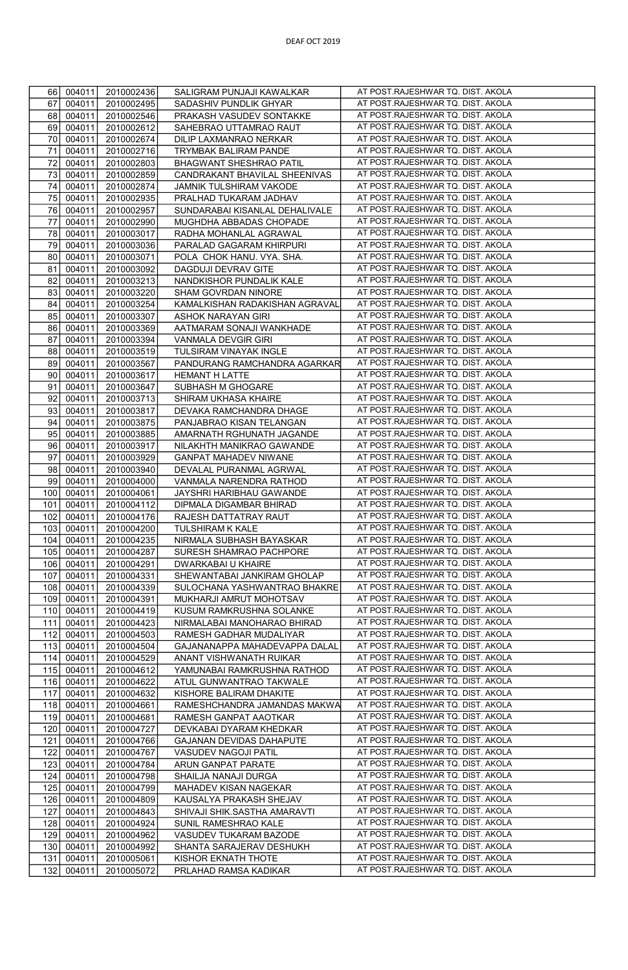| 66  | 004011 | 2010002436 | SALIGRAM PUNJAJI KAWALKAR      | AT POST.RAJESHWAR TQ. DIST. AKOLA |
|-----|--------|------------|--------------------------------|-----------------------------------|
| 67  | 004011 | 2010002495 | SADASHIV PUNDLIK GHYAR         | AT POST.RAJESHWAR TQ. DIST. AKOLA |
| 68  | 004011 | 2010002546 | PRAKASH VASUDEV SONTAKKE       | AT POST.RAJESHWAR TQ. DIST. AKOLA |
| 69  | 004011 | 2010002612 | SAHEBRAO UTTAMRAO RAUT         | AT POST.RAJESHWAR TQ. DIST. AKOLA |
|     |        |            |                                |                                   |
| 70  | 004011 | 2010002674 | DILIP LAXMANRAO NERKAR         | AT POST.RAJESHWAR TQ. DIST. AKOLA |
| 71  | 004011 | 2010002716 | TRYMBAK BALIRAM PANDE          | AT POST.RAJESHWAR TQ. DIST. AKOLA |
| 72  | 004011 | 2010002803 | BHAGWANT SHESHRAO PATIL        | AT POST.RAJESHWAR TQ. DIST. AKOLA |
| 73  | 004011 | 2010002859 | CANDRAKANT BHAVILAL SHEENIVAS  | AT POST.RAJESHWAR TQ. DIST. AKOLA |
| 74  | 004011 | 2010002874 | JAMNIK TULSHIRAM VAKODE        | AT POST.RAJESHWAR TQ. DIST. AKOLA |
|     |        |            |                                |                                   |
| 75  | 004011 | 2010002935 | PRALHAD TUKARAM JADHAV         | AT POST.RAJESHWAR TQ. DIST. AKOLA |
| 76  | 004011 | 2010002957 | SUNDARABAI KISANLAL DEHALIVALE | AT POST.RAJESHWAR TQ. DIST. AKOLA |
| 77  | 004011 | 2010002990 | MUGHDHA ABBADAS CHOPADE        | AT POST.RAJESHWAR TQ. DIST. AKOLA |
| 78  | 004011 | 2010003017 | RADHA MOHANLAL AGRAWAL         | AT POST.RAJESHWAR TQ. DIST. AKOLA |
| 79  | 004011 | 2010003036 | PARALAD GAGARAM KHIRPURI       | AT POST.RAJESHWAR TQ. DIST. AKOLA |
|     | 004011 |            |                                | AT POST.RAJESHWAR TQ. DIST. AKOLA |
| 80  |        | 2010003071 | POLA CHOK HANU. VYA. SHA.      |                                   |
| 81  | 004011 | 2010003092 | DAGDUJI DEVRAV GITE            | AT POST.RAJESHWAR TQ. DIST. AKOLA |
| 82  | 004011 | 2010003213 | NANDKISHOR PUNDALIK KALE       | AT POST.RAJESHWAR TQ. DIST. AKOLA |
| 83  | 004011 | 2010003220 | SHAM GOVRDAN NINORE            | AT POST.RAJESHWAR TQ. DIST. AKOLA |
| 84  | 004011 | 2010003254 | KAMALKISHAN RADAKISHAN AGRAVAL | AT POST.RAJESHWAR TQ. DIST. AKOLA |
| 85  | 004011 | 2010003307 | ASHOK NARAYAN GIRI             | AT POST.RAJESHWAR TQ. DIST. AKOLA |
|     |        |            |                                |                                   |
| 86  | 004011 | 2010003369 | AATMARAM SONAJI WANKHADE       | AT POST.RAJESHWAR TQ. DIST. AKOLA |
| 87  | 004011 | 2010003394 | VANMALA DEVGIR GIRI            | AT POST.RAJESHWAR TQ. DIST. AKOLA |
| 88  | 004011 | 2010003519 | TULSIRAM VINAYAK INGLE         | AT POST.RAJESHWAR TQ. DIST. AKOLA |
| 89  | 004011 | 2010003567 | PANDURANG RAMCHANDRA AGARKAR   | AT POST.RAJESHWAR TQ. DIST. AKOLA |
| 90  | 004011 | 2010003617 | HEMANT H LATTE                 | AT POST.RAJESHWAR TQ. DIST. AKOLA |
|     |        |            |                                | AT POST.RAJESHWAR TQ. DIST. AKOLA |
| 91  | 004011 | 2010003647 | SUBHASH M GHOGARE              |                                   |
| 92  | 004011 | 2010003713 | SHIRAM UKHASA KHAIRE           | AT POST.RAJESHWAR TQ. DIST. AKOLA |
| 93  | 004011 | 2010003817 | DEVAKA RAMCHANDRA DHAGE        | AT POST.RAJESHWAR TQ. DIST. AKOLA |
| 94  | 004011 | 2010003875 | PANJABRAO KISAN TELANGAN       | AT POST.RAJESHWAR TQ. DIST. AKOLA |
| 95  | 004011 | 2010003885 | AMARNATH RGHUNATH JAGANDE      | AT POST.RAJESHWAR TQ. DIST. AKOLA |
| 96  | 004011 | 2010003917 | NILAKHTH MANIKRAO GAWANDE      | AT POST.RAJESHWAR TQ. DIST. AKOLA |
| 97  | 004011 | 2010003929 | <b>GANPAT MAHADEV NIWANE</b>   | AT POST.RAJESHWAR TQ. DIST. AKOLA |
|     |        |            |                                | AT POST.RAJESHWAR TQ. DIST. AKOLA |
| 98  | 004011 | 2010003940 | DEVALAL PURANMAL AGRWAL        |                                   |
| 99  | 004011 | 2010004000 | VANMALA NARENDRA RATHOD        | AT POST.RAJESHWAR TQ. DIST. AKOLA |
| 100 | 004011 | 2010004061 | JAYSHRI HARIBHAU GAWANDE       | AT POST.RAJESHWAR TQ. DIST. AKOLA |
| 101 | 004011 | 2010004112 | DIPMALA DIGAMBAR BHIRAD        | AT POST.RAJESHWAR TQ. DIST. AKOLA |
| 102 | 004011 | 2010004176 | RAJESH DATTATRAY RAUT          | AT POST.RAJESHWAR TQ. DIST. AKOLA |
| 103 | 004011 | 2010004200 | <b>TULSHIRAM K KALE</b>        | AT POST.RAJESHWAR TQ. DIST. AKOLA |
| 104 | 004011 | 2010004235 | NIRMALA SUBHASH BAYASKAR       | AT POST.RAJESHWAR TQ. DIST. AKOLA |
|     |        |            |                                | AT POST.RAJESHWAR TQ. DIST. AKOLA |
| 105 | 004011 | 2010004287 | SURESH SHAMRAO PACHPORE        |                                   |
| 106 | 004011 | 2010004291 | DWARKABAI U KHAIRE             | AT POST.RAJESHWAR TQ. DIST. AKOLA |
| 107 | 004011 | 2010004331 | SHEWANTABAI JANKIRAM GHOLAP    | AT POST.RAJESHWAR TQ. DIST. AKOLA |
| 108 | 004011 | 2010004339 | SULOCHANA YASHWANTRAO BHAKRE   | AT POST.RAJESHWAR TQ. DIST. AKOLA |
| 109 | 004011 | 2010004391 | MUKHARJI AMRUT MOHOTSAV        | AT POST.RAJESHWAR TQ. DIST. AKOLA |
| 110 | 004011 | 2010004419 | KUSUM RAMKRUSHNA SOLANKE       | AT POST.RAJESHWAR TQ. DIST. AKOLA |
|     |        |            |                                |                                   |
| 111 | 004011 | 2010004423 | NIRMALABAI MANOHARAO BHIRAD    | AT POST.RAJESHWAR TQ. DIST. AKOLA |
| 112 | 004011 | 2010004503 | RAMESH GADHAR MUDALIYAR        | AT POST.RAJESHWAR TQ. DIST. AKOLA |
| 113 | 004011 | 2010004504 | GAJANANAPPA MAHADEVAPPA DALAL  | AT POST.RAJESHWAR TQ. DIST. AKOLA |
| 114 | 004011 | 2010004529 | ANANT VISHWANATH RUIKAR        | AT POST.RAJESHWAR TQ. DIST. AKOLA |
| 115 | 004011 | 2010004612 | YAMUNABAI RAMKRUSHNA RATHOD    | AT POST.RAJESHWAR TQ. DIST. AKOLA |
| 116 | 004011 | 2010004622 | ATUL GUNWANTRAO TAKWALE        | AT POST.RAJESHWAR TQ. DIST. AKOLA |
|     |        |            |                                | AT POST.RAJESHWAR TQ. DIST. AKOLA |
| 117 | 004011 | 2010004632 | KISHORE BALIRAM DHAKITE        |                                   |
| 118 | 004011 | 2010004661 | RAMESHCHANDRA JAMANDAS MAKWA   | AT POST.RAJESHWAR TQ. DIST. AKOLA |
| 119 | 004011 | 2010004681 | RAMESH GANPAT AAOTKAR          | AT POST.RAJESHWAR TQ. DIST. AKOLA |
| 120 | 004011 | 2010004727 | DEVKABAI DYARAM KHEDKAR        | AT POST.RAJESHWAR TQ. DIST. AKOLA |
| 121 | 004011 | 2010004766 | GAJANAN DEVIDAS DAHAPUTE       | AT POST.RAJESHWAR TQ. DIST. AKOLA |
| 122 | 004011 | 2010004767 | VASUDEV NAGOJI PATIL           | AT POST.RAJESHWAR TQ. DIST. AKOLA |
|     |        |            |                                | AT POST.RAJESHWAR TQ. DIST. AKOLA |
| 123 | 004011 | 2010004784 | ARUN GANPAT PARATE             |                                   |
| 124 | 004011 | 2010004798 | SHAILJA NANAJI DURGA           | AT POST.RAJESHWAR TQ. DIST. AKOLA |
| 125 | 004011 | 2010004799 | MAHADEV KISAN NAGEKAR          | AT POST.RAJESHWAR TQ. DIST. AKOLA |
| 126 | 004011 | 2010004809 | KAUSALYA PRAKASH SHEJAV        | AT POST.RAJESHWAR TQ. DIST. AKOLA |
| 127 | 004011 | 2010004843 | SHIVAJI SHIK.SASTHA AMARAVTI   | AT POST.RAJESHWAR TQ. DIST. AKOLA |
| 128 | 004011 | 2010004924 | SUNIL RAMESHRAO KALE           | AT POST.RAJESHWAR TQ. DIST. AKOLA |
| 129 | 004011 | 2010004962 | VASUDEV TUKARAM BAZODE         | AT POST.RAJESHWAR TQ. DIST. AKOLA |
| 130 | 004011 | 2010004992 | SHANTA SARAJERAV DESHUKH       | AT POST.RAJESHWAR TQ. DIST. AKOLA |
|     |        |            |                                |                                   |
| 131 | 004011 | 2010005061 | KISHOR EKNATH THOTE            | AT POST.RAJESHWAR TQ. DIST. AKOLA |
| 132 | 004011 | 2010005072 | PRLAHAD RAMSA KADIKAR          | AT POST.RAJESHWAR TQ. DIST. AKOLA |
|     |        |            |                                |                                   |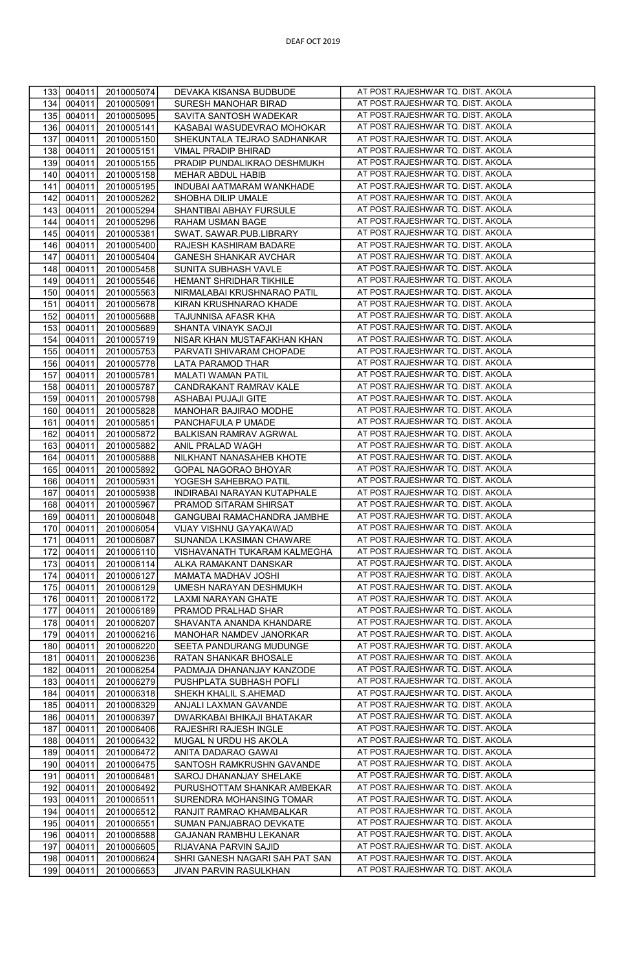| 133 | 004011<br>2010005074 | DEVAKA KISANSA BUDBUDE         | AT POST.RAJESHWAR TQ. DIST. AKOLA |
|-----|----------------------|--------------------------------|-----------------------------------|
| 134 | 004011<br>2010005091 | SURESH MANOHAR BIRAD           | AT POST.RAJESHWAR TQ. DIST. AKOLA |
| 135 | 004011<br>2010005095 | SAVITA SANTOSH WADEKAR         | AT POST.RAJESHWAR TQ. DIST. AKOLA |
| 136 | 004011<br>2010005141 | KASABAI WASUDEVRAO MOHOKAR     | AT POST.RAJESHWAR TQ. DIST. AKOLA |
|     |                      |                                |                                   |
| 137 | 004011<br>2010005150 | SHEKUNTALA TEJRAO SADHANKAR    | AT POST.RAJESHWAR TQ. DIST. AKOLA |
| 138 | 004011<br>2010005151 | VIMAL PRADIP BHIRAD            | AT POST.RAJESHWAR TQ. DIST. AKOLA |
| 139 | 004011<br>2010005155 | PRADIP PUNDALIKRAO DESHMUKH    | AT POST.RAJESHWAR TQ. DIST. AKOLA |
| 140 | 004011<br>2010005158 | MEHAR ABDUL HABIB              | AT POST.RAJESHWAR TQ. DIST. AKOLA |
| 141 | 004011               | INDUBAI AATMARAM WANKHADE      | AT POST.RAJESHWAR TQ. DIST. AKOLA |
|     | 2010005195           |                                |                                   |
| 142 | 004011<br>2010005262 | SHOBHA DILIP UMALE             | AT POST.RAJESHWAR TQ. DIST. AKOLA |
| 143 | 004011<br>2010005294 | SHANTIBAI ABHAY FURSULE        | AT POST.RAJESHWAR TQ. DIST. AKOLA |
| 144 | 004011<br>2010005296 | RAHAM USMAN BAGE               | AT POST.RAJESHWAR TQ. DIST. AKOLA |
| 145 | 004011<br>2010005381 | SWAT. SAWAR.PUB.LIBRARY        | AT POST.RAJESHWAR TQ. DIST. AKOLA |
| 146 | 2010005400           | RAJESH KASHIRAM BADARE         | AT POST.RAJESHWAR TQ. DIST. AKOLA |
|     | 004011               |                                |                                   |
| 147 | 004011<br>2010005404 | GANESH SHANKAR AVCHAR          | AT POST.RAJESHWAR TQ. DIST. AKOLA |
| 148 | 004011<br>2010005458 | SUNITA SUBHASH VAVLE           | AT POST.RAJESHWAR TQ. DIST. AKOLA |
| 149 | 004011<br>2010005546 | HEMANT SHRIDHAR TIKHILE        | AT POST.RAJESHWAR TQ. DIST. AKOLA |
| 150 | 004011<br>2010005563 | NIRMALABAI KRUSHNARAO PATIL    | AT POST.RAJESHWAR TQ. DIST. AKOLA |
| 151 | 004011<br>2010005678 | KIRAN KRUSHNARAO KHADE         | AT POST.RAJESHWAR TQ. DIST. AKOLA |
|     |                      |                                |                                   |
| 152 | 004011<br>2010005688 | TAJUNNISA AFASR KHA            | AT POST.RAJESHWAR TQ. DIST. AKOLA |
| 153 | 004011<br>2010005689 | SHANTA VINAYK SAOJI            | AT POST.RAJESHWAR TQ. DIST. AKOLA |
| 154 | 004011<br>2010005719 | NISAR KHAN MUSTAFAKHAN KHAN    | AT POST.RAJESHWAR TQ. DIST. AKOLA |
| 155 | 004011<br>2010005753 | PARVATI SHIVARAM CHOPADE       | AT POST.RAJESHWAR TQ. DIST. AKOLA |
| 156 | 004011<br>2010005778 | LATA PARAMOD THAR              | AT POST.RAJESHWAR TQ. DIST. AKOLA |
| 157 | 004011               |                                | AT POST.RAJESHWAR TQ. DIST. AKOLA |
|     | 2010005781           | MALATI WAMAN PATIL             |                                   |
| 158 | 004011<br>2010005787 | CANDRAKANT RAMRAV KALE         | AT POST.RAJESHWAR TQ. DIST. AKOLA |
| 159 | 004011<br>2010005798 | ASHABAI PUJAJI GITE            | AT POST.RAJESHWAR TQ. DIST. AKOLA |
| 160 | 004011<br>2010005828 | MANOHAR BAJIRAO MODHE          | AT POST.RAJESHWAR TQ. DIST. AKOLA |
| 161 | 004011<br>2010005851 | PANCHAFULA P UMADE             | AT POST.RAJESHWAR TQ. DIST. AKOLA |
|     |                      |                                | AT POST.RAJESHWAR TQ. DIST. AKOLA |
| 162 | 004011<br>2010005872 | BALKISAN RAMRAV AGRWAL         |                                   |
| 163 | 004011<br>2010005882 | ANIL PRALAD WAGH               | AT POST.RAJESHWAR TQ. DIST. AKOLA |
| 164 | 004011<br>2010005888 | NILKHANT NANASAHEB KHOTE       | AT POST.RAJESHWAR TQ. DIST. AKOLA |
| 165 | 004011<br>2010005892 | GOPAL NAGORAO BHOYAR           | AT POST.RAJESHWAR TQ. DIST. AKOLA |
| 166 | 004011<br>2010005931 | YOGESH SAHEBRAO PATIL          | AT POST.RAJESHWAR TQ. DIST. AKOLA |
| 167 | 004011<br>2010005938 | INDIRABAI NARAYAN KUTAPHALE    | AT POST.RAJESHWAR TQ. DIST. AKOLA |
| 168 | 004011<br>2010005967 | PRAMOD SITARAM SHIRSAT         | AT POST.RAJESHWAR TQ. DIST. AKOLA |
| 169 | 004011<br>2010006048 | GANGUBAI RAMACHANDRA JAMBHE    | AT POST.RAJESHWAR TQ. DIST. AKOLA |
|     |                      |                                |                                   |
| 170 | 004011<br>2010006054 | VIJAY VISHNU GAYAKAWAD         | AT POST.RAJESHWAR TQ. DIST. AKOLA |
| 171 | 004011<br>2010006087 | SUNANDA LKASIMAN CHAWARE       | AT POST.RAJESHWAR TQ. DIST. AKOLA |
| 172 | 004011<br>2010006110 | VISHAVANATH TUKARAM KALMEGHA   | AT POST.RAJESHWAR TQ. DIST. AKOLA |
| 173 | 004011<br>2010006114 | ALKA RAMAKANT DANSKAR          | AT POST.RAJESHWAR TQ. DIST. AKOLA |
| 174 | 004011<br>2010006127 | MAMATA MADHAV JOSHI            | AT POST.RAJESHWAR TQ. DIST. AKOLA |
| 175 | 004011<br>2010006129 | UMESH NARAYAN DESHMUKH         | AT POST.RAJESHWAR TQ. DIST. AKOLA |
| 176 | 2010006172           |                                | AT POST.RAJESHWAR TQ. DIST. AKOLA |
|     | 004011               | LAXMI NARAYAN GHATE            |                                   |
| 177 | 004011<br>2010006189 | PRAMOD PRALHAD SHAR            | AT POST.RAJESHWAR TQ. DIST. AKOLA |
| 178 | 004011<br>2010006207 | SHAVANTA ANANDA KHANDARE       | AT POST.RAJESHWAR TQ. DIST. AKOLA |
| 179 | 004011<br>2010006216 | MANOHAR NAMDEV JANORKAR        | AT POST.RAJESHWAR TQ. DIST. AKOLA |
| 180 | 004011<br>2010006220 | SEETA PANDURANG MUDUNGE        | AT POST.RAJESHWAR TQ. DIST. AKOLA |
| 181 | 004011<br>2010006236 | RATAN SHANKAR BHOSALE          | AT POST.RAJESHWAR TQ. DIST. AKOLA |
|     |                      |                                | AT POST.RAJESHWAR TQ. DIST. AKOLA |
| 182 | 004011<br>2010006254 | PADMAJA DHANANJAY KANZODE      |                                   |
| 183 | 004011<br>2010006279 | PUSHPLATA SUBHASH POFLI        | AT POST.RAJESHWAR TQ. DIST. AKOLA |
| 184 | 004011<br>2010006318 | SHEKH KHALIL S.AHEMAD          | AT POST.RAJESHWAR TQ. DIST. AKOLA |
| 185 | 004011<br>2010006329 | ANJALI LAXMAN GAVANDE          | AT POST.RAJESHWAR TQ. DIST. AKOLA |
| 186 | 004011<br>2010006397 | DWARKABAI BHIKAJI BHATAKAR     | AT POST.RAJESHWAR TQ. DIST. AKOLA |
| 187 | 004011<br>2010006406 | RAJESHRI RAJESH INGLE          | AT POST.RAJESHWAR TQ. DIST. AKOLA |
|     |                      |                                | AT POST.RAJESHWAR TQ. DIST. AKOLA |
| 188 | 004011<br>2010006432 | MUGAL N URDU HS AKOLA          |                                   |
| 189 | 004011<br>2010006472 | ANITA DADARAO GAWAI            | AT POST.RAJESHWAR TQ. DIST. AKOLA |
| 190 | 004011<br>2010006475 | SANTOSH RAMKRUSHN GAVANDE      | AT POST.RAJESHWAR TQ. DIST. AKOLA |
| 191 | 004011<br>2010006481 | SAROJ DHANANJAY SHELAKE        | AT POST.RAJESHWAR TQ. DIST. AKOLA |
| 192 | 004011<br>2010006492 | PURUSHOTTAM SHANKAR AMBEKAR    | AT POST.RAJESHWAR TQ. DIST. AKOLA |
| 193 | 004011<br>2010006511 | SURENDRA MOHANSING TOMAR       | AT POST.RAJESHWAR TQ. DIST. AKOLA |
| 194 | 004011<br>2010006512 | RANJIT RAMRAO KHAMBALKAR       | AT POST.RAJESHWAR TQ. DIST. AKOLA |
|     |                      |                                | AT POST.RAJESHWAR TQ. DIST. AKOLA |
| 195 | 004011<br>2010006551 | SUMAN PANJABRAO DEVKATE        |                                   |
| 196 | 004011<br>2010006588 | GAJANAN RAMBHU LEKANAR         | AT POST.RAJESHWAR TQ. DIST. AKOLA |
| 197 | 004011<br>2010006605 | RIJAVANA PARVIN SAJID          | AT POST.RAJESHWAR TQ. DIST. AKOLA |
| 198 | 004011<br>2010006624 | SHRI GANESH NAGARI SAH PAT SAN | AT POST.RAJESHWAR TQ. DIST. AKOLA |
| 199 | 004011<br>2010006653 | JIVAN PARVIN RASULKHAN         | AT POST.RAJESHWAR TQ. DIST. AKOLA |
|     |                      |                                |                                   |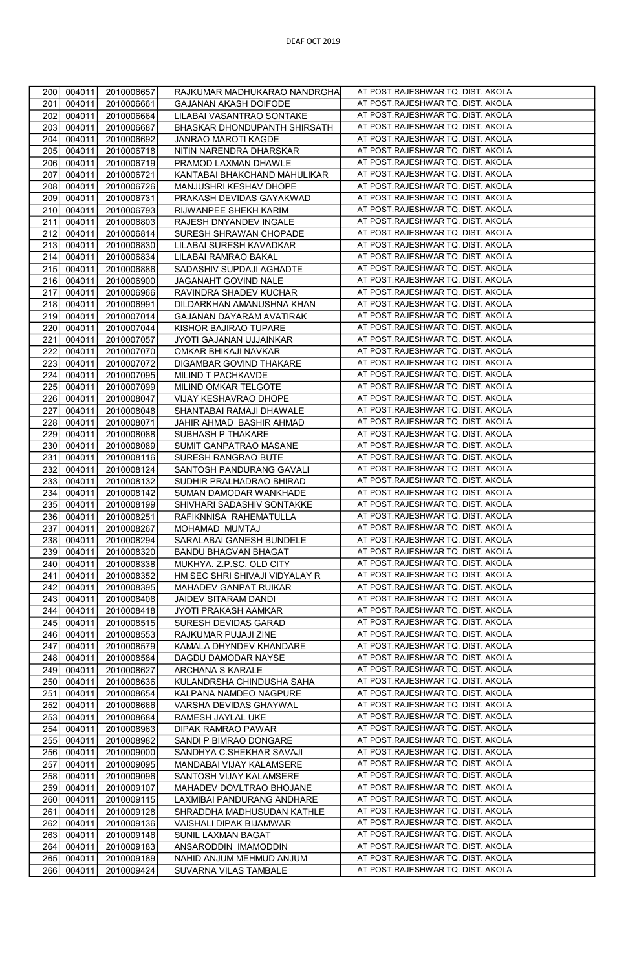| 200 | 004011 | 2010006657 | RAJKUMAR MADHUKARAO NANDRGHA   | AT POST.RAJESHWAR TQ. DIST. AKOLA  |
|-----|--------|------------|--------------------------------|------------------------------------|
| 201 | 004011 | 2010006661 | GAJANAN AKASH DOIFODE          | AT POST.RAJESHWAR TQ. DIST. AKOLA  |
| 202 | 004011 | 2010006664 | LILABAI VASANTRAO SONTAKE      | AT POST.RAJESHWAR TQ. DIST. AKOLA  |
| 203 | 004011 | 2010006687 | BHASKAR DHONDUPANTH SHIRSATH   | AT POST.RAJESHWAR TQ. DIST. AKOLA  |
| 204 | 004011 | 2010006692 | JANRAO MAROTI KAGDE            | AT POST.RAJESHWAR TQ. DIST. AKOLA  |
|     |        |            |                                | AT POST.RAJESHWAR TQ. DIST. AKOLA  |
| 205 | 004011 | 2010006718 | NITIN NARENDRA DHARSKAR        |                                    |
| 206 | 004011 | 2010006719 | PRAMOD LAXMAN DHAWLE           | AT POST.RAJESHWAR TQ. DIST. AKOLA  |
| 207 | 004011 | 2010006721 | KANTABAI BHAKCHAND MAHULIKAR   | AT POST.RAJESHWAR TQ. DIST. AKOLA  |
| 208 | 004011 | 2010006726 | MANJUSHRI KESHAV DHOPE         | AT POST.RAJESHWAR TQ. DIST. AKOLA  |
| 209 | 004011 | 2010006731 | PRAKASH DEVIDAS GAYAKWAD       | AT POST.RAJESHWAR TQ. DIST. AKOLA  |
| 210 | 004011 | 2010006793 | RIJWANPEE SHEKH KARIM          | AT POST.RAJESHWAR TQ. DIST. AKOLA  |
| 211 | 004011 | 2010006803 | RAJESH DNYANDEV INGALE         | AT POST.RAJESHWAR TQ. DIST. AKOLA  |
|     |        |            |                                | AT POST.RAJESHWAR TQ. DIST. AKOLA  |
| 212 | 004011 | 2010006814 | SURESH SHRAWAN CHOPADE         |                                    |
| 213 | 004011 | 2010006830 | LILABAI SURESH KAVADKAR        | AT POST.RAJESHWAR TQ. DIST. AKOLA  |
| 214 | 004011 | 2010006834 | LILABAI RAMRAO BAKAL           | AT POST.RAJESHWAR TQ. DIST. AKOLA  |
| 215 | 004011 | 2010006886 | SADASHIV SUPDAJI AGHADTE       | AT POST.RAJESHWAR TQ. DIST. AKOLA  |
| 216 | 004011 | 2010006900 | JAGANAHT GOVIND NALE           | AT POST.RAJESHWAR TQ. DIST. AKOLA  |
| 217 | 004011 | 2010006966 | RAVINDRA SHADEV KUCHAR         | AT POST.RAJESHWAR TQ. DIST. AKOLA  |
| 218 | 004011 | 2010006991 | DILDARKHAN AMANUSHNA KHAN      | AT POST.RAJESHWAR TQ. DIST. AKOLA  |
|     |        |            |                                |                                    |
| 219 | 004011 | 2010007014 | GAJANAN DAYARAM AVATIRAK       | AT POST.RAJESHWAR TQ. DIST. AKOLA  |
| 220 | 004011 | 2010007044 | KISHOR BAJIRAO TUPARE          | AT POST.RAJESHWAR TQ. DIST. AKOLA  |
| 221 | 004011 | 2010007057 | JYOTI GAJANAN UJJAINKAR        | AT POST.RAJESHWAR TQ. DIST. AKOLA  |
| 222 | 004011 | 2010007070 | OMKAR BHIKAJI NAVKAR           | AT POST.RAJESHWAR TQ. DIST. AKOLA  |
| 223 | 004011 | 2010007072 | DIGAMBAR GOVIND THAKARE        | AT POST.RAJESHWAR TQ. DIST. AKOLA  |
| 224 | 004011 | 2010007095 | MILIND T PACHKAVDE             | AT POST.RAJESHWAR TQ. DIST. AKOLA  |
| 225 | 004011 | 2010007099 | MILIND OMKAR TELGOTE           | AT POST.RAJESHWAR TQ. DIST. AKOLA  |
|     |        |            |                                | AT POST.RAJESHWAR TQ. DIST. AKOLA  |
| 226 | 004011 | 2010008047 | VIJAY KESHAVRAO DHOPE          |                                    |
| 227 | 004011 | 2010008048 | SHANTABAI RAMAJI DHAWALE       | AT POST.RAJESHWAR TQ. DIST. AKOLA  |
| 228 | 004011 | 2010008071 | JAHIR AHMAD BASHIR AHMAD       | AT POST.RAJESHWAR TQ. DIST. AKOLA  |
| 229 | 004011 | 2010008088 | SUBHASH P THAKARE              | AT POST.RAJESHWAR TQ. DIST. AKOLA  |
| 230 | 004011 | 2010008089 | SUMIT GANPATRAO MASANE         | AT POST.RAJESHWAR TQ. DIST. AKOLA  |
| 231 | 004011 | 2010008116 | SURESH RANGRAO BUTE            | AT POST.RAJESHWAR TQ. DIST. AKOLA  |
| 232 | 004011 | 2010008124 | SANTOSH PANDURANG GAVALI       | AT POST.RAJESHWAR TQ. DIST. AKOLA  |
| 233 | 004011 |            |                                | AT POST.RAJESHWAR TQ. DIST. AKOLA  |
|     |        | 2010008132 | SUDHIR PRALHADRAO BHIRAD       |                                    |
| 234 | 004011 | 2010008142 | SUMAN DAMODAR WANKHADE         | AT POST.RAJESHWAR TQ. DIST. AKOLA  |
| 235 | 004011 | 2010008199 | SHIVHARI SADASHIV SONTAKKE     | AT POST.RAJESHWAR TQ. DIST. AKOLA  |
| 236 | 004011 | 2010008251 | RAFIKNNISA RAHEMATULLA         | AT POST.RAJESHWAR TQ. DIST. AKOLA  |
| 237 | 004011 | 2010008267 | MOHAMAD MUMTAJ                 | AT POST.RAJESHWAR TQ. DIST. AKOLA  |
| 238 | 004011 | 2010008294 | SARALABAI GANESH BUNDELE       | AT POST.RAJESHWAR TQ. DIST. AKOLA  |
| 239 | 004011 | 2010008320 | <b>BANDU BHAGVAN BHAGAT</b>    | AT POST.RAJESHWAR TQ. DIST. AKOLA  |
| 240 | 004011 | 2010008338 | MUKHYA. Z.P.SC. OLD CITY       | AT POST.RAJESHWAR TQ. DIST. AKOLA  |
|     |        |            |                                | AT POST.RAJESHWAR TQ. DIST. AKOLA  |
| 241 | 004011 | 2010008352 | HM SEC SHRI SHIVAJI VIDYALAY R |                                    |
| 242 | 004011 | 2010008395 | MAHADEV GANPAT RUIKAR          | AT POST.RAJESHWAR TQ. DIST. AKOLA  |
| 243 | 004011 | 2010008408 | JAIDEV SITARAM DANDI           | AT POST.RAJESHWAR TQ. DIST. AKOLA  |
| 244 | 004011 | 2010008418 | JYOTI PRAKASH AAMKAR           | AT POST.RAJESHWAR TQ. DIST. AKOLA  |
| 245 | 004011 | 2010008515 | SURESH DEVIDAS GARAD           | AT POST.RAJESHWAR TQ. DIST. AKOLA  |
| 246 | 004011 | 2010008553 | RAJKUMAR PUJAJI ZINE           | AT POST.RAJESHWAR TQ. DIST. AKOLA  |
| 247 | 004011 | 2010008579 | KAMALA DHYNDEV KHANDARE        | AT POST.RAJESHWAR TQ. DIST. AKOLA  |
| 248 | 004011 | 2010008584 | DAGDU DAMODAR NAYSE            | AT POST.RAJESHWAR TQ. DIST. AKOLA  |
|     |        |            |                                | AT POST.RAJESHWAR TQ. DIST. AKOLA  |
| 249 | 004011 | 2010008627 | ARCHANA S KARALE               |                                    |
| 250 | 004011 | 2010008636 | KULANDRSHA CHINDUSHA SAHA      | AT POST.RAJESHWAR TQ. DIST. AKOLA  |
| 251 | 004011 | 2010008654 | KALPANA NAMDEO NAGPURE         | AT POST.RAJESHWAR TQ. DIST. AKOLA  |
| 252 | 004011 | 2010008666 | VARSHA DEVIDAS GHAYWAL         | AT POST.RAJESHWAR TQ. DIST. AKOLA  |
| 253 | 004011 | 2010008684 | RAMESH JAYLAL UKE              | AT POST.RAJESHWAR TQ. DIST. AKOLA  |
| 254 | 004011 | 2010008963 | DIPAK RAMRAO PAWAR             | AT POST.RAJESHWAR TQ. DIST. AKOLA  |
| 255 | 004011 | 2010008982 | SANDI P BIMRAO DONGARE         | AT POST.RAJESHWAR TQ. DIST. AKOLA  |
| 256 | 004011 | 2010009000 | SANDHYA C.SHEKHAR SAVAJI       | AT POST.RAJESHWAR TQ. DIST. AKOLA  |
|     |        |            |                                |                                    |
| 257 | 004011 | 2010009095 | MANDABAI VIJAY KALAMSERE       | AT POST.RAJESHWAR TQ. DIST. AKOLA  |
| 258 | 004011 | 2010009096 | SANTOSH VIJAY KALAMSERE        | AT POST.RAJESHWAR TQ. DIST. AKOLA  |
| 259 | 004011 | 2010009107 | MAHADEV DOVLTRAO BHOJANE       | AT POST. RAJESHWAR TQ. DIST. AKOLA |
| 260 | 004011 | 2010009115 | LAXMIBAI PANDURANG ANDHARE     | AT POST.RAJESHWAR TQ. DIST. AKOLA  |
| 261 | 004011 | 2010009128 | SHRADDHA MADHUSUDAN KATHLE     | AT POST.RAJESHWAR TQ. DIST. AKOLA  |
| 262 | 004011 | 2010009136 | VAISHALI DIPAK BIJAMWAR        | AT POST.RAJESHWAR TQ. DIST. AKOLA  |
| 263 | 004011 | 2010009146 | SUNIL LAXMAN BAGAT             | AT POST.RAJESHWAR TQ. DIST. AKOLA  |
|     |        |            |                                | AT POST.RAJESHWAR TQ. DIST. AKOLA  |
| 264 | 004011 | 2010009183 | ANSARODDIN IMAMODDIN           |                                    |
| 265 | 004011 | 2010009189 | NAHID ANJUM MEHMUD ANJUM       | AT POST.RAJESHWAR TQ. DIST. AKOLA  |
| 266 | 004011 | 2010009424 | SUVARNA VILAS TAMBALE          | AT POST.RAJESHWAR TQ. DIST. AKOLA  |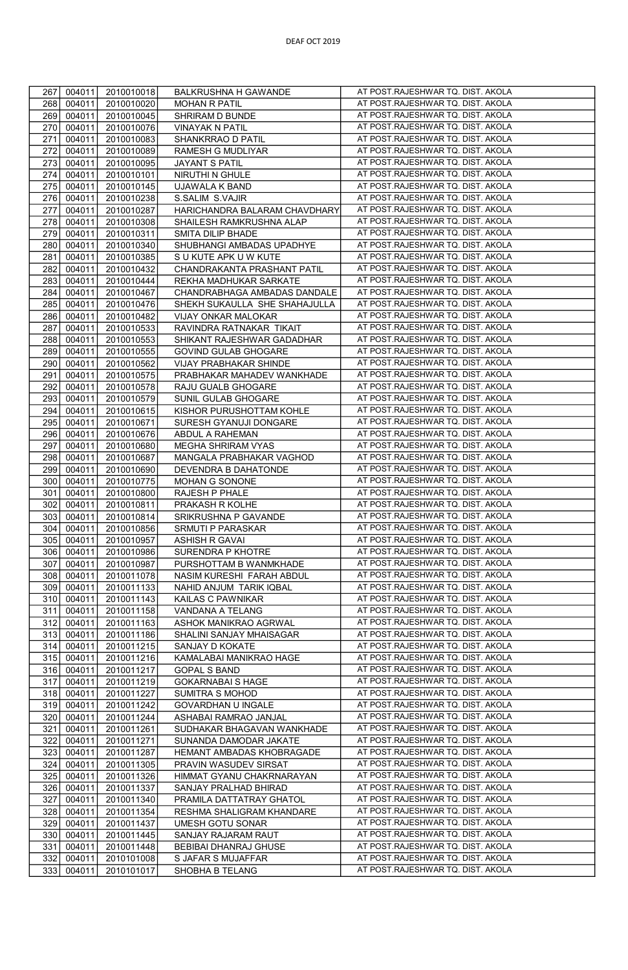| 267 | 004011 | 2010010018 | BALKRUSHNA H GAWANDE          | AT POST.RAJESHWAR TQ. DIST. AKOLA                                      |
|-----|--------|------------|-------------------------------|------------------------------------------------------------------------|
| 268 | 004011 | 2010010020 | <b>MOHAN R PATIL</b>          | AT POST.RAJESHWAR TQ. DIST. AKOLA                                      |
| 269 | 004011 | 2010010045 | SHRIRAM D BUNDE               | AT POST.RAJESHWAR TQ. DIST. AKOLA                                      |
| 270 | 004011 | 2010010076 | <b>VINAYAK N PATIL</b>        | AT POST.RAJESHWAR TQ. DIST. AKOLA                                      |
| 271 | 004011 | 2010010083 | SHANKRRAO D PATIL             | AT POST.RAJESHWAR TQ. DIST. AKOLA                                      |
| 272 | 004011 | 2010010089 | RAMESH G MUDLIYAR             | AT POST.RAJESHWAR TQ. DIST. AKOLA                                      |
| 273 | 004011 | 2010010095 | JAYANT S PATIL                | AT POST.RAJESHWAR TQ. DIST. AKOLA                                      |
| 274 | 004011 | 2010010101 | NIRUTHI N GHULE               | AT POST.RAJESHWAR TQ. DIST. AKOLA                                      |
| 275 | 004011 | 2010010145 | UJAWALA K BAND                | AT POST.RAJESHWAR TQ. DIST. AKOLA                                      |
| 276 | 004011 | 2010010238 | S.SALIM S.VAJIR               | AT POST.RAJESHWAR TQ. DIST. AKOLA                                      |
| 277 | 004011 | 2010010287 | HARICHANDRA BALARAM CHAVDHARY | AT POST.RAJESHWAR TQ. DIST. AKOLA                                      |
| 278 | 004011 | 2010010308 | SHAILESH RAMKRUSHNA ALAP      | AT POST.RAJESHWAR TQ. DIST. AKOLA                                      |
| 279 | 004011 | 2010010311 | SMITA DILIP BHADE             | AT POST.RAJESHWAR TQ. DIST. AKOLA                                      |
| 280 | 004011 | 2010010340 | SHUBHANGI AMBADAS UPADHYE     | AT POST.RAJESHWAR TQ. DIST. AKOLA                                      |
| 281 | 004011 | 2010010385 | S U KUTE APK U W KUTE         | AT POST.RAJESHWAR TQ. DIST. AKOLA                                      |
| 282 | 004011 | 2010010432 | CHANDRAKANTA PRASHANT PATIL   | AT POST.RAJESHWAR TQ. DIST. AKOLA                                      |
| 283 | 004011 | 2010010444 | REKHA MADHUKAR SARKATE        | AT POST.RAJESHWAR TQ. DIST. AKOLA                                      |
| 284 | 004011 | 2010010467 | CHANDRABHAGA AMBADAS DANDALE  | AT POST.RAJESHWAR TQ. DIST. AKOLA                                      |
| 285 | 004011 | 2010010476 | SHEKH SUKAULLA SHE SHAHAJULLA | AT POST.RAJESHWAR TQ. DIST. AKOLA                                      |
| 286 | 004011 | 2010010482 | VIJAY ONKAR MALOKAR           | AT POST.RAJESHWAR TQ. DIST. AKOLA                                      |
| 287 | 004011 | 2010010533 | RAVINDRA RATNAKAR TIKAIT      | AT POST.RAJESHWAR TQ. DIST. AKOLA                                      |
| 288 | 004011 | 2010010553 | SHIKANT RAJESHWAR GADADHAR    | AT POST.RAJESHWAR TQ. DIST. AKOLA                                      |
| 289 | 004011 | 2010010555 | GOVIND GULAB GHOGARE          | AT POST.RAJESHWAR TQ. DIST. AKOLA                                      |
|     |        |            |                               | AT POST.RAJESHWAR TQ. DIST. AKOLA                                      |
| 290 | 004011 | 2010010562 | VIJAY PRABHAKAR SHINDE        | AT POST.RAJESHWAR TQ. DIST. AKOLA                                      |
| 291 | 004011 | 2010010575 | PRABHAKAR MAHADEV WANKHADE    |                                                                        |
| 292 | 004011 | 2010010578 | RAJU GUALB GHOGARE            | AT POST.RAJESHWAR TQ. DIST. AKOLA<br>AT POST.RAJESHWAR TQ. DIST. AKOLA |
| 293 | 004011 | 2010010579 | SUNIL GULAB GHOGARE           |                                                                        |
| 294 | 004011 | 2010010615 | KISHOR PURUSHOTTAM KOHLE      | AT POST.RAJESHWAR TQ. DIST. AKOLA                                      |
| 295 | 004011 | 2010010671 | SURESH GYANUJI DONGARE        | AT POST.RAJESHWAR TQ. DIST. AKOLA<br>AT POST.RAJESHWAR TQ. DIST. AKOLA |
| 296 | 004011 | 2010010676 | ABDUL A RAHEMAN               |                                                                        |
| 297 | 004011 | 2010010680 | MEGHA SHRIRAM VYAS            | AT POST.RAJESHWAR TQ. DIST. AKOLA                                      |
| 298 | 004011 | 2010010687 | MANGALA PRABHAKAR VAGHOD      | AT POST.RAJESHWAR TQ. DIST. AKOLA                                      |
| 299 | 004011 | 2010010690 | DEVENDRA B DAHATONDE          | AT POST.RAJESHWAR TQ. DIST. AKOLA                                      |
| 300 | 004011 | 2010010775 | MOHAN G SONONE                | AT POST.RAJESHWAR TQ. DIST. AKOLA                                      |
| 301 | 004011 | 2010010800 | RAJESH P PHALE                | AT POST.RAJESHWAR TQ. DIST. AKOLA<br>AT POST.RAJESHWAR TQ. DIST. AKOLA |
| 302 | 004011 | 2010010811 | PRAKASH R KOLHE               |                                                                        |
| 303 | 004011 | 2010010814 | SRIKRUSHNA P GAVANDE          | AT POST.RAJESHWAR TQ. DIST. AKOLA                                      |
| 304 | 004011 | 2010010856 | SRMUTI P PARASKAR             | AT POST.RAJESHWAR TQ. DIST. AKOLA                                      |
| 305 | 004011 | 2010010957 | <b>ASHISH R GAVAI</b>         | AT POST.RAJESHWAR TQ. DIST. AKOLA                                      |
| 306 | 004011 | 2010010986 | SURENDRA P KHOTRE             | AT POST.RAJESHWAR TQ. DIST. AKOLA                                      |
| 307 | 004011 | 2010010987 | PURSHOTTAM B WANMKHADE        | AT POST.RAJESHWAR TQ. DIST. AKOLA                                      |
| 308 | 004011 | 2010011078 | NASIM KURESHI FARAH ABDUL     | AT POST.RAJESHWAR TQ. DIST. AKOLA                                      |
| 309 | 004011 | 2010011133 | NAHID ANJUM TARIK IQBAL       | AT POST.RAJESHWAR TQ. DIST. AKOLA                                      |
| 310 | 004011 | 2010011143 | KAILAS C PAWNIKAR             | AT POST.RAJESHWAR TQ. DIST. AKOLA                                      |
| 311 | 004011 | 2010011158 | VANDANA A TELANG              | AT POST.RAJESHWAR TQ. DIST. AKOLA                                      |
| 312 | 004011 | 2010011163 | ASHOK MANIKRAO AGRWAL         | AT POST.RAJESHWAR TQ. DIST. AKOLA                                      |
| 313 | 004011 | 2010011186 | SHALINI SANJAY MHAISAGAR      | AT POST.RAJESHWAR TQ. DIST. AKOLA                                      |
| 314 | 004011 | 2010011215 | SANJAY D KOKATE               | AT POST.RAJESHWAR TQ. DIST. AKOLA                                      |
| 315 | 004011 | 2010011216 | KAMALABAI MANIKRAO HAGE       | AT POST.RAJESHWAR TQ. DIST. AKOLA                                      |
| 316 | 004011 | 2010011217 | <b>GOPAL S BAND</b>           | AT POST.RAJESHWAR TQ. DIST. AKOLA                                      |
| 317 | 004011 | 2010011219 | <b>GOKARNABAI S HAGE</b>      | AT POST.RAJESHWAR TQ. DIST. AKOLA                                      |
| 318 | 004011 | 2010011227 | SUMITRA S MOHOD               | AT POST.RAJESHWAR TQ. DIST. AKOLA                                      |
| 319 | 004011 | 2010011242 | GOVARDHAN U INGALE            | AT POST.RAJESHWAR TQ. DIST. AKOLA                                      |
| 320 | 004011 | 2010011244 | ASHABAI RAMRAO JANJAL         | AT POST.RAJESHWAR TQ. DIST. AKOLA                                      |
| 321 | 004011 | 2010011261 | SUDHAKAR BHAGAVAN WANKHADE    | AT POST.RAJESHWAR TQ. DIST. AKOLA                                      |
| 322 | 004011 | 2010011271 | SUNANDA DAMODAR JAKATE        | AT POST.RAJESHWAR TQ. DIST. AKOLA                                      |
| 323 | 004011 | 2010011287 | HEMANT AMBADAS KHOBRAGADE     | AT POST.RAJESHWAR TQ. DIST. AKOLA                                      |
| 324 | 004011 | 2010011305 | PRAVIN WASUDEV SIRSAT         | AT POST.RAJESHWAR TQ. DIST. AKOLA                                      |
| 325 | 004011 | 2010011326 | HIMMAT GYANU CHAKRNARAYAN     | AT POST.RAJESHWAR TQ. DIST. AKOLA                                      |
| 326 | 004011 | 2010011337 | SANJAY PRALHAD BHIRAD         | AT POST.RAJESHWAR TQ. DIST. AKOLA                                      |
| 327 | 004011 | 2010011340 | PRAMILA DATTATRAY GHATOL      | AT POST.RAJESHWAR TQ. DIST. AKOLA                                      |
| 328 | 004011 | 2010011354 | RESHMA SHALIGRAM KHANDARE     | AT POST.RAJESHWAR TQ. DIST. AKOLA                                      |
| 329 | 004011 | 2010011437 | <b>UMESH GOTU SONAR</b>       | AT POST.RAJESHWAR TQ. DIST. AKOLA                                      |
| 330 | 004011 | 2010011445 | SANJAY RAJARAM RAUT           | AT POST.RAJESHWAR TQ. DIST. AKOLA                                      |
| 331 | 004011 | 2010011448 | BEBIBAI DHANRAJ GHUSE         | AT POST.RAJESHWAR TQ. DIST. AKOLA                                      |
| 332 | 004011 | 2010101008 | S JAFAR S MUJAFFAR            | AT POST.RAJESHWAR TQ. DIST. AKOLA                                      |
| 333 | 004011 | 2010101017 | SHOBHA B TELANG               | AT POST.RAJESHWAR TQ. DIST. AKOLA                                      |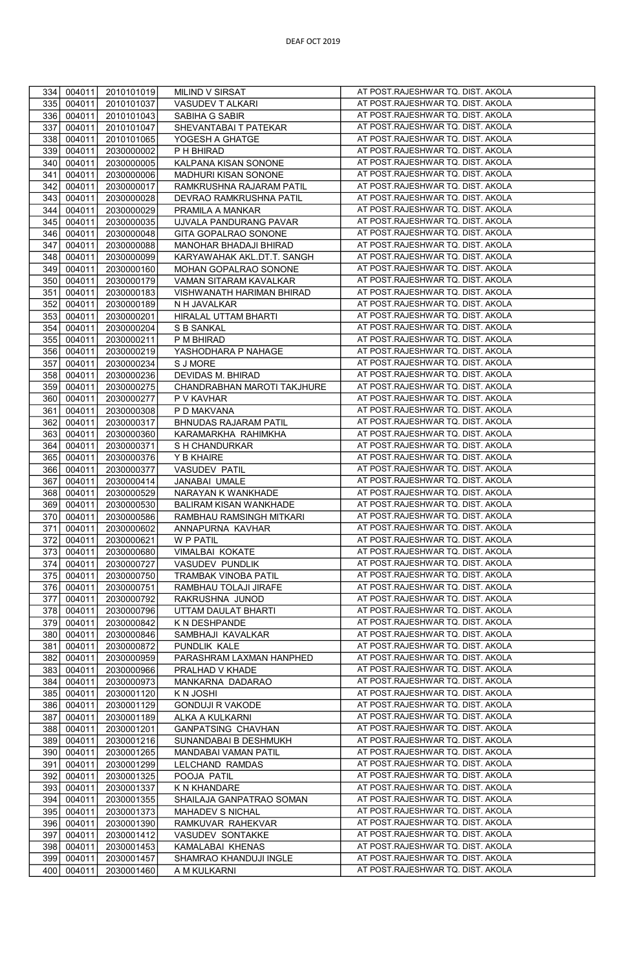| 334        | 004011           | 2010101019               | MILIND V SIRSAT                       | AT POST.RAJESHWAR TQ. DIST. AKOLA                                      |
|------------|------------------|--------------------------|---------------------------------------|------------------------------------------------------------------------|
| 335        | 004011           | 2010101037               | VASUDEV T ALKARI                      | AT POST.RAJESHWAR TQ. DIST. AKOLA                                      |
| 336        | 004011           | 2010101043               | SABIHA G SABIR                        | AT POST.RAJESHWAR TQ. DIST. AKOLA                                      |
| 337        | 004011           | 2010101047               | SHEVANTABAI T PATEKAR                 | AT POST.RAJESHWAR TQ. DIST. AKOLA                                      |
| 338        | 004011           | 2010101065               | YOGESH A GHATGE                       | AT POST.RAJESHWAR TQ. DIST. AKOLA                                      |
| 339        | 004011           | 2030000002               | P H BHIRAD                            | AT POST.RAJESHWAR TQ. DIST. AKOLA                                      |
| 340        | 004011           | 2030000005               | KALPANA KISAN SONONE                  | AT POST.RAJESHWAR TQ. DIST. AKOLA                                      |
| 341        | 004011           | 2030000006               | MADHURI KISAN SONONE                  | AT POST.RAJESHWAR TQ. DIST. AKOLA                                      |
| 342        | 004011           | 2030000017               | RAMKRUSHNA RAJARAM PATIL              | AT POST.RAJESHWAR TQ. DIST. AKOLA                                      |
| 343        | 004011           | 2030000028               | DEVRAO RAMKRUSHNA PATIL               | AT POST.RAJESHWAR TQ. DIST. AKOLA                                      |
| 344        | 004011           | 2030000029               | PRAMILA A MANKAR                      | AT POST.RAJESHWAR TQ. DIST. AKOLA                                      |
| 345        | 004011           | 2030000035               | UJVALA PANDURANG PAVAR                | AT POST.RAJESHWAR TQ. DIST. AKOLA                                      |
| 346        | 004011           | 2030000048               | GITA GOPALRAO SONONE                  | AT POST.RAJESHWAR TQ. DIST. AKOLA                                      |
| 347        | 004011           | 2030000088               | MANOHAR BHADAJI BHIRAD                | AT POST.RAJESHWAR TQ. DIST. AKOLA                                      |
| 348        | 004011           | 2030000099               | KARYAWAHAK AKL.DT.T. SANGH            | AT POST.RAJESHWAR TQ. DIST. AKOLA                                      |
| 349        | 004011           | 2030000160               | MOHAN GOPALRAO SONONE                 | AT POST.RAJESHWAR TQ. DIST. AKOLA                                      |
| 350        | 004011           | 2030000179               | VAMAN SITARAM KAVALKAR                | AT POST.RAJESHWAR TQ. DIST. AKOLA                                      |
| 351        | 004011           | 2030000183               | VISHWANATH HARIMAN BHIRAD             | AT POST.RAJESHWAR TQ. DIST. AKOLA                                      |
| 352        | 004011           | 2030000189               | N H JAVALKAR                          | AT POST.RAJESHWAR TQ. DIST. AKOLA                                      |
| 353        | 004011           | 2030000201               | HIRALAL UTTAM BHARTI                  | AT POST.RAJESHWAR TQ. DIST. AKOLA                                      |
| 354        | 004011           | 2030000204               | S B SANKAL                            | AT POST.RAJESHWAR TQ. DIST. AKOLA                                      |
| 355        | 004011           | 2030000211               | P M BHIRAD                            | AT POST.RAJESHWAR TQ. DIST. AKOLA                                      |
| 356        | 004011           | 2030000219               | YASHODHARA P NAHAGE                   | AT POST.RAJESHWAR TQ. DIST. AKOLA                                      |
| 357        | 004011           | 2030000234               | S J MORE                              | AT POST.RAJESHWAR TQ. DIST. AKOLA                                      |
| 358        | 004011           | 2030000236               | DEVIDAS M. BHIRAD                     | AT POST.RAJESHWAR TQ. DIST. AKOLA                                      |
| 359        | 004011           | 2030000275               | CHANDRABHAN MAROTI TAKJHURE           | AT POST.RAJESHWAR TQ. DIST. AKOLA                                      |
| 360        | 004011           | 2030000277               | P V KAVHAR                            | AT POST.RAJESHWAR TQ. DIST. AKOLA                                      |
| 361        | 004011           | 2030000308               | P D MAKVANA                           | AT POST.RAJESHWAR TQ. DIST. AKOLA                                      |
| 362        | 004011           | 2030000317               | BHNUDAS RAJARAM PATIL                 | AT POST.RAJESHWAR TQ. DIST. AKOLA                                      |
| 363        | 004011           | 2030000360               | KARAMARKHA RAHIMKHA                   | AT POST.RAJESHWAR TQ. DIST. AKOLA                                      |
| 364        | 004011           | 2030000371               | S H CHANDURKAR                        | AT POST.RAJESHWAR TQ. DIST. AKOLA                                      |
|            | 004011           |                          | Y B KHAIRE                            | AT POST.RAJESHWAR TQ. DIST. AKOLA                                      |
| 365        |                  | 2030000376               |                                       | AT POST.RAJESHWAR TQ. DIST. AKOLA                                      |
| 366<br>367 | 004011<br>004011 | 2030000377<br>2030000414 | <b>VASUDEV PATIL</b><br>JANABAI UMALE | AT POST.RAJESHWAR TQ. DIST. AKOLA                                      |
| 368        | 004011           | 2030000529               | NARAYAN K WANKHADE                    | AT POST.RAJESHWAR TQ. DIST. AKOLA                                      |
| 369        | 004011           | 2030000530               | BALIRAM KISAN WANKHADE                | AT POST.RAJESHWAR TQ. DIST. AKOLA                                      |
| 370        | 004011           | 2030000586               | RAMBHAU RAMSINGH MITKARI              | AT POST.RAJESHWAR TQ. DIST. AKOLA                                      |
| 371        | 004011           | 2030000602               | ANNAPURNA KAVHAR                      | AT POST.RAJESHWAR TQ. DIST. AKOLA                                      |
| 372        | 004011           | 2030000621               | W P PATIL                             | AT POST.RAJESHWAR TQ. DIST. AKOLA                                      |
| 373        | 004011           | 2030000680               | VIMALBAI KOKATE                       | AT POST.RAJESHWAR TQ. DIST. AKOLA                                      |
| 374        | 004011           | 2030000727               | VASUDEV PUNDLIK                       | AT POST.RAJESHWAR TQ. DIST. AKOLA                                      |
| 375        | 004011           | 2030000750               | TRAMBAK VINOBA PATIL                  | AT POST.RAJESHWAR TQ. DIST. AKOLA                                      |
| 376        | 004011           | 2030000751               | RAMBHAU TOLAJI JIRAFE                 |                                                                        |
| 377        | 004011           |                          |                                       |                                                                        |
| 378        |                  |                          |                                       | AT POST.RAJESHWAR TQ. DIST. AKOLA                                      |
|            |                  | 2030000792               | RAKRUSHNA JUNOD                       | AT POST.RAJESHWAR TQ. DIST. AKOLA                                      |
|            | 004011           | 2030000796               | UTTAM DAULAT BHARTI                   | AT POST.RAJESHWAR TQ. DIST. AKOLA                                      |
| 379        | 004011           | 2030000842               | K N DESHPANDE                         | AT POST.RAJESHWAR TQ. DIST. AKOLA                                      |
| 380        | 004011           | 2030000846               | SAMBHAJI KAVALKAR                     | AT POST.RAJESHWAR TQ. DIST. AKOLA                                      |
| 381        | 004011           | 2030000872               | PUNDLIK KALE                          | AT POST.RAJESHWAR TQ. DIST. AKOLA<br>AT POST.RAJESHWAR TQ. DIST. AKOLA |
| 382        | 004011           | 2030000959               | PARASHRAM LAXMAN HANPHED              | AT POST.RAJESHWAR TQ. DIST. AKOLA                                      |
| 383        | 004011           | 2030000966               | PRALHAD V KHADE                       |                                                                        |
| 384        | 004011           | 2030000973               | MANKARNA DADARAO                      | AT POST.RAJESHWAR TQ. DIST. AKOLA                                      |
| 385        | 004011           | 2030001120               | K N JOSHI                             | AT POST.RAJESHWAR TQ. DIST. AKOLA<br>AT POST.RAJESHWAR TQ. DIST. AKOLA |
| 386        | 004011           | 2030001129               | <b>GONDUJI R VAKODE</b>               | AT POST.RAJESHWAR TQ. DIST. AKOLA                                      |
| 387        | 004011           | 2030001189               | ALKA A KULKARNI                       |                                                                        |
| 388        | 004011           | 2030001201               | <b>GANPATSING CHAVHAN</b>             | AT POST.RAJESHWAR TQ. DIST. AKOLA<br>AT POST.RAJESHWAR TQ. DIST. AKOLA |
| 389        | 004011           | 2030001216               | SUNANDABAI B DESHMUKH                 | AT POST.RAJESHWAR TQ. DIST. AKOLA                                      |
| 390        | 004011           | 2030001265               | MANDABAI VAMAN PATIL                  | AT POST.RAJESHWAR TQ. DIST. AKOLA                                      |
| 391<br>392 | 004011<br>004011 | 2030001299<br>2030001325 | LELCHAND RAMDAS<br>POOJA PATIL        | AT POST.RAJESHWAR TQ. DIST. AKOLA                                      |
| 393        | 004011           | 2030001337               | K N KHANDARE                          | AT POST.RAJESHWAR TQ. DIST. AKOLA                                      |
| 394        | 004011           | 2030001355               | SHAILAJA GANPATRAO SOMAN              | AT POST.RAJESHWAR TQ. DIST. AKOLA                                      |
| 395        | 004011           | 2030001373               | MAHADEV S NICHAL                      | AT POST.RAJESHWAR TQ. DIST. AKOLA                                      |
| 396        | 004011           | 2030001390               | RAMKUVAR RAHEKVAR                     | AT POST.RAJESHWAR TQ. DIST. AKOLA                                      |
| 397        | 004011           | 2030001412               | VASUDEV SONTAKKE                      | AT POST.RAJESHWAR TQ. DIST. AKOLA                                      |
| 398        | 004011           | 2030001453               | KAMALABAI KHENAS                      | AT POST.RAJESHWAR TQ. DIST. AKOLA                                      |
| 399        | 004011           | 2030001457               | SHAMRAO KHANDUJI INGLE                | AT POST.RAJESHWAR TQ. DIST. AKOLA                                      |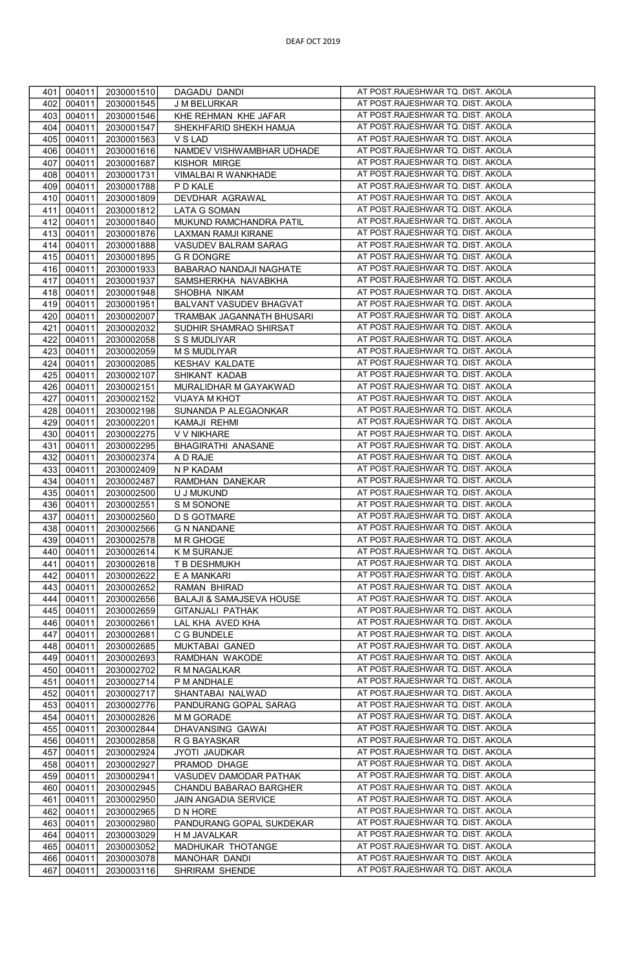| 401 | 004011 | 2030001510 | DAGADU DANDI              | AT POST.RAJESHWAR TQ. DIST. AKOLA |
|-----|--------|------------|---------------------------|-----------------------------------|
| 402 | 004011 | 2030001545 | J M BELURKAR              | AT POST.RAJESHWAR TQ. DIST. AKOLA |
| 403 | 004011 | 2030001546 | KHE REHMAN KHE JAFAR      | AT POST.RAJESHWAR TQ. DIST. AKOLA |
|     |        |            |                           |                                   |
| 404 | 004011 | 2030001547 | SHEKHFARID SHEKH HAMJA    | AT POST.RAJESHWAR TQ. DIST. AKOLA |
| 405 | 004011 | 2030001563 | V S LAD                   | AT POST.RAJESHWAR TQ. DIST. AKOLA |
| 406 | 004011 | 2030001616 | NAMDEV VISHWAMBHAR UDHADE | AT POST.RAJESHWAR TQ. DIST. AKOLA |
| 407 | 004011 | 2030001687 | KISHOR MIRGE              | AT POST.RAJESHWAR TQ. DIST. AKOLA |
| 408 | 004011 | 2030001731 | VIMALBAI R WANKHADE       | AT POST.RAJESHWAR TQ. DIST. AKOLA |
| 409 | 004011 | 2030001788 | P D KALE                  | AT POST.RAJESHWAR TQ. DIST. AKOLA |
| 410 | 004011 | 2030001809 | DEVDHAR AGRAWAL           | AT POST.RAJESHWAR TQ. DIST. AKOLA |
|     |        |            |                           | AT POST.RAJESHWAR TQ. DIST. AKOLA |
| 411 | 004011 | 2030001812 | LATA G SOMAN              |                                   |
| 412 | 004011 | 2030001840 | MUKUND RAMCHANDRA PATIL   | AT POST.RAJESHWAR TQ. DIST. AKOLA |
| 413 | 004011 | 2030001876 | LAXMAN RAMJI KIRANE       | AT POST.RAJESHWAR TQ. DIST. AKOLA |
| 414 | 004011 | 2030001888 | VASUDEV BALRAM SARAG      | AT POST.RAJESHWAR TQ. DIST. AKOLA |
| 415 | 004011 | 2030001895 | <b>G R DONGRE</b>         | AT POST.RAJESHWAR TQ. DIST. AKOLA |
| 416 | 004011 | 2030001933 | BABARAO NANDAJI NAGHATE   | AT POST.RAJESHWAR TQ. DIST. AKOLA |
| 417 | 004011 | 2030001937 | SAMSHERKHA NAVABKHA       | AT POST.RAJESHWAR TQ. DIST. AKOLA |
| 418 | 004011 | 2030001948 | SHOBHA NIKAM              | AT POST.RAJESHWAR TQ. DIST. AKOLA |
|     |        |            |                           |                                   |
| 419 | 004011 | 2030001951 | BALVANT VASUDEV BHAGVAT   | AT POST.RAJESHWAR TQ. DIST. AKOLA |
| 420 | 004011 | 2030002007 | TRAMBAK JAGANNATH BHUSARI | AT POST.RAJESHWAR TQ. DIST. AKOLA |
| 421 | 004011 | 2030002032 | SUDHIR SHAMRAO SHIRSAT    | AT POST.RAJESHWAR TQ. DIST. AKOLA |
| 422 | 004011 | 2030002058 | S S MUDLIYAR              | AT POST.RAJESHWAR TQ. DIST. AKOLA |
| 423 | 004011 | 2030002059 | <b>M S MUDLIYAR</b>       | AT POST.RAJESHWAR TQ. DIST. AKOLA |
| 424 | 004011 | 2030002085 | <b>KESHAV KALDATE</b>     | AT POST.RAJESHWAR TQ. DIST. AKOLA |
| 425 | 004011 | 2030002107 | SHIKANT KADAB             | AT POST.RAJESHWAR TQ. DIST. AKOLA |
|     |        |            |                           | AT POST.RAJESHWAR TQ. DIST. AKOLA |
| 426 | 004011 | 2030002151 | MURALIDHAR M GAYAKWAD     |                                   |
| 427 | 004011 | 2030002152 | VIJAYA M KHOT             | AT POST.RAJESHWAR TQ. DIST. AKOLA |
| 428 | 004011 | 2030002198 | SUNANDA P ALEGAONKAR      | AT POST.RAJESHWAR TQ. DIST. AKOLA |
| 429 | 004011 | 2030002201 | KAMAJI REHMI              | AT POST.RAJESHWAR TQ. DIST. AKOLA |
| 430 | 004011 | 2030002275 | V V NIKHARE               | AT POST.RAJESHWAR TQ. DIST. AKOLA |
| 431 | 004011 | 2030002295 | BHAGIRATHI ANASANE        | AT POST.RAJESHWAR TQ. DIST. AKOLA |
| 432 | 004011 | 2030002374 | A D RAJE                  | AT POST.RAJESHWAR TQ. DIST. AKOLA |
| 433 | 004011 | 2030002409 | N P KADAM                 | AT POST.RAJESHWAR TQ. DIST. AKOLA |
| 434 | 004011 | 2030002487 | RAMDHAN DANEKAR           | AT POST.RAJESHWAR TQ. DIST. AKOLA |
|     |        |            |                           |                                   |
| 435 | 004011 | 2030002500 | U J MUKUND                | AT POST.RAJESHWAR TQ. DIST. AKOLA |
| 436 | 004011 | 2030002551 | S M SONONE                | AT POST.RAJESHWAR TQ. DIST. AKOLA |
| 437 | 004011 | 2030002560 | <b>D S GOTMARE</b>        | AT POST.RAJESHWAR TQ. DIST. AKOLA |
| 438 | 004011 | 2030002566 | <b>G N NANDANE</b>        | AT POST.RAJESHWAR TQ. DIST. AKOLA |
| 439 | 004011 | 2030002578 | M R GHOGE                 | AT POST.RAJESHWAR TQ. DIST. AKOLA |
| 440 | 004011 | 2030002614 | <b>K M SURANJE</b>        | AT POST.RAJESHWAR TQ. DIST. AKOLA |
| 441 | 004011 | 2030002618 | T B DESHMUKH              | AT POST.RAJESHWAR TQ. DIST. AKOLA |
| 442 | 004011 | 2030002622 | E A MANKARI               | AT POST.RAJESHWAR TQ. DIST. AKOLA |
|     |        |            |                           | AT POST.RAJESHWAR TQ. DIST. AKOLA |
| 443 | 004011 | 2030002652 | RAMAN BHIRAD              |                                   |
| 444 | 004011 | 2030002656 | BALAJI & SAMAJSEVA HOUSE  | AT POST.RAJESHWAR TQ. DIST. AKOLA |
| 445 | 004011 | 2030002659 | <b>GITANJALI PATHAK</b>   | AT POST.RAJESHWAR TQ. DIST. AKOLA |
| 446 | 004011 | 2030002661 | LAL KHA AVED KHA          | AT POST.RAJESHWAR TQ. DIST. AKOLA |
| 447 | 004011 | 2030002681 | C G BUNDELE               | AT POST.RAJESHWAR TQ. DIST. AKOLA |
| 448 | 004011 | 2030002685 | MUKTABAI GANED            | AT POST.RAJESHWAR TQ. DIST. AKOLA |
| 449 | 004011 | 2030002693 | RAMDHAN WAKODE            | AT POST.RAJESHWAR TQ. DIST. AKOLA |
| 450 | 004011 | 2030002702 | R M NAGALKAR              | AT POST.RAJESHWAR TQ. DIST. AKOLA |
| 451 | 004011 | 2030002714 | P M ANDHALE               | AT POST.RAJESHWAR TQ. DIST. AKOLA |
|     |        |            |                           | AT POST.RAJESHWAR TQ. DIST. AKOLA |
| 452 | 004011 | 2030002717 | SHANTABAI NALWAD          |                                   |
| 453 | 004011 | 2030002776 | PANDURANG GOPAL SARAG     | AT POST.RAJESHWAR TQ. DIST. AKOLA |
| 454 | 004011 | 2030002826 | M M GORADE                | AT POST.RAJESHWAR TQ. DIST. AKOLA |
| 455 | 004011 | 2030002844 | DHAVANSING GAWAI          | AT POST.RAJESHWAR TQ. DIST. AKOLA |
| 456 | 004011 | 2030002858 | R G BAYASKAR              | AT POST.RAJESHWAR TQ. DIST. AKOLA |
| 457 | 004011 | 2030002924 | JYOTI JAUDKAR             | AT POST.RAJESHWAR TQ. DIST. AKOLA |
| 458 | 004011 | 2030002927 | PRAMOD DHAGE              | AT POST.RAJESHWAR TQ. DIST. AKOLA |
| 459 | 004011 | 2030002941 | VASUDEV DAMODAR PATHAK    | AT POST.RAJESHWAR TQ. DIST. AKOLA |
| 460 | 004011 | 2030002945 | CHANDU BABARAO BARGHER    | AT POST.RAJESHWAR TQ. DIST. AKOLA |
|     |        |            |                           |                                   |
| 461 | 004011 | 2030002950 | JAIN ANGADIA SERVICE      | AT POST.RAJESHWAR TQ. DIST. AKOLA |
| 462 | 004011 | 2030002965 | D N HORE                  | AT POST.RAJESHWAR TQ. DIST. AKOLA |
| 463 | 004011 | 2030002980 | PANDURANG GOPAL SUKDEKAR  | AT POST.RAJESHWAR TQ. DIST. AKOLA |
| 464 | 004011 | 2030003029 | H M JAVALKAR              | AT POST.RAJESHWAR TQ. DIST. AKOLA |
| 465 | 004011 | 2030003052 | MADHUKAR THOTANGE         | AT POST.RAJESHWAR TQ. DIST. AKOLA |
| 466 | 004011 | 2030003078 | MANOHAR DANDI             | AT POST.RAJESHWAR TQ. DIST. AKOLA |
| 467 | 004011 | 2030003116 | SHRIRAM SHENDE            | AT POST.RAJESHWAR TQ. DIST. AKOLA |
|     |        |            |                           |                                   |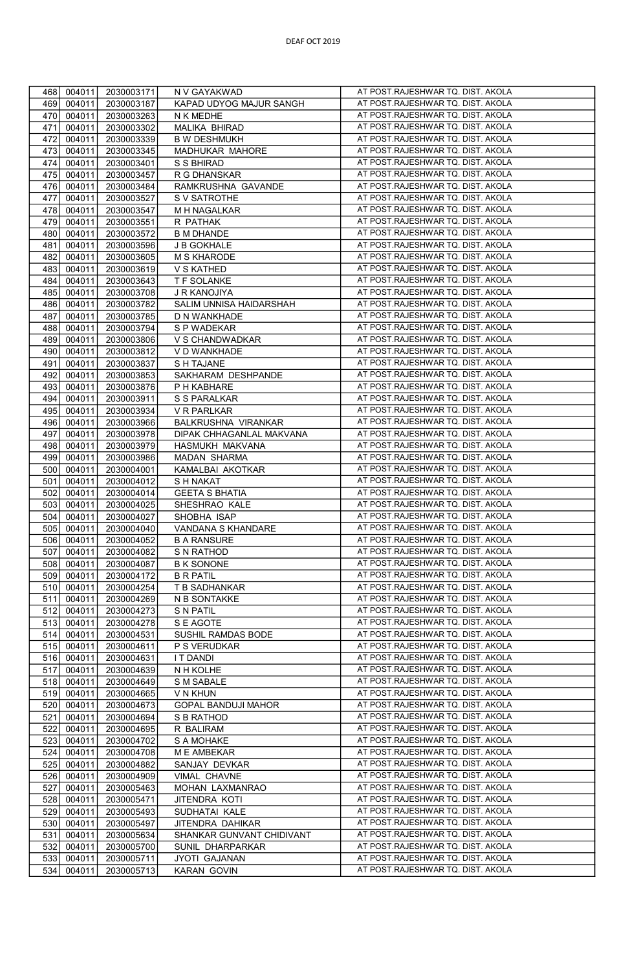| 468 | 004011<br>2030003171 | N V GAYAKWAD              | AT POST.RAJESHWAR TQ. DIST. AKOLA  |
|-----|----------------------|---------------------------|------------------------------------|
| 469 | 004011<br>2030003187 | KAPAD UDYOG MAJUR SANGH   | AT POST.RAJESHWAR TQ. DIST. AKOLA  |
| 470 | 004011<br>2030003263 | N K MEDHE                 | AT POST.RAJESHWAR TQ. DIST. AKOLA  |
| 471 | 004011<br>2030003302 | MALIKA BHIRAD             | AT POST.RAJESHWAR TQ. DIST. AKOLA  |
| 472 | 004011<br>2030003339 | <b>B W DESHMUKH</b>       | AT POST.RAJESHWAR TQ. DIST. AKOLA  |
|     |                      |                           |                                    |
| 473 | 004011<br>2030003345 | MADHUKAR MAHORE           | AT POST.RAJESHWAR TQ. DIST. AKOLA  |
| 474 | 004011<br>2030003401 | S S BHIRAD                | AT POST.RAJESHWAR TQ. DIST. AKOLA  |
| 475 | 004011<br>2030003457 | R G DHANSKAR              | AT POST.RAJESHWAR TQ. DIST. AKOLA  |
| 476 | 004011<br>2030003484 | RAMKRUSHNA GAVANDE        | AT POST.RAJESHWAR TQ. DIST. AKOLA  |
| 477 | 004011               |                           | AT POST.RAJESHWAR TQ. DIST. AKOLA  |
|     | 2030003527           | S V SATROTHE              |                                    |
| 478 | 004011<br>2030003547 | M H NAGALKAR              | AT POST.RAJESHWAR TQ. DIST. AKOLA  |
| 479 | 004011<br>2030003551 | R PATHAK                  | AT POST.RAJESHWAR TQ. DIST. AKOLA  |
| 480 | 004011<br>2030003572 | <b>B M DHANDE</b>         | AT POST.RAJESHWAR TQ. DIST. AKOLA  |
| 481 | 004011<br>2030003596 | J B GOKHALE               | AT POST.RAJESHWAR TQ. DIST. AKOLA  |
| 482 |                      | <b>M S KHARODE</b>        | AT POST.RAJESHWAR TQ. DIST. AKOLA  |
|     | 004011<br>2030003605 |                           |                                    |
| 483 | 004011<br>2030003619 | V S KATHED                | AT POST.RAJESHWAR TQ. DIST. AKOLA  |
| 484 | 004011<br>2030003643 | T F SOLANKE               | AT POST.RAJESHWAR TQ. DIST. AKOLA  |
| 485 | 004011<br>2030003708 | J R KANOJIYA              | AT POST.RAJESHWAR TQ. DIST. AKOLA  |
| 486 | 004011<br>2030003782 | SALIM UNNISA HAIDARSHAH   | AT POST.RAJESHWAR TQ. DIST. AKOLA  |
| 487 | 004011<br>2030003785 | D N WANKHADE              | AT POST.RAJESHWAR TQ. DIST. AKOLA  |
|     |                      |                           |                                    |
| 488 | 004011<br>2030003794 | S P WADEKAR               | AT POST.RAJESHWAR TQ. DIST. AKOLA  |
| 489 | 004011<br>2030003806 | V S CHANDWADKAR           | AT POST.RAJESHWAR TQ. DIST. AKOLA  |
| 490 | 004011<br>2030003812 | V D WANKHADE              | AT POST.RAJESHWAR TQ. DIST. AKOLA  |
| 491 | 004011<br>2030003837 | S H TAJANE                | AT POST. RAJESHWAR TQ. DIST. AKOLA |
| 492 | 004011<br>2030003853 | SAKHARAM DESHPANDE        | AT POST.RAJESHWAR TQ. DIST. AKOLA  |
|     |                      |                           |                                    |
| 493 | 004011<br>2030003876 | P H KABHARE               | AT POST.RAJESHWAR TQ. DIST. AKOLA  |
| 494 | 004011<br>2030003911 | S S PARALKAR              | AT POST.RAJESHWAR TQ. DIST. AKOLA  |
| 495 | 004011<br>2030003934 | V R PARLKAR               | AT POST.RAJESHWAR TQ. DIST. AKOLA  |
| 496 | 004011<br>2030003966 | BALKRUSHNA VIRANKAR       | AT POST.RAJESHWAR TQ. DIST. AKOLA  |
| 497 | 004011<br>2030003978 | DIPAK CHHAGANLAL MAKVANA  | AT POST.RAJESHWAR TQ. DIST. AKOLA  |
|     |                      |                           |                                    |
| 498 | 004011<br>2030003979 | HASMUKH MAKVANA           | AT POST.RAJESHWAR TQ. DIST. AKOLA  |
| 499 | 004011<br>2030003986 | MADAN SHARMA              | AT POST.RAJESHWAR TQ. DIST. AKOLA  |
| 500 | 004011<br>2030004001 | KAMALBAI AKOTKAR          | AT POST.RAJESHWAR TQ. DIST. AKOLA  |
| 501 | 004011<br>2030004012 | <b>SH NAKAT</b>           | AT POST.RAJESHWAR TQ. DIST. AKOLA  |
| 502 | 004011<br>2030004014 | <b>GEETA S BHATIA</b>     | AT POST.RAJESHWAR TQ. DIST. AKOLA  |
|     |                      |                           |                                    |
| 503 | 004011<br>2030004025 | SHESHRAO KALE             | AT POST.RAJESHWAR TQ. DIST. AKOLA  |
| 504 | 004011<br>2030004027 | SHOBHA ISAP               | AT POST.RAJESHWAR TQ. DIST. AKOLA  |
| 505 | 004011<br>2030004040 | VANDANA S KHANDARE        | AT POST.RAJESHWAR TQ. DIST. AKOLA  |
| 506 | 004011<br>2030004052 | <b>B A RANSURE</b>        | AT POST.RAJESHWAR TQ. DIST. AKOLA  |
| 507 | 004011<br>2030004082 | S N RATHOD                | AT POST.RAJESHWAR TQ. DIST. AKOLA  |
| 508 | 004011               |                           | AT POST.RAJESHWAR TQ. DIST. AKOLA  |
|     | 2030004087           | <b>B K SONONE</b>         |                                    |
| 509 | 004011<br>2030004172 | <b>B R PATIL</b>          | AT POST.RAJESHWAR TQ. DIST. AKOLA  |
| 510 | 004011<br>2030004254 | T B SADHANKAR             | AT POST.RAJESHWAR TQ. DIST. AKOLA  |
| 511 | 004011<br>2030004269 | N B SONTAKKE              | AT POST.RAJESHWAR TQ. DIST. AKOLA  |
| 512 | 004011<br>2030004273 | S N PATIL                 | AT POST.RAJESHWAR TQ. DIST. AKOLA  |
| 513 | 004011<br>2030004278 | S E AGOTE                 | AT POST.RAJESHWAR TQ. DIST. AKOLA  |
|     |                      |                           |                                    |
| 514 | 004011<br>2030004531 | SUSHIL RAMDAS BODE        | AT POST.RAJESHWAR TQ. DIST. AKOLA  |
| 515 | 004011<br>2030004611 | P S VERUDKAR              | AT POST.RAJESHWAR TQ. DIST. AKOLA  |
| 516 | 004011<br>2030004631 | <b>IT DANDI</b>           | AT POST.RAJESHWAR TQ. DIST. AKOLA  |
| 517 | 004011<br>2030004639 | N H KOLHE                 | AT POST.RAJESHWAR TQ. DIST. AKOLA  |
| 518 | 004011<br>2030004649 | S M SABALE                | AT POST.RAJESHWAR TQ. DIST. AKOLA  |
| 519 | 004011<br>2030004665 | V N KHUN                  | AT POST.RAJESHWAR TQ. DIST. AKOLA  |
|     |                      |                           |                                    |
| 520 | 004011<br>2030004673 | GOPAL BANDUJI MAHOR       | AT POST.RAJESHWAR TQ. DIST. AKOLA  |
| 521 | 004011<br>2030004694 | S B RATHOD                | AT POST.RAJESHWAR TQ. DIST. AKOLA  |
| 522 | 004011<br>2030004695 | R BALIRAM                 | AT POST.RAJESHWAR TQ. DIST. AKOLA  |
| 523 | 004011<br>2030004702 | S A MOHAKE                | AT POST.RAJESHWAR TQ. DIST. AKOLA  |
| 524 | 004011<br>2030004708 | M E AMBEKAR               | AT POST.RAJESHWAR TQ. DIST. AKOLA  |
|     |                      |                           | AT POST.RAJESHWAR TQ. DIST. AKOLA  |
| 525 | 004011<br>2030004882 | SANJAY DEVKAR             |                                    |
| 526 | 004011<br>2030004909 | VIMAL CHAVNE              | AT POST.RAJESHWAR TQ. DIST. AKOLA  |
| 527 | 004011<br>2030005463 | MOHAN LAXMANRAO           | AT POST.RAJESHWAR TQ. DIST. AKOLA  |
| 528 | 004011<br>2030005471 | JITENDRA KOTI             | AT POST.RAJESHWAR TQ. DIST. AKOLA  |
| 529 | 004011<br>2030005493 | SUDHATAI KALE             | AT POST.RAJESHWAR TQ. DIST. AKOLA  |
| 530 | 004011<br>2030005497 | JITENDRA DAHIKAR          | AT POST.RAJESHWAR TQ. DIST. AKOLA  |
|     |                      |                           |                                    |
| 531 | 004011<br>2030005634 | SHANKAR GUNVANT CHIDIVANT | AT POST.RAJESHWAR TQ. DIST. AKOLA  |
| 532 | 004011<br>2030005700 | SUNIL DHARPARKAR          | AT POST.RAJESHWAR TQ. DIST. AKOLA  |
| 533 | 004011<br>2030005711 | JYOTI GAJANAN             | AT POST.RAJESHWAR TQ. DIST. AKOLA  |
| 534 | 004011<br>2030005713 | KARAN GOVIN               | AT POST.RAJESHWAR TQ. DIST. AKOLA  |
|     |                      |                           |                                    |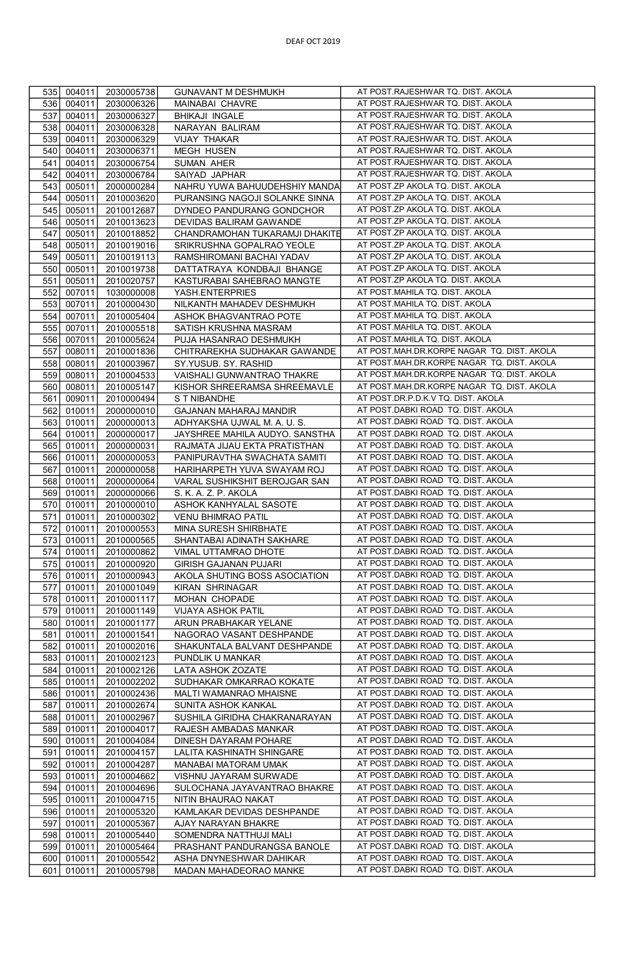| 535        | 004011           | 2030005738               | <b>GUNAVANT M DESHMUKH</b>                                  | AT POST.RAJESHWAR TQ. DIST. AKOLA                                        |
|------------|------------------|--------------------------|-------------------------------------------------------------|--------------------------------------------------------------------------|
| 536        | 004011           | 2030006326               | MAINABAI CHAVRE                                             | AT POST.RAJESHWAR TQ. DIST. AKOLA                                        |
| 537        | 004011           | 2030006327               | <b>BHIKAJI INGALE</b>                                       | AT POST.RAJESHWAR TQ. DIST. AKOLA                                        |
| 538        | 004011           | 2030006328               | NARAYAN BALIRAM                                             | AT POST.RAJESHWAR TQ. DIST. AKOLA                                        |
| 539        | 004011           | 2030006329               | VIJAY THAKAR                                                | AT POST.RAJESHWAR TQ. DIST. AKOLA                                        |
| 540        | 004011           | 2030006371               | <b>MEGH HUSEN</b>                                           | AT POST.RAJESHWAR TQ. DIST. AKOLA                                        |
| 541        | 004011           | 2030006754               | SUMAN AHER                                                  | AT POST.RAJESHWAR TQ. DIST. AKOLA                                        |
| 542        | 004011           | 2030006784               | SAIYAD JAPHAR                                               | AT POST.RAJESHWAR TQ. DIST. AKOLA                                        |
| 543        | 005011           | 2000000284               | NAHRU YUWA BAHUUDEHSHIY MANDA                               | AT POST.ZP AKOLA TQ. DIST. AKOLA                                         |
| 544        | 005011           | 2010003620               | PURANSING NAGOJI SOLANKE SINNA                              | AT POST.ZP AKOLA TQ. DIST. AKOLA                                         |
| 545        | 005011           | 2010012687               | DYNDEO PANDURANG GONDCHOR                                   | AT POST.ZP AKOLA TQ. DIST. AKOLA                                         |
| 546        | 005011           |                          |                                                             | AT POST.ZP AKOLA TQ. DIST. AKOLA                                         |
|            |                  | 2010013623               | DEVIDAS BALIRAM GAWANDE                                     | AT POST.ZP AKOLA TQ. DIST. AKOLA                                         |
| 547<br>548 | 005011           | 2010018852<br>2010019016 | CHANDRAMOHAN TUKARAMJI DHAKITE<br>SRIKRUSHNA GOPALRAO YEOLE | AT POST.ZP AKOLA TQ. DIST. AKOLA                                         |
| 549        | 005011           |                          | RAMSHIROMANI BACHAI YADAV                                   | AT POST.ZP AKOLA TQ. DIST. AKOLA                                         |
|            | 005011           | 2010019113               |                                                             | AT POST.ZP AKOLA TQ. DIST. AKOLA                                         |
| 550        | 005011           | 2010019738               | DATTATRAYA KONDBAJI BHANGE                                  | AT POST.ZP AKOLA TQ. DIST. AKOLA                                         |
| 551        | 005011           | 2010020757               | KASTURABAI SAHEBRAO MANGTE                                  |                                                                          |
| 552        | 007011           | 1030000008               | YASH.ENTERPRIES                                             | AT POST.MAHILA TQ. DIST. AKOLA                                           |
| 553        | 007011           | 2010000430               | NILKANTH MAHADEV DESHMUKH                                   | AT POST.MAHILA TQ. DIST. AKOLA                                           |
| 554        | 007011           | 2010005404               | ASHOK BHAGVANTRAO POTE                                      | AT POST.MAHILA TQ. DIST. AKOLA                                           |
| 555        | 007011           | 2010005518               | SATISH KRUSHNA MASRAM                                       | AT POST.MAHILA TQ. DIST. AKOLA                                           |
| 556        | 007011           | 2010005624               | PUJA HASANRAO DESHMUKH                                      | AT POST.MAHILA TQ. DIST. AKOLA                                           |
| 557        | 008011           | 2010001836               | CHITRAREKHA SUDHAKAR GAWANDE                                | AT POST.MAH.DR.KORPE NAGAR TQ. DIST. AKOLA                               |
| 558        | 008011           | 2010003967               | SY.YUSUB. SY. RASHID                                        | AT POST.MAH.DR.KORPE NAGAR TQ. DIST. AKOLA                               |
| 559        | 008011           | 2010004533               | VAISHALI GUNWANTRAO THAKRE                                  | AT POST.MAH.DR.KORPE NAGAR TQ. DIST. AKOLA                               |
| 560        | 008011           | 2010005147               | KISHOR SHREERAMSA SHREEMAVLE                                | AT POST.MAH.DR.KORPE NAGAR TQ. DIST. AKOLA                               |
| 561        | 009011           | 2010000494               | S T NIBANDHE                                                | AT POST.DR.P.D.K.V TQ. DIST. AKOLA                                       |
| 562        | 010011           | 2000000010               | GAJANAN MAHARAJ MANDIR                                      | AT POST.DABKI ROAD TQ. DIST. AKOLA                                       |
| 563        | 010011           | 2000000013               | ADHYAKSHA UJWAL M. A. U. S.                                 | AT POST.DABKI ROAD TQ. DIST. AKOLA                                       |
| 564        | 010011           | 2000000017               | JAYSHREE MAHILA AUDYO. SANSTHA                              | AT POST.DABKI ROAD TQ. DIST. AKOLA                                       |
| 565        | 010011           | 2000000031               | RAJMATA JIJAU EKTA PRATISTHAN                               | AT POST.DABKI ROAD TQ. DIST. AKOLA                                       |
| 566        | 010011           | 2000000053               | PANIPURAVTHA SWACHATA SAMITI                                | AT POST.DABKI ROAD TQ. DIST. AKOLA                                       |
| 567        | 010011           | 2000000058               | HARIHARPETH YUVA SWAYAM ROJ                                 | AT POST.DABKI ROAD TQ. DIST. AKOLA                                       |
| 568        | 010011           | 2000000064               | VARAL SUSHIKSHIT BEROJGAR SAN                               | AT POST.DABKI ROAD TQ. DIST. AKOLA                                       |
| 569        | 010011           | 2000000066               | S. K. A. Z. P. AKOLA                                        | AT POST.DABKI ROAD TQ. DIST. AKOLA                                       |
| 570        | 010011           | 2010000010               | ASHOK KANHYALAL SASOTE                                      | AT POST.DABKI ROAD TQ. DIST. AKOLA                                       |
| 571        | 010011           | 2010000302               | <b>VENU BHIMRAO PATIL</b>                                   | AT POST.DABKI ROAD TQ. DIST. AKOLA                                       |
| 572        | 010011           | 2010000553               | MINA SURESH SHIRBHATE                                       | AT POST.DABKI ROAD TQ. DIST. AKOLA<br>AT POST.DABKI ROAD TQ. DIST. AKOLA |
| 573        | 010011           | 2010000565               | SHANTABAI ADINATH SAKHARE                                   | AT POST.DABKI ROAD TQ. DIST. AKOLA                                       |
| 574        | 010011           | 2010000862               | VIMAL UTTAMRAO DHOTE                                        | AT POST.DABKI ROAD TQ. DIST. AKOLA                                       |
| 575        | 010011           | 2010000920               | GIRISH GAJANAN PUJARI                                       | AT POST.DABKI ROAD TQ. DIST. AKOLA                                       |
| 576        | 010011           | 2010000943               | AKOLA SHUTING BOSS ASOCIATION                               | AT POST.DABKI ROAD TQ. DIST. AKOLA                                       |
| 577        | 010011           | 2010001049               | KIRAN SHRINAGAR                                             | AT POST.DABKI ROAD TQ. DIST. AKOLA                                       |
| 578        | 010011           | 2010001117               | MOHAN CHOPADE                                               |                                                                          |
| 579        | 010011           | 2010001149               | VIJAYA ASHOK PATIL                                          | AT POST.DABKI ROAD TQ. DIST. AKOLA                                       |
| 580        | 010011           | 2010001177               | ARUN PRABHAKAR YELANE                                       | AT POST.DABKI ROAD TQ. DIST. AKOLA                                       |
| 581        | 010011           | 2010001541               | NAGORAO VASANT DESHPANDE                                    | AT POST.DABKI ROAD TQ. DIST. AKOLA                                       |
| 582        | 010011           | 2010002016               | SHAKUNTALA BALVANT DESHPANDE                                | AT POST.DABKI ROAD TQ. DIST. AKOLA                                       |
| 583        | 010011           | 2010002123               | PUNDLIK U MANKAR                                            | AT POST.DABKI ROAD TQ. DIST. AKOLA                                       |
| 584        | 010011           | 2010002126               | LATA ASHOK ZOZATE                                           | AT POST.DABKI ROAD TQ. DIST. AKOLA                                       |
| 585        | 010011           | 2010002202               | SUDHAKAR OMKARRAO KOKATE                                    | AT POST.DABKI ROAD TQ. DIST. AKOLA                                       |
| 586        | 010011           | 2010002436               | MALTI WAMANRAO MHAISNE                                      | AT POST.DABKI ROAD TQ. DIST. AKOLA                                       |
| 587        | 010011           | 2010002674               | SUNITA ASHOK KANKAL                                         | AT POST.DABKI ROAD TQ. DIST. AKOLA                                       |
| 588        | 010011           | 2010002967               | SUSHILA GIRIDHA CHAKRANARAYAN                               | AT POST.DABKI ROAD TQ. DIST. AKOLA                                       |
| 589        | 010011           | 2010004017               | RAJESH AMBADAS MANKAR                                       | AT POST.DABKI ROAD TQ. DIST. AKOLA                                       |
| 590        | 010011           | 2010004084               | DINESH DAYARAM POHARE                                       | AT POST.DABKI ROAD TQ. DIST. AKOLA                                       |
| 591        | 010011           | 2010004157               | LALITA KASHINATH SHINGARE                                   | AT POST.DABKI ROAD TQ. DIST. AKOLA                                       |
| 592        | 010011           | 2010004287               | MANABAI MATORAM UMAK                                        | AT POST.DABKI ROAD TQ. DIST. AKOLA                                       |
| 593        | 010011           | 2010004662               | VISHNU JAYARAM SURWADE                                      | AT POST.DABKI ROAD TQ. DIST. AKOLA                                       |
| 594        | 010011           | 2010004696               | SULOCHANA JAYAVANTRAO BHAKRE                                | AT POST.DABKI ROAD TQ. DIST. AKOLA<br>AT POST.DABKI ROAD TQ. DIST. AKOLA |
| 595        | 010011           | 2010004715               | NITIN BHAURAO NAKAT                                         | AT POST.DABKI ROAD TQ. DIST. AKOLA                                       |
| 596        | 010011           | 2010005320               | KAMLAKAR DEVIDAS DESHPANDE                                  | AT POST.DABKI ROAD TQ. DIST. AKOLA                                       |
| 597<br>598 | 010011<br>010011 | 2010005367<br>2010005440 | AJAY NARAYAN BHAKRE                                         | AT POST.DABKI ROAD TQ. DIST. AKOLA                                       |
| 599        | 010011           | 2010005464               | SOMENDRA NATTHUJI MALI<br>PRASHANT PANDURANGSA BANOLE       | AT POST.DABKI ROAD TQ. DIST. AKOLA                                       |
| 600        | 010011           | 2010005542               | ASHA DNYNESHWAR DAHIKAR                                     | AT POST.DABKI ROAD TQ. DIST. AKOLA                                       |
| 601        | 010011           | 2010005798               | MADAN MAHADEORAO MANKE                                      | AT POST.DABKI ROAD TQ. DIST. AKOLA                                       |
|            |                  |                          |                                                             |                                                                          |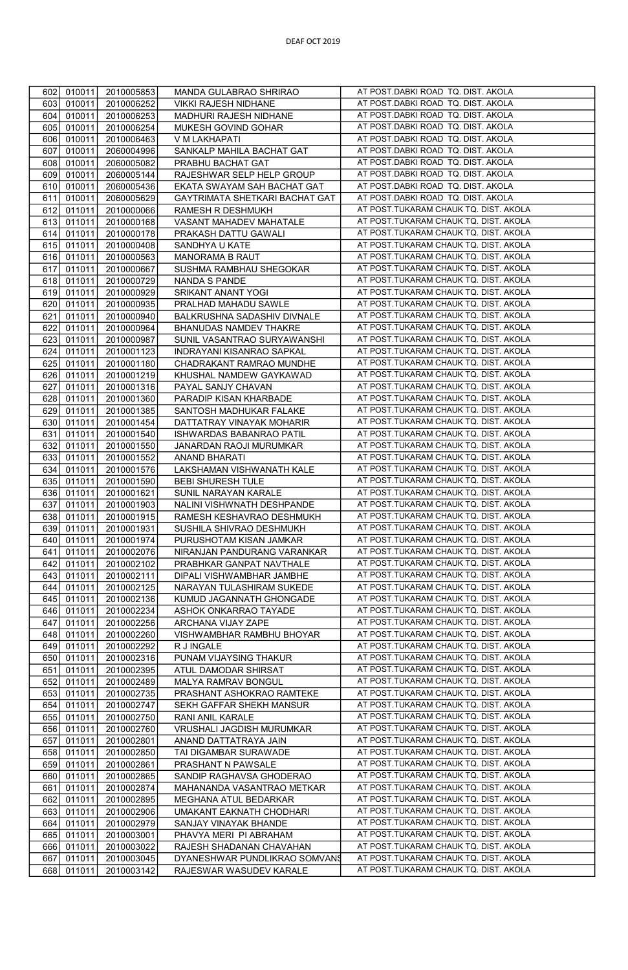| 602 | 010011<br>2010005853 | MANDA GULABRAO SHRIRAO         | AT POST.DABKI ROAD TQ. DIST. AKOLA     |
|-----|----------------------|--------------------------------|----------------------------------------|
| 603 | 010011<br>2010006252 | VIKKI RAJESH NIDHANE           | AT POST.DABKI ROAD TQ. DIST. AKOLA     |
| 604 | 010011<br>2010006253 | MADHURI RAJESH NIDHANE         | AT POST.DABKI ROAD TQ. DIST. AKOLA     |
| 605 | 010011<br>2010006254 | MUKESH GOVIND GOHAR            | AT POST.DABKI ROAD TQ. DIST. AKOLA     |
| 606 | 010011<br>2010006463 | V M LAKHAPATI                  | AT POST.DABKI ROAD TQ. DIST. AKOLA     |
|     |                      |                                | AT POST.DABKI ROAD TQ. DIST. AKOLA     |
| 607 | 010011<br>2060004996 | SANKALP MAHILA BACHAT GAT      |                                        |
| 608 | 010011<br>2060005082 | PRABHU BACHAT GAT              | AT POST.DABKI ROAD TQ. DIST. AKOLA     |
| 609 | 010011<br>2060005144 | RAJESHWAR SELP HELP GROUP      | AT POST.DABKI ROAD TQ. DIST. AKOLA     |
| 610 | 010011<br>2060005436 | EKATA SWAYAM SAH BACHAT GAT    | AT POST.DABKI ROAD TQ. DIST. AKOLA     |
| 611 | 010011<br>2060005629 | GAYTRIMATA SHETKARI BACHAT GAT | AT POST.DABKI ROAD TQ. DIST. AKOLA     |
| 612 | 011011<br>2010000066 | RAMESH R DESHMUKH              | AT POST.TUKARAM CHAUK TQ. DIST. AKOLA  |
| 613 | 011011<br>2010000168 | VASANT MAHADEV MAHATALE        | AT POST.TUKARAM CHAUK TQ. DIST. AKOLA  |
| 614 | 011011<br>2010000178 | PRAKASH DATTU GAWALI           | AT POST.TUKARAM CHAUK TQ. DIST. AKOLA  |
| 615 | 011011<br>2010000408 | SANDHYA U KATE                 | AT POST.TUKARAM CHAUK TQ. DIST. AKOLA  |
| 616 | 011011<br>2010000563 | MANORAMA B RAUT                | AT POST.TUKARAM CHAUK TQ. DIST. AKOLA  |
|     |                      |                                | AT POST.TUKARAM CHAUK TQ. DIST. AKOLA  |
| 617 | 011011<br>2010000667 | SUSHMA RAMBHAU SHEGOKAR        |                                        |
| 618 | 011011<br>2010000729 | NANDA S PANDE                  | AT POST. TUKARAM CHAUK TQ. DIST. AKOLA |
| 619 | 011011<br>2010000929 | SRIKANT ANANT YOGI             | AT POST.TUKARAM CHAUK TQ. DIST. AKOLA  |
| 620 | 011011<br>2010000935 | PRALHAD MAHADU SAWLE           | AT POST.TUKARAM CHAUK TQ. DIST. AKOLA  |
| 621 | 011011<br>2010000940 | BALKRUSHNA SADASHIV DIVNALE    | AT POST.TUKARAM CHAUK TQ. DIST. AKOLA  |
| 622 | 011011<br>2010000964 | BHANUDAS NAMDEV THAKRE         | AT POST.TUKARAM CHAUK TQ. DIST. AKOLA  |
| 623 | 011011<br>2010000987 | SUNIL VASANTRAO SURYAWANSHI    | AT POST.TUKARAM CHAUK TQ. DIST. AKOLA  |
| 624 | 011011<br>2010001123 | INDRAYANI KISANRAO SAPKAL      | AT POST.TUKARAM CHAUK TQ. DIST. AKOLA  |
| 625 | 011011<br>2010001180 | CHADRAKANT RAMRAO MUNDHE       | AT POST.TUKARAM CHAUK TQ. DIST. AKOLA  |
| 626 | 011011<br>2010001219 | KHUSHAL NAMDEW GAYKAWAD        | AT POST.TUKARAM CHAUK TQ. DIST. AKOLA  |
|     |                      |                                | AT POST.TUKARAM CHAUK TQ. DIST. AKOLA  |
| 627 | 011011<br>2010001316 | PAYAL SANJY CHAVAN             |                                        |
| 628 | 011011<br>2010001360 | PARADIP KISAN KHARBADE         | AT POST.TUKARAM CHAUK TQ. DIST. AKOLA  |
| 629 | 011011<br>2010001385 | SANTOSH MADHUKAR FALAKE        | AT POST. TUKARAM CHAUK TQ. DIST. AKOLA |
| 630 | 011011<br>2010001454 | DATTATRAY VINAYAK MOHARIR      | AT POST.TUKARAM CHAUK TQ. DIST. AKOLA  |
| 631 | 011011<br>2010001540 | ISHWARDAS BABANRAO PATIL       | AT POST.TUKARAM CHAUK TQ. DIST. AKOLA  |
| 632 | 011011<br>2010001550 | JANARDAN RAOJI MURUMKAR        | AT POST. TUKARAM CHAUK TQ. DIST. AKOLA |
| 633 | 011011<br>2010001552 | ANAND BHARATI                  | AT POST.TUKARAM CHAUK TQ. DIST. AKOLA  |
| 634 | 011011<br>2010001576 | LAKSHAMAN VISHWANATH KALE      | AT POST.TUKARAM CHAUK TQ. DIST. AKOLA  |
| 635 | 011011<br>2010001590 | <b>BEBI SHURESH TULE</b>       | AT POST.TUKARAM CHAUK TQ. DIST. AKOLA  |
| 636 | 011011<br>2010001621 | SUNIL NARAYAN KARALE           | AT POST.TUKARAM CHAUK TQ. DIST. AKOLA  |
|     |                      |                                | AT POST. TUKARAM CHAUK TQ. DIST. AKOLA |
| 637 | 011011<br>2010001903 | NALINI VISHWNATH DESHPANDE     |                                        |
| 638 | 011011<br>2010001915 | RAMESH KESHAVRAO DESHMUKH      | AT POST.TUKARAM CHAUK TQ. DIST. AKOLA  |
| 639 | 011011<br>2010001931 | SUSHILA SHIVRAO DESHMUKH       | AT POST.TUKARAM CHAUK TQ. DIST. AKOLA  |
| 640 | 011011<br>2010001974 | PURUSHOTAM KISAN JAMKAR        | AT POST.TUKARAM CHAUK TQ. DIST. AKOLA  |
| 641 | 011011<br>2010002076 | NIRANJAN PANDURANG VARANKAR    | AT POST.TUKARAM CHAUK TQ. DIST. AKOLA  |
| 642 | 011011<br>2010002102 | PRABHKAR GANPAT NAVTHALE       | AT POST.TUKARAM CHAUK TQ. DIST. AKOLA  |
| 643 | 011011<br>2010002111 | DIPALI VISHWAMBHAR JAMBHE      | AT POST.TUKARAM CHAUK TQ. DIST. AKOLA  |
| 644 | 011011<br>2010002125 | NARAYAN TULASHIRAM SUKEDE      | AT POST.TUKARAM CHAUK TQ. DIST. AKOLA  |
| 645 | 011011<br>2010002136 | KUMUD JAGANNATH GHONGADE       | AT POST.TUKARAM CHAUK TQ. DIST. AKOLA  |
| 646 | 011011<br>2010002234 | ASHOK ONKARRAO TAYADE          | AT POST.TUKARAM CHAUK TQ. DIST. AKOLA  |
| 647 | 011011<br>2010002256 | ARCHANA VIJAY ZAPE             | AT POST.TUKARAM CHAUK TQ. DIST. AKOLA  |
| 648 | 011011<br>2010002260 | VISHWAMBHAR RAMBHU BHOYAR      | AT POST.TUKARAM CHAUK TQ. DIST. AKOLA  |
|     |                      |                                | AT POST.TUKARAM CHAUK TQ. DIST. AKOLA  |
| 649 | 011011<br>2010002292 | R J INGALE                     |                                        |
| 650 | 011011<br>2010002316 | PUNAM VIJAYSING THAKUR         | AT POST.TUKARAM CHAUK TQ. DIST. AKOLA  |
| 651 | 011011<br>2010002395 | ATUL DAMODAR SHIRSAT           | AT POST. TUKARAM CHAUK TQ. DIST. AKOLA |
| 652 | 011011<br>2010002489 | MALYA RAMRAV BONGUL            | AT POST.TUKARAM CHAUK TQ. DIST. AKOLA  |
| 653 | 011011<br>2010002735 | PRASHANT ASHOKRAO RAMTEKE      | AT POST.TUKARAM CHAUK TQ. DIST. AKOLA  |
| 654 | 011011<br>2010002747 | SEKH GAFFAR SHEKH MANSUR       | AT POST.TUKARAM CHAUK TQ. DIST. AKOLA  |
| 655 | 011011<br>2010002750 | RANI ANIL KARALE               | AT POST.TUKARAM CHAUK TQ. DIST. AKOLA  |
| 656 | 011011<br>2010002760 | VRUSHALI JAGDISH MURUMKAR      | AT POST.TUKARAM CHAUK TQ. DIST. AKOLA  |
| 657 | 011011<br>2010002801 | ANAND DATTATRAYA JAIN          | AT POST.TUKARAM CHAUK TQ. DIST. AKOLA  |
| 658 | 011011<br>2010002850 | TAI DIGAMBAR SURAWADE          | AT POST.TUKARAM CHAUK TQ. DIST. AKOLA  |
| 659 | 011011<br>2010002861 | PRASHANT N PAWSALE             | AT POST.TUKARAM CHAUK TQ. DIST. AKOLA  |
| 660 | 011011<br>2010002865 | SANDIP RAGHAVSA GHODERAO       | AT POST. TUKARAM CHAUK TQ. DIST. AKOLA |
|     |                      |                                | AT POST.TUKARAM CHAUK TQ. DIST. AKOLA  |
| 661 | 011011<br>2010002874 | MAHANANDA VASANTRAO METKAR     |                                        |
| 662 | 011011<br>2010002895 | MEGHANA ATUL BEDARKAR          | AT POST. TUKARAM CHAUK TQ. DIST. AKOLA |
| 663 | 011011<br>2010002906 | UMAKANT EAKNATH CHODHARI       | AT POST.TUKARAM CHAUK TQ. DIST. AKOLA  |
| 664 | 011011<br>2010002979 | SANJAY VINAYAK BHANDE          | AT POST.TUKARAM CHAUK TQ. DIST. AKOLA  |
| 665 | 011011<br>2010003001 | PHAVYA MERI PI ABRAHAM         | AT POST.TUKARAM CHAUK TQ. DIST. AKOLA  |
| 666 | 011011<br>2010003022 | RAJESH SHADANAN CHAVAHAN       | AT POST.TUKARAM CHAUK TQ. DIST. AKOLA  |
| 667 | 011011<br>2010003045 | DYANESHWAR PUNDLIKRAO SOMVANS  | AT POST.TUKARAM CHAUK TQ. DIST. AKOLA  |
| 668 | 011011<br>2010003142 | RAJESWAR WASUDEV KARALE        | AT POST.TUKARAM CHAUK TQ. DIST. AKOLA  |
|     |                      |                                |                                        |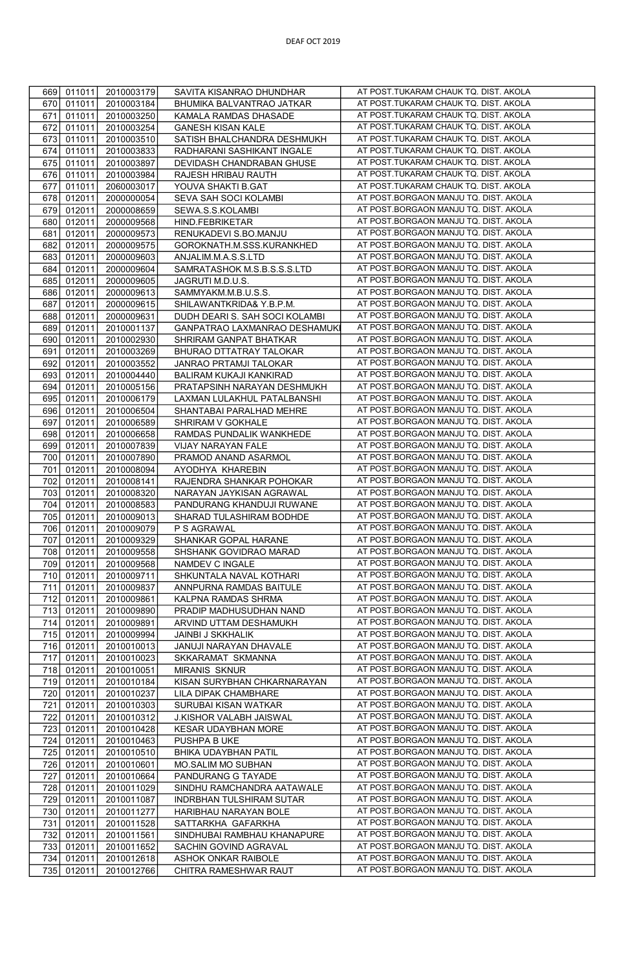| 669 | 011011 | 2010003179 | SAVITA KISANRAO DHUNDHAR       | AT POST.TUKARAM CHAUK TQ. DIST. AKOLA |
|-----|--------|------------|--------------------------------|---------------------------------------|
| 670 | 011011 | 2010003184 | BHUMIKA BALVANTRAO JATKAR      | AT POST.TUKARAM CHAUK TQ. DIST. AKOLA |
|     |        |            |                                |                                       |
| 671 | 011011 | 2010003250 | KAMALA RAMDAS DHASADE          | AT POST.TUKARAM CHAUK TQ. DIST. AKOLA |
| 672 | 011011 | 2010003254 | <b>GANESH KISAN KALE</b>       | AT POST.TUKARAM CHAUK TQ. DIST. AKOLA |
| 673 | 011011 | 2010003510 | SATISH BHALCHANDRA DESHMUKH    | AT POST.TUKARAM CHAUK TQ. DIST. AKOLA |
| 674 | 011011 | 2010003833 | RADHARANI SASHIKANT INGALE     | AT POST.TUKARAM CHAUK TQ. DIST. AKOLA |
| 675 | 011011 | 2010003897 | DEVIDASH CHANDRABAN GHUSE      | AT POST.TUKARAM CHAUK TQ. DIST. AKOLA |
| 676 | 011011 | 2010003984 | RAJESH HRIBAU RAUTH            | AT POST.TUKARAM CHAUK TQ. DIST. AKOLA |
| 677 | 011011 | 2060003017 | YOUVA SHAKTI B.GAT             | AT POST.TUKARAM CHAUK TQ. DIST. AKOLA |
| 678 | 012011 | 2000000054 | SEVA SAH SOCI KOLAMBI          | AT POST.BORGAON MANJU TQ. DIST. AKOLA |
|     |        |            |                                |                                       |
| 679 | 012011 | 2000008659 | SEWA.S.S.KOLAMBI               | AT POST.BORGAON MANJU TQ. DIST. AKOLA |
| 680 | 012011 | 2000009568 | HIND.FEBRIKETAR                | AT POST.BORGAON MANJU TQ. DIST. AKOLA |
| 681 | 012011 | 2000009573 | RENUKADEVI S.BO.MANJU          | AT POST.BORGAON MANJU TQ. DIST. AKOLA |
| 682 | 012011 | 2000009575 | GOROKNATH.M.SSS.KURANKHED      | AT POST.BORGAON MANJU TQ. DIST. AKOLA |
| 683 | 012011 | 2000009603 | ANJALIM.M.A.S.S.LTD            | AT POST.BORGAON MANJU TQ. DIST. AKOLA |
| 684 | 012011 | 2000009604 | SAMRATASHOK M.S.B.S.S.S.LTD    | AT POST.BORGAON MANJU TQ. DIST. AKOLA |
| 685 | 012011 | 2000009605 | JAGRUTI M.D.U.S.               | AT POST.BORGAON MANJU TQ. DIST. AKOLA |
|     |        |            |                                | AT POST.BORGAON MANJU TQ. DIST. AKOLA |
| 686 | 012011 | 2000009613 | SAMMYAKM.M.B.U.S.S.            |                                       |
| 687 | 012011 | 2000009615 | SHILAWANTKRIDA& Y.B.P.M.       | AT POST.BORGAON MANJU TQ. DIST. AKOLA |
| 688 | 012011 | 2000009631 | DUDH DEARI S. SAH SOCI KOLAMBI | AT POST.BORGAON MANJU TQ. DIST. AKOLA |
| 689 | 012011 | 2010001137 | GANPATRAO LAXMANRAO DESHAMUK   | AT POST.BORGAON MANJU TQ. DIST. AKOLA |
| 690 | 012011 | 2010002930 | SHRIRAM GANPAT BHATKAR         | AT POST.BORGAON MANJU TQ. DIST. AKOLA |
| 691 | 012011 | 2010003269 | BHURAO DTTATRAY TALOKAR        | AT POST.BORGAON MANJU TQ. DIST. AKOLA |
| 692 | 012011 | 2010003552 | JANRAO PRTAMJI TALOKAR         | AT POST.BORGAON MANJU TQ. DIST. AKOLA |
| 693 | 012011 | 2010004440 | BALIRAM KUKAJI KANKIRAD        | AT POST.BORGAON MANJU TQ. DIST. AKOLA |
|     |        |            |                                | AT POST.BORGAON MANJU TQ. DIST. AKOLA |
| 694 | 012011 | 2010005156 | PRATAPSINH NARAYAN DESHMUKH    |                                       |
| 695 | 012011 | 2010006179 | LAXMAN LULAKHUL PATALBANSHI    | AT POST.BORGAON MANJU TQ. DIST. AKOLA |
| 696 | 012011 | 2010006504 | SHANTABAI PARALHAD MEHRE       | AT POST.BORGAON MANJU TQ. DIST. AKOLA |
| 697 | 012011 | 2010006589 | SHRIRAM V GOKHALE              | AT POST.BORGAON MANJU TQ. DIST. AKOLA |
| 698 | 012011 | 2010006658 | RAMDAS PUNDALIK WANKHEDE       | AT POST BORGAON MANJU TO. DIST. AKOLA |
| 699 | 012011 | 2010007839 | VIJAY NARAYAN FALE             | AT POST.BORGAON MANJU TQ. DIST. AKOLA |
| 700 | 012011 | 2010007890 | PRAMOD ANAND ASARMOL           | AT POST.BORGAON MANJU TQ. DIST. AKOLA |
| 701 | 012011 | 2010008094 | AYODHYA KHAREBIN               | AT POST.BORGAON MANJU TQ. DIST. AKOLA |
|     |        |            |                                | AT POST.BORGAON MANJU TQ. DIST. AKOLA |
| 702 | 012011 | 2010008141 | RAJENDRA SHANKAR POHOKAR       |                                       |
| 703 | 012011 | 2010008320 | NARAYAN JAYKISAN AGRAWAL       | AT POST.BORGAON MANJU TQ. DIST. AKOLA |
| 704 | 012011 | 2010008583 | PANDURANG KHANDUJI RUWANE      | AT POST.BORGAON MANJU TQ. DIST. AKOLA |
| 705 | 012011 | 2010009013 | SHARAD TULASHIRAM BODHDE       | AT POST.BORGAON MANJU TQ. DIST. AKOLA |
| 706 | 012011 | 2010009079 | P S AGRAWAL                    | AT POST.BORGAON MANJU TQ. DIST. AKOLA |
| 707 | 012011 | 2010009329 | SHANKAR GOPAL HARANE           | AT POST.BORGAON MANJU TQ. DIST. AKOLA |
| 708 | 012011 | 2010009558 | SHSHANK GOVIDRAO MARAD         | AT POST.BORGAON MANJU TQ. DIST. AKOLA |
| 709 | 012011 | 2010009568 | NAMDEV C INGALE                | AT POST.BORGAON MANJU TQ. DIST. AKOLA |
| 710 | 012011 | 2010009711 | SHKUNTALA NAVAL KOTHARI        | AT POST.BORGAON MANJU TQ. DIST. AKOLA |
|     |        |            |                                | AT POST.BORGAON MANJU TQ. DIST. AKOLA |
| 711 | 012011 | 2010009837 | ANNPURNA RAMDAS BAITULE        |                                       |
| 712 | 012011 | 2010009861 | KALPNA RAMDAS SHRMA            | AT POST.BORGAON MANJU TQ. DIST. AKOLA |
| 713 | 012011 | 2010009890 | PRADIP MADHUSUDHAN NAND        | AT POST.BORGAON MANJU TQ. DIST. AKOLA |
| 714 | 012011 | 2010009891 | ARVIND UTTAM DESHAMUKH         | AT POST.BORGAON MANJU TQ. DIST. AKOLA |
| 715 | 012011 | 2010009994 | JAINBI J SKKHALIK              | AT POST.BORGAON MANJU TQ. DIST. AKOLA |
| 716 | 012011 | 2010010013 | JANUJI NARAYAN DHAVALE         | AT POST.BORGAON MANJU TQ. DIST. AKOLA |
| 717 | 012011 | 2010010023 | SKKARAMAT SKMANNA              | AT POST.BORGAON MANJU TQ. DIST. AKOLA |
| 718 | 012011 | 2010010051 | <b>MIRANIS SKNUR</b>           | AT POST.BORGAON MANJU TQ. DIST. AKOLA |
| 719 |        |            |                                | AT POST.BORGAON MANJU TQ. DIST. AKOLA |
|     | 012011 | 2010010184 | KISAN SURYBHAN CHKARNARAYAN    |                                       |
| 720 | 012011 | 2010010237 | LILA DIPAK CHAMBHARE           | AT POST.BORGAON MANJU TQ. DIST. AKOLA |
| 721 | 012011 | 2010010303 | SURUBAI KISAN WATKAR           | AT POST.BORGAON MANJU TQ. DIST. AKOLA |
| 722 | 012011 | 2010010312 | J.KISHOR VALABH JAISWAL        | AT POST.BORGAON MANJU TQ. DIST. AKOLA |
| 723 | 012011 | 2010010428 | KESAR UDAYBHAN MORE            | AT POST.BORGAON MANJU TQ. DIST. AKOLA |
| 724 | 012011 | 2010010463 | PUSHPA B UKE                   | AT POST.BORGAON MANJU TQ. DIST. AKOLA |
| 725 | 012011 | 2010010510 | BHIKA UDAYBHAN PATIL           | AT POST.BORGAON MANJU TQ. DIST. AKOLA |
| 726 | 012011 | 2010010601 | MO.SALIM MO SUBHAN             | AT POST.BORGAON MANJU TQ. DIST. AKOLA |
| 727 | 012011 | 2010010664 | PANDURANG G TAYADE             | AT POST.BORGAON MANJU TQ. DIST. AKOLA |
|     |        |            |                                | AT POST.BORGAON MANJU TQ. DIST. AKOLA |
| 728 | 012011 | 2010011029 | SINDHU RAMCHANDRA AATAWALE     |                                       |
| 729 | 012011 | 2010011087 | INDRBHAN TULSHIRAM SUTAR       | AT POST.BORGAON MANJU TQ. DIST. AKOLA |
| 730 | 012011 | 2010011277 | HARIBHAU NARAYAN BOLE          | AT POST.BORGAON MANJU TQ. DIST. AKOLA |
| 731 | 012011 | 2010011528 | SATTARKHA GAFARKHA             | AT POST.BORGAON MANJU TQ. DIST. AKOLA |
| 732 | 012011 | 2010011561 | SINDHUBAI RAMBHAU KHANAPURE    | AT POST.BORGAON MANJU TQ. DIST. AKOLA |
| 733 | 012011 | 2010011652 | SACHIN GOVIND AGRAVAL          | AT POST.BORGAON MANJU TQ. DIST. AKOLA |
| 734 | 012011 | 2010012618 | ASHOK ONKAR RAIBOLE            | AT POST.BORGAON MANJU TQ. DIST. AKOLA |
| 735 | 012011 | 2010012766 | CHITRA RAMESHWAR RAUT          | AT POST.BORGAON MANJU TQ. DIST. AKOLA |
|     |        |            |                                |                                       |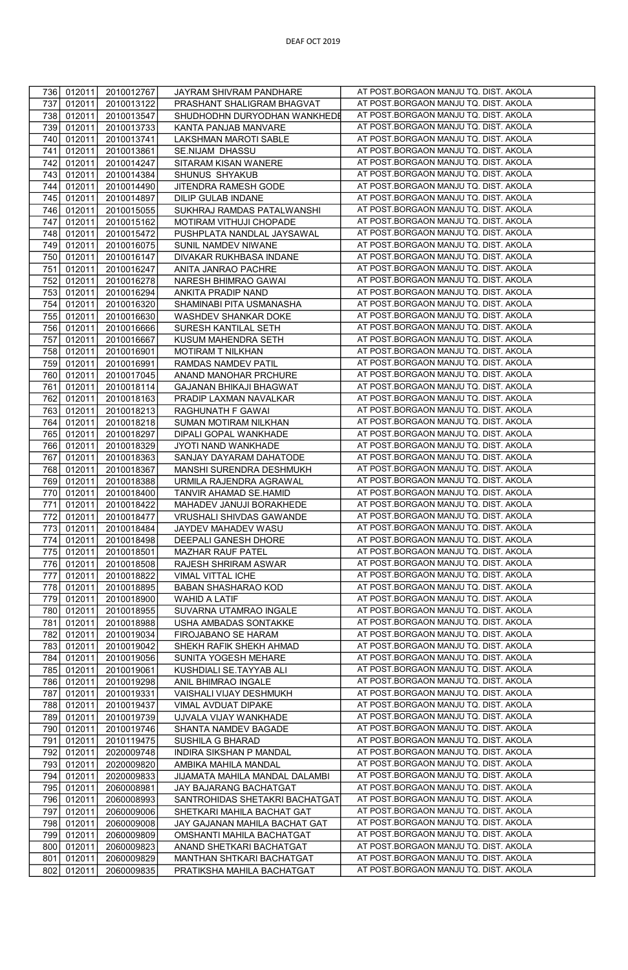| 736 | 012011<br>2010012767 | JAYRAM SHIVRAM PANDHARE        | AT POST.BORGAON MANJU TQ. DIST. AKOLA |
|-----|----------------------|--------------------------------|---------------------------------------|
| 737 | 012011<br>2010013122 | PRASHANT SHALIGRAM BHAGVAT     | AT POST.BORGAON MANJU TQ. DIST. AKOLA |
|     |                      |                                |                                       |
| 738 | 012011<br>2010013547 | SHUDHODHN DURYODHAN WANKHEDE   | AT POST.BORGAON MANJU TQ. DIST. AKOLA |
| 739 | 012011<br>2010013733 | KANTA PANJAB MANVARE           | AT POST.BORGAON MANJU TQ. DIST. AKOLA |
|     |                      |                                |                                       |
| 740 | 012011<br>2010013741 | LAKSHMAN MAROTI SABLE          | AT POST.BORGAON MANJU TQ. DIST. AKOLA |
| 741 | 012011<br>2010013861 | SE.NIJAM DHASSU                | AT POST.BORGAON MANJU TQ. DIST. AKOLA |
| 742 | 2010014247           | SITARAM KISAN WANERE           | AT POST.BORGAON MANJU TQ. DIST. AKOLA |
|     | 012011               |                                |                                       |
| 743 | 012011<br>2010014384 | SHUNUS SHYAKUB                 | AT POST.BORGAON MANJU TQ. DIST. AKOLA |
| 744 | 012011<br>2010014490 | JITENDRA RAMESH GODE           | AT POST.BORGAON MANJU TQ. DIST. AKOLA |
|     |                      |                                |                                       |
| 745 | 012011<br>2010014897 | DILIP GULAB INDANE             | AT POST.BORGAON MANJU TQ. DIST. AKOLA |
| 746 | 012011<br>2010015055 | SUKHRAJ RAMDAS PATALWANSHI     | AT POST.BORGAON MANJU TQ. DIST. AKOLA |
| 747 |                      |                                | AT POST.BORGAON MANJU TQ. DIST. AKOLA |
|     | 012011<br>2010015162 | MOTIRAM VITHUJI CHOPADE        |                                       |
| 748 | 012011<br>2010015472 | PUSHPLATA NANDLAL JAYSAWAL     | AT POST.BORGAON MANJU TQ. DIST. AKOLA |
| 749 | 012011<br>2010016075 | SUNIL NAMDEV NIWANE            | AT POST.BORGAON MANJU TQ. DIST. AKOLA |
|     |                      |                                |                                       |
| 750 | 012011<br>2010016147 | DIVAKAR RUKHBASA INDANE        | AT POST.BORGAON MANJU TQ. DIST. AKOLA |
| 751 | 012011<br>2010016247 | ANITA JANRAO PACHRE            | AT POST.BORGAON MANJU TQ. DIST. AKOLA |
| 752 | 012011<br>2010016278 | NARESH BHIMRAO GAWAI           | AT POST.BORGAON MANJU TQ. DIST. AKOLA |
|     |                      |                                |                                       |
| 753 | 012011<br>2010016294 | ANKITA PRADIP NAND             | AT POST.BORGAON MANJU TQ. DIST. AKOLA |
| 754 | 012011<br>2010016320 | SHAMINABI PITA USMANASHA       | AT POST.BORGAON MANJU TQ. DIST. AKOLA |
|     |                      |                                |                                       |
| 755 | 012011<br>2010016630 | WASHDEV SHANKAR DOKE           | AT POST.BORGAON MANJU TQ. DIST. AKOLA |
| 756 | 012011<br>2010016666 | SURESH KANTILAL SETH           | AT POST.BORGAON MANJU TQ. DIST. AKOLA |
| 757 | 012011<br>2010016667 | KUSUM MAHENDRA SETH            | AT POST.BORGAON MANJU TQ. DIST. AKOLA |
|     |                      |                                |                                       |
| 758 | 012011<br>2010016901 | MOTIRAM T NILKHAN              | AT POST.BORGAON MANJU TQ. DIST. AKOLA |
| 759 | 012011<br>2010016991 | RAMDAS NAMDEV PATIL            | AT POST.BORGAON MANJU TQ. DIST. AKOLA |
| 760 | 012011<br>2010017045 | ANAND MANOHAR PRCHURE          | AT POST.BORGAON MANJU TQ. DIST. AKOLA |
|     |                      |                                |                                       |
| 761 | 012011<br>2010018114 | <b>GAJANAN BHIKAJI BHAGWAT</b> | AT POST.BORGAON MANJU TQ. DIST. AKOLA |
| 762 | 012011<br>2010018163 | PRADIP LAXMAN NAVALKAR         | AT POST.BORGAON MANJU TQ. DIST. AKOLA |
| 763 | 012011<br>2010018213 | RAGHUNATH F GAWAI              | AT POST.BORGAON MANJU TQ. DIST. AKOLA |
|     |                      |                                |                                       |
| 764 | 012011<br>2010018218 | SUMAN MOTIRAM NILKHAN          | AT POST.BORGAON MANJU TQ. DIST. AKOLA |
| 765 | 012011<br>2010018297 | DIPALI GOPAL WANKHADE          | AT POST.BORGAON MANJU TQ. DIST. AKOLA |
| 766 | 012011<br>2010018329 | JYOTI NAND WANKHADE            | AT POST.BORGAON MANJU TQ. DIST. AKOLA |
|     |                      |                                |                                       |
| 767 | 012011<br>2010018363 | SANJAY DAYARAM DAHATODE        | AT POST.BORGAON MANJU TQ. DIST. AKOLA |
| 768 | 012011<br>2010018367 | MANSHI SURENDRA DESHMUKH       | AT POST.BORGAON MANJU TQ. DIST. AKOLA |
| 769 | 012011<br>2010018388 | URMILA RAJENDRA AGRAWAL        | AT POST.BORGAON MANJU TQ. DIST. AKOLA |
|     |                      |                                |                                       |
| 770 | 012011<br>2010018400 | TANVIR AHAMAD SE.HAMID         | AT POST.BORGAON MANJU TQ. DIST. AKOLA |
| 771 | 012011<br>2010018422 | MAHADEV JANUJI BORAKHEDE       | AT POST.BORGAON MANJU TQ. DIST. AKOLA |
| 772 | 012011<br>2010018477 | VRUSHALI SHIVDAS GAWANDE       | AT POST.BORGAON MANJU TQ. DIST. AKOLA |
|     |                      |                                |                                       |
| 773 | 012011<br>2010018484 | JAYDEV MAHADEV WASU            | AT POST.BORGAON MANJU TQ. DIST. AKOLA |
| 774 | 012011<br>2010018498 | DEEPALI GANESH DHORE           | AT POST.BORGAON MANJU TQ. DIST. AKOLA |
| 775 | 012011<br>2010018501 | MAZHAR RAUF PATEL              | AT POST.BORGAON MANJU TQ. DIST. AKOLA |
|     |                      |                                |                                       |
| 776 | 012011<br>2010018508 | RAJESH SHRIRAM ASWAR           | AT POST.BORGAON MANJU TQ. DIST. AKOLA |
| 777 | 012011<br>2010018822 | VIMAL VITTAL ICHE              | AT POST.BORGAON MANJU TQ. DIST. AKOLA |
| 778 | 012011<br>2010018895 | BABAN SHASHARAO KOD            | AT POST.BORGAON MANJU TQ. DIST. AKOLA |
|     |                      |                                | AT POST.BORGAON MANJU TQ. DIST. AKOLA |
| 779 | 012011<br>2010018900 | WAHID A LATIF                  |                                       |
| 780 | 012011<br>2010018955 | SUVARNA UTAMRAO INGALE         | AT POST.BORGAON MANJU TQ. DIST. AKOLA |
| 781 | 012011<br>2010018988 | USHA AMBADAS SONTAKKE          | AT POST.BORGAON MANJU TQ. DIST. AKOLA |
| 782 | 012011               |                                | AT POST.BORGAON MANJU TQ. DIST. AKOLA |
|     | 2010019034           | FIROJABANO SE HARAM            |                                       |
| 783 | 012011<br>2010019042 | SHEKH RAFIK SHEKH AHMAD        | AT POST.BORGAON MANJU TQ. DIST. AKOLA |
| 784 | 012011<br>2010019056 | SUNITA YOGESH MEHARE           | AT POST.BORGAON MANJU TQ. DIST. AKOLA |
|     |                      |                                | AT POST.BORGAON MANJU TQ. DIST. AKOLA |
| 785 | 012011<br>2010019061 | KUSHDIALI SE.TAYYAB ALI        |                                       |
| 786 | 012011<br>2010019298 | ANIL BHIMRAO INGALE            | AT POST.BORGAON MANJU TQ. DIST. AKOLA |
| 787 | 012011<br>2010019331 | VAISHALI VIJAY DESHMUKH        | AT POST.BORGAON MANJU TQ. DIST. AKOLA |
|     |                      |                                |                                       |
| 788 | 012011<br>2010019437 | VIMAL AVDUAT DIPAKE            | AT POST.BORGAON MANJU TQ. DIST. AKOLA |
| 789 | 012011<br>2010019739 | UJVALA VIJAY WANKHADE          | AT POST.BORGAON MANJU TQ. DIST. AKOLA |
| 790 | 012011<br>2010019746 | SHANTA NAMDEV BAGADE           | AT POST.BORGAON MANJU TQ. DIST. AKOLA |
|     |                      |                                | AT POST.BORGAON MANJU TQ. DIST. AKOLA |
| 791 | 012011<br>2010119475 | SUSHILA G BHARAD               |                                       |
| 792 | 012011<br>2020009748 | INDIRA SIKSHAN P MANDAL        | AT POST.BORGAON MANJU TQ. DIST. AKOLA |
| 793 | 012011<br>2020009820 | AMBIKA MAHILA MANDAL           | AT POST.BORGAON MANJU TQ. DIST. AKOLA |
| 794 |                      |                                | AT POST.BORGAON MANJU TQ. DIST. AKOLA |
|     | 012011<br>2020009833 | JIJAMATA MAHILA MANDAL DALAMBI |                                       |
| 795 | 012011<br>2060008981 | JAY BAJARANG BACHATGAT         | AT POST.BORGAON MANJU TQ. DIST. AKOLA |
| 796 | 012011<br>2060008993 | SANTROHIDAS SHETAKRI BACHATGAT | AT POST.BORGAON MANJU TQ. DIST. AKOLA |
| 797 | 012011<br>2060009006 | SHETKARI MAHILA BACHAT GAT     | AT POST.BORGAON MANJU TQ. DIST. AKOLA |
|     |                      |                                |                                       |
| 798 | 012011<br>2060009008 | JAY GAJANAN MAHILA BACHAT GAT  | AT POST.BORGAON MANJU TQ. DIST. AKOLA |
| 799 | 012011<br>2060009809 | OMSHANTI MAHILA BACHATGAT      | AT POST.BORGAON MANJU TQ. DIST. AKOLA |
| 800 | 012011<br>2060009823 | ANAND SHETKARI BACHATGAT       | AT POST.BORGAON MANJU TQ. DIST. AKOLA |
|     |                      |                                |                                       |
|     |                      |                                |                                       |
| 801 | 012011<br>2060009829 | MANTHAN SHTKARI BACHATGAT      | AT POST.BORGAON MANJU TQ. DIST. AKOLA |
| 802 | 012011<br>2060009835 | PRATIKSHA MAHILA BACHATGAT     | AT POST.BORGAON MANJU TQ. DIST. AKOLA |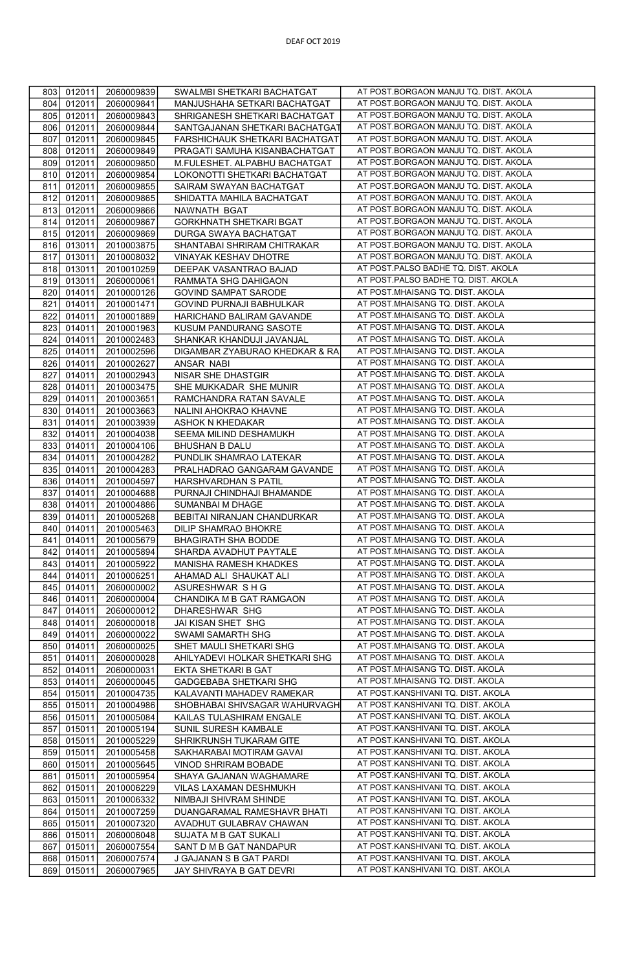| 803        |                  |                          |                                                     |                                                                          |
|------------|------------------|--------------------------|-----------------------------------------------------|--------------------------------------------------------------------------|
|            | 012011           | 2060009839               | SWALMBI SHETKARI BACHATGAT                          | AT POST.BORGAON MANJU TQ. DIST. AKOLA                                    |
| 804        | 012011           | 2060009841               | MANJUSHAHA SETKARI BACHATGAT                        | AT POST.BORGAON MANJU TQ. DIST. AKOLA                                    |
| 805        | 012011           | 2060009843               | SHRIGANESH SHETKARI BACHATGAT                       | AT POST.BORGAON MANJU TQ. DIST. AKOLA                                    |
| 806        | 012011           | 2060009844               | SANTGAJANAN SHETKARI BACHATGAT                      | AT POST.BORGAON MANJU TQ. DIST. AKOLA                                    |
| 807        | 012011           | 2060009845               | FARSHICHAUK SHETKARI BACHATGAT                      | AT POST.BORGAON MANJU TQ. DIST. AKOLA                                    |
| 808        | 012011           | 2060009849               | PRAGATI SAMUHA KISANBACHATGAT                       | AT POST.BORGAON MANJU TQ. DIST. AKOLA                                    |
| 809        | 012011           | 2060009850               | M.FULESHET. ALPABHU BACHATGAT                       | AT POST.BORGAON MANJU TQ. DIST. AKOLA                                    |
| 810        |                  | 2060009854               | LOKONOTTI SHETKARI BACHATGAT                        | AT POST.BORGAON MANJU TQ. DIST. AKOLA                                    |
| 811        | 012011<br>012011 |                          | SAIRAM SWAYAN BACHATGAT                             | AT POST.BORGAON MANJU TQ. DIST. AKOLA                                    |
|            |                  | 2060009855               |                                                     | AT POST.BORGAON MANJU TQ. DIST. AKOLA                                    |
| 812        | 012011           | 2060009865               | SHIDATTA MAHILA BACHATGAT                           | AT POST.BORGAON MANJU TQ. DIST. AKOLA                                    |
| 813        | 012011           | 2060009866               | NAWNATH BGAT                                        |                                                                          |
| 814        | 012011           | 2060009867               | <b>GORKHNATH SHETKARI BGAT</b>                      | AT POST.BORGAON MANJU TQ. DIST. AKOLA                                    |
| 815        | 012011           | 2060009869               | DURGA SWAYA BACHATGAT                               | AT POST.BORGAON MANJU TQ. DIST. AKOLA                                    |
| 816        | 013011           | 2010003875               | SHANTABAI SHRIRAM CHITRAKAR                         | AT POST.BORGAON MANJU TQ. DIST. AKOLA                                    |
| 817        | 013011           | 2010008032               | VINAYAK KESHAV DHOTRE                               | AT POST.BORGAON MANJU TQ. DIST. AKOLA                                    |
| 818        | 013011           | 2010010259               | DEEPAK VASANTRAO BAJAD                              | AT POST.PALSO BADHE TQ. DIST. AKOLA                                      |
| 819        | 013011           | 2060000061               | RAMMATA SHG DAHIGAON                                | AT POST.PALSO BADHE TQ. DIST. AKOLA                                      |
| 820        | 014011           | 2010000126               | <b>GOVIND SAMPAT SARODE</b>                         | AT POST.MHAISANG TQ. DIST. AKOLA                                         |
| 821        | 014011           | 2010001471               | GOVIND PURNAJI BABHULKAR                            | AT POST.MHAISANG TQ. DIST. AKOLA                                         |
| 822        | 014011           | 2010001889               | HARICHAND BALIRAM GAVANDE                           | AT POST. MHAISANG TQ. DIST. AKOLA                                        |
| 823        | 014011           | 2010001963               | KUSUM PANDURANG SASOTE                              | AT POST.MHAISANG TQ. DIST. AKOLA                                         |
| 824        | 014011           | 2010002483               | SHANKAR KHANDUJI JAVANJAL                           | AT POST.MHAISANG TQ. DIST. AKOLA                                         |
| 825        | 014011           | 2010002596               | DIGAMBAR ZYABURAO KHEDKAR & RA                      | AT POST.MHAISANG TQ. DIST. AKOLA                                         |
| 826        | 014011           | 2010002627               | ANSAR NABI                                          | AT POST.MHAISANG TQ. DIST. AKOLA                                         |
| 827        | 014011           | 2010002943               | NISAR SHE DHASTGIR                                  | AT POST.MHAISANG TQ. DIST. AKOLA                                         |
| 828        | 014011           | 2010003475               | SHE MUKKADAR SHE MUNIR                              | AT POST.MHAISANG TQ. DIST. AKOLA                                         |
| 829        | 014011           | 2010003651               | RAMCHANDRA RATAN SAVALE                             | AT POST.MHAISANG TQ. DIST. AKOLA                                         |
| 830        | 014011           | 2010003663               | NALINI AHOKRAO KHAVNE                               | AT POST.MHAISANG TQ. DIST. AKOLA                                         |
| 831        | 014011           | 2010003939               | ASHOK N KHEDAKAR                                    | AT POST.MHAISANG TQ. DIST. AKOLA                                         |
|            |                  |                          |                                                     | AT POST.MHAISANG TQ. DIST. AKOLA                                         |
| 832        | 014011           | 2010004038               | SEEMA MILIND DESHAMUKH                              | AT POST.MHAISANG TQ. DIST. AKOLA                                         |
| 833        | 014011           | 2010004106               | BHUSHAN B DALU                                      |                                                                          |
| 834        | 014011           | 2010004282               | PUNDLIK SHAMRAO LATEKAR                             | AT POST.MHAISANG TQ. DIST. AKOLA                                         |
| 835        | 014011           | 2010004283               | PRALHADRAO GANGARAM GAVANDE                         | AT POST.MHAISANG TQ. DIST. AKOLA                                         |
| 836        | 014011           | 2010004597               | HARSHVARDHAN S PATIL                                | AT POST.MHAISANG TQ. DIST. AKOLA                                         |
| 837        | 014011           | 2010004688               | PURNAJI CHINDHAJI BHAMANDE                          | AT POST.MHAISANG TQ. DIST. AKOLA                                         |
| 838        | 014011           | 2010004886               | SUMANBAI M DHAGE                                    | AT POST.MHAISANG TQ. DIST. AKOLA                                         |
| 839        | 014011           | 2010005268               | BEBITAI NIRANJAN CHANDURKAR                         | AT POST.MHAISANG TQ. DIST. AKOLA                                         |
|            |                  |                          |                                                     |                                                                          |
| 840        | 014011           | 2010005463               | DILIP SHAMRAO BHOKRE                                | AT POST.MHAISANG TQ. DIST. AKOLA                                         |
| 841        | 014011           | 2010005679               | <b>BHAGIRATH SHA BODDE</b>                          | AT POST.MHAISANG TQ. DIST. AKOLA                                         |
| 842        | 014011           | 2010005894               | SHARDA AVADHUT PAYTALE                              | AT POST.MHAISANG TQ. DIST. AKOLA                                         |
| 843        | 014011           | 2010005922               | MANISHA RAMESH KHADKES                              | AT POST.MHAISANG TQ. DIST. AKOLA                                         |
| 844        | 014011           | 2010006251               | AHAMAD ALI SHAUKAT ALI                              | AT POST.MHAISANG TQ. DIST. AKOLA                                         |
| 845        | 014011           | 2060000002               | ASURESHWAR SHG                                      | AT POST.MHAISANG TQ. DIST. AKOLA                                         |
| 846        | 014011           | 2060000004               | CHANDIKA M B GAT RAMGAON                            | AT POST.MHAISANG TQ. DIST. AKOLA                                         |
| 847        |                  |                          |                                                     | AT POST.MHAISANG TQ. DIST. AKOLA                                         |
| 848        | 014011           | 2060000012               | DHARESHWAR SHG                                      | AT POST.MHAISANG TQ. DIST. AKOLA                                         |
| 849        | 014011<br>014011 | 2060000018<br>2060000022 | JAI KISAN SHET SHG<br>SWAMI SAMARTH SHG             | AT POST.MHAISANG TQ. DIST. AKOLA                                         |
|            | 014011           | 2060000025               |                                                     |                                                                          |
| 850        |                  |                          | SHET MAULI SHETKARI SHG                             | AT POST. MHAISANG TQ. DIST. AKOLA                                        |
| 851        | 014011           | 2060000028               | AHILYADEVI HOLKAR SHETKARI SHG                      | AT POST.MHAISANG TQ. DIST. AKOLA                                         |
| 852        | 014011           | 2060000031               | EKTA SHETKARI B GAT                                 | AT POST.MHAISANG TQ. DIST. AKOLA                                         |
| 853        | 014011           | 2060000045               | GADGEBABA SHETKARI SHG                              | AT POST.MHAISANG TQ. DIST. AKOLA                                         |
| 854        | 015011           | 2010004735               | KALAVANTI MAHADEV RAMEKAR                           | AT POST.KANSHIVANI TQ. DIST. AKOLA                                       |
| 855        | 015011           | 2010004986               | SHOBHABAI SHIVSAGAR WAHURVAGH                       | AT POST.KANSHIVANI TQ. DIST. AKOLA                                       |
| 856        | 015011           | 2010005084               | KAILAS TULASHIRAM ENGALE                            | AT POST.KANSHIVANI TQ. DIST. AKOLA                                       |
| 857        | 015011           | 2010005194               | SUNIL SURESH KAMBALE                                | AT POST.KANSHIVANI TQ. DIST. AKOLA                                       |
| 858        | 015011           | 2010005229               | SHRIKRUNSH TUKARAM GITE                             | AT POST.KANSHIVANI TQ. DIST. AKOLA                                       |
| 859        | 015011           | 2010005458               | SAKHARABAI MOTIRAM GAVAI                            | AT POST.KANSHIVANI TQ. DIST. AKOLA                                       |
| 860        | 015011           | 2010005645               | VINOD SHRIRAM BOBADE                                | AT POST.KANSHIVANI TQ. DIST. AKOLA                                       |
| 861        | 015011           | 2010005954               | SHAYA GAJANAN WAGHAMARE                             | AT POST.KANSHIVANI TQ. DIST. AKOLA                                       |
| 862        | 015011           | 2010006229               | VILAS LAXAMAN DESHMUKH                              | AT POST.KANSHIVANI TQ. DIST. AKOLA                                       |
| 863        | 015011           | 2010006332               | NIMBAJI SHIVRAM SHINDE                              | AT POST.KANSHIVANI TQ. DIST. AKOLA                                       |
| 864        | 015011           | 2010007259               | DUANGARAMAL RAMESHAVR BHATI                         | AT POST.KANSHIVANI TQ. DIST. AKOLA                                       |
| 865        | 015011           | 2010007320               | AVADHUT GULABRAV CHAWAN                             | AT POST.KANSHIVANI TQ. DIST. AKOLA                                       |
| 866        | 015011           | 2060006048               | SUJATA M B GAT SUKALI                               | AT POST.KANSHIVANI TQ. DIST. AKOLA                                       |
| 867        | 015011           | 2060007554               | SANT D M B GAT NANDAPUR                             | AT POST.KANSHIVANI TQ. DIST. AKOLA                                       |
| 868<br>869 | 015011<br>015011 | 2060007574<br>2060007965 | J GAJANAN S B GAT PARDI<br>JAY SHIVRAYA B GAT DEVRI | AT POST.KANSHIVANI TQ. DIST. AKOLA<br>AT POST.KANSHIVANI TQ. DIST. AKOLA |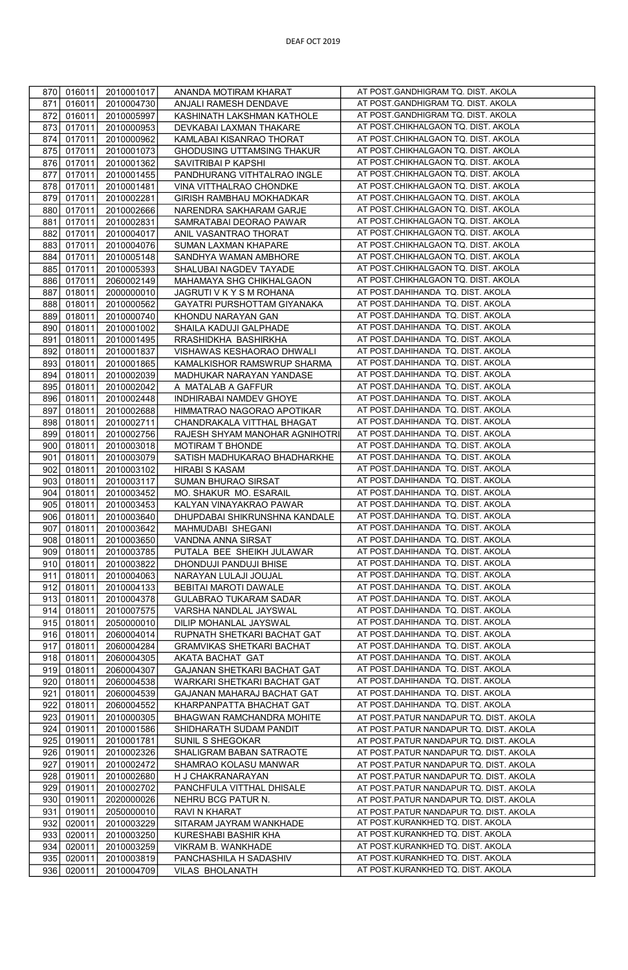| 870        | 016011<br>2010001017                         | ANANDA MOTIRAM KHARAT                     | AT POST.GANDHIGRAM TQ. DIST. AKOLA                                     |
|------------|----------------------------------------------|-------------------------------------------|------------------------------------------------------------------------|
| 871        | 016011<br>2010004730                         | ANJALI RAMESH DENDAVE                     | AT POST.GANDHIGRAM TQ. DIST. AKOLA                                     |
| 872        | 016011<br>2010005997                         | KASHINATH LAKSHMAN KATHOLE                | AT POST.GANDHIGRAM TQ. DIST. AKOLA                                     |
| 873        | 017011<br>2010000953                         | DEVKABAI LAXMAN THAKARE                   | AT POST.CHIKHALGAON TQ. DIST. AKOLA                                    |
| 874        | 017011<br>2010000962                         | KAMLABAI KISANRAO THORAT                  | AT POST.CHIKHALGAON TQ. DIST. AKOLA                                    |
| 875        | 017011<br>2010001073                         | GHODUSING UTTAMSING THAKUR                | AT POST.CHIKHALGAON TQ. DIST. AKOLA                                    |
| 876        | 017011<br>2010001362                         | SAVITRIBAI P KAPSHI                       | AT POST.CHIKHALGAON TQ. DIST. AKOLA                                    |
|            | 017011<br>2010001455                         | PANDHURANG VITHTALRAO INGLE               | AT POST.CHIKHALGAON TQ. DIST. AKOLA                                    |
| 877<br>878 | 017011<br>2010001481                         | VINA VITTHALRAO CHONDKE                   | AT POST.CHIKHALGAON TQ. DIST. AKOLA                                    |
| 879        | 017011                                       |                                           | AT POST.CHIKHALGAON TQ. DIST. AKOLA                                    |
|            | 2010002281                                   | GIRISH RAMBHAU MOKHADKAR                  | AT POST.CHIKHALGAON TQ. DIST. AKOLA                                    |
| 880        | 017011<br>2010002666                         | NARENDRA SAKHARAM GARJE                   | AT POST.CHIKHALGAON TQ. DIST. AKOLA                                    |
| 881        | 017011<br>2010002831                         | SAMRATABAI DEORAO PAWAR                   |                                                                        |
| 882        | 017011<br>2010004017                         | ANIL VASANTRAO THORAT                     | AT POST.CHIKHALGAON TQ. DIST. AKOLA                                    |
| 883        | 017011<br>2010004076                         | SUMAN LAXMAN KHAPARE                      | AT POST.CHIKHALGAON TQ. DIST. AKOLA                                    |
| 884        | 017011<br>2010005148                         | SANDHYA WAMAN AMBHORE                     | AT POST.CHIKHALGAON TQ. DIST. AKOLA                                    |
| 885        | 017011<br>2010005393                         | SHALUBAI NAGDEV TAYADE                    | AT POST.CHIKHALGAON TQ. DIST. AKOLA                                    |
| 886        | 017011<br>2060002149                         | MAHAMAYA SHG CHIKHALGAON                  | AT POST.CHIKHALGAON TQ. DIST. AKOLA                                    |
| 887        | 018011<br>2000000010                         | JAGRUTI V K Y S M ROHANA                  | AT POST.DAHIHANDA TQ. DIST. AKOLA                                      |
| 888        | 018011<br>2010000562                         | GAYATRI PURSHOTTAM GIYANAKA               | AT POST.DAHIHANDA TQ. DIST. AKOLA                                      |
| 889        | 018011<br>2010000740                         | KHONDU NARAYAN GAN                        | AT POST.DAHIHANDA TQ. DIST. AKOLA                                      |
| 890        | 018011<br>2010001002                         | SHAILA KADUJI GALPHADE                    | AT POST.DAHIHANDA TQ. DIST. AKOLA                                      |
| 891        | 018011<br>2010001495                         | RRASHIDKHA BASHIRKHA                      | AT POST.DAHIHANDA TQ. DIST. AKOLA                                      |
| 892        | 018011<br>2010001837                         | VISHAWAS KESHAORAO DHWALI                 | AT POST.DAHIHANDA TQ. DIST. AKOLA                                      |
| 893        | 018011<br>2010001865                         | KAMALKISHOR RAMSWRUP SHARMA               | AT POST.DAHIHANDA TQ. DIST. AKOLA                                      |
| 894        | 018011<br>2010002039                         | MADHUKAR NARAYAN YANDASE                  | AT POST.DAHIHANDA TQ. DIST. AKOLA                                      |
| 895        | 018011<br>2010002042                         | A MATALAB A GAFFUR                        | AT POST.DAHIHANDA TQ. DIST. AKOLA                                      |
| 896        | 018011<br>2010002448                         | INDHIRABAI NAMDEV GHOYE                   | AT POST.DAHIHANDA TQ. DIST. AKOLA                                      |
| 897        | 018011<br>2010002688                         | HIMMATRAO NAGORAO APOTIKAR                | AT POST.DAHIHANDA TQ. DIST. AKOLA                                      |
| 898        | 018011<br>2010002711                         | CHANDRAKALA VITTHAL BHAGAT                | AT POST.DAHIHANDA TQ. DIST. AKOLA                                      |
| 899        | 018011<br>2010002756                         | RAJESH SHYAM MANOHAR AGNIHOTRI            | AT POST.DAHIHANDA TQ. DIST. AKOLA                                      |
| 900        | 018011<br>2010003018                         | MOTIRAM T BHONDE                          | AT POST.DAHIHANDA TQ. DIST. AKOLA                                      |
| 901        | 018011<br>2010003079                         | SATISH MADHUKARAO BHADHARKHE              | AT POST.DAHIHANDA TQ. DIST. AKOLA                                      |
| 902        | 018011<br>2010003102                         | <b>HIRABI S KASAM</b>                     | AT POST.DAHIHANDA TQ. DIST. AKOLA                                      |
| 903        | 018011<br>2010003117                         | SUMAN BHURAO SIRSAT                       | AT POST.DAHIHANDA TQ. DIST. AKOLA                                      |
| 904        | 018011<br>2010003452                         | MO. SHAKUR MO. ESARAIL                    | AT POST.DAHIHANDA TQ. DIST. AKOLA                                      |
| 905        | 018011<br>2010003453                         | KALYAN VINAYAKRAO PAWAR                   | AT POST.DAHIHANDA TQ. DIST. AKOLA                                      |
| 906        | 018011<br>2010003640                         | DHUPDABAI SHIKRUNSHNA KANDALE             | AT POST.DAHIHANDA TQ. DIST. AKOLA                                      |
| 907        | 018011<br>2010003642                         | MAHMUDABI SHEGANI                         | AT POST.DAHIHANDA TQ. DIST. AKOLA                                      |
| 908        | 018011<br>2010003650                         | VANDNA ANNA SIRSAT                        | AT POST.DAHIHANDA TQ. DIST. AKOLA                                      |
| 909        | 018011<br>2010003785                         | PUTALA BEE SHEIKH JULAWAR                 | AT POST.DAHIHANDA TQ. DIST. AKOLA                                      |
| 910        | 018011<br>2010003822                         | DHONDUJI PANDUJI BHISE                    | AT POST.DAHIHANDA TQ. DIST. AKOLA                                      |
| 911        | 018011<br>2010004063                         | NARAYAN LULAJI JOUJAL                     | AT POST.DAHIHANDA TQ. DIST. AKOLA                                      |
| 912        | 018011<br>2010004133                         | BEBITAI MAROTI DAWALE                     | AT POST.DAHIHANDA TQ. DIST. AKOLA                                      |
| 913        | 018011<br>2010004378                         | GULABRAO TUKARAM SADAR                    | AT POST.DAHIHANDA TQ. DIST. AKOLA                                      |
| 914        | 018011<br>2010007575                         | VARSHA NANDLAL JAYSWAL                    | AT POST.DAHIHANDA TQ. DIST. AKOLA                                      |
| 915        | 018011<br>2050000010                         | DILIP MOHANLAL JAYSWAL                    | AT POST.DAHIHANDA TQ. DIST. AKOLA                                      |
| 916        | 018011<br>2060004014                         | RUPNATH SHETKARI BACHAT GAT               | AT POST.DAHIHANDA TQ. DIST. AKOLA                                      |
| 917        | 018011<br>2060004284                         | <b>GRAMVIKAS SHETKARI BACHAT</b>          | AT POST.DAHIHANDA TQ. DIST. AKOLA                                      |
| 918        | 018011<br>2060004305                         | AKATA BACHAT GAT                          | AT POST.DAHIHANDA TQ. DIST. AKOLA                                      |
| 919        | 018011<br>2060004307                         | GAJANAN SHETKARI BACHAT GAT               | AT POST.DAHIHANDA TQ. DIST. AKOLA                                      |
| 920        | 018011<br>2060004538                         | WARKARI SHETKARI BACHAT GAT               | AT POST.DAHIHANDA TQ. DIST. AKOLA                                      |
| 921        | 018011<br>2060004539                         | GAJANAN MAHARAJ BACHAT GAT                | AT POST.DAHIHANDA TQ. DIST. AKOLA                                      |
| 922        | 018011<br>2060004552                         | KHARPANPATTA BHACHAT GAT                  | AT POST.DAHIHANDA TQ. DIST. AKOLA                                      |
| 923        | 019011<br>2010000305                         | BHAGWAN RAMCHANDRA MOHITE                 | AT POST.PATUR NANDAPUR TQ. DIST. AKOLA                                 |
| 924        | 019011<br>2010001586                         | SHIDHARATH SUDAM PANDIT                   | AT POST.PATUR NANDAPUR TQ. DIST. AKOLA                                 |
| 925        | 019011<br>2010001781                         | SUNIL S SHEGOKAR                          | AT POST.PATUR NANDAPUR TQ. DIST. AKOLA                                 |
| 926        | 019011<br>2010002326                         | SHALIGRAM BABAN SATRAOTE                  | AT POST.PATUR NANDAPUR TQ. DIST. AKOLA                                 |
| 927        | 019011<br>2010002472                         | SHAMRAO KOLASU MANWAR                     | AT POST.PATUR NANDAPUR TQ. DIST. AKOLA                                 |
| 928        | 019011<br>2010002680                         | H J CHAKRANARAYAN                         | AT POST.PATUR NANDAPUR TQ. DIST. AKOLA                                 |
| 929        | 019011<br>2010002702                         | PANCHFULA VITTHAL DHISALE                 | AT POST.PATUR NANDAPUR TQ. DIST. AKOLA                                 |
| 930        | 019011<br>2020000026                         | NEHRU BCG PATUR N.                        | AT POST.PATUR NANDAPUR TQ. DIST. AKOLA                                 |
| 931        | 019011<br>2050000010                         | RAVI N KHARAT                             | AT POST.PATUR NANDAPUR TQ. DIST. AKOLA                                 |
| 932        | 020011<br>2010003229                         | SITARAM JAYRAM WANKHADE                   | AT POST.KURANKHED TQ. DIST. AKOLA                                      |
|            |                                              |                                           |                                                                        |
| 933        | 020011<br>2010003250                         | KURESHABI BASHIR KHA                      | AT POST.KURANKHED TQ. DIST. AKOLA                                      |
| 934        | 020011<br>2010003259                         | VIKRAM B. WANKHADE                        | AT POST.KURANKHED TQ. DIST. AKOLA                                      |
| 935<br>936 | 020011<br>2010003819<br>020011<br>2010004709 | PANCHASHILA H SADASHIV<br>VILAS BHOLANATH | AT POST.KURANKHED TQ. DIST. AKOLA<br>AT POST.KURANKHED TQ. DIST. AKOLA |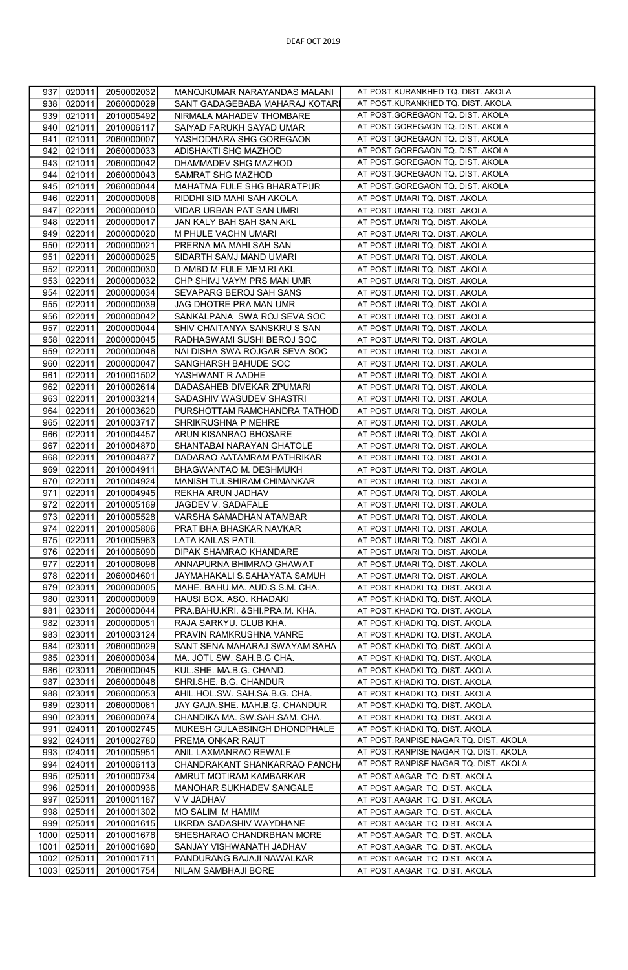| 937  | 020011      | 2050002032 | MANOJKUMAR NARAYANDAS MALANI   | AT POST.KURANKHED TQ. DIST. AKOLA     |
|------|-------------|------------|--------------------------------|---------------------------------------|
| 938  | 020011      | 2060000029 | SANT GADAGEBABA MAHARAJ KOTARI | AT POST.KURANKHED TQ. DIST. AKOLA     |
| 939  | 021011      | 2010005492 | NIRMALA MAHADEV THOMBARE       | AT POST.GOREGAON TQ. DIST. AKOLA      |
| 940  | 021011      | 2010006117 | SAIYAD FARUKH SAYAD UMAR       | AT POST.GOREGAON TQ. DIST. AKOLA      |
| 941  | 021011      | 2060000007 | YASHODHARA SHG GOREGAON        | AT POST.GOREGAON TQ. DIST. AKOLA      |
| 942  | 021011      | 2060000033 | ADISHAKTI SHG MAZHOD           | AT POST.GOREGAON TQ. DIST. AKOLA      |
| 943  | 021011      | 2060000042 | DHAMMADEV SHG MAZHOD           | AT POST.GOREGAON TQ. DIST. AKOLA      |
| 944  | 021011      | 2060000043 | SAMRAT SHG MAZHOD              | AT POST.GOREGAON TQ. DIST. AKOLA      |
| 945  | 021011      | 2060000044 | MAHATMA FULE SHG BHARATPUR     | AT POST.GOREGAON TQ. DIST. AKOLA      |
| 946  | 022011      | 2000000006 | RIDDHI SID MAHI SAH AKOLA      | AT POST.UMARI TQ. DIST. AKOLA         |
| 947  | 022011      | 2000000010 | VIDAR URBAN PAT SAN UMRI       | AT POST.UMARI TQ. DIST. AKOLA         |
| 948  | 022011      | 2000000017 | JAN KALY BAH SAH SAN AKL       | AT POST.UMARI TQ. DIST. AKOLA         |
| 949  | 022011      | 2000000020 | M PHULE VACHN UMARI            | AT POST.UMARI TQ. DIST. AKOLA         |
| 950  | 022011      | 2000000021 | PRERNA MA MAHI SAH SAN         | AT POST.UMARI TQ. DIST. AKOLA         |
| 951  | 022011      | 2000000025 | SIDARTH SAMJ MAND UMARI        | AT POST.UMARI TQ. DIST. AKOLA         |
| 952  | 022011      | 2000000030 | D AMBD M FULE MEM RI AKL       | AT POST.UMARI TQ. DIST. AKOLA         |
| 953  | 022011      | 2000000032 | CHP SHIVJ VAYM PRS MAN UMR     | AT POST.UMARI TQ. DIST. AKOLA         |
| 954  | 022011      | 2000000034 | SEVAPARG BEROJ SAH SANS        | AT POST.UMARI TQ. DIST. AKOLA         |
| 955  | 022011      | 2000000039 | JAG DHOTRE PRA MAN UMR         | AT POST.UMARI TQ. DIST. AKOLA         |
| 956  | 022011      | 2000000042 | SANKALPANA SWA ROJ SEVA SOC    | AT POST.UMARI TQ. DIST. AKOLA         |
| 957  | 022011      | 2000000044 | SHIV CHAITANYA SANSKRUS SAN    | AT POST.UMARI TQ. DIST. AKOLA         |
| 958  | 022011      | 2000000045 | RADHASWAMI SUSHI BEROJ SOC     | AT POST.UMARI TQ. DIST. AKOLA         |
| 959  | 022011      | 2000000046 | NAI DISHA SWA ROJGAR SEVA SOC  | AT POST.UMARI TQ. DIST. AKOLA         |
| 960  | 022011      | 2000000047 | SANGHARSH BAHUDE SOC           | AT POST.UMARI TQ. DIST. AKOLA         |
| 961  | 022011      | 2010001502 | YASHWANT R AADHE               | AT POST.UMARI TQ. DIST. AKOLA         |
| 962  | 022011      | 2010002614 | DADASAHEB DIVEKAR ZPUMARI      | AT POST.UMARI TQ. DIST. AKOLA         |
| 963  | 022011      | 2010003214 | SADASHIV WASUDEV SHASTRI       | AT POST.UMARI TQ. DIST. AKOLA         |
| 964  | 022011      | 2010003620 | PURSHOTTAM RAMCHANDRA TATHOD   | AT POST.UMARI TQ. DIST. AKOLA         |
| 965  | 022011      | 2010003717 | SHRIKRUSHNA P MEHRE            | AT POST.UMARI TQ. DIST. AKOLA         |
| 966  | 022011      | 2010004457 | ARUN KISANRAO BHOSARE          | AT POST.UMARI TQ. DIST. AKOLA         |
| 967  | 022011      | 2010004870 | SHANTABAI NARAYAN GHATOLE      | AT POST.UMARI TQ. DIST. AKOLA         |
| 968  | 022011      | 2010004877 | DADARAO AATAMRAM PATHRIKAR     | AT POST.UMARI TQ. DIST. AKOLA         |
| 969  | 022011      | 2010004911 | BHAGWANTAO M. DESHMUKH         | AT POST.UMARI TQ. DIST. AKOLA         |
| 970  | 022011      | 2010004924 | MANISH TULSHIRAM CHIMANKAR     | AT POST.UMARI TQ. DIST. AKOLA         |
| 971  | 022011      | 2010004945 | REKHA ARUN JADHAV              | AT POST.UMARI TQ. DIST. AKOLA         |
| 972  | 022011      | 2010005169 | JAGDEV V. SADAFALE             | AT POST.UMARI TQ. DIST. AKOLA         |
| 973  | 022011      | 2010005528 | VARSHA SAMADHAN ATAMBAR        | AT POST.UMARI TQ. DIST. AKOLA         |
| 974  | 022011      | 2010005806 | PRATIBHA BHASKAR NAVKAR        | AT POST.UMARI TQ. DIST. AKOLA         |
| 975  | 022011      | 2010005963 | <b>LATA KAILAS PATIL</b>       | AT POST.UMARI TQ. DIST. AKOLA         |
| 976  | 022011      | 2010006090 | DIPAK SHAMRAO KHANDARE         | AT POST.UMARI TQ. DIST. AKOLA         |
| 977  | 022011      | 2010006096 | ANNAPURNA BHIMRAO GHAWAT       | AT POST.UMARI TQ. DIST. AKOLA         |
| 978  | 022011      | 2060004601 | JAYMAHAKALI S.SAHAYATA SAMUH   | AT POST.UMARI TQ. DIST. AKOLA         |
| 979  | 023011      | 2000000005 | MAHE. BAHU.MA. AUD.S.S.M. CHA. | AT POST.KHADKI TQ. DIST. AKOLA        |
|      | 980 023011  | 2000000009 | HAUSI BOX. ASO. KHADAKI        | AT POST.KHADKI TQ. DIST. AKOLA        |
| 981  | 023011      | 2000000044 | PRA.BAHU.KRI. &SHI.PRA.M. KHA. | AT POST.KHADKI TQ. DIST. AKOLA        |
| 982  | 023011      | 2000000051 | RAJA SARKYU. CLUB KHA.         | AT POST.KHADKI TQ. DIST. AKOLA        |
| 983  | 023011      | 2010003124 | PRAVIN RAMKRUSHNA VANRE        | AT POST.KHADKI TQ. DIST. AKOLA        |
| 984  | 023011      | 2060000029 | SANT SENA MAHARAJ SWAYAM SAHA  | AT POST.KHADKI TQ. DIST. AKOLA        |
| 985  | 023011      | 2060000034 | MA. JOTI. SW. SAH.B.G CHA.     | AT POST.KHADKI TQ. DIST. AKOLA        |
| 986  | 023011      | 2060000045 | KUL.SHE. MA.B.G. CHAND.        | AT POST.KHADKI TQ. DIST. AKOLA        |
| 987  | 023011      | 2060000048 | SHRI.SHE. B.G. CHANDUR         | AT POST.KHADKI TQ. DIST. AKOLA        |
| 988  | 023011      | 2060000053 | AHIL.HOL.SW. SAH.SA.B.G. CHA.  | AT POST.KHADKI TQ. DIST. AKOLA        |
| 989  | 023011      | 2060000061 | JAY GAJA.SHE. MAH.B.G. CHANDUR | AT POST.KHADKI TQ. DIST. AKOLA        |
| 990  | 023011      | 2060000074 | CHANDIKA MA. SW.SAH.SAM. CHA.  | AT POST.KHADKI TQ. DIST. AKOLA        |
| 991  | 024011      | 2010002745 | MUKESH GULABSINGH DHONDPHALE   | AT POST.KHADKI TQ. DIST. AKOLA        |
| 992  | 024011      | 2010002780 | PREMA ONKAR RAUT               | AT POST.RANPISE NAGAR TQ. DIST. AKOLA |
| 993  | 024011      | 2010005951 | ANIL LAXMANRAO REWALE          | AT POST.RANPISE NAGAR TQ. DIST. AKOLA |
| 994  | 024011      | 2010006113 | CHANDRAKANT SHANKARRAO PANCHA  | AT POST.RANPISE NAGAR TQ. DIST. AKOLA |
| 995  | 025011      | 2010000734 | AMRUT MOTIRAM KAMBARKAR        | AT POST.AAGAR TQ. DIST. AKOLA         |
| 996  | 025011      | 2010000936 | MANOHAR SUKHADEV SANGALE       | AT POST.AAGAR TQ. DIST. AKOLA         |
| 997  | 025011      | 2010001187 | V V JADHAV                     | AT POST.AAGAR TQ. DIST. AKOLA         |
| 998  | 025011      | 2010001302 | MO SALIM M HAMIM               | AT POST.AAGAR TQ. DIST. AKOLA         |
| 999  | 025011      | 2010001615 | UKRDA SADASHIV WAYDHANE        | AT POST.AAGAR TQ. DIST. AKOLA         |
| 1000 | 025011      | 2010001676 | SHESHARAO CHANDRBHAN MORE      | AT POST.AAGAR TQ. DIST. AKOLA         |
| 1001 | 025011      | 2010001690 | SANJAY VISHWANATH JADHAV       | AT POST.AAGAR TQ. DIST. AKOLA         |
| 1002 | 025011      | 2010001711 | PANDURANG BAJAJI NAWALKAR      | AT POST.AAGAR TQ. DIST. AKOLA         |
|      | 1003 025011 | 2010001754 | NILAM SAMBHAJI BORE            | AT POST.AAGAR TQ. DIST. AKOLA         |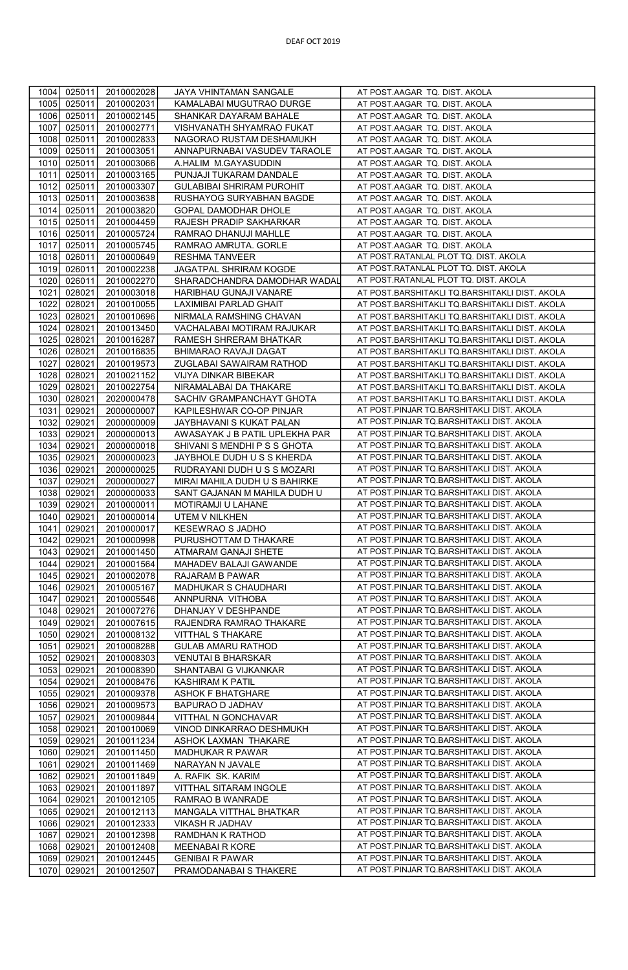| 1004         | 025011           | 2010002028               | JAYA VHINTAMAN SANGALE                             | AT POST.AAGAR TQ. DIST. AKOLA                                                          |
|--------------|------------------|--------------------------|----------------------------------------------------|----------------------------------------------------------------------------------------|
| 1005         | 025011           | 2010002031               | KAMALABAI MUGUTRAO DURGE                           | AT POST.AAGAR TQ. DIST. AKOLA                                                          |
| 1006         | 025011           | 2010002145               | SHANKAR DAYARAM BAHALE                             | AT POST.AAGAR TQ. DIST. AKOLA                                                          |
| 1007         | 025011           | 2010002771               | VISHVANATH SHYAMRAO FUKAT                          | AT POST.AAGAR TQ. DIST. AKOLA                                                          |
| 1008         | 025011           | 2010002833               | NAGORAO RUSTAM DESHAMUKH                           | AT POST.AAGAR TQ. DIST. AKOLA                                                          |
| 1009         | 025011           | 2010003051               | ANNAPURNABAI VASUDEV TARAOLE                       | AT POST.AAGAR TQ. DIST. AKOLA                                                          |
| 1010         | 025011           | 2010003066               | A.HALIM M.GAYASUDDIN                               | AT POST.AAGAR TQ. DIST. AKOLA                                                          |
| 1011         | 025011           | 2010003165               | PUNJAJI TUKARAM DANDALE                            | AT POST.AAGAR TQ. DIST. AKOLA                                                          |
| 1012         | 025011           | 2010003307               | <b>GULABIBAI SHRIRAM PUROHIT</b>                   | AT POST.AAGAR TQ. DIST. AKOLA                                                          |
| 1013         | 025011           | 2010003638               | RUSHAYOG SURYABHAN BAGDE                           | AT POST.AAGAR TQ. DIST. AKOLA                                                          |
| 1014         | 025011           | 2010003820               | GOPAL DAMODHAR DHOLE                               | AT POST.AAGAR TQ. DIST. AKOLA                                                          |
| 1015         | 025011           | 2010004459               | RAJESH PRADIP SAKHARKAR                            | AT POST.AAGAR TQ. DIST. AKOLA                                                          |
| 1016         | 025011           | 2010005724               |                                                    | AT POST.AAGAR TQ. DIST. AKOLA                                                          |
| 1017         | 025011           |                          | RAMRAO DHANUJI MAHLLE                              | AT POST.AAGAR TQ. DIST. AKOLA                                                          |
| 1018         | 026011           | 2010005745<br>2010000649 | RAMRAO AMRUTA. GORLE<br>RESHMA TANVEER             | AT POST.RATANLAL PLOT TQ. DIST. AKOLA                                                  |
| 1019         | 026011           | 2010002238               | <b>JAGATPAL SHRIRAM KOGDE</b>                      | AT POST.RATANLAL PLOT TQ. DIST. AKOLA                                                  |
| 1020         |                  |                          |                                                    | AT POST.RATANLAL PLOT TQ. DIST. AKOLA                                                  |
|              | 026011           | 2010002270               | SHARADCHANDRA DAMODHAR WADAL                       |                                                                                        |
| 1021         | 028021           | 2010003018               | HARIBHAU GUNAJI VANARE                             | AT POST.BARSHITAKLI TQ.BARSHITAKLI DIST. AKOLA                                         |
| 1022         | 028021           | 2010010055               | LAXIMIBAI PARLAD GHAIT                             | AT POST.BARSHITAKLI TQ.BARSHITAKLI DIST. AKOLA                                         |
| 1023<br>1024 | 028021           | 2010010696               | NIRMALA RAMSHING CHAVAN                            | AT POST.BARSHITAKLI TQ.BARSHITAKLI DIST. AKOLA                                         |
|              | 028021           | 2010013450               | VACHALABAI MOTIRAM RAJUKAR                         | AT POST.BARSHITAKLI TQ.BARSHITAKLI DIST. AKOLA                                         |
| 1025         | 028021           | 2010016287               | RAMESH SHRERAM BHATKAR                             | AT POST.BARSHITAKLI TQ.BARSHITAKLI DIST. AKOLA                                         |
| 1026         | 028021           | 2010016835               | BHIMARAO RAVAJI DAGAT                              | AT POST.BARSHITAKLI TQ.BARSHITAKLI DIST. AKOLA                                         |
| 1027         | 028021           | 2010019573               | ZUGLABAI SAWAIRAM RATHOD                           | AT POST.BARSHITAKLI TQ.BARSHITAKLI DIST. AKOLA                                         |
| 1028         | 028021           | 2010021152               | VIJYA DINKAR BIBEKAR                               | AT POST.BARSHITAKLI TQ.BARSHITAKLI DIST. AKOLA                                         |
| 1029         | 028021           | 2010022754               | NIRAMALABAI DA THAKARE                             | AT POST.BARSHITAKLI TQ.BARSHITAKLI DIST. AKOLA                                         |
| 1030         | 028021           | 2020000478               | SACHIV GRAMPANCHAYT GHOTA                          | AT POST.BARSHITAKLI TQ.BARSHITAKLI DIST. AKOLA                                         |
| 1031         | 029021           | 2000000007               | KAPILESHWAR CO-OP PINJAR                           | AT POST.PINJAR TQ.BARSHITAKLI DIST. AKOLA                                              |
| 1032         | 029021           | 2000000009               | JAYBHAVANI S KUKAT PALAN                           | AT POST.PINJAR TQ.BARSHITAKLI DIST. AKOLA<br>AT POST.PINJAR TQ.BARSHITAKLI DIST. AKOLA |
| 1033         | 029021           | 2000000013               | AWASAYAK J B PATIL UPLEKHA PAR                     | AT POST.PINJAR TQ.BARSHITAKLI DIST. AKOLA                                              |
| 1034         | 029021           | 2000000018               | SHIVANI S MENDHI P S S GHOTA                       | AT POST.PINJAR TQ.BARSHITAKLI DIST. AKOLA                                              |
| 1035         | 029021           | 2000000023               | JAYBHOLE DUDH U S S KHERDA                         |                                                                                        |
| 1036         | 029021           | 2000000025               | RUDRAYANI DUDH U S S MOZARI                        | AT POST.PINJAR TQ.BARSHITAKLI DIST. AKOLA<br>AT POST.PINJAR TQ.BARSHITAKLI DIST. AKOLA |
| 1037         | 029021           | 2000000027               | MIRAI MAHILA DUDH U S BAHIRKE                      | AT POST.PINJAR TQ.BARSHITAKLI DIST. AKOLA                                              |
| 1038<br>1039 | 029021<br>029021 | 2000000033<br>2010000011 | SANT GAJANAN M MAHILA DUDH U<br>MOTIRAMJI U LAHANE | AT POST.PINJAR TQ.BARSHITAKLI DIST. AKOLA                                              |
| 1040         | 029021           | 2010000014               | UTEM V NILKHEN                                     | AT POST.PINJAR TQ.BARSHITAKLI DIST. AKOLA                                              |
| 1041         | 029021           | 2010000017               | KESEWRAO S JADHO                                   | AT POST.PINJAR TQ.BARSHITAKLI DIST. AKOLA                                              |
| 1042         | 029021           | 2010000998               | PURUSHOTTAM D THAKARE                              | AT POST.PINJAR TQ.BARSHITAKLI DIST. AKOLA                                              |
| 1043         | 029021           | 2010001450               | ATMARAM GANAJI SHETE                               | AT POST.PINJAR TQ.BARSHITAKLI DIST. AKOLA                                              |
| 1044         | 029021           | 2010001564               | MAHADEV BALAJI GAWANDE                             | AT POST.PINJAR TQ.BARSHITAKLI DIST. AKOLA                                              |
| 1045         | 029021           | 2010002078               | RAJARAM B PAWAR                                    | AT POST.PINJAR TQ.BARSHITAKLI DIST. AKOLA                                              |
| 1046         | 029021           | 2010005167               | MADHUKAR S CHAUDHARI                               | AT POST.PINJAR TQ.BARSHITAKLI DIST. AKOLA                                              |
| 1047         | 029021           | 2010005546               | ANNPURNA VITHOBA                                   | AT POST.PINJAR TQ.BARSHITAKLI DIST. AKOLA                                              |
| 1048         | 029021           | 2010007276               | DHANJAY V DESHPANDE                                | AT POST.PINJAR TQ.BARSHITAKLI DIST. AKOLA                                              |
| 1049         | 029021           | 2010007615               | RAJENDRA RAMRAO THAKARE                            | AT POST.PINJAR TQ.BARSHITAKLI DIST. AKOLA                                              |
| 1050         | 029021           | 2010008132               | VITTHAL S THAKARE                                  | AT POST.PINJAR TQ.BARSHITAKLI DIST. AKOLA                                              |
| 1051         | 029021           | 2010008288               | GULAB AMARU RATHOD                                 | AT POST.PINJAR TQ.BARSHITAKLI DIST. AKOLA                                              |
| 1052         | 029021           | 2010008303               | <b>VENUTAI B BHARSKAR</b>                          | AT POST.PINJAR TQ.BARSHITAKLI DIST. AKOLA                                              |
| 1053         | 029021           | 2010008390               | SHANTABAI G VIJKANKAR                              | AT POST.PINJAR TQ.BARSHITAKLI DIST. AKOLA                                              |
| 1054         | 029021           | 2010008476               | KASHIRAM K PATIL                                   | AT POST.PINJAR TQ.BARSHITAKLI DIST. AKOLA                                              |
| 1055         | 029021           | 2010009378               | <b>ASHOK F BHATGHARE</b>                           | AT POST.PINJAR TQ.BARSHITAKLI DIST. AKOLA                                              |
| 1056         | 029021           | 2010009573               | BAPURAO D JADHAV                                   | AT POST.PINJAR TQ.BARSHITAKLI DIST. AKOLA                                              |
| 1057         | 029021           | 2010009844               | VITTHAL N GONCHAVAR                                | AT POST.PINJAR TQ.BARSHITAKLI DIST. AKOLA                                              |
| 1058         | 029021           | 2010010069               | VINOD DINKARRAO DESHMUKH                           | AT POST.PINJAR TQ.BARSHITAKLI DIST. AKOLA                                              |
| 1059         | 029021           | 2010011234               | ASHOK LAXMAN THAKARE                               | AT POST.PINJAR TQ.BARSHITAKLI DIST. AKOLA                                              |
| 1060         | 029021           | 2010011450               | MADHUKAR R PAWAR                                   | AT POST.PINJAR TQ.BARSHITAKLI DIST. AKOLA                                              |
| 1061         | 029021           | 2010011469               | NARAYAN N JAVALE                                   | AT POST.PINJAR TQ.BARSHITAKLI DIST. AKOLA                                              |
| 1062         | 029021           | 2010011849               | A. RAFIK SK. KARIM                                 | AT POST.PINJAR TQ.BARSHITAKLI DIST. AKOLA                                              |
| 1063         | 029021           | 2010011897               | VITTHAL SITARAM INGOLE                             | AT POST.PINJAR TQ.BARSHITAKLI DIST. AKOLA                                              |
| 1064         | 029021           | 2010012105               | RAMRAO B WANRADE                                   | AT POST.PINJAR TQ.BARSHITAKLI DIST. AKOLA                                              |
| 1065         | 029021           | 2010012113               | MANGALA VITTHAL BHATKAR                            | AT POST.PINJAR TQ.BARSHITAKLI DIST. AKOLA                                              |
| 1066         | 029021           | 2010012333               | VIKASH R JADHAV                                    | AT POST.PINJAR TQ.BARSHITAKLI DIST. AKOLA                                              |
| 1067         | 029021           | 2010012398               | RAMDHAN K RATHOD                                   | AT POST.PINJAR TQ.BARSHITAKLI DIST. AKOLA                                              |
| 1068         | 029021           | 2010012408               | MEENABAIR KORE                                     | AT POST.PINJAR TQ.BARSHITAKLI DIST. AKOLA                                              |
| 1069         | 029021           | 2010012445               | <b>GENIBAI R PAWAR</b>                             | AT POST.PINJAR TQ.BARSHITAKLI DIST. AKOLA                                              |
| 1070         | 029021           | 2010012507               | PRAMODANABAI S THAKERE                             | AT POST.PINJAR TQ.BARSHITAKLI DIST. AKOLA                                              |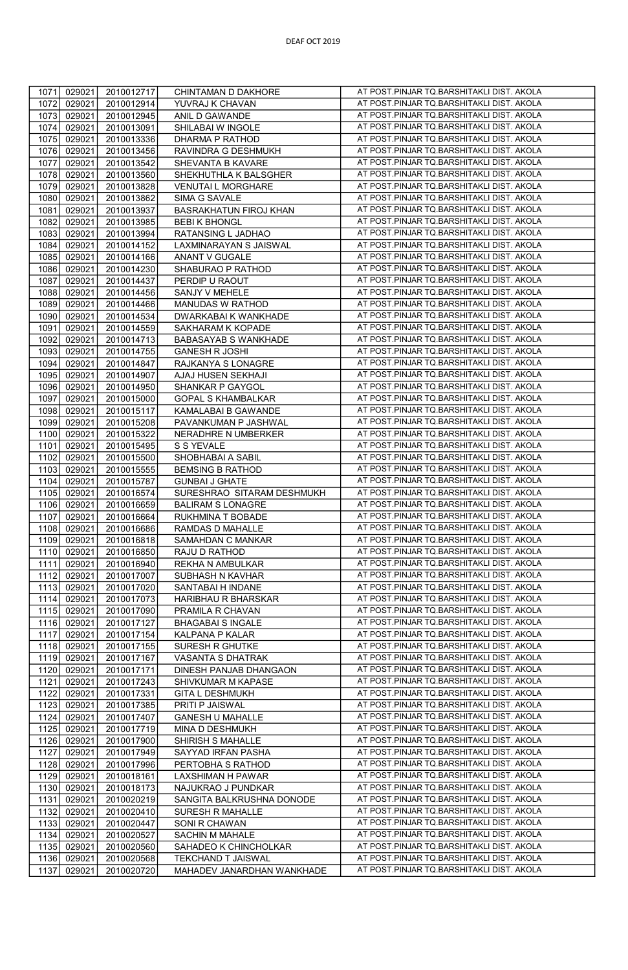| 029021<br>1071<br>2010012717<br>1072<br>029021<br>2010012914<br>1073<br>029021<br>2010012945<br>1074<br>029021<br>2010013091<br>1075<br>029021<br>2010013336<br>029021<br>1076<br>2010013456<br>1077<br>029021<br>2010013542<br>029021<br>1078<br>2010013560<br>029021<br>1079<br>2010013828<br>1080<br>029021<br>2010013862<br>1081<br>029021<br>2010013937 | CHINTAMAN D DAKHORE<br>YUVRAJ K CHAVAN<br>ANIL D GAWANDE | AT POST.PINJAR TQ.BARSHITAKLI DIST. AKOLA                                              |
|--------------------------------------------------------------------------------------------------------------------------------------------------------------------------------------------------------------------------------------------------------------------------------------------------------------------------------------------------------------|----------------------------------------------------------|----------------------------------------------------------------------------------------|
|                                                                                                                                                                                                                                                                                                                                                              |                                                          |                                                                                        |
|                                                                                                                                                                                                                                                                                                                                                              |                                                          | AT POST.PINJAR TQ.BARSHITAKLI DIST. AKOLA                                              |
|                                                                                                                                                                                                                                                                                                                                                              |                                                          | AT POST.PINJAR TQ.BARSHITAKLI DIST. AKOLA                                              |
|                                                                                                                                                                                                                                                                                                                                                              | SHILABAI W INGOLE                                        |                                                                                        |
|                                                                                                                                                                                                                                                                                                                                                              | DHARMA P RATHOD                                          | AT POST.PINJAR TQ.BARSHITAKLI DIST. AKOLA                                              |
|                                                                                                                                                                                                                                                                                                                                                              | RAVINDRA G DESHMUKH                                      | AT POST.PINJAR TQ.BARSHITAKLI DIST. AKOLA                                              |
|                                                                                                                                                                                                                                                                                                                                                              | SHEVANTA B KAVARE                                        | AT POST.PINJAR TQ.BARSHITAKLI DIST. AKOLA                                              |
|                                                                                                                                                                                                                                                                                                                                                              | SHEKHUTHLA K BALSGHER                                    | AT POST.PINJAR TQ.BARSHITAKLI DIST. AKOLA                                              |
|                                                                                                                                                                                                                                                                                                                                                              | <b>VENUTAI L MORGHARE</b>                                | AT POST.PINJAR TQ.BARSHITAKLI DIST. AKOLA                                              |
|                                                                                                                                                                                                                                                                                                                                                              | SIMA G SAVALE                                            | AT POST.PINJAR TQ.BARSHITAKLI DIST. AKOLA                                              |
|                                                                                                                                                                                                                                                                                                                                                              | <b>BASRAKHATUN FIROJ KHAN</b>                            | AT POST.PINJAR TQ.BARSHITAKLI DIST. AKOLA                                              |
|                                                                                                                                                                                                                                                                                                                                                              |                                                          | AT POST.PINJAR TQ.BARSHITAKLI DIST. AKOLA                                              |
| 1082<br>029021<br>2010013985                                                                                                                                                                                                                                                                                                                                 | <b>BEBIK BHONGL</b>                                      |                                                                                        |
| 1083<br>029021<br>2010013994                                                                                                                                                                                                                                                                                                                                 | RATANSING L JADHAO                                       | AT POST.PINJAR TQ.BARSHITAKLI DIST. AKOLA                                              |
| 029021<br>1084<br>2010014152                                                                                                                                                                                                                                                                                                                                 | LAXMINARAYAN S JAISWAL                                   | AT POST.PINJAR TQ.BARSHITAKLI DIST. AKOLA                                              |
| 1085<br>029021<br>2010014166                                                                                                                                                                                                                                                                                                                                 | ANANT V GUGALE                                           | AT POST.PINJAR TQ.BARSHITAKLI DIST. AKOLA                                              |
| 1086<br>029021<br>2010014230                                                                                                                                                                                                                                                                                                                                 | SHABURAO P RATHOD                                        | AT POST.PINJAR TQ.BARSHITAKLI DIST. AKOLA                                              |
| 1087<br>029021<br>2010014437                                                                                                                                                                                                                                                                                                                                 | PERDIP U RAOUT                                           | AT POST.PINJAR TQ.BARSHITAKLI DIST. AKOLA                                              |
| 1088<br>029021<br>2010014456                                                                                                                                                                                                                                                                                                                                 | SANJY V MEHELE                                           | AT POST.PINJAR TQ.BARSHITAKLI DIST. AKOLA                                              |
| 1089<br>029021<br>2010014466                                                                                                                                                                                                                                                                                                                                 | MANUDAS W RATHOD                                         | AT POST.PINJAR TQ.BARSHITAKLI DIST. AKOLA                                              |
|                                                                                                                                                                                                                                                                                                                                                              |                                                          | AT POST.PINJAR TQ.BARSHITAKLI DIST. AKOLA                                              |
| 1090<br>029021<br>2010014534                                                                                                                                                                                                                                                                                                                                 | DWARKABAI K WANKHADE                                     |                                                                                        |
| 029021<br>1091<br>2010014559                                                                                                                                                                                                                                                                                                                                 | SAKHARAM K KOPADE                                        | AT POST.PINJAR TQ.BARSHITAKLI DIST. AKOLA                                              |
| 1092<br>029021<br>2010014713                                                                                                                                                                                                                                                                                                                                 | BABASAYAB S WANKHADE                                     | AT POST.PINJAR TQ.BARSHITAKLI DIST. AKOLA                                              |
| 029021<br>1093<br>2010014755                                                                                                                                                                                                                                                                                                                                 | <b>GANESH R JOSHI</b>                                    | AT POST.PINJAR TQ.BARSHITAKLI DIST. AKOLA                                              |
| 1094<br>029021<br>2010014847                                                                                                                                                                                                                                                                                                                                 | RAJKANYA S LONAGRE                                       | AT POST.PINJAR TQ.BARSHITAKLI DIST. AKOLA                                              |
| 1095<br>029021<br>2010014907                                                                                                                                                                                                                                                                                                                                 | AJAJ HUSEN SEKHAJI                                       | AT POST.PINJAR TQ.BARSHITAKLI DIST. AKOLA                                              |
| 1096<br>029021<br>2010014950                                                                                                                                                                                                                                                                                                                                 | SHANKAR P GAYGOL                                         | AT POST.PINJAR TQ.BARSHITAKLI DIST. AKOLA                                              |
| 1097<br>029021<br>2010015000                                                                                                                                                                                                                                                                                                                                 | <b>GOPAL S KHAMBALKAR</b>                                | AT POST.PINJAR TQ.BARSHITAKLI DIST. AKOLA                                              |
|                                                                                                                                                                                                                                                                                                                                                              |                                                          | AT POST.PINJAR TQ.BARSHITAKLI DIST. AKOLA                                              |
| 1098<br>029021<br>2010015117                                                                                                                                                                                                                                                                                                                                 | KAMALABAI B GAWANDE                                      |                                                                                        |
| 1099<br>029021<br>2010015208                                                                                                                                                                                                                                                                                                                                 | PAVANKUMAN P JASHWAL                                     | AT POST.PINJAR TQ.BARSHITAKLI DIST. AKOLA                                              |
| 1100<br>029021<br>2010015322                                                                                                                                                                                                                                                                                                                                 | NERADHRE N UMBERKER                                      | AT POST.PINJAR TQ.BARSHITAKLI DIST. AKOLA                                              |
| 1101<br>029021<br>2010015495                                                                                                                                                                                                                                                                                                                                 | S S YEVALE                                               | AT POST.PINJAR TQ.BARSHITAKLI DIST. AKOLA                                              |
| 1102<br>029021<br>2010015500                                                                                                                                                                                                                                                                                                                                 | SHOBHABAI A SABIL                                        | AT POST.PINJAR TQ.BARSHITAKLI DIST. AKOLA                                              |
| 1103<br>029021<br>2010015555                                                                                                                                                                                                                                                                                                                                 | <b>BEMSING B RATHOD</b>                                  | AT POST.PINJAR TQ.BARSHITAKLI DIST. AKOLA                                              |
| 1104<br>029021<br>2010015787                                                                                                                                                                                                                                                                                                                                 | <b>GUNBAI J GHATE</b>                                    | AT POST.PINJAR TQ.BARSHITAKLI DIST. AKOLA                                              |
| 1105<br>029021<br>2010016574                                                                                                                                                                                                                                                                                                                                 | SURESHRAO SITARAM DESHMUKH                               | AT POST.PINJAR TQ.BARSHITAKLI DIST. AKOLA                                              |
|                                                                                                                                                                                                                                                                                                                                                              |                                                          | AT POST.PINJAR TQ.BARSHITAKLI DIST. AKOLA                                              |
| 1106<br>029021<br>2010016659                                                                                                                                                                                                                                                                                                                                 | <b>BALIRAM S LONAGRE</b>                                 |                                                                                        |
| 1107<br>029021<br>2010016664                                                                                                                                                                                                                                                                                                                                 | RUKHMINA T BOBADE                                        | AT POST.PINJAR TQ.BARSHITAKLI DIST. AKOLA                                              |
| 1108<br>029021<br>2010016686                                                                                                                                                                                                                                                                                                                                 | RAMDAS D MAHALLE                                         | AT POST.PINJAR TQ.BARSHITAKLI DIST. AKOLA                                              |
| 1109<br>029021<br>2010016818                                                                                                                                                                                                                                                                                                                                 | SAMAHDAN C MANKAR                                        | AT POST.PINJAR TQ.BARSHITAKLI DIST. AKOLA                                              |
| 1110<br>029021<br>2010016850                                                                                                                                                                                                                                                                                                                                 | RAJU D RATHOD                                            | AT POST.PINJAR TQ.BARSHITAKLI DIST. AKOLA                                              |
| 029021<br>2010016940<br>1111                                                                                                                                                                                                                                                                                                                                 | REKHA N AMBULKAR                                         | AT POST.PINJAR TQ.BARSHITAKLI DIST. AKOLA                                              |
| 1112<br>029021<br>2010017007                                                                                                                                                                                                                                                                                                                                 | SUBHASH N KAVHAR                                         | AT POST.PINJAR TQ.BARSHITAKLI DIST. AKOLA                                              |
| 1113<br>029021<br>2010017020                                                                                                                                                                                                                                                                                                                                 | SANTABAI H INDANE                                        | AT POST.PINJAR TQ.BARSHITAKLI DIST. AKOLA                                              |
| 1114<br>029021<br>2010017073                                                                                                                                                                                                                                                                                                                                 | HARIBHAU R BHARSKAR                                      | AT POST.PINJAR TQ.BARSHITAKLI DIST. AKOLA                                              |
|                                                                                                                                                                                                                                                                                                                                                              |                                                          | AT POST.PINJAR TQ.BARSHITAKLI DIST. AKOLA                                              |
| 1115<br>029021<br>2010017090                                                                                                                                                                                                                                                                                                                                 | PRAMILA R CHAVAN                                         |                                                                                        |
| 029021<br>1116<br>2010017127                                                                                                                                                                                                                                                                                                                                 | <b>BHAGABAI S INGALE</b>                                 | AT POST.PINJAR TQ.BARSHITAKLI DIST. AKOLA                                              |
| 1117<br>029021<br>2010017154                                                                                                                                                                                                                                                                                                                                 | KALPANA P KALAR                                          | AT POST.PINJAR TQ.BARSHITAKLI DIST. AKOLA                                              |
| 029021<br>1118<br>2010017155                                                                                                                                                                                                                                                                                                                                 | SURESH R GHUTKE                                          | AT POST.PINJAR TQ.BARSHITAKLI DIST. AKOLA                                              |
| 1119<br>029021<br>2010017167                                                                                                                                                                                                                                                                                                                                 | VASANTA S DHATRAK                                        | AT POST.PINJAR TQ.BARSHITAKLI DIST. AKOLA                                              |
|                                                                                                                                                                                                                                                                                                                                                              | DINESH PANJAB DHANGAON                                   | AT POST.PINJAR TQ.BARSHITAKLI DIST. AKOLA                                              |
| 1120<br>029021<br>2010017171                                                                                                                                                                                                                                                                                                                                 | SHIVKUMAR M KAPASE                                       | AT POST.PINJAR TQ.BARSHITAKLI DIST. AKOLA                                              |
|                                                                                                                                                                                                                                                                                                                                                              | <b>GITA L DESHMUKH</b>                                   | AT POST.PINJAR TQ.BARSHITAKLI DIST. AKOLA                                              |
| 029021<br>2010017243<br>1121                                                                                                                                                                                                                                                                                                                                 |                                                          |                                                                                        |
| 1122<br>029021<br>2010017331                                                                                                                                                                                                                                                                                                                                 |                                                          |                                                                                        |
| 1123<br>029021<br>2010017385                                                                                                                                                                                                                                                                                                                                 | PRITI P JAISWAL                                          | AT POST.PINJAR TQ.BARSHITAKLI DIST. AKOLA                                              |
| 1124<br>029021<br>2010017407                                                                                                                                                                                                                                                                                                                                 | <b>GANESH U MAHALLE</b>                                  | AT POST.PINJAR TQ.BARSHITAKLI DIST. AKOLA                                              |
| 1125<br>029021<br>2010017719                                                                                                                                                                                                                                                                                                                                 | MINA D DESHMUKH                                          | AT POST.PINJAR TQ.BARSHITAKLI DIST. AKOLA                                              |
| 1126<br>029021<br>2010017900                                                                                                                                                                                                                                                                                                                                 | SHIRISH S MAHALLE                                        | AT POST.PINJAR TQ.BARSHITAKLI DIST. AKOLA                                              |
| 1127<br>029021<br>2010017949                                                                                                                                                                                                                                                                                                                                 | SAYYAD IRFAN PASHA                                       | AT POST.PINJAR TQ.BARSHITAKLI DIST. AKOLA                                              |
| 029021<br>1128<br>2010017996                                                                                                                                                                                                                                                                                                                                 | PERTOBHA S RATHOD                                        | AT POST.PINJAR TQ.BARSHITAKLI DIST. AKOLA                                              |
|                                                                                                                                                                                                                                                                                                                                                              |                                                          |                                                                                        |
| 1129<br>029021<br>2010018161                                                                                                                                                                                                                                                                                                                                 | LAXSHIMAN H PAWAR                                        | AT POST.PINJAR TQ.BARSHITAKLI DIST. AKOLA                                              |
| 1130<br>029021<br>2010018173                                                                                                                                                                                                                                                                                                                                 | NAJUKRAO J PUNDKAR                                       | AT POST.PINJAR TQ.BARSHITAKLI DIST. AKOLA                                              |
| 1131<br>029021<br>2010020219                                                                                                                                                                                                                                                                                                                                 | SANGITA BALKRUSHNA DONODE                                | AT POST.PINJAR TQ.BARSHITAKLI DIST. AKOLA                                              |
| 1132<br>029021<br>2010020410                                                                                                                                                                                                                                                                                                                                 | SURESH R MAHALLE                                         | AT POST.PINJAR TQ.BARSHITAKLI DIST. AKOLA                                              |
| 1133<br>029021<br>2010020447                                                                                                                                                                                                                                                                                                                                 | SONI R CHAWAN                                            | AT POST.PINJAR TQ.BARSHITAKLI DIST. AKOLA                                              |
| 029021<br>2010020527<br>1134                                                                                                                                                                                                                                                                                                                                 | SACHIN M MAHALE                                          | AT POST.PINJAR TQ.BARSHITAKLI DIST. AKOLA                                              |
| 029021<br>1135<br>2010020560                                                                                                                                                                                                                                                                                                                                 | SAHADEO K CHINCHOLKAR                                    | AT POST.PINJAR TQ.BARSHITAKLI DIST. AKOLA                                              |
| 1136<br>029021<br>2010020568                                                                                                                                                                                                                                                                                                                                 | TEKCHAND T JAISWAL                                       | AT POST.PINJAR TQ.BARSHITAKLI DIST. AKOLA<br>AT POST.PINJAR TQ.BARSHITAKLI DIST. AKOLA |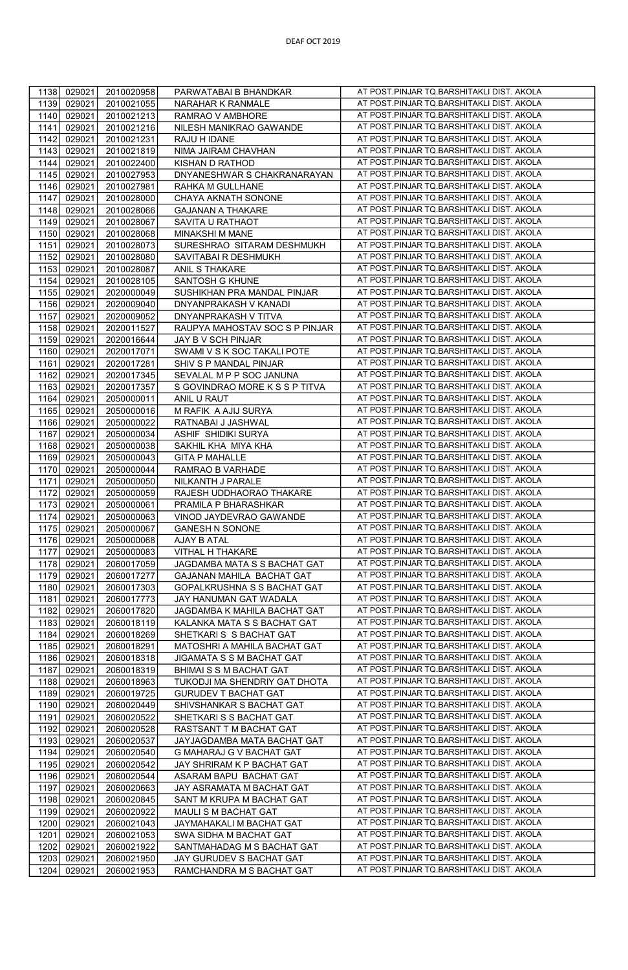| 1138<br>029021<br>2010020958                 | PARWATABAI B BHANDKAR          | AT POST.PINJAR TQ.BARSHITAKLI DIST. AKOLA |
|----------------------------------------------|--------------------------------|-------------------------------------------|
| 1139<br>029021<br>2010021055                 | NARAHAR K RANMALE              | AT POST.PINJAR TQ.BARSHITAKLI DIST. AKOLA |
|                                              |                                | AT POST.PINJAR TQ.BARSHITAKLI DIST. AKOLA |
| 1140<br>029021<br>2010021213                 | RAMRAO V AMBHORE               |                                           |
| 1141<br>029021<br>2010021216                 | NILESH MANIKRAO GAWANDE        | AT POST.PINJAR TQ.BARSHITAKLI DIST. AKOLA |
| 1142<br>029021<br>2010021231<br>RAJU H IDANE |                                | AT POST.PINJAR TQ.BARSHITAKLI DIST. AKOLA |
| 1143<br>029021<br>2010021819                 | NIMA JAIRAM CHAVHAN            | AT POST.PINJAR TQ.BARSHITAKLI DIST. AKOLA |
| 1144<br>029021<br>2010022400                 | KISHAN D RATHOD                | AT POST.PINJAR TQ.BARSHITAKLI DIST. AKOLA |
| 1145<br>029021<br>2010027953                 | DNYANESHWAR S CHAKRANARAYAN    | AT POST.PINJAR TQ.BARSHITAKLI DIST. AKOLA |
| 1146<br>029021<br>2010027981                 | RAHKA M GULLHANE               | AT POST.PINJAR TQ.BARSHITAKLI DIST. AKOLA |
| 1147<br>029021                               |                                | AT POST.PINJAR TQ.BARSHITAKLI DIST. AKOLA |
| 2010028000                                   | CHAYA AKNATH SONONE            |                                           |
| 1148<br>029021<br>2010028066                 | <b>GAJANAN A THAKARE</b>       | AT POST.PINJAR TQ.BARSHITAKLI DIST. AKOLA |
| 1149<br>029021<br>2010028067                 | SAVITA U RATHAOT               | AT POST.PINJAR TQ.BARSHITAKLI DIST. AKOLA |
| 1150<br>029021<br>2010028068                 | <b>MINAKSHI M MANE</b>         | AT POST.PINJAR TQ.BARSHITAKLI DIST. AKOLA |
| 029021<br>2010028073<br>1151                 | SURESHRAO SITARAM DESHMUKH     | AT POST.PINJAR TQ.BARSHITAKLI DIST. AKOLA |
| 029021<br>1152<br>2010028080                 | SAVITABAI R DESHMUKH           | AT POST.PINJAR TQ.BARSHITAKLI DIST. AKOLA |
| 1153<br>029021<br>2010028087                 | ANIL S THAKARE                 | AT POST.PINJAR TQ.BARSHITAKLI DIST. AKOLA |
|                                              |                                | AT POST.PINJAR TQ.BARSHITAKLI DIST. AKOLA |
| 1154<br>029021<br>2010028105                 | SANTOSH G KHUNE                |                                           |
| 1155<br>029021<br>2020000049                 | SUSHIKHAN PRA MANDAL PINJAR    | AT POST.PINJAR TQ.BARSHITAKLI DIST. AKOLA |
| 1156<br>029021<br>2020009040                 | DNYANPRAKASH V KANADI          | AT POST.PINJAR TQ.BARSHITAKLI DIST. AKOLA |
| 1157<br>029021<br>2020009052                 | DNYANPRAKASH V TITVA           | AT POST.PINJAR TQ.BARSHITAKLI DIST. AKOLA |
| 1158<br>029021<br>2020011527                 | RAUPYA MAHOSTAV SOC S P PINJAR | AT POST.PINJAR TQ.BARSHITAKLI DIST. AKOLA |
| 1159<br>029021<br>2020016644                 | JAY B V SCH PINJAR             | AT POST.PINJAR TQ.BARSHITAKLI DIST. AKOLA |
| 029021<br>1160<br>2020017071                 | SWAMI V S K SOC TAKALI POTE    | AT POST.PINJAR TQ.BARSHITAKLI DIST. AKOLA |
|                                              |                                | AT POST.PINJAR TQ.BARSHITAKLI DIST. AKOLA |
| 1161<br>029021<br>2020017281                 | SHIV S P MANDAL PINJAR         |                                           |
| 1162<br>029021<br>2020017345                 | SEVALAL M P P SOC JANUNA       | AT POST.PINJAR TQ.BARSHITAKLI DIST. AKOLA |
| 1163<br>029021<br>2020017357                 | S GOVINDRAO MORE K S S P TITVA | AT POST.PINJAR TQ.BARSHITAKLI DIST. AKOLA |
| 1164<br>029021<br>2050000011<br>ANIL U RAUT  |                                | AT POST.PINJAR TQ.BARSHITAKLI DIST. AKOLA |
| 1165<br>029021<br>2050000016                 | M RAFIK A AJIJ SURYA           | AT POST.PINJAR TQ.BARSHITAKLI DIST. AKOLA |
| 1166<br>029021<br>2050000022                 | RATNABAI J JASHWAL             | AT POST.PINJAR TQ.BARSHITAKLI DIST. AKOLA |
| 1167<br>029021<br>2050000034                 | ASHIF SHIDIKI SURYA            | AT POST.PINJAR TQ.BARSHITAKLI DIST. AKOLA |
|                                              |                                | AT POST.PINJAR TQ.BARSHITAKLI DIST. AKOLA |
| 1168<br>029021<br>2050000038                 | SAKHIL KHA MIYA KHA            |                                           |
| 1169<br>029021<br>2050000043                 | <b>GITA P MAHALLE</b>          | AT POST.PINJAR TQ.BARSHITAKLI DIST. AKOLA |
| 1170<br>029021<br>2050000044                 | RAMRAO B VARHADE               | AT POST.PINJAR TQ.BARSHITAKLI DIST. AKOLA |
| 1171<br>029021<br>2050000050                 | NILKANTH J PARALE              | AT POST.PINJAR TQ.BARSHITAKLI DIST. AKOLA |
| 1172<br>029021<br>2050000059                 | RAJESH UDDHAORAO THAKARE       | AT POST.PINJAR TQ.BARSHITAKLI DIST. AKOLA |
| 1173<br>029021<br>2050000061                 | PRAMILA P BHARASHKAR           | AT POST.PINJAR TQ.BARSHITAKLI DIST. AKOLA |
| 1174<br>029021<br>2050000063                 | VINOD JAYDEVRAO GAWANDE        | AT POST.PINJAR TQ.BARSHITAKLI DIST. AKOLA |
| 029021                                       | <b>GANESH N SONONE</b>         | AT POST.PINJAR TQ.BARSHITAKLI DIST. AKOLA |
| 1175<br>2050000067                           |                                |                                           |
| 1176<br>029021<br>2050000068<br>AJAY B ATAL  |                                | AT POST.PINJAR TQ.BARSHITAKLI DIST. AKOLA |
| 1177<br>029021<br>2050000083                 | VITHAL H THAKARE               | AT POST.PINJAR TQ.BARSHITAKLI DIST. AKOLA |
| 029021<br>1178<br>2060017059                 | JAGDAMBA MATA S S BACHAT GAT   | AT POST.PINJAR TQ.BARSHITAKLI DIST. AKOLA |
| 1179<br>029021<br>2060017277                 | GAJANAN MAHILA BACHAT GAT      | AT POST.PINJAR TQ.BARSHITAKLI DIST. AKOLA |
| 1180<br>029021<br>2060017303                 | GOPALKRUSHNA S S BACHAT GAT    | AT POST.PINJAR TQ.BARSHITAKLI DIST. AKOLA |
| 1181<br>029021<br>2060017773                 | JAY HANUMAN GAT WADALA         | AT POST.PINJAR TQ.BARSHITAKLI DIST. AKOLA |
| 029021<br>1182<br>2060017820                 | JAGDAMBA K MAHILA BACHAT GAT   | AT POST.PINJAR TQ.BARSHITAKLI DIST. AKOLA |
|                                              |                                | AT POST.PINJAR TQ.BARSHITAKLI DIST. AKOLA |
| 1183<br>029021<br>2060018119                 | KALANKA MATA S S BACHAT GAT    |                                           |
| 1184<br>029021<br>2060018269                 | SHETKARIS S BACHAT GAT         | AT POST.PINJAR TQ.BARSHITAKLI DIST. AKOLA |
| 1185<br>029021<br>2060018291                 | MATOSHRI A MAHILA BACHAT GAT   | AT POST.PINJAR TQ.BARSHITAKLI DIST. AKOLA |
| 029021<br>1186<br>2060018318                 | JIGAMATA S S M BACHAT GAT      | AT POST.PINJAR TQ.BARSHITAKLI DIST. AKOLA |
| 029021<br>1187<br>2060018319                 | BHIMAI S S M BACHAT GAT        | AT POST.PINJAR TQ.BARSHITAKLI DIST. AKOLA |
| 1188<br>029021<br>2060018963                 | TUKODJI MA SHENDRIY GAT DHOTA  | AT POST.PINJAR TQ.BARSHITAKLI DIST. AKOLA |
| 1189<br>029021<br>2060019725                 | <b>GURUDEV T BACHAT GAT</b>    | AT POST.PINJAR TQ.BARSHITAKLI DIST. AKOLA |
| 1190<br>029021<br>2060020449                 | SHIVSHANKAR S BACHAT GAT       | AT POST.PINJAR TQ.BARSHITAKLI DIST. AKOLA |
|                                              |                                |                                           |
| 1191<br>029021<br>2060020522                 | SHETKARISS BACHAT GAT          | AT POST.PINJAR TQ.BARSHITAKLI DIST. AKOLA |
| 029021<br>1192<br>2060020528                 | RASTSANT T M BACHAT GAT        | AT POST.PINJAR TQ.BARSHITAKLI DIST. AKOLA |
| 1193<br>029021<br>2060020537                 | JAYJAGDAMBA MATA BACHAT GAT    | AT POST.PINJAR TQ.BARSHITAKLI DIST. AKOLA |
| 029021<br>1194<br>2060020540                 | G MAHARAJ G V BACHAT GAT       | AT POST.PINJAR TQ.BARSHITAKLI DIST. AKOLA |
| 1195<br>029021<br>2060020542                 | JAY SHRIRAM K P BACHAT GAT     | AT POST.PINJAR TQ.BARSHITAKLI DIST. AKOLA |
| 1196<br>029021<br>2060020544                 | ASARAM BAPU BACHAT GAT         | AT POST.PINJAR TQ.BARSHITAKLI DIST. AKOLA |
| 1197<br>029021<br>2060020663                 | JAY ASRAMATA M BACHAT GAT      | AT POST.PINJAR TQ.BARSHITAKLI DIST. AKOLA |
| 1198<br>029021                               | SANT M KRUPA M BACHAT GAT      | AT POST.PINJAR TQ.BARSHITAKLI DIST. AKOLA |
| 2060020845                                   |                                |                                           |
| 1199<br>029021<br>2060020922                 | MAULI S M BACHAT GAT           | AT POST.PINJAR TQ.BARSHITAKLI DIST. AKOLA |
| 1200<br>029021<br>2060021043                 | JAYMAHAKALI M BACHAT GAT       | AT POST.PINJAR TQ.BARSHITAKLI DIST. AKOLA |
| 1201<br>029021<br>2060021053                 | SWA SIDHA M BACHAT GAT         | AT POST.PINJAR TQ.BARSHITAKLI DIST. AKOLA |
| 1202<br>029021<br>2060021922                 | SANTMAHADAG M S BACHAT GAT     | AT POST.PINJAR TQ.BARSHITAKLI DIST. AKOLA |
| 1203<br>029021<br>2060021950                 | JAY GURUDEV S BACHAT GAT       | AT POST.PINJAR TQ.BARSHITAKLI DIST. AKOLA |
| 1204<br>029021<br>2060021953                 | RAMCHANDRA M S BACHAT GAT      | AT POST.PINJAR TQ.BARSHITAKLI DIST. AKOLA |
|                                              |                                |                                           |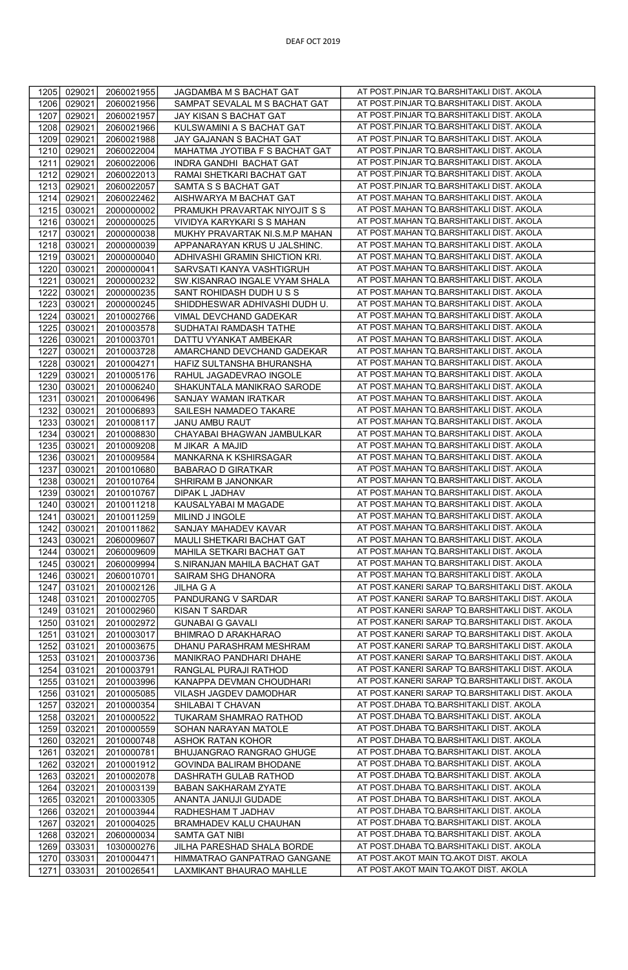| 1205 | 029021 | 2060021955 | JAGDAMBA M S BACHAT GAT        | AT POST.PINJAR TQ.BARSHITAKLI DIST. AKOLA       |
|------|--------|------------|--------------------------------|-------------------------------------------------|
| 1206 | 029021 | 2060021956 | SAMPAT SEVALAL M S BACHAT GAT  | AT POST.PINJAR TQ.BARSHITAKLI DIST. AKOLA       |
| 1207 | 029021 | 2060021957 | JAY KISAN S BACHAT GAT         | AT POST.PINJAR TQ.BARSHITAKLI DIST. AKOLA       |
| 1208 | 029021 | 2060021966 | KULSWAMINI A S BACHAT GAT      | AT POST.PINJAR TQ.BARSHITAKLI DIST. AKOLA       |
| 1209 | 029021 | 2060021988 | JAY GAJANAN S BACHAT GAT       | AT POST.PINJAR TQ.BARSHITAKLI DIST. AKOLA       |
| 1210 | 029021 | 2060022004 | MAHATMA JYOTIBA F S BACHAT GAT | AT POST.PINJAR TQ.BARSHITAKLI DIST. AKOLA       |
| 1211 | 029021 | 2060022006 | INDRA GANDHI BACHAT GAT        | AT POST.PINJAR TQ.BARSHITAKLI DIST. AKOLA       |
| 1212 | 029021 | 2060022013 | RAMAI SHETKARI BACHAT GAT      | AT POST.PINJAR TQ.BARSHITAKLI DIST. AKOLA       |
| 1213 | 029021 | 2060022057 | SAMTA S S BACHAT GAT           | AT POST.PINJAR TQ.BARSHITAKLI DIST. AKOLA       |
| 1214 | 029021 | 2060022462 | AISHWARYA M BACHAT GAT         | AT POST.MAHAN TQ.BARSHITAKLI DIST. AKOLA        |
| 1215 | 030021 | 2000000002 | PRAMUKH PRAVARTAK NIYOJIT S S  | AT POST.MAHAN TQ.BARSHITAKLI DIST. AKOLA        |
| 1216 | 030021 | 2000000025 | VIVIDYA KARYKARI S S MAHAN     | AT POST.MAHAN TQ.BARSHITAKLI DIST. AKOLA        |
| 1217 | 030021 | 2000000038 | MUKHY PRAVARTAK NI.S.M.P MAHAN | AT POST.MAHAN TQ.BARSHITAKLI DIST. AKOLA        |
| 1218 | 030021 | 2000000039 | APPANARAYAN KRUS U JALSHINC.   | AT POST.MAHAN TQ.BARSHITAKLI DIST. AKOLA        |
| 1219 | 030021 | 2000000040 | ADHIVASHI GRAMIN SHICTION KRI. | AT POST.MAHAN TQ.BARSHITAKLI DIST. AKOLA        |
| 1220 | 030021 | 2000000041 | SARVSATI KANYA VASHTIGRUH      | AT POST.MAHAN TQ.BARSHITAKLI DIST. AKOLA        |
| 1221 | 030021 | 2000000232 | SW.KISANRAO INGALE VYAM SHALA  | AT POST.MAHAN TQ.BARSHITAKLI DIST. AKOLA        |
| 1222 | 030021 | 2000000235 | SANT ROHIDASH DUDH U S S       | AT POST.MAHAN TQ.BARSHITAKLI DIST. AKOLA        |
| 1223 | 030021 | 2000000245 | SHIDDHESWAR ADHIVASHI DUDH U.  | AT POST.MAHAN TQ.BARSHITAKLI DIST. AKOLA        |
| 1224 | 030021 | 2010002766 | VIMAL DEVCHAND GADEKAR         | AT POST.MAHAN TQ.BARSHITAKLI DIST. AKOLA        |
| 1225 | 030021 | 2010003578 | SUDHATAI RAMDASH TATHE         | AT POST.MAHAN TQ.BARSHITAKLI DIST. AKOLA        |
| 1226 | 030021 | 2010003701 | DATTU VYANKAT AMBEKAR          | AT POST.MAHAN TQ.BARSHITAKLI DIST. AKOLA        |
| 1227 | 030021 | 2010003728 | AMARCHAND DEVCHAND GADEKAR     | AT POST.MAHAN TQ.BARSHITAKLI DIST. AKOLA        |
| 1228 | 030021 | 2010004271 | HAFIZ SULTANSHA BHURANSHA      | AT POST.MAHAN TQ.BARSHITAKLI DIST. AKOLA        |
| 1229 | 030021 | 2010005176 | RAHUL JAGADEVRAO INGOLE        | AT POST.MAHAN TQ.BARSHITAKLI DIST. AKOLA        |
| 1230 | 030021 | 2010006240 | SHAKUNTALA MANIKRAO SARODE     | AT POST.MAHAN TQ.BARSHITAKLI DIST. AKOLA        |
| 1231 | 030021 | 2010006496 | SANJAY WAMAN IRATKAR           | AT POST.MAHAN TQ.BARSHITAKLI DIST. AKOLA        |
| 1232 | 030021 | 2010006893 | SAILESH NAMADEO TAKARE         | AT POST.MAHAN TQ.BARSHITAKLI DIST. AKOLA        |
| 1233 | 030021 | 2010008117 | <b>JANU AMBU RAUT</b>          | AT POST.MAHAN TQ.BARSHITAKLI DIST. AKOLA        |
| 1234 | 030021 | 2010008830 | CHAYABAI BHAGWAN JAMBULKAR     | AT POST.MAHAN TQ.BARSHITAKLI DIST. AKOLA        |
| 1235 | 030021 | 2010009208 | M JIKAR A MAJID                | AT POST.MAHAN TQ.BARSHITAKLI DIST. AKOLA        |
| 1236 | 030021 | 2010009584 | MANKARNA K KSHIRSAGAR          | AT POST.MAHAN TQ.BARSHITAKLI DIST. AKOLA        |
| 1237 | 030021 | 2010010680 | <b>BABARAO D GIRATKAR</b>      | AT POST.MAHAN TQ.BARSHITAKLI DIST. AKOLA        |
| 1238 | 030021 | 2010010764 | SHRIRAM B JANONKAR             | AT POST.MAHAN TQ.BARSHITAKLI DIST. AKOLA        |
| 1239 | 030021 | 2010010767 | DIPAK L JADHAV                 | AT POST.MAHAN TQ.BARSHITAKLI DIST. AKOLA        |
| 1240 | 030021 | 2010011218 | KAUSALYABAI M MAGADE           | AT POST.MAHAN TQ.BARSHITAKLI DIST. AKOLA        |
| 1241 | 030021 | 2010011259 | MILIND J INGOLE                | AT POST.MAHAN TQ.BARSHITAKLI DIST. AKOLA        |
| 1242 | 030021 | 2010011862 | SANJAY MAHADEV KAVAR           | AT POST.MAHAN TQ.BARSHITAKLI DIST. AKOLA        |
| 1243 | 030021 | 2060009607 | MAULI SHETKARI BACHAT GAT      | AT POST.MAHAN TQ.BARSHITAKLI DIST. AKOLA        |
| 1244 | 030021 | 2060009609 | MAHILA SETKARI BACHAT GAT      | AT POST.MAHAN TQ.BARSHITAKLI DIST. AKOLA        |
| 1245 | 030021 | 2060009994 | S.NIRANJAN MAHILA BACHAT GAT   | AT POST.MAHAN TQ.BARSHITAKLI DIST. AKOLA        |
| 1246 | 030021 | 2060010701 | SAIRAM SHG DHANORA             | AT POST.MAHAN TQ.BARSHITAKLI DIST. AKOLA        |
| 1247 | 031021 | 2010002126 | <b>JILHA G A</b>               | AT POST.KANERI SARAP TQ.BARSHITAKLI DIST. AKOLA |
| 1248 | 031021 | 2010002705 | PANDURANG V SARDAR             | AT POST.KANERI SARAP TQ.BARSHITAKLI DIST. AKOLA |
| 1249 | 031021 | 2010002960 | KISAN T SARDAR                 | AT POST.KANERI SARAP TQ.BARSHITAKLI DIST. AKOLA |
| 1250 | 031021 | 2010002972 | <b>GUNABAI G GAVALI</b>        | AT POST.KANERI SARAP TQ.BARSHITAKLI DIST. AKOLA |
| 1251 | 031021 | 2010003017 | BHIMRAO D ARAKHARAO            | AT POST.KANERI SARAP TQ.BARSHITAKLI DIST. AKOLA |
| 1252 | 031021 | 2010003675 | DHANU PARASHRAM MESHRAM        | AT POST.KANERI SARAP TQ.BARSHITAKLI DIST. AKOLA |
| 1253 | 031021 | 2010003736 | MANIKRAO PANDHARI DHAHE        | AT POST.KANERI SARAP TQ.BARSHITAKLI DIST. AKOLA |
| 1254 | 031021 | 2010003791 | RANGLAL PURAJI RATHOD          | AT POST.KANERI SARAP TQ.BARSHITAKLI DIST. AKOLA |
| 1255 | 031021 | 2010003996 | KANAPPA DEVMAN CHOUDHARI       | AT POST.KANERI SARAP TQ.BARSHITAKLI DIST. AKOLA |
| 1256 | 031021 | 2010005085 | VILASH JAGDEV DAMODHAR         | AT POST.KANERI SARAP TQ.BARSHITAKLI DIST. AKOLA |
| 1257 | 032021 | 2010000354 | SHILABAI T CHAVAN              | AT POST.DHABA TQ.BARSHITAKLI DIST. AKOLA        |
| 1258 | 032021 | 2010000522 | TUKARAM SHAMRAO RATHOD         | AT POST.DHABA TQ.BARSHITAKLI DIST. AKOLA        |
| 1259 | 032021 | 2010000559 | SOHAN NARAYAN MATOLE           | AT POST.DHABA TQ.BARSHITAKLI DIST. AKOLA        |
| 1260 | 032021 | 2010000748 | ASHOK RATAN KOHOR              | AT POST.DHABA TQ.BARSHITAKLI DIST. AKOLA        |
| 1261 | 032021 | 2010000781 | BHUJANGRAO RANGRAO GHUGE       | AT POST.DHABA TQ.BARSHITAKLI DIST. AKOLA        |
| 1262 | 032021 | 2010001912 | GOVINDA BALIRAM BHODANE        | AT POST.DHABA TQ.BARSHITAKLI DIST. AKOLA        |
| 1263 | 032021 | 2010002078 | DASHRATH GULAB RATHOD          | AT POST.DHABA TQ.BARSHITAKLI DIST. AKOLA        |
| 1264 | 032021 | 2010003139 | BABAN SAKHARAM ZYATE           | AT POST.DHABA TQ.BARSHITAKLI DIST. AKOLA        |
| 1265 | 032021 | 2010003305 | ANANTA JANUJI GUDADE           | AT POST.DHABA TQ.BARSHITAKLI DIST. AKOLA        |
| 1266 | 032021 | 2010003944 | RADHESHAM T JADHAV             | AT POST.DHABA TQ.BARSHITAKLI DIST. AKOLA        |
| 1267 | 032021 | 2010004025 | BRAMHADEV KALU CHAUHAN         | AT POST.DHABA TQ.BARSHITAKLI DIST. AKOLA        |
| 1268 | 032021 | 2060000034 | SAMTA GAT NIBI                 | AT POST.DHABA TQ.BARSHITAKLI DIST. AKOLA        |
| 1269 | 033031 | 1030000276 | JILHA PARESHAD SHALA BORDE     | AT POST.DHABA TQ.BARSHITAKLI DIST. AKOLA        |
| 1270 | 033031 | 2010004471 | HIMMATRAO GANPATRAO GANGANE    | AT POST.AKOT MAIN TQ.AKOT DIST. AKOLA           |
| 1271 | 033031 | 2010026541 | LAXMIKANT BHAURAO MAHLLE       | AT POST.AKOT MAIN TQ.AKOT DIST. AKOLA           |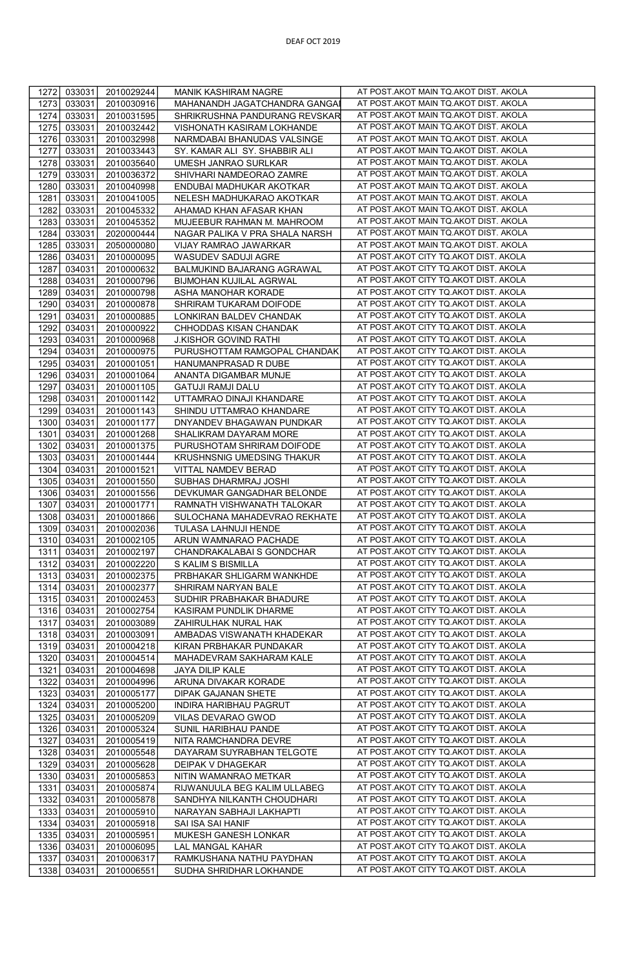| 1272         | 033031           | 2010029244               | MANIK KASHIRAM NAGRE                                | AT POST.AKOT MAIN TQ.AKOT DIST. AKOLA                                          |
|--------------|------------------|--------------------------|-----------------------------------------------------|--------------------------------------------------------------------------------|
| 1273         | 033031           | 2010030916               | MAHANANDH JAGATCHANDRA GANGA                        | AT POST.AKOT MAIN TQ.AKOT DIST. AKOLA                                          |
|              |                  |                          |                                                     |                                                                                |
| 1274         | 033031           | 2010031595               | SHRIKRUSHNA PANDURANG REVSKAR                       | AT POST.AKOT MAIN TQ.AKOT DIST. AKOLA                                          |
| 1275         | 033031           | 2010032442               | VISHONATH KASIRAM LOKHANDE                          | AT POST.AKOT MAIN TQ.AKOT DIST. AKOLA                                          |
|              |                  |                          |                                                     | AT POST.AKOT MAIN TQ.AKOT DIST. AKOLA                                          |
| 1276         | 033031           | 2010032998               | NARMDABAI BHANUDAS VALSINGE                         |                                                                                |
| 1277         | 033031           | 2010033443               | SY. KAMAR ALI SY. SHABBIR ALI                       | AT POST.AKOT MAIN TQ.AKOT DIST. AKOLA                                          |
|              |                  |                          |                                                     | AT POST.AKOT MAIN TQ.AKOT DIST. AKOLA                                          |
| 1278         | 033031           | 2010035640               | UMESH JANRAO SURLKAR                                |                                                                                |
| 1279         | 033031           | 2010036372               | SHIVHARI NAMDEORAO ZAMRE                            | AT POST.AKOT MAIN TQ.AKOT DIST. AKOLA                                          |
| 1280         | 033031           | 2010040998               | ENDUBAI MADHUKAR AKOTKAR                            | AT POST.AKOT MAIN TQ.AKOT DIST. AKOLA                                          |
|              |                  |                          |                                                     |                                                                                |
| 1281         | 033031           | 2010041005               | NELESH MADHUKARAO AKOTKAR                           | AT POST.AKOT MAIN TQ.AKOT DIST. AKOLA                                          |
| 1282         | 033031           | 2010045332               | AHAMAD KHAN AFASAR KHAN                             | AT POST.AKOT MAIN TQ.AKOT DIST. AKOLA                                          |
| 1283         | 033031           | 2010045352               | MUJEEBUR RAHMAN M. MAHROOM                          | AT POST.AKOT MAIN TQ.AKOT DIST. AKOLA                                          |
|              |                  |                          |                                                     |                                                                                |
| 1284         | 033031           | 2020000444               | NAGAR PALIKA V PRA SHALA NARSH                      | AT POST.AKOT MAIN TQ.AKOT DIST. AKOLA                                          |
| 1285         | 033031           | 2050000080               | VIJAY RAMRAO JAWARKAR                               | AT POST.AKOT MAIN TQ.AKOT DIST. AKOLA                                          |
|              |                  |                          |                                                     |                                                                                |
| 1286         | 034031           | 2010000095               | WASUDEV SADUJI AGRE                                 | AT POST.AKOT CITY TQ.AKOT DIST. AKOLA                                          |
| 1287         | 034031           | 2010000632               | BALMUKIND BAJARANG AGRAWAL                          | AT POST.AKOT CITY TQ.AKOT DIST. AKOLA                                          |
| 1288         |                  |                          |                                                     | AT POST.AKOT CITY TQ.AKOT DIST. AKOLA                                          |
|              | 034031           | 2010000796               | BIJMOHAN KUJILAL AGRWAL                             |                                                                                |
| 1289         | 034031           | 2010000798               | ASHA MANOHAR KORADE                                 | AT POST.AKOT CITY TQ.AKOT DIST. AKOLA                                          |
| 1290         | 034031           | 2010000878               | SHRIRAM TUKARAM DOIFODE                             | AT POST.AKOT CITY TQ.AKOT DIST. AKOLA                                          |
|              |                  |                          |                                                     |                                                                                |
| 1291         | 034031           | 2010000885               | LONKIRAN BALDEV CHANDAK                             | AT POST.AKOT CITY TQ.AKOT DIST. AKOLA                                          |
| 1292         | 034031           | 2010000922               | CHHODDAS KISAN CHANDAK                              | AT POST.AKOT CITY TQ.AKOT DIST. AKOLA                                          |
|              |                  |                          |                                                     | AT POST.AKOT CITY TQ.AKOT DIST. AKOLA                                          |
| 1293         | 034031           | 2010000968               | <b>J.KISHOR GOVIND RATHI</b>                        |                                                                                |
| 1294         | 034031           | 2010000975               | PURUSHOTTAM RAMGOPAL CHANDAK                        | AT POST.AKOT CITY TQ.AKOT DIST. AKOLA                                          |
| 1295         | 034031           | 2010001051               | HANUMANPRASAD R DUBE                                | AT POST.AKOT CITY TQ.AKOT DIST. AKOLA                                          |
|              |                  |                          |                                                     |                                                                                |
| 1296         | 034031           | 2010001064               | ANANTA DIGAMBAR MUNJE                               | AT POST.AKOT CITY TQ.AKOT DIST. AKOLA                                          |
| 1297         | 034031           | 2010001105               | <b>GATUJI RAMJI DALU</b>                            | AT POST.AKOT CITY TQ.AKOT DIST. AKOLA                                          |
| 1298         | 034031           | 2010001142               | UTTAMRAO DINAJI KHANDARE                            | AT POST.AKOT CITY TQ.AKOT DIST. AKOLA                                          |
|              |                  |                          |                                                     |                                                                                |
| 1299         | 034031           | 2010001143               | SHINDU UTTAMRAO KHANDARE                            | AT POST.AKOT CITY TQ.AKOT DIST. AKOLA                                          |
| 1300         | 034031           | 2010001177               | DNYANDEV BHAGAWAN PUNDKAR                           | AT POST.AKOT CITY TQ.AKOT DIST. AKOLA                                          |
| 1301         | 034031           | 2010001268               | SHALIKRAM DAYARAM MORE                              | AT POST.AKOT CITY TQ.AKOT DIST. AKOLA                                          |
|              |                  |                          |                                                     |                                                                                |
| 1302         | 034031           | 2010001375               | PURUSHOTAM SHRIRAM DOIFODE                          | AT POST.AKOT CITY TQ.AKOT DIST. AKOLA                                          |
| 1303         | 034031           | 2010001444               | KRUSHNSNIG UMEDSING THAKUR                          | AT POST.AKOT CITY TQ.AKOT DIST. AKOLA                                          |
|              |                  |                          |                                                     | AT POST.AKOT CITY TQ.AKOT DIST. AKOLA                                          |
| 1304         | 034031           | 2010001521               | VITTAL NAMDEV BERAD                                 |                                                                                |
| 1305         | 034031           | 2010001550               | SUBHAS DHARMRAJ JOSHI                               | AT POST.AKOT CITY TQ.AKOT DIST. AKOLA                                          |
| 1306         | 034031           | 2010001556               | DEVKUMAR GANGADHAR BELONDE                          | AT POST.AKOT CITY TQ.AKOT DIST. AKOLA                                          |
| 1307         | 034031           | 2010001771               | RAMNATH VISHWANATH TALOKAR                          | AT POST.AKOT CITY TQ.AKOT DIST. AKOLA                                          |
|              |                  |                          |                                                     |                                                                                |
| 1308         | 034031           | 2010001866               | SULOCHANA MAHADEVRAO REKHATE                        | AT POST.AKOT CITY TQ.AKOT DIST. AKOLA                                          |
| 1309         | 034031           | 2010002036               | TULASA LAHNUJI HENDE                                | AT POST.AKOT CITY TQ.AKOT DIST. AKOLA                                          |
| 1310         | 034031           | 2010002105               | ARUN WAMNARAO PACHADE                               | AT POST.AKOT CITY TQ.AKOT DIST. AKOLA                                          |
|              |                  |                          |                                                     |                                                                                |
| 1311         | 034031           | 2010002197               | CHANDRAKALABAI S GONDCHAR                           | AT POST.AKOT CITY TQ.AKOT DIST. AKOLA                                          |
| 1312         | 034031           | 2010002220               | S KALIM S BISMILLA                                  | AT POST.AKOT CITY TQ.AKOT DIST. AKOLA                                          |
| 1313         | 034031           | 2010002375               | PRBHAKAR SHLIGARM WANKHDE                           | AT POST.AKOT CITY TQ.AKOT DIST. AKOLA                                          |
|              |                  |                          |                                                     |                                                                                |
| 1314         | 034031           | 2010002377               | SHRIRAM NARYAN BALE                                 | AT POST.AKOT CITY TQ.AKOT DIST. AKOLA                                          |
| 1315         | 034031           | 2010002453               | SUDHIR PRABHAKAR BHADURE                            | AT POST.AKOT CITY TQ.AKOT DIST. AKOLA                                          |
| 1316         | 034031           | 2010002754               | KASIRAM PUNDLIK DHARME                              | AT POST.AKOT CITY TQ.AKOT DIST. AKOLA                                          |
|              |                  |                          |                                                     |                                                                                |
| 1317         | 034031           | 2010003089               | ZAHIRULHAK NURAL HAK                                | AT POST.AKOT CITY TQ.AKOT DIST. AKOLA                                          |
| 1318         | 034031           | 2010003091               | AMBADAS VISWANATH KHADEKAR                          | AT POST.AKOT CITY TQ.AKOT DIST. AKOLA                                          |
| 1319         | 034031           | 2010004218               | KIRAN PRBHAKAR PUNDAKAR                             | AT POST.AKOT CITY TQ.AKOT DIST. AKOLA                                          |
|              |                  |                          |                                                     |                                                                                |
| 1320         | 034031           | 2010004514               | MAHADEVRAM SAKHARAM KALE                            | AT POST.AKOT CITY TQ.AKOT DIST. AKOLA                                          |
| 1321         | 034031           | 2010004698               | JAYA DILIP KALE                                     | AT POST.AKOT CITY TQ.AKOT DIST. AKOLA                                          |
|              |                  |                          |                                                     | AT POST.AKOT CITY TQ.AKOT DIST. AKOLA                                          |
| 1322         | 034031           | 2010004996               | ARUNA DIVAKAR KORADE                                |                                                                                |
| 1323         | 034031           | 2010005177               | DIPAK GAJANAN SHETE                                 | AT POST.AKOT CITY TQ.AKOT DIST. AKOLA                                          |
| 1324         |                  |                          |                                                     |                                                                                |
|              |                  |                          |                                                     |                                                                                |
|              | 034031           | 2010005200               | INDIRA HARIBHAU PAGRUT                              | AT POST.AKOT CITY TQ.AKOT DIST. AKOLA                                          |
| 1325         | 034031           | 2010005209               | VILAS DEVARAO GWOD                                  | AT POST.AKOT CITY TQ.AKOT DIST. AKOLA                                          |
| 1326         | 034031           | 2010005324               | SUNIL HARIBHAU PANDE                                | AT POST.AKOT CITY TQ.AKOT DIST. AKOLA                                          |
|              |                  |                          |                                                     |                                                                                |
| 1327         | 034031           | 2010005419               | NITA RAMCHANDRA DEVRE                               | AT POST.AKOT CITY TQ.AKOT DIST. AKOLA                                          |
| 1328         | 034031           | 2010005548               | DAYARAM SUYRABHAN TELGOTE                           | AT POST.AKOT CITY TQ.AKOT DIST. AKOLA                                          |
| 1329         | 034031           | 2010005628               | DEIPAK V DHAGEKAR                                   | AT POST.AKOT CITY TQ.AKOT DIST. AKOLA                                          |
|              |                  |                          |                                                     |                                                                                |
| 1330         | 034031           | 2010005853               | NITIN WAMANRAO METKAR                               | AT POST.AKOT CITY TQ.AKOT DIST. AKOLA                                          |
| 1331         | 034031           | 2010005874               | RIJWANUULA BEG KALIM ULLABEG                        | AT POST.AKOT CITY TQ.AKOT DIST. AKOLA                                          |
| 1332         | 034031           | 2010005878               | SANDHYA NILKANTH CHOUDHARI                          | AT POST.AKOT CITY TQ.AKOT DIST. AKOLA                                          |
|              |                  |                          |                                                     |                                                                                |
| 1333         | 034031           | 2010005910               | NARAYAN SABHAJI LAKHAPTI                            | AT POST.AKOT CITY TQ.AKOT DIST. AKOLA                                          |
| 1334         | 034031           | 2010005918               | SAI ISA SAI HANIF                                   | AT POST.AKOT CITY TQ.AKOT DIST. AKOLA                                          |
| 1335         | 034031           | 2010005951               | MUKESH GANESH LONKAR                                | AT POST.AKOT CITY TQ.AKOT DIST. AKOLA                                          |
|              |                  |                          |                                                     |                                                                                |
| 1336         | 034031           | 2010006095               | LAL MANGAL KAHAR                                    | AT POST.AKOT CITY TQ.AKOT DIST. AKOLA                                          |
| 1337<br>1338 | 034031<br>034031 | 2010006317<br>2010006551 | RAMKUSHANA NATHU PAYDHAN<br>SUDHA SHRIDHAR LOKHANDE | AT POST.AKOT CITY TQ.AKOT DIST. AKOLA<br>AT POST.AKOT CITY TQ.AKOT DIST. AKOLA |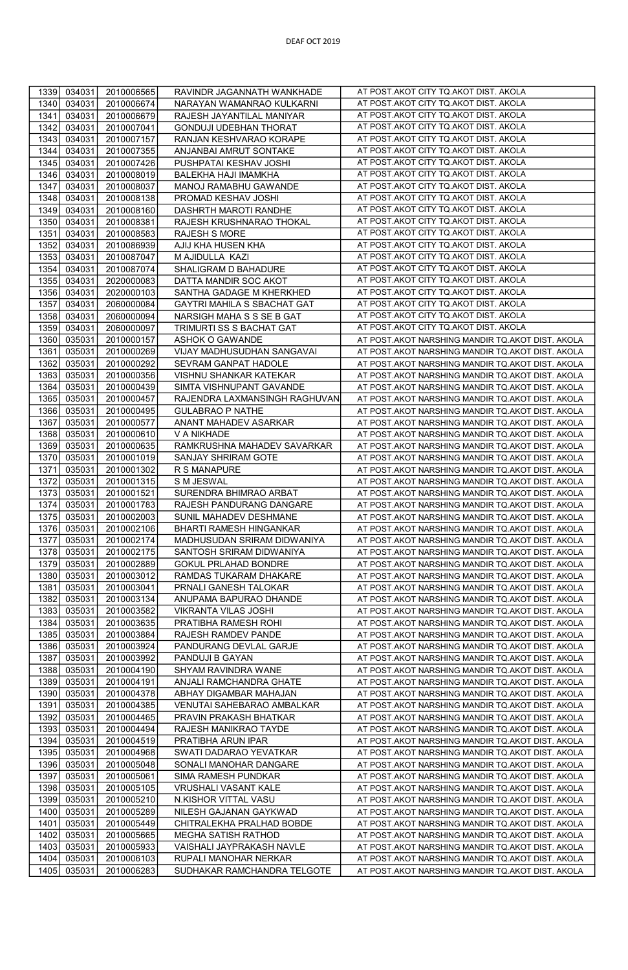| 1339         | 034031           | 2010006565               | RAVINDR JAGANNATH WANKHADE                     | AT POST.AKOT CITY TQ.AKOT DIST. AKOLA                                                                |
|--------------|------------------|--------------------------|------------------------------------------------|------------------------------------------------------------------------------------------------------|
| 1340         | 034031           | 2010006674               | NARAYAN WAMANRAO KULKARNI                      | AT POST.AKOT CITY TQ.AKOT DIST. AKOLA                                                                |
| 1341         | 034031           | 2010006679               | RAJESH JAYANTILAL MANIYAR                      | AT POST.AKOT CITY TQ.AKOT DIST. AKOLA                                                                |
| 1342         | 034031           | 2010007041               | <b>GONDUJI UDEBHAN THORAT</b>                  | AT POST.AKOT CITY TQ.AKOT DIST. AKOLA                                                                |
| 1343         | 034031           | 2010007157               | RANJAN KESHVARAO KORAPE                        | AT POST.AKOT CITY TQ.AKOT DIST. AKOLA                                                                |
| 1344         | 034031           | 2010007355               | ANJANBAI AMRUT SONTAKE                         | AT POST.AKOT CITY TQ.AKOT DIST. AKOLA                                                                |
| 1345         | 034031           | 2010007426               | PUSHPATAI KESHAV JOSHI                         | AT POST.AKOT CITY TQ.AKOT DIST. AKOLA                                                                |
| 1346         | 034031           | 2010008019               | BALEKHA HAJI IMAMKHA                           | AT POST.AKOT CITY TQ.AKOT DIST. AKOLA                                                                |
| 1347         | 034031           | 2010008037               | MANOJ RAMABHU GAWANDE                          | AT POST.AKOT CITY TQ.AKOT DIST. AKOLA                                                                |
| 1348         | 034031           | 2010008138               | PROMAD KESHAV JOSHI                            | AT POST.AKOT CITY TQ.AKOT DIST. AKOLA                                                                |
| 1349         | 034031           | 2010008160               | DASHRTH MAROTI RANDHE                          | AT POST.AKOT CITY TQ.AKOT DIST. AKOLA                                                                |
| 1350         | 034031           | 2010008381               | RAJESH KRUSHNARAO THOKAL                       | AT POST.AKOT CITY TQ.AKOT DIST. AKOLA                                                                |
| 1351         | 034031           | 2010008583               | RAJESH S MORE                                  | AT POST.AKOT CITY TQ.AKOT DIST. AKOLA                                                                |
| 1352         | 034031           | 2010086939               | AJIJ KHA HUSEN KHA                             | AT POST.AKOT CITY TQ.AKOT DIST. AKOLA                                                                |
| 1353         | 034031           | 2010087047               | M AJIDULLA KAZI                                | AT POST.AKOT CITY TQ.AKOT DIST. AKOLA                                                                |
| 1354         | 034031           | 2010087074               | SHALIGRAM D BAHADURE                           | AT POST.AKOT CITY TQ.AKOT DIST. AKOLA                                                                |
| 1355         | 034031           | 2020000083               | DATTA MANDIR SOC AKOT                          | AT POST.AKOT CITY TQ.AKOT DIST. AKOLA                                                                |
| 1356         | 034031           | 2020000103               | SANTHA GADAGE M KHERKHED                       | AT POST.AKOT CITY TQ.AKOT DIST. AKOLA                                                                |
| 1357         | 034031           | 2060000084               | GAYTRI MAHILA S SBACHAT GAT                    | AT POST.AKOT CITY TQ.AKOT DIST. AKOLA                                                                |
| 1358         | 034031           | 2060000094               | NARSIGH MAHA S S SE B GAT                      | AT POST.AKOT CITY TQ.AKOT DIST. AKOLA                                                                |
| 1359         | 034031           | 2060000097               | TRIMURTI SS S BACHAT GAT                       | AT POST.AKOT CITY TQ.AKOT DIST. AKOLA                                                                |
| 1360         | 035031           | 2010000157               | ASHOK O GAWANDE                                | AT POST.AKOT NARSHING MANDIR TQ.AKOT DIST. AKOLA                                                     |
| 1361         | 035031           | 2010000269               | VIJAY MADHUSUDHAN SANGAVAI                     | AT POST.AKOT NARSHING MANDIR TQ.AKOT DIST. AKOLA                                                     |
| 1362         | 035031           | 2010000292               | SEVRAM GANPAT HADOLE                           | AT POST.AKOT NARSHING MANDIR TQ.AKOT DIST. AKOLA                                                     |
| 1363         | 035031           | 2010000356               | VISHNU SHANKAR KATEKAR                         | AT POST.AKOT NARSHING MANDIR TQ.AKOT DIST. AKOLA                                                     |
| 1364         | 035031           | 2010000439               | SIMTA VISHNUPANT GAVANDE                       | AT POST.AKOT NARSHING MANDIR TQ.AKOT DIST. AKOLA                                                     |
| 1365         | 035031           | 2010000457               | RAJENDRA LAXMANSINGH RAGHUVAN                  | AT POST.AKOT NARSHING MANDIR TQ.AKOT DIST. AKOLA                                                     |
| 1366         | 035031           | 2010000495               | <b>GULABRAO P NATHE</b>                        | AT POST.AKOT NARSHING MANDIR TQ.AKOT DIST. AKOLA                                                     |
| 1367         | 035031           | 2010000577               | ANANT MAHADEV ASARKAR                          | AT POST.AKOT NARSHING MANDIR TQ.AKOT DIST. AKOLA                                                     |
| 1368         | 035031           | 2010000610               | V A NIKHADE                                    | AT POST.AKOT NARSHING MANDIR TQ.AKOT DIST. AKOLA                                                     |
| 1369         | 035031           | 2010000635               | RAMKRUSHNA MAHADEV SAVARKAR                    | AT POST.AKOT NARSHING MANDIR TQ.AKOT DIST. AKOLA                                                     |
| 1370         | 035031           | 2010001019               | SANJAY SHRIRAM GOTE                            | AT POST.AKOT NARSHING MANDIR TQ.AKOT DIST. AKOLA                                                     |
| 1371         | 035031           | 2010001302               | R S MANAPURE                                   | AT POST.AKOT NARSHING MANDIR TQ.AKOT DIST. AKOLA                                                     |
| 1372         | 035031           | 2010001315               | S M JESWAL                                     | AT POST.AKOT NARSHING MANDIR TQ.AKOT DIST. AKOLA                                                     |
| 1373         | 035031           | 2010001521               | SURENDRA BHIMRAO ARBAT                         | AT POST.AKOT NARSHING MANDIR TQ.AKOT DIST. AKOLA                                                     |
| 1374         | 035031           | 2010001783               | RAJESH PANDURANG DANGARE                       | AT POST.AKOT NARSHING MANDIR TQ.AKOT DIST. AKOLA                                                     |
| 1375         | 035031           | 2010002003               | SUNIL MAHADEV DESHMANE                         | AT POST.AKOT NARSHING MANDIR TQ.AKOT DIST. AKOLA                                                     |
| 1376         | 035031           | 2010002106               | BHARTI RAMESH HINGANKAR                        | AT POST.AKOT NARSHING MANDIR TQ.AKOT DIST. AKOLA                                                     |
| 1377         | 035031           | 2010002174               | MADHUSUDAN SRIRAM DIDWANIYA                    | AT POST.AKOT NARSHING MANDIR TQ.AKOT DIST. AKOLA                                                     |
| 1378         | 035031           | 2010002175               | SANTOSH SRIRAM DIDWANIYA                       | AT POST.AKOT NARSHING MANDIR TQ.AKOT DIST. AKOLA                                                     |
| 1379         | 035031           | 2010002889               | GOKUL PRLAHAD BONDRE                           | AT POST.AKOT NARSHING MANDIR TQ.AKOT DIST. AKOLA                                                     |
| 1380         | 035031           | 2010003012               | RAMDAS TUKARAM DHAKARE                         | AT POST.AKOT NARSHING MANDIR TQ.AKOT DIST. AKOLA                                                     |
| 1381         | 035031           | 2010003041               | PRNALI GANESH TALOKAR                          | AT POST.AKOT NARSHING MANDIR TQ.AKOT DIST. AKOLA                                                     |
| 1382         | 035031           | 2010003134               | ANUPAMA BAPURAO DHANDE                         | AT POST.AKOT NARSHING MANDIR TQ.AKOT DIST. AKOLA                                                     |
| 1383         | 035031           | 2010003582               | VIKRANTA VILAS JOSHI                           | AT POST.AKOT NARSHING MANDIR TQ.AKOT DIST. AKOLA                                                     |
| 1384         | 035031           | 2010003635               | PRATIBHA RAMESH ROHI                           | AT POST.AKOT NARSHING MANDIR TQ.AKOT DIST. AKOLA                                                     |
| 1385         | 035031           | 2010003884               | RAJESH RAMDEV PANDE                            | AT POST.AKOT NARSHING MANDIR TQ.AKOT DIST. AKOLA                                                     |
| 1386         | 035031           | 2010003924               | PANDURANG DEVLAL GARJE                         | AT POST.AKOT NARSHING MANDIR TQ.AKOT DIST. AKOLA                                                     |
| 1387         | 035031           | 2010003992               | PANDUJI B GAYAN                                | AT POST.AKOT NARSHING MANDIR TQ.AKOT DIST. AKOLA                                                     |
| 1388         | 035031<br>035031 | 2010004190               | SHYAM RAVINDRA WANE<br>ANJALI RAMCHANDRA GHATE | AT POST.AKOT NARSHING MANDIR TQ.AKOT DIST. AKOLA                                                     |
| 1389<br>1390 | 035031           | 2010004191<br>2010004378 | ABHAY DIGAMBAR MAHAJAN                         | AT POST.AKOT NARSHING MANDIR TQ.AKOT DIST. AKOLA<br>AT POST.AKOT NARSHING MANDIR TQ.AKOT DIST. AKOLA |
| 1391         | 035031           | 2010004385               | VENUTAI SAHEBARAO AMBALKAR                     | AT POST.AKOT NARSHING MANDIR TQ.AKOT DIST. AKOLA                                                     |
| 1392         | 035031           | 2010004465               | PRAVIN PRAKASH BHATKAR                         | AT POST.AKOT NARSHING MANDIR TQ.AKOT DIST. AKOLA                                                     |
| 1393         | 035031           | 2010004494               | RAJESH MANIKRAO TAYDE                          | AT POST.AKOT NARSHING MANDIR TQ.AKOT DIST. AKOLA                                                     |
| 1394         | 035031           | 2010004519               | PRATIBHA ARUN IPAR                             | AT POST.AKOT NARSHING MANDIR TQ.AKOT DIST. AKOLA                                                     |
| 1395         | 035031           | 2010004968               | SWATI DADARAO YEVATKAR                         | AT POST.AKOT NARSHING MANDIR TQ.AKOT DIST. AKOLA                                                     |
| 1396         | 035031           | 2010005048               | SONALI MANOHAR DANGARE                         | AT POST.AKOT NARSHING MANDIR TQ.AKOT DIST. AKOLA                                                     |
| 1397         | 035031           | 2010005061               | SIMA RAMESH PUNDKAR                            | AT POST.AKOT NARSHING MANDIR TQ.AKOT DIST. AKOLA                                                     |
| 1398         | 035031           | 2010005105               | VRUSHALI VASANT KALE                           | AT POST.AKOT NARSHING MANDIR TQ.AKOT DIST. AKOLA                                                     |
| 1399         | 035031           | 2010005210               | N.KISHOR VITTAL VASU                           | AT POST.AKOT NARSHING MANDIR TQ.AKOT DIST. AKOLA                                                     |
| 1400         | 035031           | 2010005289               | NILESH GAJANAN GAYKWAD                         | AT POST.AKOT NARSHING MANDIR TQ.AKOT DIST. AKOLA                                                     |
| 1401         | 035031           | 2010005449               | CHITRALEKHA PRALHAD BOBDE                      | AT POST.AKOT NARSHING MANDIR TQ.AKOT DIST. AKOLA                                                     |
| 1402         | 035031           | 2010005665               | MEGHA SATISH RATHOD                            | AT POST.AKOT NARSHING MANDIR TQ.AKOT DIST. AKOLA                                                     |
| 1403         | 035031           | 2010005933               | VAISHALI JAYPRAKASH NAVLE                      | AT POST.AKOT NARSHING MANDIR TQ.AKOT DIST. AKOLA                                                     |
| 1404         | 035031           | 2010006103               | RUPALI MANOHAR NERKAR                          | AT POST.AKOT NARSHING MANDIR TQ.AKOT DIST. AKOLA                                                     |
| 1405         | 035031           | 2010006283               | SUDHAKAR RAMCHANDRA TELGOTE                    | AT POST.AKOT NARSHING MANDIR TQ.AKOT DIST. AKOLA                                                     |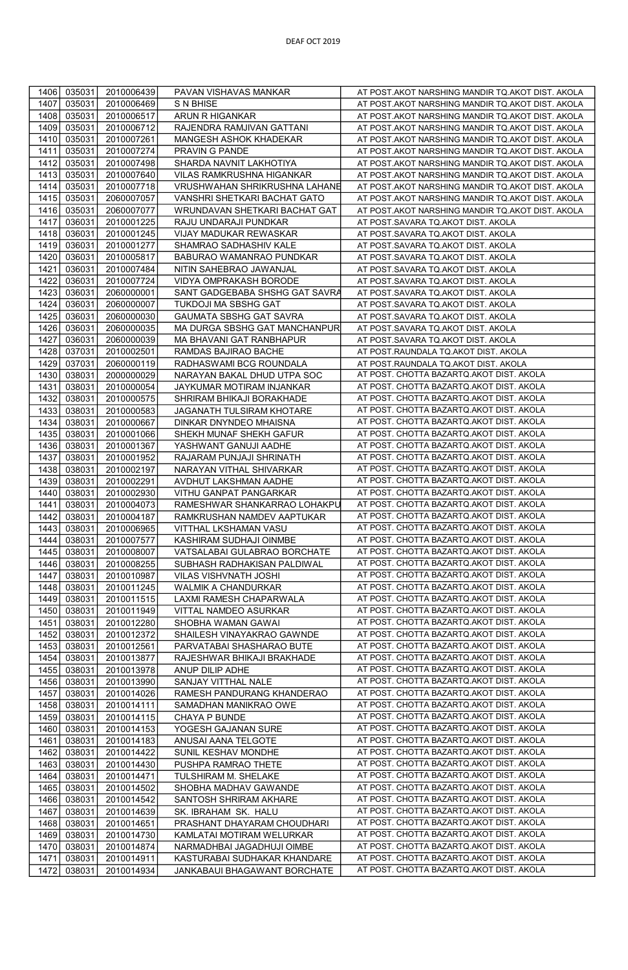| 1406         | 035031           | 2010006439               | PAVAN VISHAVAS MANKAR                                  | AT POST.AKOT NARSHING MANDIR TQ.AKOT DIST. AKOLA                                     |
|--------------|------------------|--------------------------|--------------------------------------------------------|--------------------------------------------------------------------------------------|
| 1407         | 035031           | 2010006469               | S N BHISE                                              | AT POST.AKOT NARSHING MANDIR TQ.AKOT DIST. AKOLA                                     |
| 1408         | 035031           | 2010006517               | ARUN R HIGANKAR                                        | AT POST.AKOT NARSHING MANDIR TQ.AKOT DIST. AKOLA                                     |
| 1409         | 035031           | 2010006712               | RAJENDRA RAMJIVAN GATTANI                              | AT POST.AKOT NARSHING MANDIR TQ.AKOT DIST. AKOLA                                     |
| 1410         | 035031           | 2010007261               | MANGESH ASHOK KHADEKAR                                 | AT POST.AKOT NARSHING MANDIR TQ.AKOT DIST. AKOLA                                     |
| 1411         | 035031           | 2010007274               | PRAVIN G PANDE                                         | AT POST.AKOT NARSHING MANDIR TQ.AKOT DIST. AKOLA                                     |
| 1412         | 035031           | 2010007498               | SHARDA NAVNIT LAKHOTIYA                                | AT POST.AKOT NARSHING MANDIR TQ.AKOT DIST. AKOLA                                     |
| 1413         | 035031           | 2010007640               | VILAS RAMKRUSHNA HIGANKAR                              | AT POST.AKOT NARSHING MANDIR TQ.AKOT DIST. AKOLA                                     |
| 1414         | 035031           | 2010007718               | VRUSHWAHAN SHRIKRUSHNA LAHANE                          | AT POST.AKOT NARSHING MANDIR TQ.AKOT DIST. AKOLA                                     |
| 1415         | 035031           | 2060007057               | VANSHRI SHETKARI BACHAT GATO                           | AT POST.AKOT NARSHING MANDIR TQ.AKOT DIST. AKOLA                                     |
| 1416         | 035031           | 2060007077               | WRUNDAVAN SHETKARI BACHAT GAT                          | AT POST.AKOT NARSHING MANDIR TQ.AKOT DIST. AKOLA                                     |
| 1417         | 036031           | 2010001225               | RAJU UNDARAJI PUNDKAR                                  | AT POST.SAVARA TQ.AKOT DIST. AKOLA                                                   |
| 1418         | 036031           | 2010001245               | VIJAY MADUKAR REWASKAR                                 | AT POST.SAVARA TQ.AKOT DIST. AKOLA                                                   |
| 1419         | 036031           | 2010001277               | SHAMRAO SADHASHIV KALE                                 | AT POST.SAVARA TQ.AKOT DIST. AKOLA                                                   |
| 1420         | 036031           | 2010005817               | BABURAO WAMANRAO PUNDKAR                               | AT POST.SAVARA TQ.AKOT DIST. AKOLA                                                   |
| 1421         | 036031           | 2010007484               | NITIN SAHEBRAO JAWANJAL                                | AT POST.SAVARA TQ.AKOT DIST. AKOLA                                                   |
| 1422         | 036031           | 2010007724               | VIDYA OMPRAKASH BORODE                                 |                                                                                      |
|              |                  |                          |                                                        | AT POST.SAVARA TQ.AKOT DIST. AKOLA                                                   |
| 1423         | 036031           | 2060000001               | SANT GADGEBABA SHSHG GAT SAVRA                         | AT POST.SAVARA TQ.AKOT DIST. AKOLA                                                   |
| 1424         | 036031           | 2060000007               | TUKDOJI MA SBSHG GAT                                   | AT POST.SAVARA TQ.AKOT DIST. AKOLA                                                   |
| 1425         | 036031           | 2060000030               | GAUMATA SBSHG GAT SAVRA                                | AT POST.SAVARA TQ.AKOT DIST. AKOLA                                                   |
| 1426         | 036031           | 2060000035               | MA DURGA SBSHG GAT MANCHANPUR                          | AT POST.SAVARA TQ.AKOT DIST. AKOLA                                                   |
| 1427         | 036031           | 2060000039               | MA BHAVANI GAT RANBHAPUR                               | AT POST.SAVARA TQ.AKOT DIST. AKOLA                                                   |
| 1428         | 037031           | 2010002501               | RAMDAS BAJIRAO BACHE                                   | AT POST.RAUNDALA TQ.AKOT DIST. AKOLA                                                 |
| 1429         | 037031           | 2060000119               | RADHASWAMI BCG ROUNDALA                                | AT POST.RAUNDALA TQ.AKOT DIST. AKOLA                                                 |
| 1430         | 038031           | 2000000029               | NARAYAN BAKAL DHUD UTPA SOC                            | AT POST. CHOTTA BAZARTQ.AKOT DIST. AKOLA                                             |
| 1431         | 038031           | 2010000054               | JAYKUMAR MOTIRAM INJANKAR                              | AT POST. CHOTTA BAZARTQ.AKOT DIST. AKOLA                                             |
| 1432         | 038031           | 2010000575               | SHRIRAM BHIKAJI BORAKHADE                              | AT POST. CHOTTA BAZARTQ.AKOT DIST. AKOLA                                             |
| 1433         | 038031           | 2010000583               | JAGANATH TULSIRAM KHOTARE                              | AT POST. CHOTTA BAZARTQ.AKOT DIST. AKOLA                                             |
| 1434         | 038031           | 2010000667               | DINKAR DNYNDEO MHAISNA                                 | AT POST. CHOTTA BAZARTQ.AKOT DIST. AKOLA                                             |
| 1435         | 038031           | 2010001066               | SHEKH MUNAF SHEKH GAFUR                                | AT POST. CHOTTA BAZARTQ.AKOT DIST. AKOLA                                             |
| 1436         | 038031           | 2010001367               | YASHWANT GANUJI AADHE                                  | AT POST. CHOTTA BAZARTQ.AKOT DIST. AKOLA                                             |
| 1437         | 038031           | 2010001952               | RAJARAM PUNJAJI SHRINATH                               | AT POST. CHOTTA BAZARTQ.AKOT DIST. AKOLA                                             |
| 1438<br>1439 | 038031           | 2010002197               | NARAYAN VITHAL SHIVARKAR                               | AT POST. CHOTTA BAZARTQ.AKOT DIST. AKOLA<br>AT POST. CHOTTA BAZARTQ.AKOT DIST. AKOLA |
| 1440         | 038031<br>038031 | 2010002291               | AVDHUT LAKSHMAN AADHE                                  | AT POST. CHOTTA BAZARTQ.AKOT DIST. AKOLA                                             |
| 1441         | 038031           | 2010002930<br>2010004073 | VITHU GANPAT PANGARKAR<br>RAMESHWAR SHANKARRAO LOHAKPL | AT POST. CHOTTA BAZARTQ.AKOT DIST. AKOLA                                             |
| 1442         | 038031           | 2010004187               | RAMKRUSHAN NAMDEV AAPTUKAR                             | AT POST. CHOTTA BAZARTQ.AKOT DIST. AKOLA                                             |
| 1443         | 038031           | 2010006965               | VITTHAL LKSHAMAN VASU                                  | AT POST. CHOTTA BAZARTQ.AKOT DIST. AKOLA                                             |
| 1444         | 038031           | 2010007577               | KASHIRAM SUDHAJI OINMBE                                | AT POST. CHOTTA BAZARTQ.AKOT DIST. AKOLA                                             |
| 1445         | 038031           | 2010008007               | VATSALABAI GULABRAO BORCHATE                           | AT POST. CHOTTA BAZARTQ.AKOT DIST. AKOLA                                             |
| 1446         | 038031           | 2010008255               | SUBHASH RADHAKISAN PALDIWAL                            | AT POST. CHOTTA BAZARTQ.AKOT DIST. AKOLA                                             |
| 1447         | 038031           | 2010010987               | VILAS VISHVNATH JOSHI                                  | AT POST. CHOTTA BAZARTQ.AKOT DIST. AKOLA                                             |
| 1448         | 038031           | 2010011245               | WALMIK A CHANDURKAR                                    | AT POST. CHOTTA BAZARTQ.AKOT DIST. AKOLA                                             |
| 1449         | 038031           | 2010011515               | LAXMI RAMESH CHAPARWALA                                | AT POST. CHOTTA BAZARTQ.AKOT DIST. AKOLA                                             |
| 1450         | 038031           | 2010011949               | VITTAL NAMDEO ASURKAR                                  | AT POST. CHOTTA BAZARTQ.AKOT DIST. AKOLA                                             |
| 1451         | 038031           | 2010012280               | SHOBHA WAMAN GAWAI                                     | AT POST. CHOTTA BAZARTQ.AKOT DIST. AKOLA                                             |
| 1452         | 038031           | 2010012372               | SHAILESH VINAYAKRAO GAWNDE                             | AT POST. CHOTTA BAZARTQ.AKOT DIST. AKOLA                                             |
| 1453         | 038031           | 2010012561               | PARVATABAI SHASHARAO BUTE                              | AT POST. CHOTTA BAZARTQ.AKOT DIST. AKOLA                                             |
| 1454         | 038031           | 2010013877               | RAJESHWAR BHIKAJI BRAKHADE                             | AT POST. CHOTTA BAZARTQ.AKOT DIST. AKOLA                                             |
| 1455         | 038031           | 2010013978               | ANUP DILIP ADHE                                        | AT POST. CHOTTA BAZARTQ.AKOT DIST. AKOLA                                             |
| 1456         | 038031           | 2010013990               | SANJAY VITTHAL NALE                                    | AT POST. CHOTTA BAZARTQ.AKOT DIST. AKOLA                                             |
| 1457         | 038031           | 2010014026               | RAMESH PANDURANG KHANDERAO                             | AT POST. CHOTTA BAZARTQ.AKOT DIST. AKOLA                                             |
| 1458         | 038031           | 2010014111               | SAMADHAN MANIKRAO OWE                                  | AT POST. CHOTTA BAZARTQ.AKOT DIST. AKOLA                                             |
| 1459         | 038031           | 2010014115               | CHAYA P BUNDE                                          | AT POST. CHOTTA BAZARTQ.AKOT DIST. AKOLA                                             |
| 1460         | 038031           | 2010014153               | YOGESH GAJANAN SURE                                    | AT POST. CHOTTA BAZARTQ.AKOT DIST. AKOLA                                             |
| 1461         | 038031           | 2010014183               | ANUSAI AANA TELGOTE                                    | AT POST. CHOTTA BAZARTQ.AKOT DIST. AKOLA                                             |
| 1462         | 038031           | 2010014422               | SUNIL KESHAV MONDHE                                    | AT POST. CHOTTA BAZARTQ.AKOT DIST. AKOLA                                             |
| 1463         | 038031           | 2010014430               | PUSHPA RAMRAO THETE                                    | AT POST. CHOTTA BAZARTQ.AKOT DIST. AKOLA                                             |
| 1464         | 038031           | 2010014471               | TULSHIRAM M. SHELAKE                                   | AT POST. CHOTTA BAZARTQ.AKOT DIST. AKOLA                                             |
| 1465         | 038031           | 2010014502               | SHOBHA MADHAV GAWANDE                                  | AT POST. CHOTTA BAZARTQ.AKOT DIST. AKOLA                                             |
| 1466         | 038031           | 2010014542               | SANTOSH SHRIRAM AKHARE                                 | AT POST. CHOTTA BAZARTQ.AKOT DIST. AKOLA                                             |
| 1467         | 038031           | 2010014639               | SK. IBRAHAM SK. HALU                                   | AT POST. CHOTTA BAZARTQ.AKOT DIST. AKOLA                                             |
| 1468         | 038031           | 2010014651               | PRASHANT DHAYARAM CHOUDHARI                            | AT POST. CHOTTA BAZARTQ.AKOT DIST. AKOLA                                             |
| 1469         | 038031           | 2010014730               | KAMLATAI MOTIRAM WELURKAR                              | AT POST. CHOTTA BAZARTQ.AKOT DIST. AKOLA                                             |
| 1470         | 038031           | 2010014874               | NARMADHBAI JAGADHUJI OIMBE                             | AT POST. CHOTTA BAZARTQ.AKOT DIST. AKOLA                                             |
| 1471         | 038031           | 2010014911               | KASTURABAI SUDHAKAR KHANDARE                           | AT POST. CHOTTA BAZARTQ.AKOT DIST. AKOLA                                             |
| 1472         | 038031           | 2010014934               | JANKABAUI BHAGAWANT BORCHATE                           | AT POST. CHOTTA BAZARTQ.AKOT DIST. AKOLA                                             |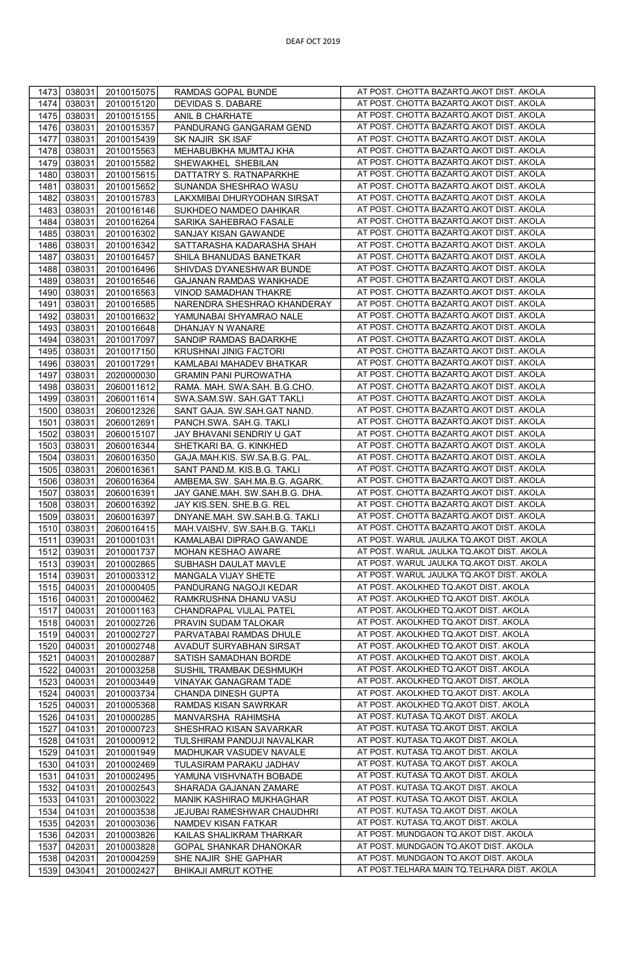| 1473<br>038031<br>2010015075                                 | RAMDAS GOPAL BUNDE                                   | AT POST. CHOTTA BAZARTQ.AKOT DIST. AKOLA    |
|--------------------------------------------------------------|------------------------------------------------------|---------------------------------------------|
| 1474<br>038031<br>2010015120                                 | DEVIDAS S. DABARE                                    | AT POST. CHOTTA BAZARTQ.AKOT DIST. AKOLA    |
| 1475<br>038031<br>2010015155                                 | ANIL B CHARHATE                                      | AT POST. CHOTTA BAZARTQ.AKOT DIST. AKOLA    |
| 1476<br>038031<br>2010015357                                 | PANDURANG GANGARAM GEND                              | AT POST. CHOTTA BAZARTQ.AKOT DIST. AKOLA    |
| 1477<br>038031<br>2010015439                                 | SK NAJIR SK ISAF                                     | AT POST. CHOTTA BAZARTQ.AKOT DIST. AKOLA    |
| 1478<br>038031<br>2010015563                                 | MEHABUBKHA MUMTAJ KHA                                | AT POST. CHOTTA BAZARTQ.AKOT DIST. AKOLA    |
| 1479<br>038031<br>2010015582                                 | SHEWAKHEL SHEBILAN                                   | AT POST. CHOTTA BAZARTQ.AKOT DIST. AKOLA    |
| 1480<br>038031<br>2010015615                                 | DATTATRY S. RATNAPARKHE                              | AT POST. CHOTTA BAZARTQ.AKOT DIST. AKOLA    |
| 1481<br>038031<br>2010015652                                 | SUNANDA SHESHRAO WASU                                | AT POST. CHOTTA BAZARTQ.AKOT DIST. AKOLA    |
| 1482<br>038031<br>2010015783                                 | LAKXMIBAI DHURYODHAN SIRSAT                          | AT POST. CHOTTA BAZARTQ.AKOT DIST. AKOLA    |
| 1483<br>038031<br>2010016146                                 | SUKHDEO NAMDEO DAHIKAR                               | AT POST. CHOTTA BAZARTQ.AKOT DIST. AKOLA    |
| 1484<br>038031<br>2010016264                                 | SARIKA SAHEBRAO FASALE                               | AT POST. CHOTTA BAZARTQ.AKOT DIST. AKOLA    |
| 1485<br>038031                                               |                                                      | AT POST. CHOTTA BAZARTQ.AKOT DIST. AKOLA    |
| 2010016302                                                   | SANJAY KISAN GAWANDE                                 | AT POST. CHOTTA BAZARTQ.AKOT DIST. AKOLA    |
| 1486<br>038031<br>2010016342<br>1487<br>038031<br>2010016457 | SATTARASHA KADARASHA SHAH<br>SHILA BHANUDAS BANETKAR | AT POST. CHOTTA BAZARTQ.AKOT DIST. AKOLA    |
| 1488<br>038031<br>2010016496                                 | SHIVDAS DYANESHWAR BUNDE                             | AT POST. CHOTTA BAZARTQ.AKOT DIST. AKOLA    |
|                                                              |                                                      | AT POST. CHOTTA BAZARTQ.AKOT DIST. AKOLA    |
| 1489<br>038031<br>2010016546                                 | GAJANAN RAMDAS WANKHADE                              | AT POST. CHOTTA BAZARTQ.AKOT DIST. AKOLA    |
| 1490<br>038031<br>2010016563                                 | VINOD SAMADHAN THAKRE                                | AT POST. CHOTTA BAZARTQ.AKOT DIST. AKOLA    |
| 1491<br>038031<br>2010016585                                 | NARENDRA SHESHRAO KHANDERAY                          |                                             |
| 1492<br>038031<br>2010016632                                 | YAMUNABAI SHYAMRAO NALE                              | AT POST. CHOTTA BAZARTQ.AKOT DIST. AKOLA    |
| 1493<br>038031<br>2010016648                                 | DHANJAY N WANARE                                     | AT POST. CHOTTA BAZARTQ.AKOT DIST. AKOLA    |
| 1494<br>038031<br>2010017097                                 | SANDIP RAMDAS BADARKHE                               | AT POST. CHOTTA BAZARTQ.AKOT DIST. AKOLA    |
| 1495<br>038031<br>2010017150                                 | KRUSHNAI JINIG FACTORI                               | AT POST. CHOTTA BAZARTQ.AKOT DIST. AKOLA    |
| 1496<br>038031<br>2010017291                                 | KAMLABAI MAHADEV BHATKAR                             | AT POST. CHOTTA BAZARTQ.AKOT DIST. AKOLA    |
| 1497<br>038031<br>2020000030                                 | <b>GRAMIN PANI PUROWATHA</b>                         | AT POST. CHOTTA BAZARTQ.AKOT DIST. AKOLA    |
| 1498<br>038031<br>2060011612                                 | RAMA. MAH. SWA.SAH. B.G.CHO.                         | AT POST. CHOTTA BAZARTQ.AKOT DIST. AKOLA    |
| 1499<br>038031<br>2060011614                                 | SWA.SAM.SW. SAH.GAT TAKLI                            | AT POST. CHOTTA BAZARTQ.AKOT DIST. AKOLA    |
| 1500<br>038031<br>2060012326                                 | SANT GAJA. SW.SAH.GAT NAND.                          | AT POST. CHOTTA BAZARTQ.AKOT DIST. AKOLA    |
| 1501<br>038031<br>2060012691                                 | PANCH.SWA. SAH.G. TAKLI                              | AT POST. CHOTTA BAZARTQ.AKOT DIST. AKOLA    |
| 038031<br>1502<br>2060015107                                 | JAY BHAVANI SENDRIY U GAT                            | AT POST. CHOTTA BAZARTQ.AKOT DIST. AKOLA    |
| 1503<br>038031<br>2060016344                                 | SHETKARI BA. G. KINKHED                              | AT POST. CHOTTA BAZARTQ.AKOT DIST. AKOLA    |
| 038031<br>1504<br>2060016350                                 | GAJA.MAH.KIS. SW.SA.B.G. PAL                         | AT POST. CHOTTA BAZARTQ.AKOT DIST. AKOLA    |
| 1505<br>038031<br>2060016361                                 | SANT PAND.M. KIS.B.G. TAKLI                          | AT POST. CHOTTA BAZARTQ.AKOT DIST. AKOLA    |
| 1506<br>038031<br>2060016364                                 | AMBEMA.SW. SAH.MA.B.G. AGARK.                        | AT POST. CHOTTA BAZARTQ.AKOT DIST. AKOLA    |
| 1507<br>038031<br>2060016391                                 | JAY GANE.MAH. SW.SAH.B.G. DHA.                       | AT POST. CHOTTA BAZARTQ.AKOT DIST. AKOLA    |
| 1508<br>038031<br>2060016392                                 | JAY KIS.SEN. SHE.B.G. REL                            | AT POST. CHOTTA BAZARTQ.AKOT DIST. AKOLA    |
| 1509<br>038031<br>2060016397                                 | DNYANE.MAH. SW.SAH.B.G. TAKLI                        | AT POST. CHOTTA BAZARTQ.AKOT DIST. AKOLA    |
| 1510<br>038031<br>2060016415                                 | MAH.VAISHV. SW.SAH.B.G. TAKLI                        | AT POST. CHOTTA BAZARTQ.AKOT DIST. AKOLA    |
| 1511<br>039031<br>2010001031                                 | KAMALABAI DIPRAO GAWANDE                             | AT POST. WARUL JAULKA TQ.AKOT DIST. AKOLA   |
| 1512<br>039031<br>2010001737                                 | MOHAN KESHAO AWARE                                   | AT POST. WARUL JAULKA TQ.AKOT DIST. AKOLA   |
| 1513<br>039031<br>2010002865                                 | SUBHASH DAULAT MAVLE                                 | AT POST. WARUL JAULKA TQ.AKOT DIST. AKOLA   |
| 1514<br>039031<br>2010003312                                 | MANGALA VIJAY SHETE                                  | AT POST. WARUL JAULKA TQ.AKOT DIST. AKOLA   |
| 1515<br>040031<br>2010000405                                 | PANDURANG NAGOJI KEDAR                               | AT POST. AKOLKHED TQ.AKOT DIST. AKOLA       |
| 1516<br>040031<br>2010000462                                 | RAMKRUSHNA DHANU VASU                                | AT POST. AKOLKHED TQ.AKOT DIST. AKOLA       |
| 1517<br>040031<br>2010001163                                 | CHANDRAPAL VIJLAL PATEL                              | AT POST. AKOLKHED TQ.AKOT DIST. AKOLA       |
| 040031<br>1518<br>2010002726                                 | PRAVIN SUDAM TALOKAR                                 | AT POST. AKOLKHED TQ.AKOT DIST. AKOLA       |
| 040031<br>1519<br>2010002727                                 | PARVATABAI RAMDAS DHULE                              | AT POST. AKOLKHED TQ.AKOT DIST. AKOLA       |
| 1520<br>040031<br>2010002748                                 | AVADUT SURYABHAN SIRSAT                              | AT POST. AKOLKHED TQ.AKOT DIST. AKOLA       |
| 1521<br>040031<br>2010002887                                 | SATISH SAMADHAN BORDE                                | AT POST. AKOLKHED TQ.AKOT DIST. AKOLA       |
| 1522<br>040031<br>2010003258                                 | SUSHIL TRAMBAK DESHMUKH                              | AT POST. AKOLKHED TQ.AKOT DIST. AKOLA       |
| 1523<br>040031<br>2010003449                                 | VINAYAK GANAGRAM TADE                                | AT POST. AKOLKHED TQ.AKOT DIST. AKOLA       |
| 1524<br>040031<br>2010003734                                 | CHANDA DINESH GUPTA                                  | AT POST. AKOLKHED TQ.AKOT DIST. AKOLA       |
| 1525<br>040031<br>2010005368                                 | RAMDAS KISAN SAWRKAR                                 | AT POST. AKOLKHED TQ.AKOT DIST. AKOLA       |
| 1526<br>041031<br>2010000285                                 | MANVARSHA RAHIMSHA                                   | AT POST. KUTASA TQ.AKOT DIST. AKOLA         |
| 1527<br>041031<br>2010000723                                 | SHESHRAO KISAN SAVARKAR                              | AT POST. KUTASA TQ.AKOT DIST. AKOLA         |
| 1528<br>041031<br>2010000912                                 | TULSHIRAM PANDUJI NAVALKAR                           | AT POST. KUTASA TQ.AKOT DIST. AKOLA         |
| 1529<br>041031<br>2010001949                                 | MADHUKAR VASUDEV NAVALE                              | AT POST. KUTASA TQ.AKOT DIST. AKOLA         |
| 1530<br>041031<br>2010002469                                 | TULASIRAM PARAKU JADHAV                              | AT POST. KUTASA TQ.AKOT DIST. AKOLA         |
| 041031<br>2010002495<br>1531                                 | YAMUNA VISHVNATH BOBADE                              | AT POST. KUTASA TQ.AKOT DIST. AKOLA         |
| 1532<br>041031<br>2010002543                                 | SHARADA GAJANAN ZAMARE                               | AT POST. KUTASA TQ.AKOT DIST. AKOLA         |
| 041031<br>1533<br>2010003022                                 | MANIK KASHIRAO MUKHAGHAR                             | AT POST. KUTASA TQ.AKOT DIST. AKOLA         |
| 1534<br>041031<br>2010003538                                 | JEJUBAI RAMESHWAR CHAUDHRI                           | AT POST. KUTASA TQ.AKOT DIST. AKOLA         |
| 042031<br>1535<br>2010003036                                 | NAMDEV KISAN FATKAR                                  | AT POST. KUTASA TQ.AKOT DIST. AKOLA         |
| 1536<br>042031<br>2010003826                                 | KAILAS SHALIKRAM THARKAR                             | AT POST. MUNDGAON TQ.AKOT DIST. AKOLA       |
| 1537<br>042031<br>2010003828                                 | GOPAL SHANKAR DHANOKAR                               | AT POST. MUNDGAON TQ.AKOT DIST. AKOLA       |
| 1538<br>042031<br>2010004259                                 | SHE NAJIR SHE GAPHAR                                 | AT POST. MUNDGAON TQ.AKOT DIST. AKOLA       |
| 1539<br>043041<br>2010002427                                 | BHIKAJI AMRUT KOTHE                                  | AT POST.TELHARA MAIN TQ.TELHARA DIST. AKOLA |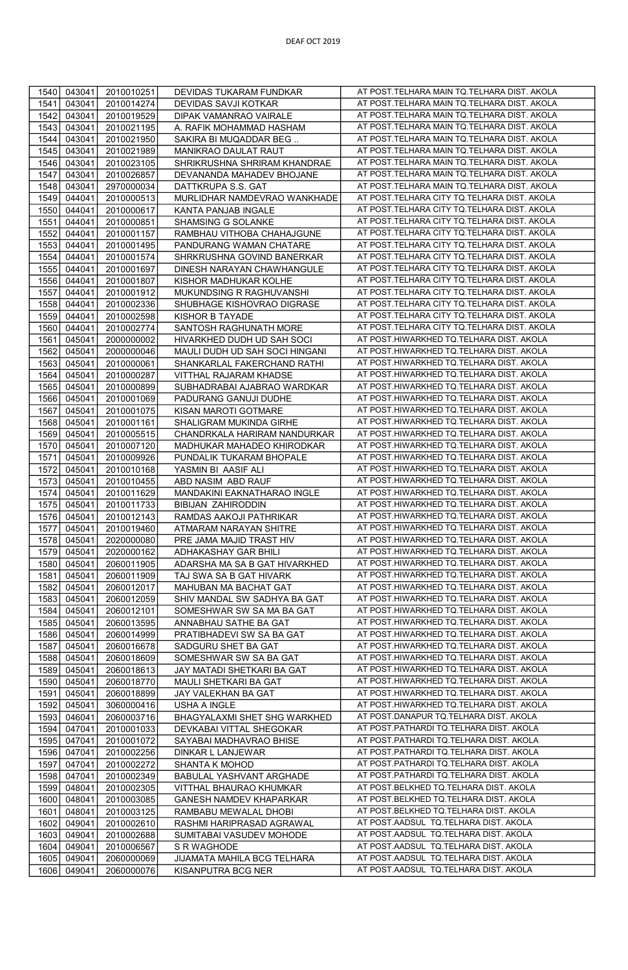| 1540 | 043041 | 2010010251 | DEVIDAS TUKARAM FUNDKAR        | AT POST.TELHARA MAIN TQ.TELHARA DIST. AKOLA   |
|------|--------|------------|--------------------------------|-----------------------------------------------|
|      |        |            |                                |                                               |
| 1541 | 043041 | 2010014274 | DEVIDAS SAVJI KOTKAR           | AT POST.TELHARA MAIN TQ.TELHARA DIST. AKOLA   |
| 1542 | 043041 | 2010019529 | DIPAK VAMANRAO VAIRALE         | AT POST.TELHARA MAIN TQ.TELHARA DIST. AKOLA   |
| 1543 | 043041 | 2010021195 | A. RAFIK MOHAMMAD HASHAM       | AT POST. TELHARA MAIN TQ. TELHARA DIST. AKOLA |
| 1544 | 043041 | 2010021950 | SAKIRA BI MUQADDAR BEG         | AT POST.TELHARA MAIN TQ.TELHARA DIST. AKOLA   |
| 1545 | 043041 | 2010021989 | MANIKRAO DAULAT RAUT           | AT POST.TELHARA MAIN TQ.TELHARA DIST. AKOLA   |
| 1546 | 043041 | 2010023105 | SHRIKRUSHNA SHRIRAM KHANDRAE   | AT POST. TELHARA MAIN TQ. TELHARA DIST. AKOLA |
| 1547 | 043041 | 2010026857 | DEVANANDA MAHADEV BHOJANE      | AT POST.TELHARA MAIN TQ.TELHARA DIST. AKOLA   |
|      |        |            |                                |                                               |
| 1548 | 043041 | 2970000034 | DATTKRUPA S.S. GAT             | AT POST. TELHARA MAIN TQ. TELHARA DIST. AKOLA |
| 1549 | 044041 | 2010000513 | MURLIDHAR NAMDEVRAO WANKHADE   | AT POST.TELHARA CITY TQ.TELHARA DIST. AKOLA   |
| 1550 | 044041 | 2010000617 | KANTA PANJAB INGALE            | AT POST.TELHARA CITY TQ.TELHARA DIST. AKOLA   |
| 1551 | 044041 | 2010000851 | SHAMSING G SOLANKE             | AT POST. TELHARA CITY TQ. TELHARA DIST. AKOLA |
| 1552 | 044041 | 2010001157 | RAMBHAU VITHOBA CHAHAJGUNE     | AT POST. TELHARA CITY TO. TELHARA DIST. AKOLA |
| 1553 | 044041 | 2010001495 | PANDURANG WAMAN CHATARE        | AT POST. TELHARA CITY TQ. TELHARA DIST. AKOLA |
| 1554 | 044041 | 2010001574 | SHRKRUSHNA GOVIND BANERKAR     | AT POST.TELHARA CITY TQ.TELHARA DIST. AKOLA   |
| 1555 | 044041 | 2010001697 | DINESH NARAYAN CHAWHANGULE     | AT POST. TELHARA CITY TQ. TELHARA DIST. AKOLA |
| 1556 | 044041 | 2010001807 | KISHOR MADHUKAR KOLHE          | AT POST.TELHARA CITY TQ.TELHARA DIST. AKOLA   |
|      |        |            |                                | AT POST.TELHARA CITY TQ.TELHARA DIST. AKOLA   |
| 1557 | 044041 | 2010001912 | MUKUNDSING R RAGHUVANSHI       |                                               |
| 1558 | 044041 | 2010002336 | SHUBHAGE KISHOVRAO DIGRASE     | AT POST. TELHARA CITY TQ. TELHARA DIST. AKOLA |
| 1559 | 044041 | 2010002598 | KISHOR B TAYADE                | AT POST.TELHARA CITY TQ.TELHARA DIST. AKOLA   |
| 1560 | 044041 | 2010002774 | SANTOSH RAGHUNATH MORE         | AT POST.TELHARA CITY TQ.TELHARA DIST. AKOLA   |
| 1561 | 045041 | 2000000002 | HIVARKHED DUDH UD SAH SOCI     | AT POST.HIWARKHED TQ.TELHARA DIST. AKOLA      |
| 1562 | 045041 | 2000000046 | MAULI DUDH UD SAH SOCI HINGANI | AT POST.HIWARKHED TQ.TELHARA DIST. AKOLA      |
| 1563 | 045041 | 2010000061 | SHANKARLAL FAKERCHAND RATHI    | AT POST.HIWARKHED TO.TELHARA DIST. AKOLA      |
| 1564 | 045041 | 2010000287 | VITTHAL RAJARAM KHADSE         | AT POST.HIWARKHED TQ.TELHARA DIST. AKOLA      |
|      |        |            |                                | AT POST.HIWARKHED TQ.TELHARA DIST. AKOLA      |
| 1565 | 045041 | 2010000899 | SUBHADRABAI AJABRAO WARDKAR    |                                               |
| 1566 | 045041 | 2010001069 | PADURANG GANUJI DUDHE          | AT POST.HIWARKHED TQ.TELHARA DIST. AKOLA      |
| 1567 | 045041 | 2010001075 | KISAN MAROTI GOTMARE           | AT POST.HIWARKHED TQ.TELHARA DIST. AKOLA      |
| 1568 | 045041 | 2010001161 | SHALIGRAM MUKINDA GIRHE        | AT POST.HIWARKHED TQ.TELHARA DIST. AKOLA      |
| 1569 | 045041 | 2010005515 | CHANDRKALA HARIRAM NANDURKAR   | AT POST.HIWARKHED TQ.TELHARA DIST. AKOLA      |
| 1570 | 045041 | 2010007120 | MADHUKAR MAHADEO KHIRODKAR     | AT POST.HIWARKHED TQ.TELHARA DIST. AKOLA      |
| 1571 | 045041 | 2010009926 | PUNDALIK TUKARAM BHOPALE       | AT POST.HIWARKHED TQ.TELHARA DIST. AKOLA      |
| 1572 | 045041 | 2010010168 | YASMIN BI AASIF ALI            | AT POST.HIWARKHED TQ.TELHARA DIST. AKOLA      |
| 1573 | 045041 | 2010010455 | ABD NASIM ABD RAUF             | AT POST.HIWARKHED TQ.TELHARA DIST. AKOLA      |
|      |        |            |                                |                                               |
| 1574 | 045041 | 2010011629 | MANDAKINI EAKNATHARAO INGLE    | AT POST.HIWARKHED TQ.TELHARA DIST. AKOLA      |
| 1575 | 045041 | 2010011733 | <b>BIBIJAN ZAHIRODDIN</b>      | AT POST.HIWARKHED TQ.TELHARA DIST. AKOLA      |
| 1576 | 045041 | 2010012143 | RAMDAS AAKOJI PATHRIKAR        | AT POST.HIWARKHED TQ.TELHARA DIST. AKOLA      |
| 1577 | 045041 | 2010019460 | ATMARAM NARAYAN SHITRE         | AT POST.HIWARKHED TQ.TELHARA DIST. AKOLA      |
| 1578 | 045041 | 2020000080 | PRE JAMA MAJID TRAST HIV       | AT POST.HIWARKHED TQ.TELHARA DIST. AKOLA      |
| 1579 | 045041 | 2020000162 | ADHAKASHAY GAR BHILI           | AT POST.HIWARKHED TQ.TELHARA DIST. AKOLA      |
| 1580 | 045041 | 2060011905 | ADARSHA MA SA B GAT HIVARKHED  | AT POST.HIWARKHED TQ.TELHARA DIST. AKOLA      |
| 1581 | 045041 | 2060011909 | TAJ SWA SA B GAT HIVARK        | AT POST.HIWARKHED TQ.TELHARA DIST. AKOLA      |
| 1582 | 045041 | 2060012017 | MAHUBAN MA BACHAT GAT          | AT POST.HIWARKHED TQ.TELHARA DIST. AKOLA      |
|      |        |            |                                | AT POST.HIWARKHED TQ.TELHARA DIST. AKOLA      |
| 1583 | 045041 | 2060012059 | SHIV MANDAL SW SADHYA BA GAT   |                                               |
| 1584 | 045041 | 2060012101 | SOMESHWAR SW SA MA BA GAT      | AT POST.HIWARKHED TQ.TELHARA DIST. AKOLA      |
| 1585 | 045041 | 2060013595 | ANNABHAU SATHE BA GAT          | AT POST.HIWARKHED TQ.TELHARA DIST. AKOLA      |
| 1586 | 045041 | 2060014999 | PRATIBHADEVI SW SA BA GAT      | AT POST.HIWARKHED TQ.TELHARA DIST. AKOLA      |
| 1587 | 045041 | 2060016678 | SADGURU SHET BA GAT            | AT POST.HIWARKHED TQ.TELHARA DIST. AKOLA      |
| 1588 | 045041 | 2060018609 | SOMESHWAR SW SA BA GAT         | AT POST.HIWARKHED TQ.TELHARA DIST. AKOLA      |
| 1589 | 045041 | 2060018613 | JAY MATADI SHETKARI BA GAT     | AT POST.HIWARKHED TO.TELHARA DIST. AKOLA      |
| 1590 | 045041 | 2060018770 | MAULI SHETKARI BA GAT          | AT POST.HIWARKHED TQ.TELHARA DIST. AKOLA      |
| 1591 | 045041 | 2060018899 | JAY VALEKHAN BA GAT            | AT POST.HIWARKHED TQ.TELHARA DIST. AKOLA      |
| 1592 | 045041 | 3060000416 | <b>USHA A INGLE</b>            | AT POST.HIWARKHED TQ.TELHARA DIST. AKOLA      |
|      | 046041 |            |                                | AT POST.DANAPUR TQ.TELHARA DIST. AKOLA        |
| 1593 |        | 2060003716 | BHAGYALAXMI SHET SHG WARKHED   |                                               |
| 1594 | 047041 | 2010001033 | DEVKABAI VITTAL SHEGOKAR       | AT POST.PATHARDI TQ.TELHARA DIST. AKOLA       |
| 1595 | 047041 | 2010001072 | SAYABAI MADHAVRAO BHISE        | AT POST.PATHARDI TQ.TELHARA DIST. AKOLA       |
| 1596 | 047041 | 2010002256 | DINKAR L LANJEWAR              | AT POST.PATHARDI TQ.TELHARA DIST. AKOLA       |
| 1597 | 047041 | 2010002272 | <b>SHANTA K MOHOD</b>          | AT POST.PATHARDI TQ.TELHARA DIST. AKOLA       |
| 1598 | 047041 | 2010002349 | BABULAL YASHVANT ARGHADE       | AT POST.PATHARDI TQ.TELHARA DIST. AKOLA       |
| 1599 | 048041 | 2010002305 | VITTHAL BHAURAO KHUMKAR        | AT POST.BELKHED TQ.TELHARA DIST. AKOLA        |
| 1600 | 048041 | 2010003085 | GANESH NAMDEV KHAPARKAR        | AT POST.BELKHED TQ.TELHARA DIST. AKOLA        |
| 1601 | 048041 | 2010003125 | RAMBABU MEWALAL DHOBI          | AT POST.BELKHED TQ.TELHARA DIST. AKOLA        |
|      |        |            |                                | AT POST.AADSUL TQ.TELHARA DIST. AKOLA         |
| 1602 | 049041 | 2010002610 | RASHMI HARIPRASAD AGRAWAL      |                                               |
| 1603 | 049041 | 2010002688 | SUMITABAI VASUDEV MOHODE       | AT POST.AADSUL TQ.TELHARA DIST. AKOLA         |
| 1604 | 049041 | 2010006567 | S R WAGHODE                    | AT POST.AADSUL TQ.TELHARA DIST. AKOLA         |
| 1605 | 049041 | 2060000069 | JIJAMATA MAHILA BCG TELHARA    | AT POST.AADSUL TQ.TELHARA DIST. AKOLA         |
| 1606 | 049041 | 2060000076 | KISANPUTRA BCG NER             | AT POST.AADSUL TQ.TELHARA DIST. AKOLA         |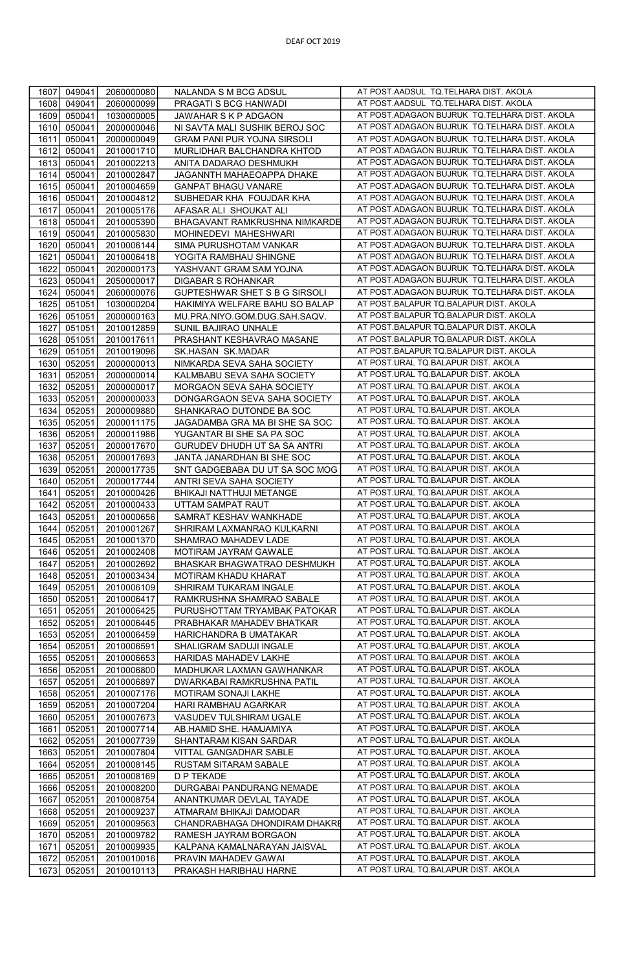| 1607 | 049041 | 2060000080 | NALANDA S M BCG ADSUL              | AT POST.AADSUL TQ.TELHARA DIST. AKOLA                                      |
|------|--------|------------|------------------------------------|----------------------------------------------------------------------------|
| 1608 | 049041 | 2060000099 | PRAGATI S BCG HANWADI              | AT POST.AADSUL TQ.TELHARA DIST. AKOLA                                      |
| 1609 | 050041 | 1030000005 | JAWAHAR S K P ADGAON               | AT POST.ADAGAON BUJRUK TQ.TELHARA DIST. AKOLA                              |
| 1610 | 050041 | 2000000046 | NI SAVTA MALI SUSHIK BEROJ SOC     | AT POST.ADAGAON BUJRUK TQ.TELHARA DIST. AKOLA                              |
| 1611 | 050041 | 2000000049 | <b>GRAM PANI PUR YOJNA SIRSOLI</b> | AT POST.ADAGAON BUJRUK TQ.TELHARA DIST. AKOLA                              |
|      |        |            |                                    |                                                                            |
| 1612 | 050041 | 2010001710 | MURLIDHAR BALCHANDRA KHTOD         | AT POST.ADAGAON BUJRUK TQ.TELHARA DIST. AKOLA                              |
| 1613 | 050041 | 2010002213 | ANITA DADARAO DESHMUKH             | AT POST.ADAGAON BUJRUK TQ.TELHARA DIST. AKOLA                              |
| 1614 | 050041 | 2010002847 | JAGANNTH MAHAEOAPPA DHAKE          | AT POST.ADAGAON BUJRUK TQ.TELHARA DIST. AKOLA                              |
| 1615 | 050041 | 2010004659 | <b>GANPAT BHAGU VANARE</b>         | AT POST.ADAGAON BUJRUK TQ.TELHARA DIST. AKOLA                              |
| 1616 | 050041 | 2010004812 | SUBHEDAR KHA FOUJDAR KHA           | AT POST.ADAGAON BUJRUK TQ.TELHARA DIST. AKOLA                              |
| 1617 | 050041 | 2010005176 | AFASAR ALI SHOUKAT ALI             | AT POST.ADAGAON BUJRUK TQ.TELHARA DIST. AKOLA                              |
| 1618 |        |            |                                    | AT POST.ADAGAON BUJRUK TQ.TELHARA DIST. AKOLA                              |
|      | 050041 | 2010005390 | BHAGAVANT RAMKRUSHNA NIMKARDE      |                                                                            |
| 1619 | 050041 | 2010005830 | MOHINEDEVI MAHESHWARI              | AT POST.ADAGAON BUJRUK TQ.TELHARA DIST. AKOLA                              |
| 1620 | 050041 | 2010006144 | <b>SIMA PURUSHOTAM VANKAR</b>      | AT POST.ADAGAON BUJRUK TQ.TELHARA DIST. AKOLA                              |
| 1621 | 050041 | 2010006418 | YOGITA RAMBHAU SHINGNE             | AT POST.ADAGAON BUJRUK TQ.TELHARA DIST. AKOLA                              |
| 1622 | 050041 | 2020000173 | YASHVANT GRAM SAM YOJNA            | AT POST.ADAGAON BUJRUK TQ.TELHARA DIST. AKOLA                              |
| 1623 | 050041 | 2050000017 | DIGABAR S ROHANKAR                 | AT POST.ADAGAON BUJRUK TQ.TELHARA DIST. AKOLA                              |
| 1624 | 050041 | 2060000076 | GUPTESHWAR SHET S B G SIRSOLI      | AT POST.ADAGAON BUJRUK TQ.TELHARA DIST. AKOLA                              |
| 1625 | 051051 | 1030000204 | HAKIMIYA WELFARE BAHU SO BALAP     | AT POST.BALAPUR TQ.BALAPUR DIST. AKOLA                                     |
|      |        |            |                                    |                                                                            |
| 1626 | 051051 | 2000000163 | MU.PRA.NIYO.GOM.DUG.SAH.SAQV.      | AT POST.BALAPUR TQ.BALAPUR DIST. AKOLA                                     |
| 1627 | 051051 | 2010012859 | SUNIL BAJIRAO UNHALE               | AT POST.BALAPUR TQ.BALAPUR DIST. AKOLA                                     |
| 1628 | 051051 | 2010017611 | PRASHANT KESHAVRAO MASANE          | AT POST.BALAPUR TQ.BALAPUR DIST. AKOLA                                     |
| 1629 | 051051 | 2010019096 | SK.HASAN SK.MADAR                  | AT POST.BALAPUR TQ.BALAPUR DIST. AKOLA                                     |
| 1630 | 052051 | 2000000013 | NIMKARDA SEVA SAHA SOCIETY         | AT POST.URAL TQ.BALAPUR DIST. AKOLA                                        |
| 1631 | 052051 | 2000000014 | KALMBABU SEVA SAHA SOCIETY         | AT POST.URAL TQ.BALAPUR DIST. AKOLA                                        |
|      |        |            |                                    | AT POST.URAL TQ.BALAPUR DIST. AKOLA                                        |
| 1632 | 052051 | 2000000017 | MORGAON SEVA SAHA SOCIETY          |                                                                            |
| 1633 | 052051 | 2000000033 | DONGARGAON SEVA SAHA SOCIETY       | AT POST.URAL TQ.BALAPUR DIST. AKOLA                                        |
| 1634 | 052051 | 2000009880 | SHANKARAO DUTONDE BA SOC           | AT POST.URAL TQ.BALAPUR DIST. AKOLA                                        |
| 1635 | 052051 | 2000011175 | JAGADAMBA GRA MA BI SHE SA SOC     | AT POST.URAL TQ.BALAPUR DIST. AKOLA                                        |
| 1636 | 052051 | 2000011986 | YUGANTAR BI SHE SA PA SOC          | AT POST.URAL TQ.BALAPUR DIST. AKOLA                                        |
| 1637 | 052051 | 2000017670 | GURUDEV DHUDH UT SA SA ANTRI       | AT POST.URAL TQ.BALAPUR DIST. AKOLA                                        |
| 1638 | 052051 | 2000017693 | JANTA JANARDHAN BI SHE SOC         | AT POST.URAL TQ.BALAPUR DIST. AKOLA                                        |
|      |        |            |                                    | AT POST.URAL TQ.BALAPUR DIST. AKOLA                                        |
| 1639 | 052051 | 2000017735 | SNT GADGEBABA DU UT SA SOC MOG     |                                                                            |
| 1640 | 052051 | 2000017744 | ANTRI SEVA SAHA SOCIETY            | AT POST.URAL TQ.BALAPUR DIST. AKOLA                                        |
| 1641 | 052051 | 2010000426 | BHIKAJI NATTHUJI METANGE           | AT POST.URAL TQ.BALAPUR DIST. AKOLA                                        |
| 1642 | 052051 | 2010000433 | UTTAM SAMPAT RAUT                  | AT POST.URAL TQ.BALAPUR DIST. AKOLA                                        |
| 1643 | 052051 | 2010000656 | SAMRAT KESHAV WANKHADE             | AT POST.URAL TQ.BALAPUR DIST. AKOLA                                        |
| 1644 | 052051 | 2010001267 | SHRIRAM LAXMANRAO KULKARNI         | AT POST.URAL TQ.BALAPUR DIST. AKOLA                                        |
| 1645 | 052051 | 2010001370 | SHAMRAO MAHADEV LADE               | AT POST.URAL TQ.BALAPUR DIST. AKOLA                                        |
| 1646 | 052051 | 2010002408 | MOTIRAM JAYRAM GAWALE              | AT POST.URAL TQ.BALAPUR DIST. AKOLA                                        |
|      |        |            |                                    |                                                                            |
| 1647 | 052051 | 2010002692 | BHASKAR BHAGWATRAO DESHMUKH        | AT POST.URAL TQ.BALAPUR DIST. AKOLA                                        |
| 1648 | 052051 | 2010003434 | MOTIRAM KHADU KHARAT               | AT POST.URAL TQ.BALAPUR DIST. AKOLA                                        |
| 1649 | 052051 | 2010006109 | SHRIRAM TUKARAM INGALE             | AT POST.URAL TQ.BALAPUR DIST. AKOLA                                        |
| 1650 | 052051 | 2010006417 | RAMKRUSHNA SHAMRAO SABALE          | AT POST.URAL TQ.BALAPUR DIST. AKOLA                                        |
| 1651 | 052051 | 2010006425 | PURUSHOTTAM TRYAMBAK PATOKAR       | AT POST.URAL TQ.BALAPUR DIST. AKOLA                                        |
| 1652 | 052051 | 2010006445 | PRABHAKAR MAHADEV BHATKAR          | AT POST.URAL TQ.BALAPUR DIST. AKOLA                                        |
| 1653 | 052051 | 2010006459 | HARICHANDRA B UMATAKAR             | AT POST.URAL TQ.BALAPUR DIST. AKOLA                                        |
|      |        |            |                                    | AT POST.URAL TQ.BALAPUR DIST. AKOLA                                        |
| 1654 | 052051 | 2010006591 | SHALIGRAM SADUJI INGALE            |                                                                            |
| 1655 | 052051 | 2010006653 | HARIDAS MAHADEV LAKHE              | AT POST.URAL TQ.BALAPUR DIST. AKOLA                                        |
| 1656 | 052051 | 2010006800 | MADHUKAR LAXMAN GAWHANKAR          | AT POST.URAL TQ.BALAPUR DIST. AKOLA                                        |
| 1657 | 052051 | 2010006897 | DWARKABAI RAMKRUSHNA PATIL         | AT POST.URAL TQ.BALAPUR DIST. AKOLA                                        |
| 1658 | 052051 | 2010007176 | MOTIRAM SONAJI LAKHE               | AT POST.URAL TQ.BALAPUR DIST. AKOLA                                        |
| 1659 | 052051 | 2010007204 | HARI RAMBHAU AGARKAR               | AT POST.URAL TQ.BALAPUR DIST. AKOLA                                        |
| 1660 | 052051 | 2010007673 | VASUDEV TULSHIRAM UGALE            | AT POST.URAL TQ.BALAPUR DIST. AKOLA                                        |
|      |        |            |                                    | AT POST.URAL TQ.BALAPUR DIST. AKOLA                                        |
| 1661 | 052051 | 2010007714 | AB.HAMID SHE. HAMJAMIYA            |                                                                            |
| 1662 | 052051 | 2010007739 | SHANTARAM KISAN SARDAR             | AT POST.URAL TQ.BALAPUR DIST. AKOLA                                        |
| 1663 | 052051 | 2010007804 | VITTAL GANGADHAR SABLE             | AT POST.URAL TQ.BALAPUR DIST. AKOLA                                        |
| 1664 | 052051 | 2010008145 | RUSTAM SITARAM SABALE              | AT POST.URAL TQ.BALAPUR DIST. AKOLA                                        |
| 1665 | 052051 | 2010008169 | <b>D P TEKADE</b>                  | AT POST.URAL TQ.BALAPUR DIST. AKOLA                                        |
| 1666 | 052051 | 2010008200 | DURGABAI PANDURANG NEMADE          | AT POST.URAL TQ.BALAPUR DIST. AKOLA                                        |
| 1667 | 052051 | 2010008754 | ANANTKUMAR DEVLAL TAYADE           | AT POST.URAL TQ.BALAPUR DIST. AKOLA                                        |
|      |        |            |                                    | AT POST.URAL TQ.BALAPUR DIST. AKOLA                                        |
| 1668 | 052051 | 2010009237 | ATMARAM BHIKAJI DAMODAR            |                                                                            |
| 1669 | 052051 | 2010009563 | CHANDRABHAGA DHONDIRAM DHAKRE      | AT POST.URAL TQ.BALAPUR DIST. AKOLA                                        |
|      |        | 2010009782 | RAMESH JAYRAM BORGAON              | AT POST.URAL TQ.BALAPUR DIST. AKOLA                                        |
| 1670 | 052051 |            |                                    |                                                                            |
| 1671 | 052051 | 2010009935 | KALPANA KAMALNARAYAN JAISVAL       | AT POST.URAL TQ.BALAPUR DIST. AKOLA                                        |
| 1672 | 052051 | 2010010016 | PRAVIN MAHADEV GAWAI               | AT POST.URAL TQ.BALAPUR DIST. AKOLA<br>AT POST.URAL TQ.BALAPUR DIST. AKOLA |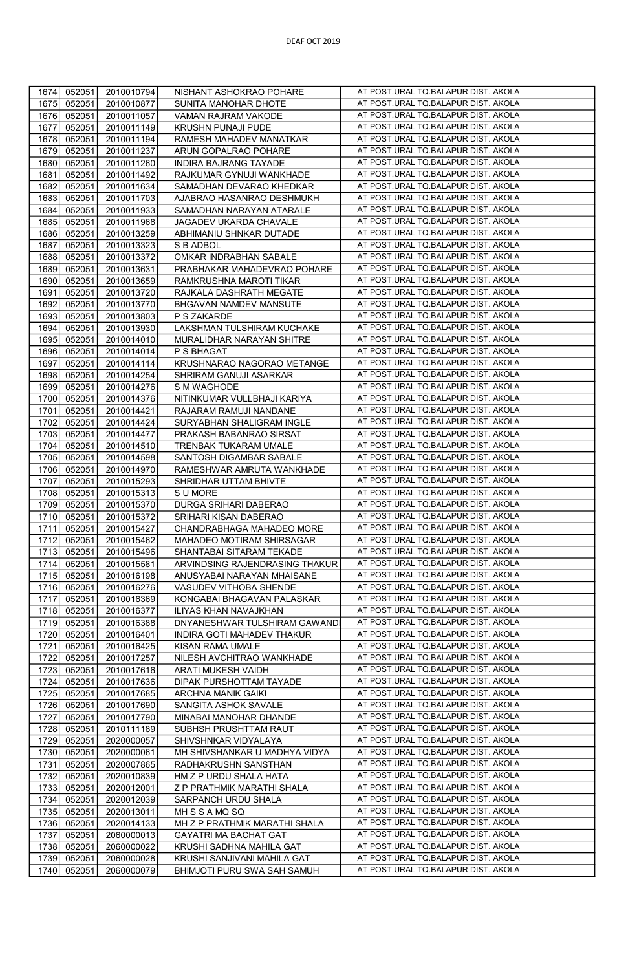| 1674         | 052051           | 2010010794               | NISHANT ASHOKRAO POHARE                                    | AT POST.URAL TQ.BALAPUR DIST. AKOLA                                        |
|--------------|------------------|--------------------------|------------------------------------------------------------|----------------------------------------------------------------------------|
| 1675         | 052051           | 2010010877               | SUNITA MANOHAR DHOTE                                       | AT POST.URAL TQ.BALAPUR DIST. AKOLA                                        |
| 1676         | 052051           | 2010011057               | VAMAN RAJRAM VAKODE                                        | AT POST.URAL TQ.BALAPUR DIST. AKOLA                                        |
|              |                  |                          |                                                            |                                                                            |
| 1677         | 052051           | 2010011149               | KRUSHN PUNAJI PUDE                                         | AT POST.URAL TQ.BALAPUR DIST. AKOLA                                        |
| 1678         | 052051           | 2010011194               | RAMESH MAHADEV MANATKAR                                    | AT POST.URAL TQ.BALAPUR DIST. AKOLA                                        |
| 1679         | 052051           | 2010011237               | ARUN GOPALRAO POHARE                                       | AT POST.URAL TQ.BALAPUR DIST. AKOLA                                        |
| 1680         | 052051           | 2010011260               | INDIRA BAJRANG TAYADE                                      | AT POST.URAL TQ.BALAPUR DIST. AKOLA                                        |
| 1681         | 052051           | 2010011492               | RAJKUMAR GYNUJI WANKHADE                                   | AT POST.URAL TQ.BALAPUR DIST. AKOLA                                        |
| 1682         | 052051           | 2010011634               | SAMADHAN DEVARAO KHEDKAR                                   | AT POST.URAL TQ.BALAPUR DIST. AKOLA                                        |
|              |                  |                          |                                                            | AT POST.URAL TQ.BALAPUR DIST. AKOLA                                        |
| 1683         | 052051           | 2010011703               | AJABRAO HASANRAO DESHMUKH                                  |                                                                            |
| 1684         | 052051           | 2010011933               | SAMADHAN NARAYAN ATARALE                                   | AT POST.URAL TQ.BALAPUR DIST. AKOLA                                        |
| 1685         | 052051           | 2010011968               | JAGADEV UKARDA CHAVALE                                     | AT POST.URAL TQ.BALAPUR DIST. AKOLA                                        |
| 1686         | 052051           | 2010013259               | ABHIMANIU SHNKAR DUTADE                                    | AT POST.URAL TQ.BALAPUR DIST. AKOLA                                        |
| 1687         | 052051           | 2010013323               | S B ADBOL                                                  | AT POST.URAL TQ.BALAPUR DIST. AKOLA                                        |
| 1688         | 052051           | 2010013372               | OMKAR INDRABHAN SABALE                                     | AT POST.URAL TQ.BALAPUR DIST. AKOLA                                        |
|              |                  |                          |                                                            | AT POST.URAL TQ.BALAPUR DIST. AKOLA                                        |
| 1689         | 052051           | 2010013631               | PRABHAKAR MAHADEVRAO POHARE                                |                                                                            |
| 1690         | 052051           | 2010013659               | RAMKRUSHNA MAROTI TIKAR                                    | AT POST.URAL TQ.BALAPUR DIST. AKOLA                                        |
| 1691         | 052051           | 2010013720               | RAJKALA DASHRATH MEGATE                                    | AT POST.URAL TQ.BALAPUR DIST. AKOLA                                        |
| 1692         | 052051           | 2010013770               | BHGAVAN NAMDEV MANSUTE                                     | AT POST.URAL TQ.BALAPUR DIST. AKOLA                                        |
| 1693         | 052051           | 2010013803               | P S ZAKARDE                                                | AT POST.URAL TQ.BALAPUR DIST. AKOLA                                        |
| 1694         | 052051           | 2010013930               | LAKSHMAN TULSHIRAM KUCHAKE                                 | AT POST.URAL TQ.BALAPUR DIST. AKOLA                                        |
|              |                  |                          |                                                            |                                                                            |
| 1695         | 052051           | 2010014010               | MURALIDHAR NARAYAN SHITRE                                  | AT POST.URAL TQ.BALAPUR DIST. AKOLA                                        |
| 1696         | 052051           | 2010014014               | P S BHAGAT                                                 | AT POST.URAL TQ.BALAPUR DIST. AKOLA                                        |
| 1697         | 052051           | 2010014114               | KRUSHNARAO NAGORAO METANGE                                 | AT POST.URAL TQ.BALAPUR DIST. AKOLA                                        |
| 1698         | 052051           | 2010014254               | SHRIRAM GANUJI ASARKAR                                     | AT POST.URAL TQ.BALAPUR DIST. AKOLA                                        |
| 1699         | 052051           | 2010014276               | S M WAGHODE                                                | AT POST.URAL TQ.BALAPUR DIST. AKOLA                                        |
| 1700         | 052051           | 2010014376               | NITINKUMAR VULLBHAJI KARIYA                                | AT POST.URAL TQ.BALAPUR DIST. AKOLA                                        |
|              |                  |                          |                                                            | AT POST.URAL TQ.BALAPUR DIST. AKOLA                                        |
| 1701         | 052051           | 2010014421               | RAJARAM RAMUJI NANDANE                                     |                                                                            |
| 1702         | 052051           | 2010014424               | SURYABHAN SHALIGRAM INGLE                                  | AT POST.URAL TQ.BALAPUR DIST. AKOLA                                        |
| 1703         | 052051           | 2010014477               | PRAKASH BABANRAO SIRSAT                                    | AT POST.URAL TQ.BALAPUR DIST. AKOLA                                        |
| 1704         | 052051           | 2010014510               | TRENBAK TUKARAM UMALE                                      | AT POST.URAL TQ.BALAPUR DIST. AKOLA                                        |
| 1705         | 052051           | 2010014598               | SANTOSH DIGAMBAR SABALE                                    | AT POST.URAL TQ.BALAPUR DIST. AKOLA                                        |
| 1706         | 052051           | 2010014970               | RAMESHWAR AMRUTA WANKHADE                                  | AT POST.URAL TQ.BALAPUR DIST. AKOLA                                        |
| 1707         | 052051           |                          |                                                            | AT POST.URAL TQ.BALAPUR DIST. AKOLA                                        |
|              |                  | 2010015293               | SHRIDHAR UTTAM BHIVTE                                      |                                                                            |
| 1708         | 052051           | 2010015313               | S U MORE                                                   | AT POST.URAL TQ.BALAPUR DIST. AKOLA                                        |
| 1709         | 052051           | 2010015370               | DURGA SRIHARI DABERAO                                      | AT POST.URAL TQ.BALAPUR DIST. AKOLA                                        |
| 1710         | 052051           | 2010015372               | SRIHARI KISAN DABERAO                                      | AT POST.URAL TQ.BALAPUR DIST. AKOLA                                        |
| 1711         | 052051           | 2010015427               | CHANDRABHAGA MAHADEO MORE                                  | AT POST.URAL TQ.BALAPUR DIST. AKOLA                                        |
| 1712         | 052051           | 2010015462               | MAHADEO MOTIRAM SHIRSAGAR                                  | AT POST.URAL TQ.BALAPUR DIST. AKOLA                                        |
| 1713         | 052051           | 2010015496               | SHANTABAI SITARAM TEKADE                                   | AT POST.URAL TQ.BALAPUR DIST. AKOLA                                        |
|              |                  |                          |                                                            |                                                                            |
| 1714         | 052051           | 2010015581               | ARVINDSING RAJENDRASING THAKUR                             | AT POST.URAL TQ.BALAPUR DIST. AKOLA                                        |
| 1715         | 052051           | 2010016198               | ANUSYABAI NARAYAN MHAISANE                                 | AT POST.URAL TQ.BALAPUR DIST. AKOLA                                        |
| 1716         | 052051           | 2010016276               | VASUDEV VITHOBA SHENDE                                     | AT POST.URAL TQ.BALAPUR DIST. AKOLA                                        |
| 1717         | 052051           | 2010016369               | KONGABAI BHAGAVAN PALASKAR                                 | AT POST.URAL TQ.BALAPUR DIST. AKOLA                                        |
| 1718         | 052051           | 2010016377               | ILIYAS KHAN NAVAJKHAN                                      | AT POST.URAL TQ.BALAPUR DIST. AKOLA                                        |
|              |                  |                          |                                                            | AT POST.URAL TQ.BALAPUR DIST. AKOLA                                        |
| 1719         | 052051           | 2010016388               | DNYANESHWAR TULSHIRAM GAWAND                               |                                                                            |
| 1720         | 052051           | 2010016401               | INDIRA GOTI MAHADEV THAKUR                                 | AT POST.URAL TQ.BALAPUR DIST. AKOLA                                        |
| 1721         | 052051           | 2010016425               | KISAN RAMA UMALE                                           | AT POST.URAL TQ.BALAPUR DIST. AKOLA                                        |
| 1722         | 052051           | 2010017257               | NILESH AVCHITRAO WANKHADE                                  | AT POST.URAL TQ.BALAPUR DIST. AKOLA                                        |
| 1723         | 052051           | 2010017616               | ARATI MUKESH VAIDH                                         | AT POST.URAL TQ.BALAPUR DIST. AKOLA                                        |
|              |                  |                          |                                                            |                                                                            |
|              |                  |                          |                                                            | AT POST.URAL TQ.BALAPUR DIST. AKOLA                                        |
| 1724         | 052051           | 2010017636               | DIPAK PURSHOTTAM TAYADE                                    |                                                                            |
| 1725         | 052051           | 2010017685               | ARCHNA MANIK GAIKI                                         | AT POST.URAL TQ.BALAPUR DIST. AKOLA                                        |
| 1726         | 052051           | 2010017690               | SANGITA ASHOK SAVALE                                       | AT POST.URAL TQ.BALAPUR DIST. AKOLA                                        |
| 1727         | 052051           | 2010017790               | MINABAI MANOHAR DHANDE                                     | AT POST.URAL TQ.BALAPUR DIST. AKOLA                                        |
| 1728         | 052051           | 2010111189               | SUBHSH PRUSHTTAM RAUT                                      | AT POST.URAL TQ.BALAPUR DIST. AKOLA                                        |
| 1729         | 052051           | 2020000057               | SHIVSHNKAR VIDYALAYA                                       | AT POST.URAL TQ.BALAPUR DIST. AKOLA                                        |
|              |                  |                          |                                                            | AT POST.URAL TQ.BALAPUR DIST. AKOLA                                        |
| 1730         | 052051           | 2020000061               | MH SHIVSHANKAR U MADHYA VIDYA                              |                                                                            |
| 1731         | 052051           | 2020007865               | RADHAKRUSHN SANSTHAN                                       | AT POST.URAL TQ.BALAPUR DIST. AKOLA                                        |
| 1732         | 052051           | 2020010839               | HM Z P URDU SHALA HATA                                     | AT POST.URAL TQ.BALAPUR DIST. AKOLA                                        |
| 1733         | 052051           | 2020012001               | Z P PRATHMIK MARATHI SHALA                                 | AT POST.URAL TQ.BALAPUR DIST. AKOLA                                        |
| 1734         | 052051           | 2020012039               | SARPANCH URDU SHALA                                        | AT POST.URAL TQ.BALAPUR DIST. AKOLA                                        |
| 1735         | 052051           | 2020013011               | MHSSAMQSQ                                                  | AT POST.URAL TQ.BALAPUR DIST. AKOLA                                        |
|              |                  |                          |                                                            | AT POST.URAL TQ.BALAPUR DIST. AKOLA                                        |
| 1736         | 052051           | 2020014133               | MH Z P PRATHMIK MARATHI SHALA                              |                                                                            |
| 1737         | 052051           | 2060000013               | <b>GAYATRI MA BACHAT GAT</b>                               | AT POST.URAL TQ.BALAPUR DIST. AKOLA                                        |
| 1738         | 052051           | 2060000022               | KRUSHI SADHNA MAHILA GAT                                   | AT POST.URAL TQ.BALAPUR DIST. AKOLA                                        |
| 1739<br>1740 | 052051<br>052051 | 2060000028<br>2060000079 | KRUSHI SANJIVANI MAHILA GAT<br>BHIMJOTI PURU SWA SAH SAMUH | AT POST.URAL TQ.BALAPUR DIST. AKOLA<br>AT POST.URAL TQ.BALAPUR DIST. AKOLA |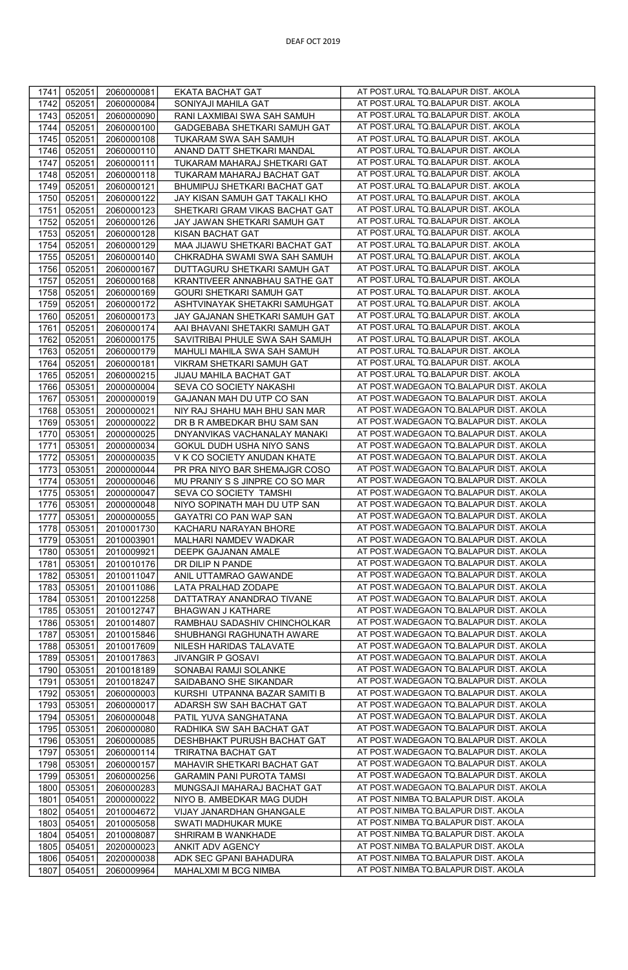| 1741<br>2060000081<br>EKATA BACHAT GAT<br>052051                                                                                | AT POST.URAL TQ.BALAPUR DIST. AKOLA                                                |
|---------------------------------------------------------------------------------------------------------------------------------|------------------------------------------------------------------------------------|
| 052051<br>1742<br>2060000084<br>SONIYAJI MAHILA GAT                                                                             | AT POST.URAL TQ.BALAPUR DIST. AKOLA                                                |
| 1743<br>052051<br>2060000090<br>RANI LAXMIBAI SWA SAH SAMUH                                                                     | AT POST.URAL TQ.BALAPUR DIST. AKOLA                                                |
| 1744<br>052051<br>2060000100<br>GADGEBABA SHETKARI SAMUH GAT                                                                    | AT POST.URAL TQ.BALAPUR DIST. AKOLA                                                |
| 1745<br>052051<br>2060000108<br>TUKARAM SWA SAH SAMUH                                                                           | AT POST.URAL TQ.BALAPUR DIST. AKOLA                                                |
| 1746<br>052051<br>2060000110<br>ANAND DATT SHETKARI MANDAL                                                                      | AT POST.URAL TQ.BALAPUR DIST. AKOLA                                                |
| 1747<br>052051<br>2060000111<br>TUKARAM MAHARAJ SHETKARI GAT                                                                    | AT POST.URAL TQ.BALAPUR DIST. AKOLA                                                |
| 1748<br>052051<br>2060000118<br>TUKARAM MAHARAJ BACHAT GAT                                                                      | AT POST.URAL TQ.BALAPUR DIST. AKOLA                                                |
| 1749<br>052051<br>2060000121<br>BHUMIPUJ SHETKARI BACHAT GAT                                                                    | AT POST.URAL TQ.BALAPUR DIST. AKOLA                                                |
| 1750<br>052051<br>JAY KISAN SAMUH GAT TAKALI KHO<br>2060000122                                                                  | AT POST.URAL TQ.BALAPUR DIST. AKOLA                                                |
| 1751<br>052051<br>2060000123<br>SHETKARI GRAM VIKAS BACHAT GAT                                                                  | AT POST.URAL TQ.BALAPUR DIST. AKOLA                                                |
| 052051                                                                                                                          | AT POST.URAL TQ.BALAPUR DIST. AKOLA                                                |
| 1752<br>2060000126<br>JAY JAWAN SHETKARI SAMUH GAT                                                                              | AT POST.URAL TQ.BALAPUR DIST. AKOLA                                                |
| 1753<br>052051<br>2060000128<br><b>KISAN BACHAT GAT</b>                                                                         | AT POST.URAL TQ.BALAPUR DIST. AKOLA                                                |
| 052051<br>MAA JIJAWU SHETKARI BACHAT GAT<br>1754<br>2060000129                                                                  | AT POST.URAL TQ.BALAPUR DIST. AKOLA                                                |
| 052051<br>CHKRADHA SWAMI SWA SAH SAMUH<br>1755<br>2060000140                                                                    | AT POST.URAL TQ.BALAPUR DIST. AKOLA                                                |
| 1756<br>052051<br>2060000167<br>DUTTAGURU SHETKARI SAMUH GAT                                                                    | AT POST.URAL TQ.BALAPUR DIST. AKOLA                                                |
| 1757<br>052051<br>2060000168<br>KRANTIVEER ANNABHAU SATHE GAT                                                                   | AT POST.URAL TQ.BALAPUR DIST. AKOLA                                                |
| 052051<br>2060000169<br>GOURI SHETKARI SAMUH GAT<br>1758                                                                        | AT POST.URAL TQ.BALAPUR DIST. AKOLA                                                |
| 1759<br>052051<br>ASHTVINAYAK SHETAKRI SAMUHGAT<br>2060000172                                                                   |                                                                                    |
| 1760<br>052051<br>2060000173<br>JAY GAJANAN SHETKARI SAMUH GAT                                                                  | AT POST.URAL TQ.BALAPUR DIST. AKOLA                                                |
| 1761<br>052051<br>2060000174<br>AAI BHAVANI SHETAKRI SAMUH GAT                                                                  | AT POST.URAL TQ.BALAPUR DIST. AKOLA                                                |
| 1762<br>052051<br>2060000175<br>SAVITRIBAI PHULE SWA SAH SAMUH                                                                  | AT POST.URAL TQ.BALAPUR DIST. AKOLA                                                |
| 1763<br>052051<br>2060000179<br>MAHULI MAHILA SWA SAH SAMUH                                                                     | AT POST.URAL TQ.BALAPUR DIST. AKOLA                                                |
| 1764<br>052051<br>2060000181<br>VIKRAM SHETKARI SAMUH GAT                                                                       | AT POST.URAL TQ.BALAPUR DIST. AKOLA                                                |
| 052051<br>JIJAU MAHILA BACHAT GAT<br>1765<br>2060000215                                                                         | AT POST.URAL TQ.BALAPUR DIST. AKOLA                                                |
| 2000000004<br>SEVA CO SOCIETY NAKASHI<br>1766<br>053051                                                                         | AT POST.WADEGAON TQ.BALAPUR DIST. AKOLA                                            |
| 1767<br>053051<br>GAJANAN MAH DU UTP CO SAN<br>2000000019                                                                       | AT POST.WADEGAON TQ.BALAPUR DIST. AKOLA                                            |
| 1768<br>053051<br>2000000021<br>NIY RAJ SHAHU MAH BHU SAN MAR                                                                   | AT POST.WADEGAON TQ.BALAPUR DIST. AKOLA                                            |
| 1769<br>053051<br>2000000022<br>DR B R AMBEDKAR BHU SAM SAN                                                                     | AT POST.WADEGAON TQ.BALAPUR DIST. AKOLA<br>AT POST.WADEGAON TQ.BALAPUR DIST. AKOLA |
| 1770<br>053051<br>2000000025<br>DNYANVIKAS VACHANALAY MANAKI                                                                    | AT POST.WADEGAON TQ.BALAPUR DIST. AKOLA                                            |
| 1771<br>053051<br>2000000034<br>GOKUL DUDH USHA NIYO SANS                                                                       | AT POST.WADEGAON TQ.BALAPUR DIST. AKOLA                                            |
| 1772<br>V K CO SOCIETY ANUDAN KHATE<br>053051<br>2000000035                                                                     | AT POST.WADEGAON TQ.BALAPUR DIST. AKOLA                                            |
| 1773<br>053051<br>2000000044<br>PR PRA NIYO BAR SHEMAJGR COSO<br>1774<br>053051<br>2000000046<br>MU PRANIY S S JINPRE CO SO MAR | AT POST.WADEGAON TQ.BALAPUR DIST. AKOLA                                            |
|                                                                                                                                 | AT POST.WADEGAON TQ.BALAPUR DIST. AKOLA                                            |
| 1775<br>053051<br>2000000047<br>SEVA CO SOCIETY TAMSHI<br>1776<br>053051<br>2000000048<br>NIYO SOPINATH MAH DU UTP SAN          | AT POST.WADEGAON TQ.BALAPUR DIST. AKOLA                                            |
| 1777<br>GAYATRI CO PAN WAP SAN<br>053051<br>2000000055                                                                          | AT POST.WADEGAON TQ.BALAPUR DIST. AKOLA                                            |
| 1778<br>053051<br>2010001730<br>KACHARU NARAYAN BHORE                                                                           | AT POST.WADEGAON TQ.BALAPUR DIST. AKOLA                                            |
| 1779<br>053051<br>2010003901<br>MALHARI NAMDEV WADKAR                                                                           | AT POST.WADEGAON TQ.BALAPUR DIST. AKOLA                                            |
| 1780<br>053051<br>2010009921<br>DEEPK GAJANAN AMALE                                                                             | AT POST. WADEGAON TO BALAPUR DIST. AKOLA                                           |
| 1781<br>053051<br>DR DILIP N PANDE<br>2010010176                                                                                | AT POST.WADEGAON TQ.BALAPUR DIST. AKOLA                                            |
| 1782<br>053051<br>2010011047<br>ANIL UTTAMRAO GAWANDE                                                                           | AT POST.WADEGAON TQ.BALAPUR DIST. AKOLA                                            |
| 1783<br>053051<br>2010011086<br>LATA PRALHAD ZODAPE                                                                             | AT POST.WADEGAON TQ.BALAPUR DIST. AKOLA                                            |
| 1784<br>053051<br>2010012258<br>DATTATRAY ANANDRAO TIVANE                                                                       | AT POST.WADEGAON TQ.BALAPUR DIST. AKOLA                                            |
| 1785<br>053051<br>2010012747<br>BHAGWAN J KATHARE                                                                               | AT POST.WADEGAON TO.BALAPUR DIST. AKOLA                                            |
| 1786<br>RAMBHAU SADASHIV CHINCHOLKAR<br>053051<br>2010014807                                                                    | AT POST.WADEGAON TQ.BALAPUR DIST. AKOLA                                            |
| 1787<br>053051<br>2010015846<br>SHUBHANGI RAGHUNATH AWARE                                                                       | AT POST.WADEGAON TO.BALAPUR DIST. AKOLA                                            |
| 1788<br>053051<br>2010017609<br>NILESH HARIDAS TALAVATE                                                                         | AT POST.WADEGAON TO.BALAPUR DIST. AKOLA                                            |
| 1789<br>053051<br>2010017863<br><b>JIVANGIR P GOSAVI</b>                                                                        | AT POST.WADEGAON TQ.BALAPUR DIST. AKOLA                                            |
| 1790<br>053051<br>2010018189<br>SONABAI RAMJI SOLANKE                                                                           | AT POST.WADEGAON TQ.BALAPUR DIST. AKOLA                                            |
| 1791<br>053051<br>2010018247<br>SAIDABANO SHE SIKANDAR                                                                          | AT POST.WADEGAON TQ.BALAPUR DIST. AKOLA                                            |
| 1792<br>053051<br>2060000003<br>KURSHI UTPANNA BAZAR SAMITI B                                                                   | AT POST.WADEGAON TQ.BALAPUR DIST. AKOLA                                            |
| 1793<br>053051<br>2060000017<br>ADARSH SW SAH BACHAT GAT                                                                        | AT POST.WADEGAON TO.BALAPUR DIST. AKOLA                                            |
| 1794<br>053051<br>2060000048<br>PATIL YUVA SANGHATANA                                                                           | AT POST. WADEGAON TO BALAPUR DIST. AKOLA                                           |
| 1795<br>053051<br>2060000080<br>RADHIKA SW SAH BACHAT GAT                                                                       | AT POST.WADEGAON TQ.BALAPUR DIST. AKOLA                                            |
| 1796<br>053051<br>DESHBHAKT PURUSH BACHAT GAT<br>2060000085                                                                     | AT POST.WADEGAON TO.BALAPUR DIST. AKOLA                                            |
| 1797<br>053051<br>2060000114<br>TRIRATNA BACHAT GAT                                                                             | AT POST.WADEGAON TO.BALAPUR DIST. AKOLA                                            |
| 1798<br>053051<br>2060000157<br>MAHAVIR SHETKARI BACHAT GAT                                                                     | AT POST.WADEGAON TQ.BALAPUR DIST. AKOLA                                            |
| 1799<br><b>GARAMIN PANI PUROTA TAMSI</b><br>053051<br>2060000256                                                                | AT POST.WADEGAON TQ.BALAPUR DIST. AKOLA                                            |
| 1800<br>053051<br>MUNGSAJI MAHARAJ BACHAT GAT<br>2060000283                                                                     | AT POST.WADEGAON TQ.BALAPUR DIST. AKOLA                                            |
| 1801<br>054051<br>NIYO B. AMBEDKAR MAG DUDH<br>2000000022                                                                       | AT POST.NIMBA TQ.BALAPUR DIST. AKOLA                                               |
| 1802<br>054051<br>2010004672<br>VIJAY JANARDHAN GHANGALE                                                                        | AT POST.NIMBA TQ.BALAPUR DIST. AKOLA                                               |
| 1803<br>054051<br>2010005058<br>SWATI MADHUKAR MUKE                                                                             | AT POST.NIMBA TQ.BALAPUR DIST. AKOLA                                               |
| 1804<br>054051<br>2010008087<br>SHRIRAM B WANKHADE                                                                              | AT POST.NIMBA TQ.BALAPUR DIST. AKOLA                                               |
| 1805<br>054051<br>2020000023<br>ANKIT ADV AGENCY                                                                                | AT POST.NIMBA TQ.BALAPUR DIST. AKOLA                                               |
| 1806<br>054051<br>2020000038<br>ADK SEC GPANI BAHADURA                                                                          | AT POST.NIMBA TQ.BALAPUR DIST. AKOLA                                               |
| 1807<br>054051<br>2060009964<br>MAHALXMI M BCG NIMBA                                                                            | AT POST.NIMBA TQ.BALAPUR DIST. AKOLA                                               |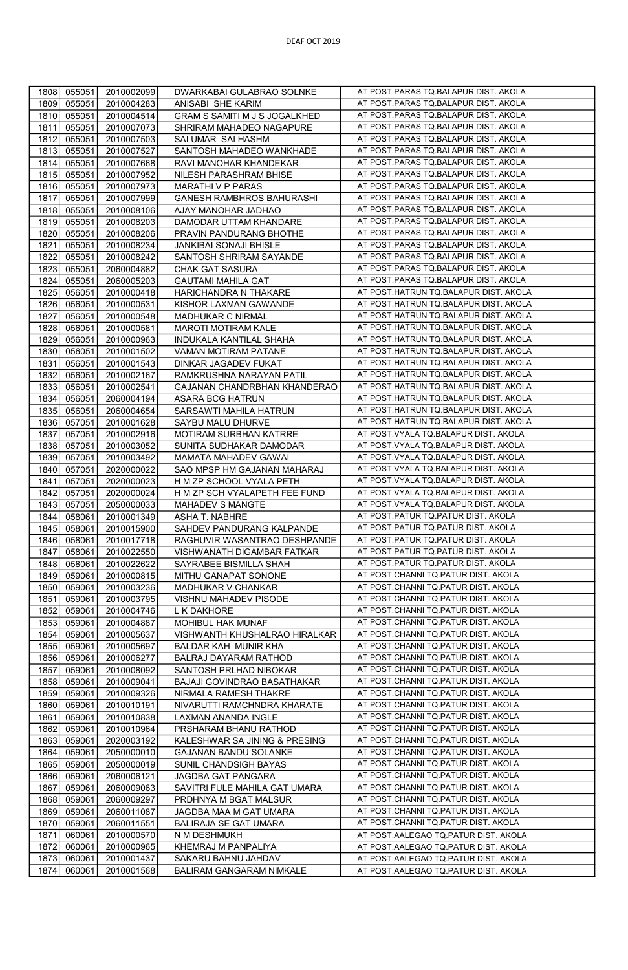| 1808         | 055051           | 2010002099               | DWARKABAI GULABRAO SOLNKE                       | AT POST.PARAS TQ.BALAPUR DIST. AKOLA                                         |
|--------------|------------------|--------------------------|-------------------------------------------------|------------------------------------------------------------------------------|
| 1809         | 055051           | 2010004283               | ANISABI SHE KARIM                               | AT POST.PARAS TQ.BALAPUR DIST. AKOLA                                         |
| 1810         | 055051           | 2010004514               | GRAM S SAMITI M J S JOGALKHED                   | AT POST.PARAS TQ.BALAPUR DIST. AKOLA                                         |
| 1811         | 055051           | 2010007073               | SHRIRAM MAHADEO NAGAPURE                        | AT POST.PARAS TQ.BALAPUR DIST. AKOLA                                         |
|              |                  |                          |                                                 |                                                                              |
| 1812         | 055051           | 2010007503               | SAI UMAR SAI HASHM                              | AT POST.PARAS TQ.BALAPUR DIST. AKOLA                                         |
| 1813         | 055051           | 2010007527               | SANTOSH MAHADEO WANKHADE                        | AT POST.PARAS TQ.BALAPUR DIST. AKOLA                                         |
| 1814         | 055051           | 2010007668               | RAVI MANOHAR KHANDEKAR                          | AT POST.PARAS TQ.BALAPUR DIST. AKOLA                                         |
| 1815         | 055051           | 2010007952               | NILESH PARASHRAM BHISE                          | AT POST.PARAS TQ.BALAPUR DIST. AKOLA                                         |
| 1816         | 055051           | 2010007973               | MARATHI V P PARAS                               | AT POST.PARAS TQ.BALAPUR DIST. AKOLA                                         |
|              |                  |                          |                                                 |                                                                              |
| 1817         | 055051           | 2010007999               | GANESH RAMBHROS BAHURASHI                       | AT POST.PARAS TQ.BALAPUR DIST. AKOLA                                         |
| 1818         | 055051           | 2010008106               | AJAY MANOHAR JADHAO                             | AT POST.PARAS TQ.BALAPUR DIST. AKOLA                                         |
| 1819         | 055051           | 2010008203               | DAMODAR UTTAM KHANDARE                          | AT POST.PARAS TQ.BALAPUR DIST. AKOLA                                         |
| 1820         | 055051           | 2010008206               | PRAVIN PANDURANG BHOTHE                         | AT POST.PARAS TQ.BALAPUR DIST. AKOLA                                         |
| 1821         | 055051           | 2010008234               | JANKIBAI SONAJI BHISLE                          | AT POST.PARAS TQ.BALAPUR DIST. AKOLA                                         |
| 1822         | 055051           | 2010008242               | SANTOSH SHRIRAM SAYANDE                         | AT POST.PARAS TQ.BALAPUR DIST. AKOLA                                         |
|              |                  |                          |                                                 |                                                                              |
| 1823         | 055051           | 2060004882               | CHAK GAT SASURA                                 | AT POST.PARAS TQ.BALAPUR DIST. AKOLA                                         |
| 1824         | 055051           | 2060005203               | <b>GAUTAMI MAHILA GAT</b>                       | AT POST.PARAS TQ.BALAPUR DIST. AKOLA                                         |
| 1825         | 056051           | 2010000418               | HARICHANDRA N THAKARE                           | AT POST.HATRUN TQ.BALAPUR DIST. AKOLA                                        |
| 1826         | 056051           | 2010000531               | KISHOR LAXMAN GAWANDE                           | AT POST.HATRUN TQ.BALAPUR DIST. AKOLA                                        |
| 1827         | 056051           | 2010000548               | MADHUKAR C NIRMAL                               | AT POST.HATRUN TQ.BALAPUR DIST. AKOLA                                        |
|              |                  |                          |                                                 |                                                                              |
| 1828         | 056051           | 2010000581               | MAROTI MOTIRAM KALE                             | AT POST.HATRUN TQ.BALAPUR DIST. AKOLA                                        |
| 1829         | 056051           | 2010000963               | INDUKALA KANTILAL SHAHA                         | AT POST.HATRUN TQ.BALAPUR DIST. AKOLA                                        |
| 1830         | 056051           | 2010001502               | VAMAN MOTIRAM PATANE                            | AT POST.HATRUN TQ.BALAPUR DIST. AKOLA                                        |
| 1831         | 056051           | 2010001543               | DINKAR JAGADEV FUKAT                            | AT POST.HATRUN TQ.BALAPUR DIST. AKOLA                                        |
| 1832         | 056051           | 2010002167               | RAMKRUSHNA NARAYAN PATIL                        | AT POST.HATRUN TQ.BALAPUR DIST. AKOLA                                        |
| 1833         | 056051           | 2010002541               | GAJANAN CHANDRBHAN KHANDERAO                    | AT POST.HATRUN TQ.BALAPUR DIST. AKOLA                                        |
|              |                  |                          |                                                 |                                                                              |
| 1834         | 056051           | 2060004194               | ASARA BCG HATRUN                                | AT POST.HATRUN TQ.BALAPUR DIST. AKOLA                                        |
| 1835         | 056051           | 2060004654               | SARSAWTI MAHILA HATRUN                          | AT POST.HATRUN TQ.BALAPUR DIST. AKOLA                                        |
| 1836         | 057051           | 2010001628               | SAYBU MALU DHURVE                               | AT POST.HATRUN TQ.BALAPUR DIST. AKOLA                                        |
| 1837         | 057051           | 2010002916               | MOTIRAM SURBHAN KATRRE                          | AT POST. VYALA TQ. BALAPUR DIST. AKOLA                                       |
| 1838         | 057051           | 2010003052               | SUNITA SUDHAKAR DAMODAR                         | AT POST.VYALA TQ.BALAPUR DIST. AKOLA                                         |
| 1839         | 057051           | 2010003492               | MAMATA MAHADEV GAWAI                            | AT POST.VYALA TQ.BALAPUR DIST. AKOLA                                         |
| 1840         | 057051           | 2020000022               | SAO MPSP HM GAJANAN MAHARAJ                     | AT POST. VYALA TQ. BALAPUR DIST. AKOLA                                       |
| 1841         | 057051           | 2020000023               | H M ZP SCHOOL VYALA PETH                        | AT POST.VYALA TQ.BALAPUR DIST. AKOLA                                         |
|              |                  |                          |                                                 |                                                                              |
| 1842         | 057051           | 2020000024               | H M ZP SCH VYALAPETH FEE FUND                   | AT POST. VYALA TQ. BALAPUR DIST. AKOLA                                       |
| 1843         | 057051           | 2050000033               | MAHADEV S MANGTE                                | AT POST.VYALA TQ.BALAPUR DIST. AKOLA                                         |
| 1844         | 058061           | 2010001349               | ASHA T. NABHRE                                  | AT POST.PATUR TQ.PATUR DIST. AKOLA                                           |
| 1845         | 058061           | 2010015900               | SAHDEV PANDURANG KALPANDE                       | AT POST.PATUR TQ.PATUR DIST. AKOLA                                           |
| 1846         | 058061           | 2010017718               | RAGHUVIR WASANTRAO DESHPANDE                    | AT POST.PATUR TQ.PATUR DIST. AKOLA                                           |
| 1847         | 058061           | 2010022550               | VISHWANATH DIGAMBAR FATKAR                      | AT POST.PATUR TQ.PATUR DIST. AKOLA                                           |
| 1848         | 058061           | 2010022622               | SAYRABEE BISMILLA SHAH                          | AT POST.PATUR TQ.PATUR DIST. AKOLA                                           |
| 1849         |                  |                          |                                                 | AT POST.CHANNI TQ.PATUR DIST. AKOLA                                          |
|              | 059061           | 2010000815               | MITHU GANAPAT SONONE                            |                                                                              |
| 1850         | 059061           | 2010003236               | MADHUKAR V CHANKAR                              | AT POST.CHANNI TQ.PATUR DIST. AKOLA                                          |
| 1851         | 059061           | 2010003795               | VISHNU MAHADEV PISODE                           | AT POST.CHANNI TQ.PATUR DIST. AKOLA                                          |
| 1852         | 059061           | 2010004746               | L K DAKHORE                                     | AT POST.CHANNI TQ.PATUR DIST. AKOLA                                          |
| 1853         | 059061           | 2010004887               | MOHIBUL HAK MUNAF                               | AT POST.CHANNI TQ.PATUR DIST. AKOLA                                          |
| 1854         | 059061           | 2010005637               | VISHWANTH KHUSHALRAO HIRALKAR                   | AT POST.CHANNI TQ.PATUR DIST. AKOLA                                          |
| 1855         | 059061           | 2010005697               | BALDAR KAH MUNIR KHA                            | AT POST.CHANNI TQ.PATUR DIST. AKOLA                                          |
|              |                  |                          |                                                 | AT POST.CHANNI TQ.PATUR DIST. AKOLA                                          |
| 1856         | 059061           | 2010006277               | BALRAJ DAYARAM RATHOD                           |                                                                              |
| 1857         | 059061           | 2010008092               | SANTOSH PRLHAD NIBOKAR                          | AT POST.CHANNI TQ.PATUR DIST. AKOLA                                          |
| 1858         | 059061           | 2010009041               | BAJAJI GOVINDRAO BASATHAKAR                     | AT POST.CHANNI TQ.PATUR DIST. AKOLA                                          |
|              |                  |                          |                                                 |                                                                              |
|              |                  |                          |                                                 | AT POST.CHANNI TQ.PATUR DIST. AKOLA                                          |
| 1859         | 059061           | 2010009326               | NIRMALA RAMESH THAKRE                           | AT POST.CHANNI TQ.PATUR DIST. AKOLA                                          |
| 1860         | 059061           | 2010010191               | NIVARUTTI RAMCHNDRA KHARATE                     |                                                                              |
| 1861         | 059061           | 2010010838               | LAXMAN ANANDA INGLE                             | AT POST.CHANNI TQ.PATUR DIST. AKOLA                                          |
| 1862         | 059061           | 2010010964               | PRSHARAM BHANU RATHOD                           | AT POST.CHANNI TQ.PATUR DIST. AKOLA                                          |
| 1863         | 059061           | 2020003192               | KALESHWAR SA JINING & PRESING                   | AT POST.CHANNI TQ.PATUR DIST. AKOLA                                          |
| 1864         | 059061           | 2050000010               | GAJANAN BANDU SOLANKE                           | AT POST.CHANNI TQ.PATUR DIST. AKOLA                                          |
| 1865         | 059061           | 2050000019               | SUNIL CHANDSIGH BAYAS                           | AT POST.CHANNI TQ.PATUR DIST. AKOLA                                          |
| 1866         | 059061           | 2060006121               | JAGDBA GAT PANGARA                              | AT POST.CHANNI TQ.PATUR DIST. AKOLA                                          |
| 1867         | 059061           | 2060009063               | SAVITRI FULE MAHILA GAT UMARA                   | AT POST.CHANNI TQ.PATUR DIST. AKOLA                                          |
|              |                  |                          |                                                 |                                                                              |
| 1868         | 059061           | 2060009297               | PRDHNYA M BGAT MALSUR                           | AT POST.CHANNI TQ.PATUR DIST. AKOLA                                          |
| 1869         | 059061           | 2060011087               | JAGDBA MAA M GAT UMARA                          | AT POST.CHANNI TQ.PATUR DIST. AKOLA                                          |
| 1870         | 059061           | 2060011551               | BALIRAJA SE GAT UMARA                           | AT POST.CHANNI TQ.PATUR DIST. AKOLA                                          |
| 1871         | 060061           | 2010000570               | N M DESHMUKH                                    | AT POST.AALEGAO TQ.PATUR DIST. AKOLA                                         |
| 1872         | 060061           | 2010000965               | KHEMRAJ M PANPALIYA                             | AT POST.AALEGAO TQ.PATUR DIST. AKOLA                                         |
| 1873<br>1874 | 060061<br>060061 | 2010001437<br>2010001568 | SAKARU BAHNU JAHDAV<br>BALIRAM GANGARAM NIMKALE | AT POST.AALEGAO TQ.PATUR DIST. AKOLA<br>AT POST.AALEGAO TQ.PATUR DIST. AKOLA |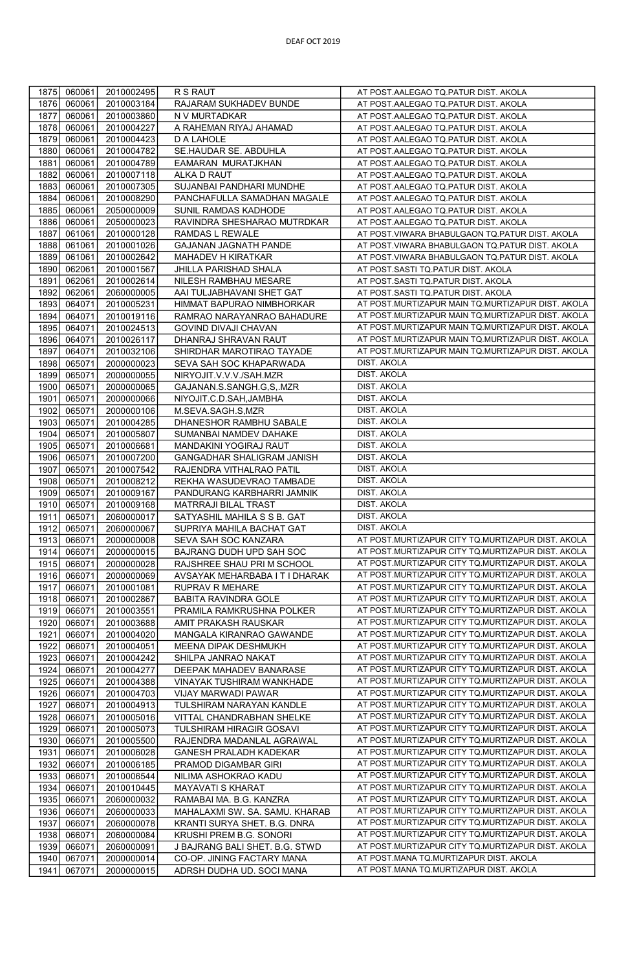| 1875         | 060061           | 2010002495               | R S RAUT                                                | AT POST.AALEGAO TQ.PATUR DIST. AKOLA                                             |
|--------------|------------------|--------------------------|---------------------------------------------------------|----------------------------------------------------------------------------------|
| 1876         | 060061           | 2010003184               | RAJARAM SUKHADEV BUNDE                                  | AT POST.AALEGAO TQ.PATUR DIST. AKOLA                                             |
| 1877         | 060061           | 2010003860               | N V MURTADKAR                                           | AT POST.AALEGAO TQ.PATUR DIST. AKOLA                                             |
| 1878         | 060061           | 2010004227               | A RAHEMAN RIYAJ AHAMAD                                  | AT POST.AALEGAO TQ.PATUR DIST. AKOLA                                             |
| 1879         | 060061           | 2010004423               | D A LAHOLE                                              | AT POST.AALEGAO TQ.PATUR DIST. AKOLA                                             |
| 1880         | 060061           | 2010004782               | SE.HAUDAR SE. ABDUHLA                                   | AT POST.AALEGAO TQ.PATUR DIST. AKOLA                                             |
| 1881         | 060061           | 2010004789               | EAMARAN MURATJKHAN                                      | AT POST.AALEGAO TQ.PATUR DIST. AKOLA                                             |
| 1882         | 060061           | 2010007118               | ALKA D RAUT                                             | AT POST.AALEGAO TQ.PATUR DIST. AKOLA                                             |
| 1883         | 060061           | 2010007305               | SUJANBAI PANDHARI MUNDHE                                | AT POST.AALEGAO TQ.PATUR DIST. AKOLA                                             |
| 1884         | 060061           | 2010008290               | PANCHAFULLA SAMADHAN MAGALE                             | AT POST.AALEGAO TQ.PATUR DIST. AKOLA                                             |
| 1885         | 060061           | 2050000009               | SUNIL RAMDAS KADHODE                                    | AT POST.AALEGAO TQ.PATUR DIST. AKOLA                                             |
| 1886         | 060061           | 2050000023               | RAVINDRA SHESHARAO MUTRDKAR                             | AT POST.AALEGAO TQ.PATUR DIST. AKOLA                                             |
| 1887         | 061061           | 2010000128               | RAMDAS L REWALE                                         | AT POST. VIWARA BHABULGAON TQ. PATUR DIST. AKOLA                                 |
| 1888         | 061061           | 2010001026               | <b>GAJANAN JAGNATH PANDE</b>                            | AT POST.VIWARA BHABULGAON TQ.PATUR DIST. AKOLA                                   |
| 1889         | 061061           | 2010002642               | MAHADEV H KIRATKAR                                      | AT POST.VIWARA BHABULGAON TQ.PATUR DIST. AKOLA                                   |
| 1890         | 062061           | 2010001567               | JHILLA PARISHAD SHALA                                   | AT POST.SASTI TQ.PATUR DIST. AKOLA                                               |
| 1891         | 062061           | 2010002614               | NILESH RAMBHAU MESARE                                   | AT POST.SASTI TQ.PATUR DIST. AKOLA                                               |
| 1892         | 062061           | 2060000005               | AAI TULJABHAVANI SHET GAT                               | AT POST.SASTI TQ.PATUR DIST. AKOLA                                               |
| 1893         | 064071           | 2010005231               | HIMMAT BAPURAO NIMBHORKAR                               | AT POST.MURTIZAPUR MAIN TQ.MURTIZAPUR DIST. AKOLA                                |
| 1894         | 064071           | 2010019116               | RAMRAO NARAYANRAO BAHADURE                              | AT POST.MURTIZAPUR MAIN TQ.MURTIZAPUR DIST. AKOLA                                |
| 1895         | 064071           | 2010024513               | GOVIND DIVAJI CHAVAN                                    | AT POST.MURTIZAPUR MAIN TQ.MURTIZAPUR DIST. AKOLA                                |
| 1896         | 064071           | 2010026117               | DHANRAJ SHRAVAN RAUT                                    | AT POST.MURTIZAPUR MAIN TQ.MURTIZAPUR DIST. AKOLA                                |
| 1897         | 064071           | 2010032106               | SHIRDHAR MAROTIRAO TAYADE                               | AT POST.MURTIZAPUR MAIN TQ.MURTIZAPUR DIST. AKOLA                                |
| 1898         | 065071           | 2000000023               | SEVA SAH SOC KHAPARWADA                                 | <b>DIST. AKOLA</b>                                                               |
| 1899         | 065071           | 2000000055               | NIRYOJIT.V.V.V./SAH.MZR                                 | <b>DIST. AKOLA</b>                                                               |
| 1900         | 065071           | 2000000065               | GAJANAN.S.SANGH.G,S,.MZR                                | <b>DIST. AKOLA</b>                                                               |
| 1901         | 065071           | 2000000066               | NIYOJIT.C.D.SAH, JAMBHA                                 | DIST. AKOLA                                                                      |
| 1902         | 065071           | 2000000106               | M.SEVA.SAGH.S,MZR                                       | DIST. AKOLA                                                                      |
| 1903         | 065071           | 2010004285               | DHANESHOR RAMBHU SABALE                                 | DIST. AKOLA                                                                      |
| 1904         | 065071           | 2010005807               | SUMANBAI NAMDEV DAHAKE                                  | <b>DIST. AKOLA</b>                                                               |
| 1905         | 065071           | 2010006681               | MANDAKINI YOGIRAJ RAUT                                  | <b>DIST. AKOLA</b>                                                               |
| 1906         | 065071           | 2010007200               | GANGADHAR SHALIGRAM JANISH                              | DIST. AKOLA                                                                      |
| 1907         | 065071           | 2010007542               | RAJENDRA VITHALRAO PATIL                                | <b>DIST. AKOLA</b>                                                               |
| 1908         | 065071           | 2010008212               | REKHA WASUDEVRAO TAMBADE                                | DIST. AKOLA                                                                      |
| 1909         | 065071           | 2010009167               | PANDURANG KARBHARRI JAMNIK                              | <b>DIST. AKOLA</b>                                                               |
| 1910         | 065071           | 2010009168               | MATRRAJI BILAL TRAST                                    | <b>DIST. AKOLA</b>                                                               |
| 1911         | 065071           | 2060000017               | SATYASHIL MAHILA S S B. GAT                             | DIST. AKOLA                                                                      |
| 1912         | 065071           | 2060000067               | SUPRIYA MAHILA BACHAT GAT                               | <b>DIST. AKOLA</b>                                                               |
| 1913         | 066071           | 2000000008               | SEVA SAH SOC KANZARA                                    | AT POST.MURTIZAPUR CITY TQ.MURTIZAPUR DIST. AKOLA                                |
| 1914         | 066071           | 2000000015               | BAJRANG DUDH UPD SAH SOC                                | AT POST.MURTIZAPUR CITY TQ.MURTIZAPUR DIST. AKOLA                                |
| 1915         | 066071           | 2000000028               | RAJSHREE SHAU PRI M SCHOOL                              | AT POST.MURTIZAPUR CITY TQ.MURTIZAPUR DIST. AKOLA                                |
| 1916         | 066071           | 2000000069               | AVSAYAK MEHARBABA IT I DHARAK                           | AT POST.MURTIZAPUR CITY TQ.MURTIZAPUR DIST. AKOLA                                |
| 1917         | 066071           | 2010001081               | RUPRAV R MEHARE                                         | AT POST.MURTIZAPUR CITY TQ.MURTIZAPUR DIST. AKOLA                                |
| 1918         | 066071           | 2010002867               | BABITA RAVINDRA GOLE                                    | AT POST.MURTIZAPUR CITY TQ.MURTIZAPUR DIST. AKOLA                                |
| 1919         | 066071           | 2010003551               | PRAMILA RAMKRUSHNA POLKER                               | AT POST.MURTIZAPUR CITY TQ.MURTIZAPUR DIST. AKOLA                                |
| 1920         | 066071           | 2010003688               | AMIT PRAKASH RAUSKAR                                    | AT POST.MURTIZAPUR CITY TQ.MURTIZAPUR DIST. AKOLA                                |
| 1921         | 066071           | 2010004020               | MANGALA KIRANRAO GAWANDE                                | AT POST.MURTIZAPUR CITY TQ.MURTIZAPUR DIST. AKOLA                                |
| 1922         | 066071           | 2010004051               | MEENA DIPAK DESHMUKH                                    | AT POST.MURTIZAPUR CITY TQ.MURTIZAPUR DIST. AKOLA                                |
| 1923         | 066071           | 2010004242               | SHILPA JANRAO NAKAT                                     | AT POST.MURTIZAPUR CITY TQ.MURTIZAPUR DIST. AKOLA                                |
| 1924         | 066071           | 2010004277               | DEEPAK MAHADEV BANARASE                                 | AT POST.MURTIZAPUR CITY TQ.MURTIZAPUR DIST. AKOLA                                |
| 1925         | 066071           | 2010004388               | VINAYAK TUSHIRAM WANKHADE                               | AT POST.MURTIZAPUR CITY TQ.MURTIZAPUR DIST. AKOLA                                |
| 1926         | 066071           | 2010004703               | VIJAY MARWADI PAWAR                                     | AT POST.MURTIZAPUR CITY TQ.MURTIZAPUR DIST. AKOLA                                |
| 1927         | 066071           | 2010004913               | TULSHIRAM NARAYAN KANDLE                                | AT POST.MURTIZAPUR CITY TQ.MURTIZAPUR DIST. AKOLA                                |
| 1928         | 066071           | 2010005016               | VITTAL CHANDRABHAN SHELKE                               | AT POST.MURTIZAPUR CITY TQ.MURTIZAPUR DIST. AKOLA                                |
| 1929         | 066071           | 2010005073               | TULSHIRAM HIRAGIR GOSAVI                                | AT POST.MURTIZAPUR CITY TQ.MURTIZAPUR DIST. AKOLA                                |
| 1930         | 066071           | 2010005500               | RAJENDRA MADANLAL AGRAWAL                               | AT POST.MURTIZAPUR CITY TQ.MURTIZAPUR DIST. AKOLA                                |
| 1931         | 066071           | 2010006028               | GANESH PRALADH KADEKAR                                  | AT POST.MURTIZAPUR CITY TQ.MURTIZAPUR DIST. AKOLA                                |
| 1932         | 066071           | 2010006185               | PRAMOD DIGAMBAR GIRI                                    | AT POST.MURTIZAPUR CITY TQ.MURTIZAPUR DIST. AKOLA                                |
| 1933         | 066071           | 2010006544               | NILIMA ASHOKRAO KADU                                    | AT POST.MURTIZAPUR CITY TQ.MURTIZAPUR DIST. AKOLA                                |
| 1934         | 066071           | 2010010445               | <b>MAYAVATI S KHARAT</b>                                | AT POST.MURTIZAPUR CITY TQ.MURTIZAPUR DIST. AKOLA                                |
| 1935         | 066071           | 2060000032               | RAMABAI MA. B.G. KANZRA                                 | AT POST.MURTIZAPUR CITY TQ.MURTIZAPUR DIST. AKOLA                                |
| 1936         | 066071           | 2060000033               | MAHALAXMI SW. SA. SAMU. KHARAB                          | AT POST.MURTIZAPUR CITY TQ.MURTIZAPUR DIST. AKOLA                                |
| 1937         | 066071           | 2060000078               | KRANTI SURYA SHET. B.G. DNRA                            | AT POST.MURTIZAPUR CITY TQ.MURTIZAPUR DIST. AKOLA                                |
| 1938         | 066071           | 2060000084               | KRUSHI PREM B.G. SONORI                                 | AT POST.MURTIZAPUR CITY TQ.MURTIZAPUR DIST. AKOLA                                |
|              |                  |                          |                                                         |                                                                                  |
| 1939         | 066071           | 2060000091               | J BAJRANG BALI SHET. B.G. STWD                          | AT POST.MURTIZAPUR CITY TQ.MURTIZAPUR DIST. AKOLA                                |
| 1940<br>1941 | 067071<br>067071 | 2000000014<br>2000000015 | CO-OP. JINING FACTARY MANA<br>ADRSH DUDHA UD. SOCI MANA | AT POST.MANA TQ.MURTIZAPUR DIST. AKOLA<br>AT POST.MANA TQ.MURTIZAPUR DIST. AKOLA |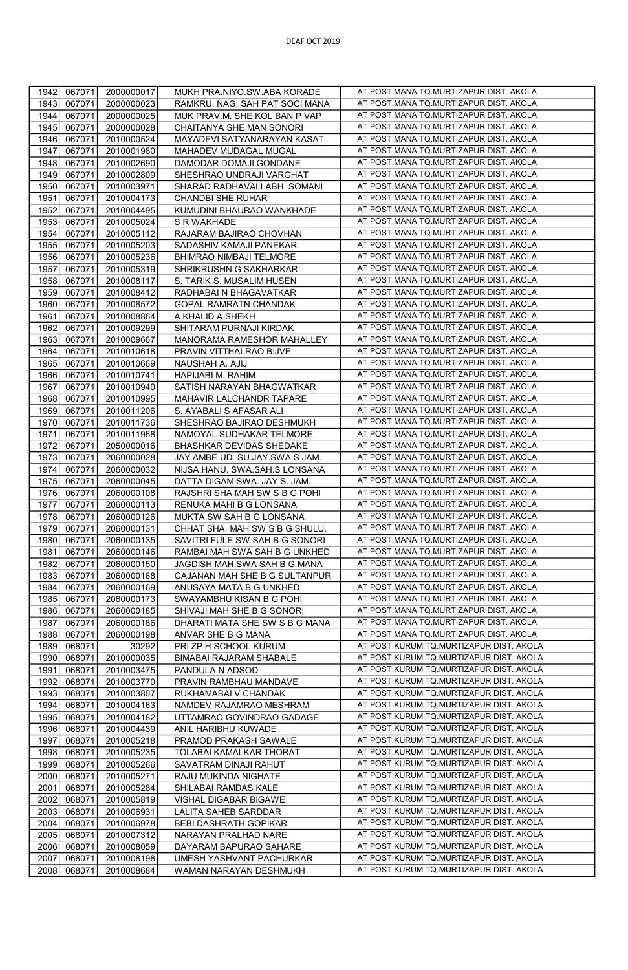| 1942         | 067071           | 2000000017               | MUKH PRA.NIYO.SW.ABA KORADE                         | AT POST.MANA TQ.MURTIZAPUR DIST. AKOLA                                           |
|--------------|------------------|--------------------------|-----------------------------------------------------|----------------------------------------------------------------------------------|
| 1943         | 067071           | 2000000023               | RAMKRU. NAG. SAH PAT SOCI MANA                      | AT POST.MANA TQ.MURTIZAPUR DIST. AKOLA                                           |
| 1944         | 067071           | 2000000025               | MUK PRAV.M. SHE KOL BAN P VAP                       | AT POST.MANA TQ.MURTIZAPUR DIST. AKOLA                                           |
| 1945         | 067071           | 2000000028               | CHAITANYA SHE MAN SONORI                            | AT POST.MANA TQ.MURTIZAPUR DIST. AKOLA                                           |
| 1946         | 067071           | 2010000524               | MAYADEVI SATYANARAYAN KASAT                         | AT POST.MANA TQ.MURTIZAPUR DIST. AKOLA                                           |
| 1947         | 067071           | 2010001980               | MAHADEV MUDAGAL MUGAL                               | AT POST.MANA TQ.MURTIZAPUR DIST. AKOLA                                           |
| 1948         | 067071           | 2010002690               | DAMODAR DOMAJI GONDANE                              | AT POST.MANA TQ.MURTIZAPUR DIST. AKOLA                                           |
| 1949         | 067071           | 2010002809               | SHESHRAO UNDRAJI VARGHAT                            | AT POST.MANA TQ.MURTIZAPUR DIST. AKOLA                                           |
| 1950         | 067071           | 2010003971               | SHARAD RADHAVALLABH SOMANI                          | AT POST.MANA TQ.MURTIZAPUR DIST. AKOLA                                           |
| 1951         | 067071           | 2010004173               | CHANDBI SHE RUHAR                                   | AT POST.MANA TQ.MURTIZAPUR DIST. AKOLA                                           |
| 1952         | 067071           | 2010004495               | KUMUDINI BHAURAO WANKHADE                           | AT POST.MANA TQ.MURTIZAPUR DIST. AKOLA                                           |
| 1953         | 067071           | 2010005024               | S R WAKHADE                                         | AT POST.MANA TQ.MURTIZAPUR DIST. AKOLA                                           |
| 1954         | 067071           | 2010005112               | RAJARAM BAJIRAO CHOVHAN                             | AT POST.MANA TQ.MURTIZAPUR DIST. AKOLA                                           |
| 1955         | 067071           | 2010005203               | SADASHIV KAMAJI PANEKAR                             | AT POST.MANA TQ.MURTIZAPUR DIST. AKOLA                                           |
| 1956         | 067071           | 2010005236               | BHIMRAO NIMBAJI TELMORE                             | AT POST.MANA TQ.MURTIZAPUR DIST. AKOLA                                           |
| 1957         | 067071           | 2010005319               | SHRIKRUSHN G SAKHARKAR                              | AT POST.MANA TQ.MURTIZAPUR DIST. AKOLA                                           |
| 1958         | 067071           | 2010008117               | S. TARIK S. MUSALIM HUSEN                           | AT POST.MANA TQ.MURTIZAPUR DIST. AKOLA                                           |
| 1959         | 067071           | 2010008412               | RADHABAI N BHAGAVATKAR                              | AT POST.MANA TQ.MURTIZAPUR DIST. AKOLA                                           |
| 1960         | 067071           | 2010008572               | GOPAL RAMRATN CHANDAK                               | AT POST.MANA TQ.MURTIZAPUR DIST. AKOLA                                           |
| 1961         | 067071           | 2010008864               | A KHALID A SHEKH                                    | AT POST.MANA TQ.MURTIZAPUR DIST. AKOLA                                           |
| 1962         | 067071           | 2010009299               | SHITARAM PURNAJI KIRDAK                             | AT POST.MANA TQ.MURTIZAPUR DIST. AKOLA                                           |
| 1963         | 067071           | 2010009667               | MANORAMA RAMESHOR MAHALLEY                          | AT POST.MANA TQ.MURTIZAPUR DIST. AKOLA                                           |
| 1964         | 067071           | 2010010618               | PRAVIN VITTHALRAO BIJVE                             | AT POST.MANA TQ.MURTIZAPUR DIST. AKOLA                                           |
| 1965         | 067071           | 2010010669               | NAUSHAH A. AJIJ                                     | AT POST.MANA TQ.MURTIZAPUR DIST. AKOLA                                           |
| 1966         | 067071           | 2010010741               | HAPIJABI M. RAHIM                                   | AT POST.MANA TQ.MURTIZAPUR DIST. AKOLA                                           |
| 1967         | 067071           | 2010010940               | SATISH NARAYAN BHAGWATKAR                           | AT POST.MANA TO.MURTIZAPUR DIST. AKOLA                                           |
| 1968         | 067071           | 2010010995               | MAHAVIR LALCHANDR TAPARE                            | AT POST.MANA TQ.MURTIZAPUR DIST. AKOLA                                           |
| 1969         | 067071           | 2010011206               | S. AYABALI S AFASAR ALI                             | AT POST.MANA TQ.MURTIZAPUR DIST. AKOLA                                           |
| 1970         | 067071           | 2010011736               | SHESHRAO BAJIRAO DESHMUKH                           | AT POST.MANA TQ.MURTIZAPUR DIST. AKOLA                                           |
| 1971         | 067071           | 2010011968               | NAMOYAL SUDHAKAR TELMORE                            | AT POST.MANA TQ.MURTIZAPUR DIST. AKOLA                                           |
| 1972         | 067071           | 2050000016               | BHASHKAR DEVIDAS SHEDAKE                            | AT POST.MANA TQ.MURTIZAPUR DIST. AKOLA                                           |
| 1973         | 067071           | 2060000028               | JAY AMBE UD. SU.JAY.SWA.S JAM                       | AT POST.MANA TQ.MURTIZAPUR DIST. AKOLA                                           |
| 1974         | 067071           | 2060000032               | NIJSA.HANU. SWA.SAH.S LONSANA                       | AT POST.MANA TQ.MURTIZAPUR DIST. AKOLA                                           |
| 1975         | 067071           | 2060000045               | DATTA DIGAM SWA. JAY.S. JAM.                        | AT POST.MANA TQ.MURTIZAPUR DIST. AKOLA                                           |
| 1976         | 067071           | 2060000108               | RAJSHRI SHA MAH SW S B G POHI                       | AT POST.MANA TQ.MURTIZAPUR DIST. AKOLA                                           |
| 1977         | 067071           | 2060000113               | RENUKA MAHI B G LONSANA                             | AT POST.MANA TQ.MURTIZAPUR DIST. AKOLA                                           |
| 1978         | 067071           | 2060000126               | MUKTA SW SAH B G LONSANA                            | AT POST.MANA TQ.MURTIZAPUR DIST. AKOLA                                           |
| 1979         | 067071           | 2060000131               | CHHAT SHA. MAH SW S B G SHULU.                      | AT POST.MANA TQ.MURTIZAPUR DIST. AKOLA                                           |
| 1980         | 067071           | 2060000135               | SAVITRI FULE SW SAH B G SONORI                      | AT POST.MANA TQ.MURTIZAPUR DIST. AKOLA                                           |
| 1981         | 067071           | 2060000146               | RAMBAI MAH SWA SAH B G UNKHED                       | AT POST.MANA TQ.MURTIZAPUR DIST. AKOLA                                           |
| 1982         | 067071           | 2060000150               | JAGDISH MAH SWA SAH B G MANA                        | AT POST.MANA TQ.MURTIZAPUR DIST. AKOLA<br>AT POST.MANA TQ.MURTIZAPUR DIST. AKOLA |
| 1983         | 067071           | 2060000168               | GAJANAN MAH SHE B G SULTANPUR                       | AT POST.MANA TQ.MURTIZAPUR DIST. AKOLA                                           |
| 1984<br>1985 | 067071           | 2060000169<br>2060000173 | ANUSAYA MATA B G UNKHED<br>SWAYAMBHU KISAN B G POHI | AT POST.MANA TQ.MURTIZAPUR DIST. AKOLA                                           |
| 1986         | 067071<br>067071 | 2060000185               | SHIVAJI MAH SHE B G SONORI                          | AT POST.MANA TQ.MURTIZAPUR DIST. AKOLA                                           |
| 1987         | 067071           | 2060000186               | DHARATI MATA SHE SW S B G MANA                      | AT POST.MANA TQ.MURTIZAPUR DIST. AKOLA                                           |
| 1988         | 067071           | 2060000198               | ANVAR SHE B G MANA                                  | AT POST.MANA TQ.MURTIZAPUR DIST. AKOLA                                           |
| 1989         | 068071           | 30292                    | PRI ZP H SCHOOL KURUM                               | AT POST.KURUM TQ.MURTIZAPUR DIST. AKOLA                                          |
| 1990         | 068071           | 2010000035               | BIMABAI RAJARAM SHABALE                             | AT POST.KURUM TQ.MURTIZAPUR DIST. AKOLA                                          |
| 1991         | 068071           | 2010003475               | PANDULA N ADSOD                                     | AT POST.KURUM TQ.MURTIZAPUR DIST. AKOLA                                          |
| 1992         | 068071           | 2010003770               | PRAVIN RAMBHAU MANDAVE                              | AT POST.KURUM TQ.MURTIZAPUR DIST. AKOLA                                          |
| 1993         | 068071           | 2010003807               | RUKHAMABAI V CHANDAK                                | AT POST.KURUM TQ.MURTIZAPUR DIST. AKOLA                                          |
| 1994         | 068071           | 2010004163               | NAMDEV RAJAMRAO MESHRAM                             | AT POST.KURUM TQ.MURTIZAPUR DIST. AKOLA                                          |
| 1995         | 068071           | 2010004182               | UTTAMRAO GOVINDRAO GADAGE                           | AT POST.KURUM TQ.MURTIZAPUR DIST. AKOLA                                          |
| 1996         | 068071           | 2010004439               | ANIL HARIBHU KUWADE                                 | AT POST.KURUM TQ.MURTIZAPUR DIST. AKOLA                                          |
| 1997         | 068071           | 2010005218               | PRAMOD PRAKASH SAWALE                               | AT POST.KURUM TQ.MURTIZAPUR DIST. AKOLA                                          |
| 1998         | 068071           | 2010005235               | TOLABAI KAMALKAR THORAT                             | AT POST.KURUM TQ.MURTIZAPUR DIST. AKOLA                                          |
| 1999         | 068071           | 2010005266               | SAVATRAM DINAJI RAHUT                               | AT POST.KURUM TQ.MURTIZAPUR DIST. AKOLA                                          |
| 2000         | 068071           | 2010005271               | RAJU MUKINDA NIGHATE                                | AT POST.KURUM TQ.MURTIZAPUR DIST. AKOLA                                          |
| 2001         | 068071           | 2010005284               | SHILABAI RAMDAS KALE                                | AT POST.KURUM TQ.MURTIZAPUR DIST. AKOLA                                          |
| 2002         | 068071           | 2010005819               | VISHAL DIGABAR BIGAWE                               | AT POST.KURUM TQ.MURTIZAPUR DIST. AKOLA                                          |
| 2003         | 068071           | 2010006931               | LALITA SAHEB SARDDAR                                | AT POST.KURUM TQ.MURTIZAPUR DIST. AKOLA                                          |
| 2004         | 068071           | 2010006978               | <b>BEBI DASHRATH GOPIKAR</b>                        | AT POST.KURUM TQ.MURTIZAPUR DIST. AKOLA                                          |
| 2005         | 068071           | 2010007312               | NARAYAN PRALHAD NARE                                | AT POST.KURUM TQ.MURTIZAPUR DIST. AKOLA                                          |
| 2006         | 068071           | 2010008059               | DAYARAM BAPURAO SAHARE                              | AT POST.KURUM TQ.MURTIZAPUR DIST. AKOLA                                          |
| 2007         | 068071           | 2010008198               | UMESH YASHVANT PACHURKAR                            | AT POST.KURUM TQ.MURTIZAPUR DIST. AKOLA                                          |
| 2008         | 068071           | 2010008684               | WAMAN NARAYAN DESHMUKH                              | AT POST.KURUM TQ.MURTIZAPUR DIST. AKOLA                                          |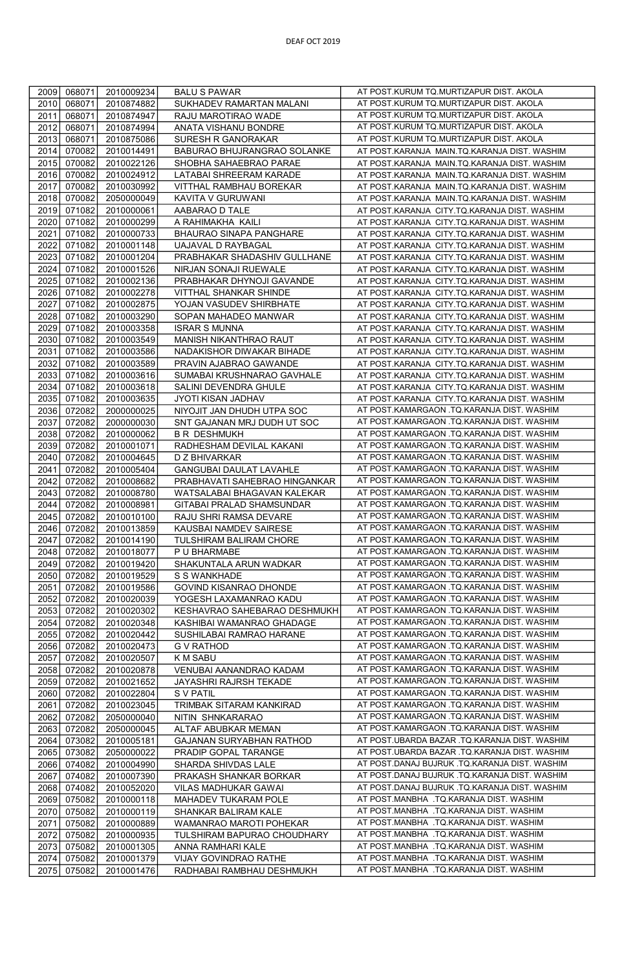| 2009 | 068071 | 2010009234 | <b>BALU S PAWAR</b>            | AT POST.KURUM TQ.MURTIZAPUR DIST. AKOLA       |
|------|--------|------------|--------------------------------|-----------------------------------------------|
| 2010 | 068071 | 2010874882 | SUKHADEV RAMARTAN MALANI       | AT POST.KURUM TQ.MURTIZAPUR DIST. AKOLA       |
| 2011 | 068071 | 2010874947 | RAJU MAROTIRAO WADE            | AT POST.KURUM TQ.MURTIZAPUR DIST. AKOLA       |
| 2012 | 068071 | 2010874994 | ANATA VISHANU BONDRE           | AT POST.KURUM TQ.MURTIZAPUR DIST. AKOLA       |
| 2013 | 068071 | 2010875086 | SURESH R GANORAKAR             | AT POST.KURUM TQ.MURTIZAPUR DIST. AKOLA       |
| 2014 | 070082 | 2010014491 | BABURAO BHUJRANGRAO SOLANKE    | AT POST.KARANJA MAIN.TQ.KARANJA DIST. WASHIM  |
|      |        |            |                                |                                               |
| 2015 | 070082 | 2010022126 | SHOBHA SAHAEBRAO PARAE         | AT POST.KARANJA MAIN.TQ.KARANJA DIST. WASHIM  |
| 2016 | 070082 | 2010024912 | LATABAI SHREERAM KARADE        | AT POST.KARANJA MAIN.TQ.KARANJA DIST. WASHIM  |
| 2017 | 070082 | 2010030992 | VITTHAL RAMBHAU BOREKAR        | AT POST.KARANJA MAIN.TQ.KARANJA DIST. WASHIM  |
| 2018 | 070082 | 2050000049 | KAVITA V GURUWANI              | AT POST.KARANJA MAIN.TQ.KARANJA DIST. WASHIM  |
| 2019 | 071082 | 2010000061 | AABARAO D TALE                 | AT POST.KARANJA CITY.TQ.KARANJA DIST. WASHIM  |
| 2020 | 071082 | 2010000299 | A RAHIMAKHA KAILI              | AT POST.KARANJA CITY.TQ.KARANJA DIST. WASHIM  |
| 2021 | 071082 | 2010000733 | BHAURAO SINAPA PANGHARE        | AT POST.KARANJA CITY.TQ.KARANJA DIST. WASHIM  |
| 2022 | 071082 | 2010001148 | <b>UAJAVAL D RAYBAGAL</b>      | AT POST.KARANJA CITY.TQ.KARANJA DIST. WASHIM  |
| 2023 | 071082 | 2010001204 | PRABHAKAR SHADASHIV GULLHANE   | AT POST.KARANJA CITY.TQ.KARANJA DIST. WASHIM  |
| 2024 | 071082 | 2010001526 | NIRJAN SONAJI RUEWALE          | AT POST.KARANJA CITY.TQ.KARANJA DIST. WASHIM  |
| 2025 | 071082 | 2010002136 | PRABHAKAR DHYNOJI GAVANDE      | AT POST.KARANJA CITY.TQ.KARANJA DIST. WASHIM  |
| 2026 | 071082 | 2010002278 | VITTHAL SHANKAR SHINDE         | AT POST.KARANJA CITY.TQ.KARANJA DIST. WASHIM  |
| 2027 | 071082 | 2010002875 | YOJAN VASUDEV SHIRBHATE        | AT POST.KARANJA CITY.TQ.KARANJA DIST. WASHIM  |
| 2028 | 071082 | 2010003290 | SOPAN MAHADEO MANWAR           | AT POST.KARANJA CITY.TQ.KARANJA DIST. WASHIM  |
| 2029 | 071082 | 2010003358 | <b>ISRAR S MUNNA</b>           | AT POST.KARANJA CITY.TQ.KARANJA DIST. WASHIM  |
| 2030 | 071082 | 2010003549 | MANISH NIKANTHRAO RAUT         | AT POST.KARANJA CITY.TQ.KARANJA DIST. WASHIM  |
| 2031 | 071082 | 2010003586 | NADAKISHOR DIWAKAR BIHADE      | AT POST.KARANJA CITY.TQ.KARANJA DIST. WASHIM  |
| 2032 | 071082 | 2010003589 | PRAVIN AJABRAO GAWANDE         | AT POST.KARANJA CITY.TQ.KARANJA DIST. WASHIM  |
| 2033 | 071082 | 2010003616 | SUMABAI KRUSHNARAO GAVHALE     | AT POST.KARANJA CITY.TQ.KARANJA DIST. WASHIM  |
| 2034 | 071082 | 2010003618 | SALINI DEVENDRA GHULE          |                                               |
|      |        |            |                                | AT POST.KARANJA CITY.TQ.KARANJA DIST. WASHIM  |
| 2035 | 071082 | 2010003635 | JYOTI KISAN JADHAV             | AT POST.KARANJA CITY.TQ.KARANJA DIST. WASHIM  |
| 2036 | 072082 | 2000000025 | NIYOJIT JAN DHUDH UTPA SOC     | AT POST.KAMARGAON .TQ.KARANJA DIST. WASHIM    |
| 2037 | 072082 | 2000000030 | SNT GAJANAN MRJ DUDH UT SOC    | AT POST.KAMARGAON .TQ.KARANJA DIST. WASHIM    |
| 2038 | 072082 | 2010000062 | <b>B R DESHMUKH</b>            | AT POST.KAMARGAON .TQ.KARANJA DIST. WASHIM    |
| 2039 | 072082 | 2010001071 | RADHESHAM DEVILAL KAKANI       | AT POST.KAMARGAON .TQ.KARANJA DIST. WASHIM    |
| 2040 | 072082 | 2010004645 | D Z BHIVARKAR                  | AT POST.KAMARGAON .TQ.KARANJA DIST. WASHIM    |
| 2041 | 072082 | 2010005404 | <b>GANGUBAI DAULAT LAVAHLE</b> | AT POST.KAMARGAON .TQ.KARANJA DIST. WASHIM    |
| 2042 | 072082 | 2010008682 | PRABHAVATI SAHEBRAO HINGANKAR  | AT POST.KAMARGAON .TQ.KARANJA DIST. WASHIM    |
| 2043 | 072082 | 2010008780 | WATSALABAI BHAGAVAN KALEKAR    | AT POST.KAMARGAON .TQ.KARANJA DIST. WASHIM    |
| 2044 | 072082 | 2010008981 | GITABAI PRALAD SHAMSUNDAR      | AT POST.KAMARGAON .TQ.KARANJA DIST. WASHIM    |
| 2045 | 072082 | 2010010100 | RAJU SHRI RAMSA DEVARE         | AT POST.KAMARGAON .TQ.KARANJA DIST. WASHIM    |
| 2046 | 072082 | 2010013859 | KAUSBAI NAMDEV SAIRESE         | AT POST.KAMARGAON .TQ.KARANJA DIST. WASHIM    |
| 2047 | 072082 | 2010014190 | TULSHIRAM BALIRAM CHORE        | AT POST.KAMARGAON .TQ.KARANJA DIST. WASHIM    |
| 2048 | 072082 | 2010018077 | P U BHARMABE                   | AT POST.KAMARGAON .TQ.KARANJA DIST. WASHIM    |
| 2049 | 072082 | 2010019420 | SHAKUNTALA ARUN WADKAR         | AT POST.KAMARGAON .TQ.KARANJA DIST. WASHIM    |
| 2050 | 072082 | 2010019529 | S S WANKHADE                   | AT POST.KAMARGAON .TQ.KARANJA DIST. WASHIM    |
| 2051 | 072082 | 2010019586 | GOVIND KISANRAO DHONDE         | AT POST.KAMARGAON .TQ.KARANJA DIST. WASHIM    |
| 2052 | 072082 | 2010020039 | YOGESH LAXAMANRAO KADU         | AT POST.KAMARGAON .TQ.KARANJA DIST. WASHIM    |
| 2053 | 072082 | 2010020302 | KESHAVRAO SAHEBARAO DESHMUKH   | AT POST.KAMARGAON .TQ.KARANJA DIST. WASHIM    |
| 2054 | 072082 | 2010020348 | KASHIBAI WAMANRAO GHADAGE      | AT POST.KAMARGAON .TQ.KARANJA DIST. WASHIM    |
| 2055 | 072082 | 2010020442 | SUSHILABAI RAMRAO HARANE       | AT POST.KAMARGAON .TQ.KARANJA DIST. WASHIM    |
| 2056 | 072082 | 2010020473 | <b>G V RATHOD</b>              | AT POST.KAMARGAON .TQ.KARANJA DIST. WASHIM    |
| 2057 | 072082 | 2010020507 | K M SABU                       | AT POST.KAMARGAON .TQ.KARANJA DIST. WASHIM    |
| 2058 | 072082 | 2010020878 | VENUBAI AANANDRAO KADAM        | AT POST.KAMARGAON .TQ.KARANJA DIST. WASHIM    |
| 2059 | 072082 | 2010021652 | JAYASHRI RAJRSH TEKADE         | AT POST.KAMARGAON .TQ.KARANJA DIST. WASHIM    |
| 2060 | 072082 | 2010022804 | S V PATIL                      | AT POST.KAMARGAON .TQ.KARANJA DIST. WASHIM    |
|      |        |            |                                | AT POST.KAMARGAON .TQ.KARANJA DIST. WASHIM    |
| 2061 | 072082 | 2010023045 | TRIMBAK SITARAM KANKIRAD       | AT POST.KAMARGAON .TQ.KARANJA DIST. WASHIM    |
| 2062 | 072082 | 2050000040 | NITIN SHNKARARAO               |                                               |
| 2063 | 072082 | 2050000045 | ALTAF ABUBKAR MEMAN            | AT POST.KAMARGAON .TQ.KARANJA DIST. WASHIM    |
| 2064 | 073082 | 2010005181 | GAJANAN SURYABHAN RATHOD       | AT POST.UBARDA BAZAR .TQ.KARANJA DIST. WASHIM |
| 2065 | 073082 | 2050000022 | PRADIP GOPAL TARANGE           | AT POST.UBARDA BAZAR .TQ.KARANJA DIST. WASHIM |
| 2066 | 074082 | 2010004990 | SHARDA SHIVDAS LALE            | AT POST.DANAJ BUJRUK .TQ.KARANJA DIST. WASHIM |
| 2067 | 074082 | 2010007390 | PRAKASH SHANKAR BORKAR         | AT POST.DANAJ BUJRUK .TQ.KARANJA DIST. WASHIM |
| 2068 | 074082 | 2010052020 | VILAS MADHUKAR GAWAI           | AT POST.DANAJ BUJRUK .TQ.KARANJA DIST. WASHIM |
| 2069 | 075082 | 2010000118 | MAHADEV TUKARAM POLE           | AT POST.MANBHA .TQ.KARANJA DIST. WASHIM       |
| 2070 | 075082 | 2010000119 | SHANKAR BALIRAM KALE           | AT POST.MANBHA .TQ.KARANJA DIST. WASHIM       |
| 2071 | 075082 | 2010000889 | WAMANRAO MAROTI POHEKAR        | AT POST.MANBHA .TQ.KARANJA DIST. WASHIM       |
| 2072 | 075082 | 2010000935 | TULSHIRAM BAPURAO CHOUDHARY    | AT POST.MANBHA .TQ.KARANJA DIST. WASHIM       |
| 2073 | 075082 | 2010001305 | ANNA RAMHARI KALE              | AT POST.MANBHA .TQ.KARANJA DIST. WASHIM       |
| 2074 | 075082 | 2010001379 | VIJAY GOVINDRAO RATHE          | AT POST.MANBHA .TQ.KARANJA DIST. WASHIM       |
| 2075 | 075082 | 2010001476 | RADHABAI RAMBHAU DESHMUKH      | AT POST.MANBHA .TQ.KARANJA DIST. WASHIM       |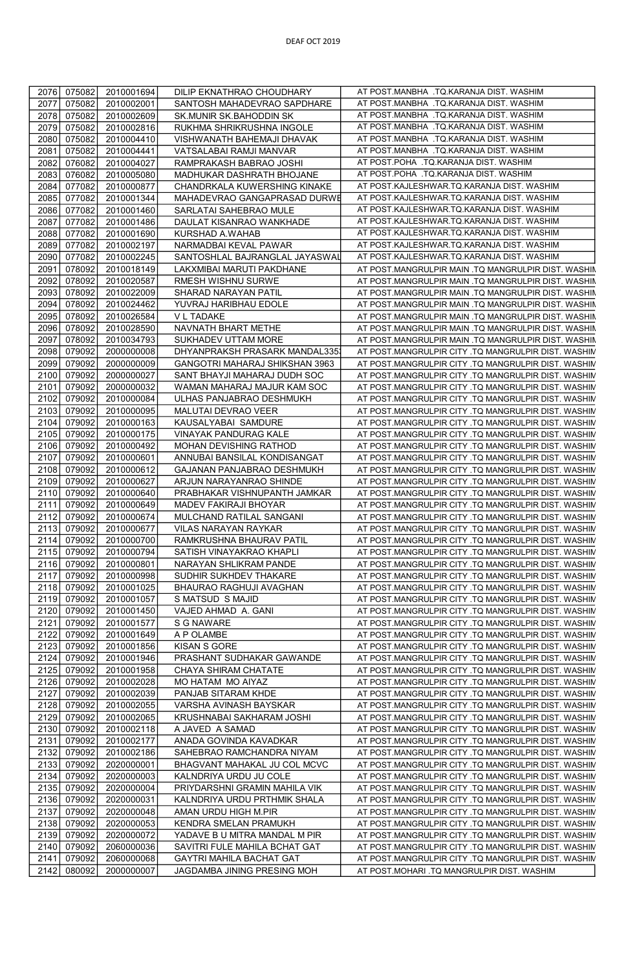| 2076         | 075082           | 2010001694               | DILIP EKNATHRAO CHOUDHARY                                 | AT POST.MANBHA .TQ.KARANJA DIST. WASHIM                                                                    |
|--------------|------------------|--------------------------|-----------------------------------------------------------|------------------------------------------------------------------------------------------------------------|
| 2077         | 075082           | 2010002001               | SANTOSH MAHADEVRAO SAPDHARE                               | AT POST.MANBHA .TQ.KARANJA DIST. WASHIM                                                                    |
| 2078         | 075082           | 2010002609               | SK.MUNIR SK.BAHODDIN SK                                   | AT POST.MANBHA .TQ.KARANJA DIST. WASHIM                                                                    |
| 2079         | 075082           | 2010002816               | RUKHMA SHRIKRUSHNA INGOLE                                 | AT POST.MANBHA .TQ.KARANJA DIST. WASHIM                                                                    |
| 2080         | 075082           | 2010004410               | VISHWANATH BAHEMAJI DHAVAK                                | AT POST.MANBHA .TQ.KARANJA DIST. WASHIM                                                                    |
| 2081         | 075082           | 2010004441               | VATSALABAI RAMJI MANVAR                                   | AT POST.MANBHA .TQ.KARANJA DIST. WASHIM                                                                    |
| 2082         | 076082           | 2010004027               | RAMPRAKASH BABRAO JOSHI                                   | AT POST.POHA .TQ.KARANJA DIST. WASHIM                                                                      |
| 2083         | 076082           | 2010005080               | MADHUKAR DASHRATH BHOJANE                                 | AT POST.POHA .TQ.KARANJA DIST. WASHIM                                                                      |
| 2084         | 077082           | 2010000877               | CHANDRKALA KUWERSHING KINAKE                              | AT POST.KAJLESHWAR.TQ.KARANJA DIST. WASHIM                                                                 |
| 2085         | 077082           | 2010001344               | MAHADEVRAO GANGAPRASAD DURWE                              | AT POST.KAJLESHWAR.TQ.KARANJA DIST. WASHIM                                                                 |
| 2086         | 077082           | 2010001460               | SARLATAI SAHEBRAO MULE                                    | AT POST.KAJLESHWAR.TQ.KARANJA DIST. WASHIM                                                                 |
| 2087         | 077082           | 2010001486               | DAULAT KISANRAO WANKHADE                                  | AT POST.KAJLESHWAR.TQ.KARANJA DIST. WASHIM                                                                 |
| 2088         | 077082           | 2010001690               | KURSHAD A.WAHAB                                           | AT POST.KAJLESHWAR.TQ.KARANJA DIST. WASHIM                                                                 |
| 2089         | 077082           | 2010002197               | NARMADBAI KEVAL PAWAR                                     | AT POST.KAJLESHWAR.TQ.KARANJA DIST. WASHIM                                                                 |
| 2090         | 077082           | 2010002245               | SANTOSHLAL BAJRANGLAL JAYASWAI                            | AT POST.KAJLESHWAR.TQ.KARANJA DIST. WASHIM                                                                 |
| 2091         | 078092           | 2010018149               | LAKXMIBAI MARUTI PAKDHANE                                 | AT POST.MANGRULPIR MAIN .TQ MANGRULPIR DIST. WASHIN                                                        |
| 2092         | 078092           | 2010020587               | RMESH WISHNU SURWE                                        | AT POST.MANGRULPIR MAIN .TQ MANGRULPIR DIST. WASHIN                                                        |
| 2093         | 078092           | 2010022009               | SHARAD NARAYAN PATIL                                      | AT POST.MANGRULPIR MAIN .TQ MANGRULPIR DIST. WASHIN                                                        |
| 2094         | 078092           | 2010024462               | YUVRAJ HARIBHAU EDOLE                                     | AT POST.MANGRULPIR MAIN .TQ MANGRULPIR DIST. WASHIN                                                        |
| 2095         | 078092           | 2010026584               | V L TADAKE                                                | AT POST.MANGRULPIR MAIN .TQ MANGRULPIR DIST. WASHIN                                                        |
| 2096         | 078092           | 2010028590               | NAVNATH BHART METHE                                       | AT POST.MANGRULPIR MAIN .TQ MANGRULPIR DIST. WASHIN                                                        |
| 2097         | 078092           | 2010034793               | SUKHADEV UTTAM MORE                                       | AT POST.MANGRULPIR MAIN .TQ MANGRULPIR DIST. WASHIN                                                        |
| 2098         | 079092           | 2000000008               | DHYANPRAKSH PRASARK MANDAL335                             | AT POST.MANGRULPIR CITY .TQ MANGRULPIR DIST. WASHIM                                                        |
| 2099         | 079092           | 2000000009               | GANGOTRI MAHARAJ SHIKSHAN 3963                            | AT POST.MANGRULPIR CITY .TQ MANGRULPIR DIST. WASHIM                                                        |
| 2100         | 079092           | 2000000027               | SANT BHAYJI MAHARAJ DUDH SOC                              | AT POST.MANGRULPIR CITY .TQ MANGRULPIR DIST. WASHIN                                                        |
| 2101         | 079092           | 2000000032               | WAMAN MAHARAJ MAJUR KAM SOC                               | AT POST.MANGRULPIR CITY .TQ MANGRULPIR DIST. WASHIM                                                        |
| 2102         | 079092           | 2010000084               | ULHAS PANJABRAO DESHMUKH                                  | AT POST.MANGRULPIR CITY .TQ MANGRULPIR DIST. WASHIN                                                        |
| 2103         | 079092           | 2010000095               | MALUTAI DEVRAO VEER                                       | AT POST.MANGRULPIR CITY .TQ MANGRULPIR DIST. WASHIM                                                        |
| 2104         | 079092           | 2010000163               | KAUSALYABAI SAMDURE                                       | AT POST.MANGRULPIR CITY .TQ MANGRULPIR DIST. WASHIN                                                        |
| 2105         | 079092           | 2010000175               | VINAYAK PANDURAG KALE                                     | AT POST.MANGRULPIR CITY .TQ MANGRULPIR DIST. WASHIN                                                        |
| 2106         | 079092           | 2010000492               | MOHAN DEVISHING RATHOD                                    | AT POST.MANGRULPIR CITY .TQ MANGRULPIR DIST. WASHIM                                                        |
| 2107         | 079092           | 2010000601               | ANNUBAI BANSILAL KONDISANGAT                              | AT POST.MANGRULPIR CITY .TQ MANGRULPIR DIST. WASHIM                                                        |
| 2108         | 079092           | 2010000612               | GAJANAN PANJABRAO DESHMUKH                                | AT POST.MANGRULPIR CITY .TQ MANGRULPIR DIST. WASHIN                                                        |
| 2109         | 079092           | 2010000627               | ARJUN NARAYANRAO SHINDE                                   | AT POST.MANGRULPIR CITY .TQ MANGRULPIR DIST. WASHIN                                                        |
| 2110         | 079092           | 2010000640               | PRABHAKAR VISHNUPANTH JAMKAR                              | AT POST.MANGRULPIR CITY .TQ MANGRULPIR DIST. WASHIM                                                        |
| 2111         | 079092           | 2010000649               | MADEV FAKIRAJI BHOYAR                                     | AT POST.MANGRULPIR CITY .TQ MANGRULPIR DIST. WASHIM                                                        |
| 2112         | 079092           | 2010000674               | MULCHAND RATILAL SANGANI                                  | AT POST.MANGRULPIR CITY .TQ MANGRULPIR DIST. WASHIM                                                        |
| 2113         | 079092           | 2010000677               | VILAS NARAYAN RAYKAR                                      | AT POST.MANGRULPIR CITY .TQ MANGRULPIR DIST. WASHIN                                                        |
| 2114         | 079092           | 2010000700               | RAMKRUSHNA BHAURAV PATIL                                  | AT POST.MANGRULPIR CITY .TQ MANGRULPIR DIST. WASHIM                                                        |
| 2115         | 079092           | 2010000794               | SATISH VINAYAKRAO KHAPLI                                  | AT POST.MANGRULPIR CITY .TQ MANGRULPIR DIST. WASHIN                                                        |
| 2116         | 079092           | 2010000801               | NARAYAN SHLIKRAM PANDE                                    | AT POST.MANGRULPIR CITY .TQ MANGRULPIR DIST. WASHIN                                                        |
| 2117         | 079092           | 2010000998               | SUDHIR SUKHDEV THAKARE                                    | AT POST.MANGRULPIR CITY .TQ MANGRULPIR DIST. WASHIN                                                        |
| 2118         | 079092           | 2010001025               | BHAURAO RAGHUJI AVAGHAN                                   | AT POST.MANGRULPIR CITY .TQ MANGRULPIR DIST. WASHIM                                                        |
| 2119         | 079092           | 2010001057               | S MATSUD S MAJID                                          | AT POST.MANGRULPIR CITY .TQ MANGRULPIR DIST. WASHIN                                                        |
| 2120         | 079092           | 2010001450               | VAJED AHMAD A. GANI                                       | AT POST.MANGRULPIR CITY .TQ MANGRULPIR DIST. WASHIN                                                        |
| 2121         | 079092           | 2010001577               | S G NAWARE                                                | AT POST.MANGRULPIR CITY .TQ MANGRULPIR DIST. WASHIN                                                        |
| 2122         | 079092           | 2010001649               | A P OLAMBE                                                | AT POST.MANGRULPIR CITY .TQ MANGRULPIR DIST. WASHIM                                                        |
| 2123         | 079092           | 2010001856               | <b>KISAN S GORE</b>                                       | AT POST.MANGRULPIR CITY .TQ MANGRULPIR DIST. WASHIM                                                        |
| 2124         | 079092           | 2010001946               | PRASHANT SUDHAKAR GAWANDE                                 | AT POST.MANGRULPIR CITY .TQ MANGRULPIR DIST. WASHIM                                                        |
| 2125         | 079092           | 2010001958               | CHAYA SHIRAM CHATATE                                      | AT POST.MANGRULPIR CITY .TQ MANGRULPIR DIST. WASHIM                                                        |
| 2126         | 079092           | 2010002028               | MO HATAM MO AIYAZ                                         | AT POST.MANGRULPIR CITY .TQ MANGRULPIR DIST. WASHIM                                                        |
| 2127         | 079092<br>079092 | 2010002039               | PANJAB SITARAM KHDE                                       | AT POST.MANGRULPIR CITY .TQ MANGRULPIR DIST. WASHIM                                                        |
| 2128         |                  | 2010002055               | VARSHA AVINASH BAYSKAR                                    | AT POST.MANGRULPIR CITY .TQ MANGRULPIR DIST. WASHIM                                                        |
| 2129         | 079092           | 2010002065               | KRUSHNABAI SAKHARAM JOSHI                                 | AT POST.MANGRULPIR CITY .TQ MANGRULPIR DIST. WASHIN                                                        |
| 2130         | 079092           | 2010002118               | A JAVED A SAMAD                                           | AT POST.MANGRULPIR CITY .TQ MANGRULPIR DIST. WASHIN                                                        |
| 2131         | 079092<br>079092 | 2010002177               | ANADA GOVINDA KAVADKAR                                    | AT POST.MANGRULPIR CITY .TQ MANGRULPIR DIST. WASHIM                                                        |
| 2132<br>2133 |                  | 2010002186               | SAHEBRAO RAMCHANDRA NIYAM<br>BHAGVANT MAHAKAL JU COL MCVC | AT POST.MANGRULPIR CITY .TQ MANGRULPIR DIST. WASHIM                                                        |
| 2134         | 079092<br>079092 | 2020000001<br>2020000003 | KALNDRIYA URDU JU COLE                                    | AT POST.MANGRULPIR CITY .TQ MANGRULPIR DIST. WASHIN<br>AT POST.MANGRULPIR CITY .TQ MANGRULPIR DIST. WASHIM |
| 2135         | 079092           | 2020000004               | PRIYDARSHNI GRAMIN MAHILA VIK                             | AT POST.MANGRULPIR CITY .TQ MANGRULPIR DIST. WASHIN                                                        |
| 2136         | 079092           | 2020000031               | KALNDRIYA URDU PRTHMIK SHALA                              | AT POST.MANGRULPIR CITY .TQ MANGRULPIR DIST. WASHIN                                                        |
| 2137         | 079092           | 2020000048               | AMAN URDU HIGH M.PIR                                      | AT POST.MANGRULPIR CITY .TQ MANGRULPIR DIST. WASHIM                                                        |
| 2138         | 079092           | 2020000053               | KENDRA SMELAN PRAMUKH                                     | AT POST.MANGRULPIR CITY .TQ MANGRULPIR DIST. WASHIM                                                        |
| 2139         | 079092           | 2020000072               | YADAVE B U MITRA MANDAL M PIR                             | AT POST.MANGRULPIR CITY .TQ MANGRULPIR DIST. WASHIN                                                        |
| 2140         | 079092           | 2060000036               | SAVITRI FULE MAHILA BCHAT GAT                             | AT POST.MANGRULPIR CITY .TQ MANGRULPIR DIST. WASHIM                                                        |
| 2141         | 079092           | 2060000068               | GAYTRI MAHILA BACHAT GAT                                  | AT POST.MANGRULPIR CITY .TQ MANGRULPIR DIST. WASHIM                                                        |
| 2142         | 080092           | 2000000007               | JAGDAMBA JINING PRESING MOH                               | AT POST.MOHARI .TQ MANGRULPIR DIST. WASHIM                                                                 |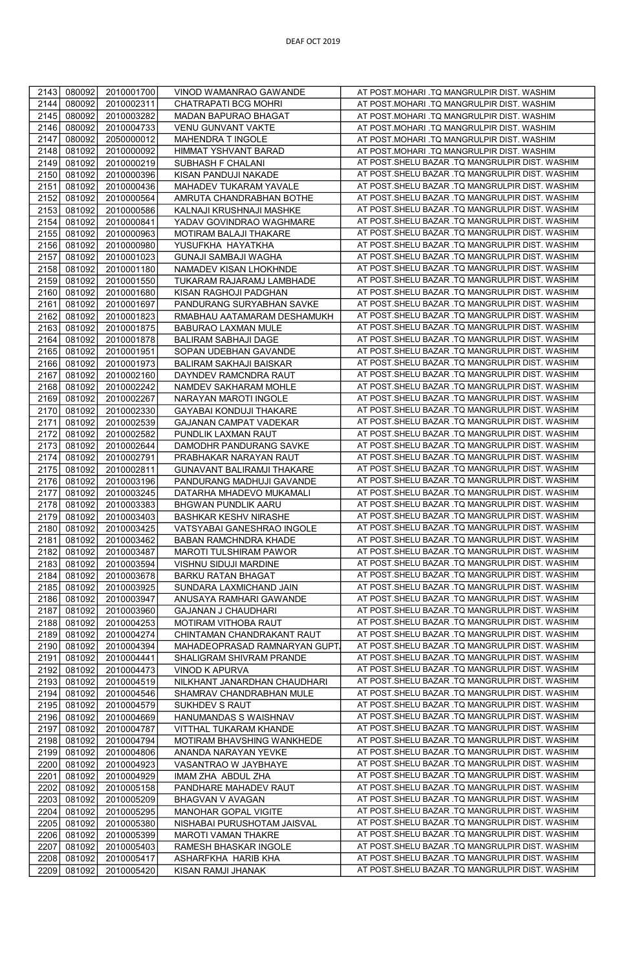| 2143 | 080092 | 2010001700 | VINOD WAMANRAO GAWANDE            | AT POST.MOHARI .TQ MANGRULPIR DIST. WASHIM                                                         |
|------|--------|------------|-----------------------------------|----------------------------------------------------------------------------------------------------|
| 2144 | 080092 | 2010002311 | CHATRAPATI BCG MOHRI              | AT POST.MOHARI .TQ MANGRULPIR DIST. WASHIM                                                         |
| 2145 | 080092 | 2010003282 | MADAN BAPURAO BHAGAT              | AT POST.MOHARI .TQ MANGRULPIR DIST. WASHIM                                                         |
| 2146 | 080092 | 2010004733 | VENU GUNVANT VAKTE                | AT POST.MOHARI .TQ MANGRULPIR DIST. WASHIM                                                         |
| 2147 | 080092 | 2050000012 | MAHENDRA T INGOLE                 | AT POST.MOHARI .TQ MANGRULPIR DIST. WASHIM                                                         |
| 2148 | 081092 | 2010000092 | HIMMAT YSHVANT BARAD              | AT POST.MOHARI .TQ MANGRULPIR DIST. WASHIM                                                         |
| 2149 | 081092 | 2010000219 | SUBHASH F CHALANI                 | AT POST.SHELU BAZAR .TQ MANGRULPIR DIST. WASHIM                                                    |
|      |        |            |                                   | AT POST.SHELU BAZAR .TQ MANGRULPIR DIST. WASHIM                                                    |
| 2150 | 081092 | 2010000396 | KISAN PANDUJI NAKADE              |                                                                                                    |
| 2151 | 081092 | 2010000436 | MAHADEV TUKARAM YAVALE            | AT POST.SHELU BAZAR .TQ MANGRULPIR DIST. WASHIM<br>AT POST.SHELU BAZAR .TQ MANGRULPIR DIST. WASHIM |
| 2152 | 081092 | 2010000564 | AMRUTA CHANDRABHAN BOTHE          | AT POST.SHELU BAZAR .TQ MANGRULPIR DIST. WASHIM                                                    |
| 2153 | 081092 | 2010000586 | KALNAJI KRUSHNAJI MASHKE          |                                                                                                    |
| 2154 | 081092 | 2010000841 | YADAV GOVINDRAO WAGHMARE          | AT POST.SHELU BAZAR .TQ MANGRULPIR DIST. WASHIM                                                    |
| 2155 | 081092 | 2010000963 | MOTIRAM BALAJI THAKARE            | AT POST.SHELU BAZAR .TQ MANGRULPIR DIST. WASHIM                                                    |
| 2156 | 081092 | 2010000980 | YUSUFKHA HAYATKHA                 | AT POST.SHELU BAZAR .TQ MANGRULPIR DIST. WASHIM                                                    |
| 2157 | 081092 | 2010001023 | GUNAJI SAMBAJI WAGHA              | AT POST.SHELU BAZAR .TQ MANGRULPIR DIST. WASHIM                                                    |
| 2158 | 081092 | 2010001180 | NAMADEV KISAN LHOKHNDE            | AT POST.SHELU BAZAR .TQ MANGRULPIR DIST. WASHIM                                                    |
| 2159 | 081092 | 2010001550 | TUKARAM RAJARAMJ LAMBHADE         | AT POST.SHELU BAZAR .TQ MANGRULPIR DIST. WASHIM                                                    |
| 2160 | 081092 | 2010001680 | KISAN RAGHOJI PADGHAN             | AT POST.SHELU BAZAR .TQ MANGRULPIR DIST. WASHIM                                                    |
| 2161 | 081092 | 2010001697 | PANDURANG SURYABHAN SAVKE         | AT POST.SHELU BAZAR .TQ MANGRULPIR DIST. WASHIM                                                    |
| 2162 | 081092 | 2010001823 | RMABHAU AATAMARAM DESHAMUKH       | AT POST.SHELU BAZAR .TQ MANGRULPIR DIST. WASHIM                                                    |
| 2163 | 081092 | 2010001875 | BABURAO LAXMAN MULE               | AT POST.SHELU BAZAR .TQ MANGRULPIR DIST. WASHIM                                                    |
| 2164 | 081092 | 2010001878 | <b>BALIRAM SABHAJI DAGE</b>       | AT POST.SHELU BAZAR .TQ MANGRULPIR DIST. WASHIM                                                    |
| 2165 | 081092 | 2010001951 | SOPAN UDEBHAN GAVANDE             | AT POST.SHELU BAZAR .TQ MANGRULPIR DIST. WASHIM                                                    |
| 2166 | 081092 | 2010001973 | <b>BALIRAM SAKHAJI BAISKAR</b>    | AT POST.SHELU BAZAR .TQ MANGRULPIR DIST. WASHIM                                                    |
| 2167 | 081092 | 2010002160 | DAYNDEV RAMCNDRA RAUT             | AT POST.SHELU BAZAR .TQ MANGRULPIR DIST. WASHIM                                                    |
| 2168 | 081092 | 2010002242 | NAMDEV SAKHARAM MOHLE             | AT POST.SHELU BAZAR .TQ MANGRULPIR DIST. WASHIM                                                    |
| 2169 | 081092 | 2010002267 | NARAYAN MAROTI INGOLE             | AT POST.SHELU BAZAR .TQ MANGRULPIR DIST. WASHIM                                                    |
| 2170 | 081092 | 2010002330 | GAYABAI KONDUJI THAKARE           | AT POST.SHELU BAZAR .TQ MANGRULPIR DIST. WASHIM                                                    |
| 2171 | 081092 | 2010002539 | GAJANAN CAMPAT VADEKAR            | AT POST.SHELU BAZAR .TQ MANGRULPIR DIST. WASHIM                                                    |
| 2172 | 081092 | 2010002582 | PUNDLIK LAXMAN RAUT               | AT POST.SHELU BAZAR .TQ MANGRULPIR DIST. WASHIM                                                    |
| 2173 | 081092 | 2010002644 | DAMODHR PANDURANG SAVKE           | AT POST. SHELU BAZAR .TQ MANGRULPIR DIST. WASHIM                                                   |
| 2174 | 081092 | 2010002791 | PRABHAKAR NARAYAN RAUT            | AT POST.SHELU BAZAR .TQ MANGRULPIR DIST. WASHIM                                                    |
| 2175 | 081092 | 2010002811 | <b>GUNAVANT BALIRAMJI THAKARE</b> | AT POST.SHELU BAZAR .TQ MANGRULPIR DIST. WASHIM                                                    |
| 2176 | 081092 | 2010003196 | PANDURANG MADHUJI GAVANDE         | AT POST.SHELU BAZAR .TQ MANGRULPIR DIST. WASHIM                                                    |
| 2177 | 081092 | 2010003245 | DATARHA MHADEVO MUKAMALI          | AT POST.SHELU BAZAR .TQ MANGRULPIR DIST. WASHIM                                                    |
| 2178 | 081092 | 2010003383 | BHGWAN PUNDLIK AARU               | AT POST.SHELU BAZAR .TQ MANGRULPIR DIST. WASHIM                                                    |
| 2179 | 081092 | 2010003403 | <b>BASHKAR KESHV NIRASHE</b>      | AT POST.SHELU BAZAR .TQ MANGRULPIR DIST. WASHIM                                                    |
| 2180 | 081092 | 2010003425 | VATSYABAI GANESHRAO INGOLE        | AT POST.SHELU BAZAR .TQ MANGRULPIR DIST. WASHIM                                                    |
| 2181 | 081092 | 2010003462 | BABAN RAMCHNDRA KHADE             | AT POST.SHELU BAZAR .TQ MANGRULPIR DIST. WASHIM                                                    |
| 2182 | 081092 | 2010003487 | MAROTI TULSHIRAM PAWOR            | AT POST.SHELU BAZAR .TQ MANGRULPIR DIST. WASHIM                                                    |
| 2183 | 081092 | 2010003594 | VISHNU SIDUJI MARDINE             | AT POST.SHELU BAZAR .TQ MANGRULPIR DIST. WASHIM                                                    |
| 2184 | 081092 | 2010003678 | BARKU RATAN BHAGAT                | AT POST.SHELU BAZAR .TQ MANGRULPIR DIST. WASHIM                                                    |
| 2185 | 081092 | 2010003925 | SUNDARA LAXMICHAND JAIN           | AT POST.SHELU BAZAR .TQ MANGRULPIR DIST. WASHIM                                                    |
| 2186 | 081092 | 2010003947 | ANUSAYA RAMHARI GAWANDE           | AT POST.SHELU BAZAR .TQ MANGRULPIR DIST. WASHIM                                                    |
| 2187 | 081092 | 2010003960 | <b>GAJANAN J CHAUDHARI</b>        | AT POST.SHELU BAZAR .TQ MANGRULPIR DIST. WASHIM                                                    |
| 2188 | 081092 | 2010004253 | MOTIRAM VITHOBA RAUT              | AT POST.SHELU BAZAR .TQ MANGRULPIR DIST. WASHIM                                                    |
| 2189 | 081092 | 2010004274 | CHINTAMAN CHANDRAKANT RAUT        | AT POST.SHELU BAZAR .TQ MANGRULPIR DIST. WASHIM                                                    |
| 2190 | 081092 | 2010004394 | MAHADEOPRASAD RAMNARYAN GUPT.     | AT POST.SHELU BAZAR .TQ MANGRULPIR DIST. WASHIM                                                    |
| 2191 | 081092 | 2010004441 | SHALIGRAM SHIVRAM PRANDE          | AT POST.SHELU BAZAR .TQ MANGRULPIR DIST. WASHIM                                                    |
| 2192 | 081092 | 2010004473 | <b>VINOD K APURVA</b>             | AT POST.SHELU BAZAR .TQ MANGRULPIR DIST. WASHIM                                                    |
| 2193 | 081092 | 2010004519 | NILKHANT JANARDHAN CHAUDHARI      | AT POST.SHELU BAZAR .TQ MANGRULPIR DIST. WASHIM                                                    |
| 2194 | 081092 | 2010004546 | SHAMRAV CHANDRABHAN MULE          | AT POST.SHELU BAZAR .TQ MANGRULPIR DIST. WASHIM                                                    |
| 2195 | 081092 | 2010004579 | SUKHDEV S RAUT                    | AT POST.SHELU BAZAR .TQ MANGRULPIR DIST. WASHIM                                                    |
| 2196 | 081092 | 2010004669 | HANUMANDAS S WAISHNAV             | AT POST.SHELU BAZAR .TQ MANGRULPIR DIST. WASHIM                                                    |
| 2197 | 081092 | 2010004787 | VITTHAL TUKARAM KHANDE            | AT POST.SHELU BAZAR .TQ MANGRULPIR DIST. WASHIM                                                    |
| 2198 | 081092 | 2010004794 | MOTIRAM BHAVSHING WANKHEDE        | AT POST.SHELU BAZAR .TQ MANGRULPIR DIST. WASHIM                                                    |
| 2199 | 081092 | 2010004806 | ANANDA NARAYAN YEVKE              | AT POST.SHELU BAZAR .TQ MANGRULPIR DIST. WASHIM                                                    |
| 2200 | 081092 | 2010004923 | VASANTRAO W JAYBHAYE              | AT POST.SHELU BAZAR .TQ MANGRULPIR DIST. WASHIM                                                    |
| 2201 | 081092 | 2010004929 | IMAM ZHA ABDUL ZHA                | AT POST.SHELU BAZAR .TQ MANGRULPIR DIST. WASHIM                                                    |
| 2202 | 081092 | 2010005158 | PANDHARE MAHADEV RAUT             | AT POST.SHELU BAZAR .TQ MANGRULPIR DIST. WASHIM                                                    |
| 2203 | 081092 | 2010005209 | BHAGVAN V AVAGAN                  | AT POST.SHELU BAZAR .TQ MANGRULPIR DIST. WASHIM                                                    |
| 2204 | 081092 | 2010005295 | MANOHAR GOPAL VIGITE              | AT POST.SHELU BAZAR .TQ MANGRULPIR DIST. WASHIM                                                    |
| 2205 | 081092 | 2010005380 | NISHABAI PURUSHOTAM JAISVAL       | AT POST.SHELU BAZAR .TQ MANGRULPIR DIST. WASHIM                                                    |
| 2206 | 081092 | 2010005399 | MAROTI VAMAN THAKRE               | AT POST.SHELU BAZAR .TQ MANGRULPIR DIST. WASHIM                                                    |
| 2207 | 081092 | 2010005403 | RAMESH BHASKAR INGOLE             | AT POST.SHELU BAZAR .TQ MANGRULPIR DIST. WASHIM                                                    |
| 2208 | 081092 | 2010005417 | ASHARFKHA HARIB KHA               | AT POST.SHELU BAZAR .TQ MANGRULPIR DIST. WASHIM                                                    |
| 2209 | 081092 | 2010005420 | KISAN RAMJI JHANAK                | AT POST.SHELU BAZAR .TQ MANGRULPIR DIST. WASHIM                                                    |
|      |        |            |                                   |                                                                                                    |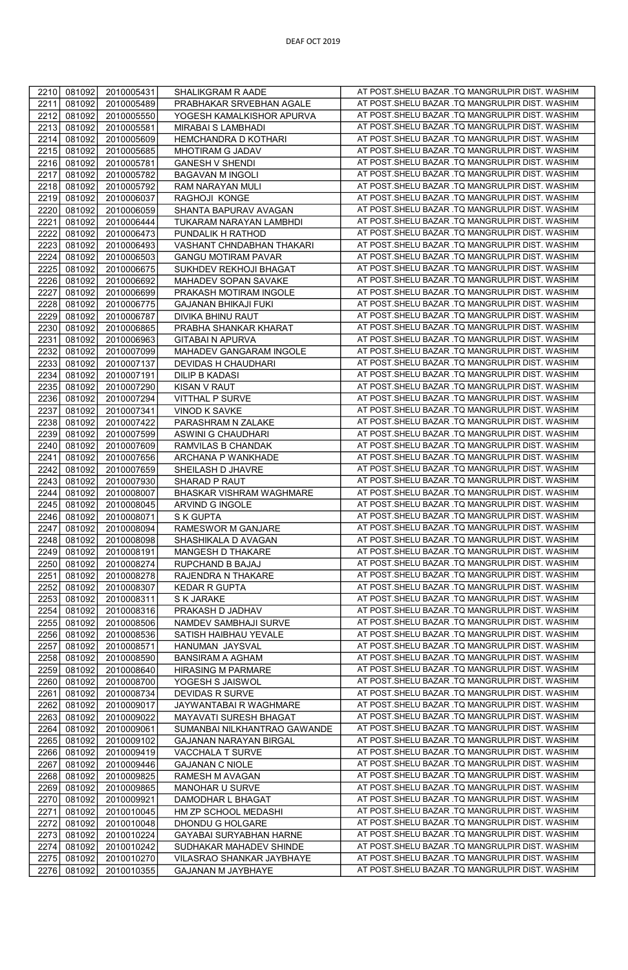| 2210         | 081092           | 2010005431 | SHALIKGRAM R AADE            | AT POST.SHELU BAZAR .TQ MANGRULPIR DIST. WASHIM                                                     |
|--------------|------------------|------------|------------------------------|-----------------------------------------------------------------------------------------------------|
| 2211         | 081092           | 2010005489 | PRABHAKAR SRVEBHAN AGALE     | AT POST.SHELU BAZAR .TQ MANGRULPIR DIST. WASHIM                                                     |
| 2212         | 081092           | 2010005550 | YOGESH KAMALKISHOR APURVA    | AT POST.SHELU BAZAR .TQ MANGRULPIR DIST. WASHIM                                                     |
| 2213         | 081092           | 2010005581 | MIRABAI S LAMBHADI           | AT POST.SHELU BAZAR .TQ MANGRULPIR DIST. WASHIM                                                     |
| 2214         | 081092           | 2010005609 | HEMCHANDRA D KOTHARI         | AT POST.SHELU BAZAR .TQ MANGRULPIR DIST. WASHIM                                                     |
| 2215         | 081092           | 2010005685 | MHOTIRAM G JADAV             | AT POST.SHELU BAZAR .TQ MANGRULPIR DIST. WASHIM                                                     |
| 2216         | 081092           | 2010005781 | <b>GANESH V SHENDI</b>       | AT POST.SHELU BAZAR .TQ MANGRULPIR DIST. WASHIM                                                     |
| 2217         | 081092           | 2010005782 | <b>BAGAVAN M INGOLI</b>      | AT POST.SHELU BAZAR .TQ MANGRULPIR DIST. WASHIM                                                     |
| 2218         | 081092           | 2010005792 | RAM NARAYAN MULI             | AT POST.SHELU BAZAR .TQ MANGRULPIR DIST. WASHIM                                                     |
| 2219         | 081092           | 2010006037 | RAGHOJI KONGE                | AT POST.SHELU BAZAR .TQ MANGRULPIR DIST. WASHIM                                                     |
| 2220         | 081092           | 2010006059 | SHANTA BAPURAV AVAGAN        | AT POST.SHELU BAZAR .TQ MANGRULPIR DIST. WASHIM                                                     |
| 2221         | 081092           | 2010006444 | TUKARAM NARAYAN LAMBHDI      | AT POST.SHELU BAZAR .TQ MANGRULPIR DIST. WASHIM                                                     |
| 2222         | 081092           | 2010006473 | PUNDALIK H RATHOD            | AT POST.SHELU BAZAR .TQ MANGRULPIR DIST. WASHIM                                                     |
| 2223         | 081092           | 2010006493 | VASHANT CHNDABHAN THAKARI    | AT POST.SHELU BAZAR .TQ MANGRULPIR DIST. WASHIM                                                     |
| 2224         | 081092           | 2010006503 | <b>GANGU MOTIRAM PAVAR</b>   | AT POST.SHELU BAZAR .TQ MANGRULPIR DIST. WASHIM                                                     |
| 2225         | 081092           | 2010006675 | SUKHDEV REKHOJI BHAGAT       | AT POST.SHELU BAZAR .TQ MANGRULPIR DIST. WASHIM                                                     |
| 2226         | 081092           | 2010006692 | MAHADEV SOPAN SAVAKE         | AT POST. SHELU BAZAR .TQ MANGRULPIR DIST. WASHIM                                                    |
| 2227         | 081092           | 2010006699 | PRAKASH MOTIRAM INGOLE       | AT POST.SHELU BAZAR .TQ MANGRULPIR DIST. WASHIM                                                     |
| 2228         | 081092           | 2010006775 | GAJANAN BHIKAJI FUKI         | AT POST.SHELU BAZAR .TQ MANGRULPIR DIST. WASHIM                                                     |
| 2229         | 081092           | 2010006787 | DIVIKA BHINU RAUT            | AT POST.SHELU BAZAR .TQ MANGRULPIR DIST. WASHIM                                                     |
| 2230         | 081092           | 2010006865 | PRABHA SHANKAR KHARAT        | AT POST.SHELU BAZAR .TQ MANGRULPIR DIST. WASHIM                                                     |
| 2231         | 081092           | 2010006963 | <b>GITABAI N APURVA</b>      | AT POST.SHELU BAZAR .TQ MANGRULPIR DIST. WASHIM                                                     |
| 2232         | 081092           | 2010007099 | MAHADEV GANGARAM INGOLE      | AT POST.SHELU BAZAR .TQ MANGRULPIR DIST. WASHIM                                                     |
| 2233         | 081092           | 2010007137 | DEVIDAS H CHAUDHARI          | AT POST.SHELU BAZAR .TQ MANGRULPIR DIST. WASHIM                                                     |
| 2234         | 081092           | 2010007191 | DILIP B KADASI               | AT POST.SHELU BAZAR .TQ MANGRULPIR DIST. WASHIM                                                     |
| 2235         | 081092           | 2010007290 | <b>KISAN V RAUT</b>          | AT POST.SHELU BAZAR .TQ MANGRULPIR DIST. WASHIM                                                     |
| 2236         | 081092           | 2010007294 | VITTHAL P SURVE              | AT POST.SHELU BAZAR .TQ MANGRULPIR DIST. WASHIM                                                     |
| 2237         | 081092           | 2010007341 | VINOD K SAVKE                | AT POST.SHELU BAZAR .TQ MANGRULPIR DIST. WASHIM                                                     |
| 2238         | 081092           | 2010007422 | PARASHRAM N ZALAKE           | AT POST.SHELU BAZAR .TQ MANGRULPIR DIST. WASHIM                                                     |
| 2239         | 081092           | 2010007599 | ASWINI G CHAUDHARI           | AT POST.SHELU BAZAR .TQ MANGRULPIR DIST. WASHIM                                                     |
| 2240         | 081092           | 2010007609 | RAMVILAS B CHANDAK           | AT POST.SHELU BAZAR .TQ MANGRULPIR DIST. WASHIM                                                     |
| 2241         | 081092           | 2010007656 | ARCHANA P WANKHADE           | AT POST.SHELU BAZAR .TQ MANGRULPIR DIST. WASHIM                                                     |
| 2242         | 081092           | 2010007659 | SHEILASH D JHAVRE            | AT POST.SHELU BAZAR .TQ MANGRULPIR DIST. WASHIM                                                     |
| 2243         | 081092           | 2010007930 | SHARAD P RAUT                | AT POST.SHELU BAZAR .TQ MANGRULPIR DIST. WASHIM                                                     |
| 2244         | 081092           | 2010008007 | BHASKAR VISHRAM WAGHMARE     | AT POST.SHELU BAZAR .TQ MANGRULPIR DIST. WASHIM                                                     |
| 2245         | 081092           | 2010008045 | ARVIND G INGOLE              | AT POST.SHELU BAZAR .TQ MANGRULPIR DIST. WASHIM                                                     |
| 2246         | 081092           | 2010008071 | S K GUPTA                    | AT POST.SHELU BAZAR .TQ MANGRULPIR DIST. WASHIM                                                     |
| 2247         | 081092           | 2010008094 | RAMESWOR M GANJARE           | AT POST.SHELU BAZAR .TQ MANGRULPIR DIST. WASHIM                                                     |
| 2248         | 081092           | 2010008098 | SHASHIKALA D AVAGAN          | AT POST.SHELU BAZAR .TQ MANGRULPIR DIST. WASHIM                                                     |
| 2249         | 081092           | 2010008191 | MANGESH D THAKARE            | AT POST.SHELU BAZAR .TQ MANGRULPIR DIST. WASHIM                                                     |
| 2250         | 081092           | 2010008274 | RUPCHAND B BAJAJ             | AT POST.SHELU BAZAR .TQ MANGRULPIR DIST. WASHIM                                                     |
| 2251         | 081092           | 2010008278 | RAJENDRA N THAKARE           | AT POST.SHELU BAZAR .TQ MANGRULPIR DIST. WASHIM                                                     |
| 2252         | 081092           | 2010008307 | <b>KEDAR R GUPTA</b>         | AT POST.SHELU BAZAR .TQ MANGRULPIR DIST. WASHIM                                                     |
| 2253         | 081092           | 2010008311 | <b>S K JARAKE</b>            | AT POST.SHELU BAZAR .TQ MANGRULPIR DIST. WASHIM                                                     |
| 2254         | 081092           | 2010008316 | PRAKASH D JADHAV             | AT POST.SHELU BAZAR .TQ MANGRULPIR DIST. WASHIM                                                     |
| 2255         | 081092           | 2010008506 | NAMDEV SAMBHAJI SURVE        | AT POST.SHELU BAZAR .TQ MANGRULPIR DIST. WASHIM                                                     |
| 2256         | 081092           | 2010008536 | SATISH HAIBHAU YEVALE        | AT POST.SHELU BAZAR .TQ MANGRULPIR DIST. WASHIM                                                     |
| 2257         | 081092           | 2010008571 | HANUMAN JAYSVAL              | AT POST.SHELU BAZAR .TQ MANGRULPIR DIST. WASHIM                                                     |
| 2258         | 081092           | 2010008590 | <b>BANSIRAM A AGHAM</b>      | AT POST.SHELU BAZAR .TQ MANGRULPIR DIST. WASHIM                                                     |
| 2259         | 081092           | 2010008640 | <b>HIRASING M PARMARE</b>    | AT POST.SHELU BAZAR .TQ MANGRULPIR DIST. WASHIM                                                     |
| 2260         | 081092           | 2010008700 | YOGESH S JAISWOL             | AT POST.SHELU BAZAR .TQ MANGRULPIR DIST. WASHIM                                                     |
| 2261         | 081092           | 2010008734 | <b>DEVIDAS R SURVE</b>       | AT POST.SHELU BAZAR .TQ MANGRULPIR DIST. WASHIM                                                     |
| 2262         | 081092           | 2010009017 | JAYWANTABAI R WAGHMARE       | AT POST.SHELU BAZAR .TQ MANGRULPIR DIST. WASHIM                                                     |
| 2263         | 081092           | 2010009022 | MAYAVATI SURESH BHAGAT       | AT POST.SHELU BAZAR .TQ MANGRULPIR DIST. WASHIM                                                     |
| 2264         | 081092           | 2010009061 | SUMANBAI NILKHANTRAO GAWANDE | AT POST.SHELU BAZAR .TQ MANGRULPIR DIST. WASHIM                                                     |
| 2265         | 081092           | 2010009102 | GAJANAN NARAYAN BIRGAL       | AT POST.SHELU BAZAR .TQ MANGRULPIR DIST. WASHIM                                                     |
| 2266         | 081092           | 2010009419 | VACCHALA T SURVE             | AT POST.SHELU BAZAR .TQ MANGRULPIR DIST. WASHIM                                                     |
| 2267         | 081092           | 2010009446 | <b>GAJANAN C NIOLE</b>       | AT POST.SHELU BAZAR .TQ MANGRULPIR DIST. WASHIM                                                     |
| 2268         | 081092           | 2010009825 | RAMESH M AVAGAN              | AT POST.SHELU BAZAR .TQ MANGRULPIR DIST. WASHIM                                                     |
| 2269         | 081092           | 2010009865 | MANOHAR U SURVE              | AT POST.SHELU BAZAR .TQ MANGRULPIR DIST. WASHIM                                                     |
| 2270         | 081092           | 2010009921 | DAMODHAR L BHAGAT            | AT POST.SHELU BAZAR .TQ MANGRULPIR DIST. WASHIM                                                     |
| 2271         |                  | 2010010045 | HM ZP SCHOOL MEDASHI         | AT POST.SHELU BAZAR .TQ MANGRULPIR DIST. WASHIM                                                     |
|              | 081092           |            |                              |                                                                                                     |
| 2272         | 081092           | 2010010048 | DHONDU G HOLGARE             | AT POST.SHELU BAZAR .TQ MANGRULPIR DIST. WASHIM                                                     |
| 2273         | 081092           | 2010010224 | GAYABAI SURYABHAN HARNE      | AT POST.SHELU BAZAR .TQ MANGRULPIR DIST. WASHIM                                                     |
| 2274         | 081092           | 2010010242 | SUDHAKAR MAHADEV SHINDE      | AT POST.SHELU BAZAR .TQ MANGRULPIR DIST. WASHIM                                                     |
| 2275<br>2276 | 081092<br>081092 | 2010010270 | VILASRAO SHANKAR JAYBHAYE    | AT POST.SHELU BAZAR .TQ MANGRULPIR DIST. WASHIM<br>AT POST. SHELU BAZAR .TQ MANGRULPIR DIST. WASHIM |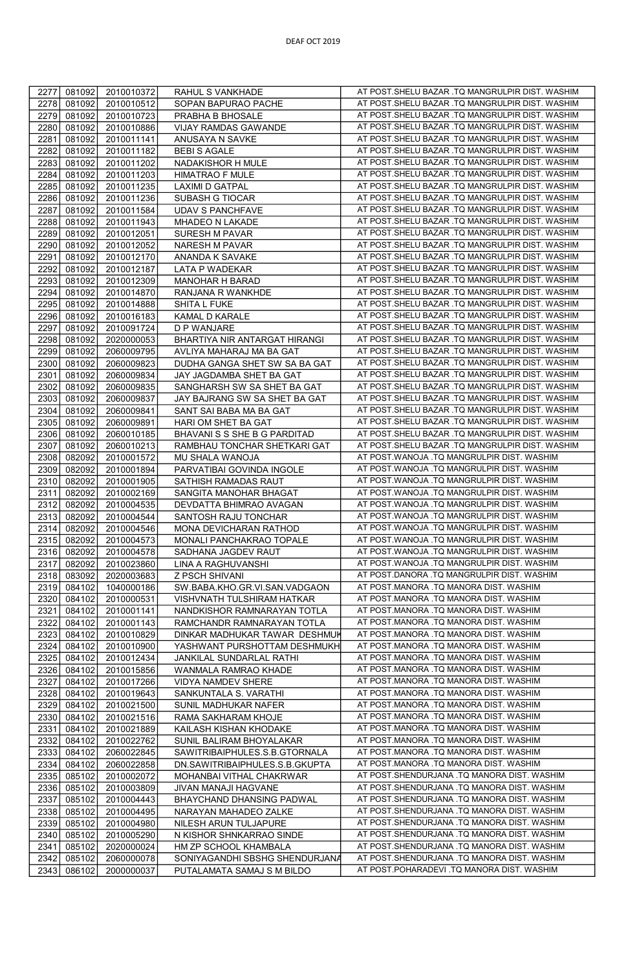| 2277         | 081092 | 2010010372 | RAHUL S VANKHADE               | AT POST.SHELU BAZAR .TQ MANGRULPIR DIST. WASHIM |
|--------------|--------|------------|--------------------------------|-------------------------------------------------|
|              |        |            |                                |                                                 |
| 2278         | 081092 | 2010010512 | SOPAN BAPURAO PACHE            | AT POST.SHELU BAZAR .TQ MANGRULPIR DIST. WASHIM |
| 2279         | 081092 | 2010010723 | PRABHA B BHOSALE               | AT POST.SHELU BAZAR .TQ MANGRULPIR DIST. WASHIM |
| 2280         | 081092 | 2010010886 | VIJAY RAMDAS GAWANDE           | AT POST.SHELU BAZAR .TQ MANGRULPIR DIST. WASHIM |
| 2281         | 081092 | 2010011141 | ANUSAYA N SAVKE                | AT POST.SHELU BAZAR .TQ MANGRULPIR DIST. WASHIM |
| 2282         | 081092 | 2010011182 | <b>BEBI S AGALE</b>            | AT POST.SHELU BAZAR .TQ MANGRULPIR DIST. WASHIM |
| 2283         | 081092 | 2010011202 | NADAKISHOR H MULE              | AT POST.SHELU BAZAR .TQ MANGRULPIR DIST. WASHIM |
| 2284         | 081092 | 2010011203 | <b>HIMATRAO F MULE</b>         | AT POST.SHELU BAZAR .TQ MANGRULPIR DIST. WASHIM |
| 2285         | 081092 | 2010011235 | <b>LAXIMI D GATPAL</b>         | AT POST.SHELU BAZAR .TQ MANGRULPIR DIST. WASHIM |
| 2286         | 081092 | 2010011236 | SUBASH G TIOCAR                | AT POST.SHELU BAZAR .TQ MANGRULPIR DIST. WASHIM |
|              |        |            |                                | AT POST.SHELU BAZAR .TQ MANGRULPIR DIST. WASHIM |
| 2287         | 081092 | 2010011584 | <b>UDAV S PANCHFAVE</b>        |                                                 |
| 2288         | 081092 | 2010011943 | MHADEO N LAKADE                | AT POST.SHELU BAZAR .TQ MANGRULPIR DIST. WASHIM |
| 2289         | 081092 | 2010012051 | SURESH M PAVAR                 | AT POST.SHELU BAZAR .TQ MANGRULPIR DIST. WASHIM |
| 2290         | 081092 | 2010012052 | NARESH M PAVAR                 | AT POST.SHELU BAZAR .TQ MANGRULPIR DIST. WASHIM |
| 2291         | 081092 | 2010012170 | ANANDA K SAVAKE                | AT POST.SHELU BAZAR .TQ MANGRULPIR DIST. WASHIM |
| 2292         | 081092 | 2010012187 | LATA P WADEKAR                 | AT POST.SHELU BAZAR .TQ MANGRULPIR DIST. WASHIM |
| 2293         | 081092 | 2010012309 | MANOHAR H BARAD                | AT POST.SHELU BAZAR .TQ MANGRULPIR DIST. WASHIM |
| 2294         | 081092 | 2010014870 | RANJANA R WANKHDE              | AT POST.SHELU BAZAR .TQ MANGRULPIR DIST. WASHIM |
| 2295         | 081092 | 2010014888 | SHITA L FUKE                   | AT POST.SHELU BAZAR .TQ MANGRULPIR DIST. WASHIM |
|              |        |            |                                | AT POST.SHELU BAZAR .TQ MANGRULPIR DIST. WASHIM |
| 2296         | 081092 | 2010016183 | KAMAL D KARALE                 |                                                 |
| 2297         | 081092 | 2010091724 | D P WANJARE                    | AT POST.SHELU BAZAR .TQ MANGRULPIR DIST. WASHIM |
| 2298         | 081092 | 2020000053 | BHARTIYA NIR ANTARGAT HIRANGI  | AT POST.SHELU BAZAR .TQ MANGRULPIR DIST. WASHIM |
| 2299         | 081092 | 2060009795 | AVLIYA MAHARAJ MA BA GAT       | AT POST.SHELU BAZAR .TQ MANGRULPIR DIST. WASHIM |
| 2300         | 081092 | 2060009823 | DUDHA GANGA SHET SW SA BA GAT  | AT POST.SHELU BAZAR .TQ MANGRULPIR DIST. WASHIM |
| 2301         | 081092 | 2060009834 | JAY JAGDAMBA SHET BA GAT       | AT POST.SHELU BAZAR .TQ MANGRULPIR DIST. WASHIM |
| 2302         | 081092 | 2060009835 | SANGHARSH SW SA SHET BA GAT    | AT POST.SHELU BAZAR .TQ MANGRULPIR DIST. WASHIM |
| 2303         | 081092 | 2060009837 | JAY BAJRANG SW SA SHET BA GAT  | AT POST.SHELU BAZAR .TQ MANGRULPIR DIST. WASHIM |
| 2304         | 081092 | 2060009841 | SANT SAI BABA MA BA GAT        | AT POST.SHELU BAZAR .TQ MANGRULPIR DIST. WASHIM |
| 2305         | 081092 | 2060009891 | HARI OM SHET BA GAT            | AT POST.SHELU BAZAR .TQ MANGRULPIR DIST. WASHIM |
| 2306         | 081092 | 2060010185 | BHAVANI S S SHE B G PARDITAD   | AT POST.SHELU BAZAR .TQ MANGRULPIR DIST. WASHIM |
| 2307         | 081092 | 2060010213 | RAMBHAU TONCHAR SHETKARI GAT   | AT POST.SHELU BAZAR .TQ MANGRULPIR DIST. WASHIM |
| 2308         | 082092 | 2010001572 | MU SHALA WANOJA                | AT POST.WANOJA .TQ MANGRULPIR DIST. WASHIM      |
|              |        |            |                                | AT POST.WANOJA .TQ MANGRULPIR DIST. WASHIM      |
| 2309         | 082092 | 2010001894 | PARVATIBAI GOVINDA INGOLE      |                                                 |
| 2310         | 082092 | 2010001905 | SATHISH RAMADAS RAUT           | AT POST.WANOJA .TQ MANGRULPIR DIST. WASHIM      |
| 2311         | 082092 | 2010002169 | SANGITA MANOHAR BHAGAT         | AT POST.WANOJA .TQ MANGRULPIR DIST. WASHIM      |
| 2312         | 082092 | 2010004535 | DEVDATTA BHIMRAO AVAGAN        | AT POST.WANOJA .TQ MANGRULPIR DIST. WASHIM      |
| 2313         | 082092 | 2010004544 | SANTOSH RAJU TONCHAR           | AT POST.WANOJA .TQ MANGRULPIR DIST. WASHIM      |
| 2314         | 082092 | 2010004546 | MONA DEVICHARAN RATHOD         | AT POST.WANOJA .TQ MANGRULPIR DIST. WASHIM      |
| 2315         | 082092 | 2010004573 | MONALI PANCHAKRAO TOPALE       | AT POST.WANOJA .TQ MANGRULPIR DIST. WASHIM      |
| 2316         | 082092 | 2010004578 | SADHANA JAGDEV RAUT            | AT POST.WANOJA .TQ MANGRULPIR DIST. WASHIM      |
| 2317         | 082092 | 2010023860 | LINA A RAGHUVANSHI             | AT POST.WANOJA .TQ MANGRULPIR DIST. WASHIM      |
| 2318         | 083092 | 2020003683 | Z PSCH SHIVANI                 | AT POST.DANORA .TQ MANGRULPIR DIST. WASHIM      |
| 2319         | 084102 | 1040000186 | SW.BABA.KHO.GR.VI.SAN.VADGAON  | AT POST.MANORA .TQ MANORA DIST. WASHIM          |
| 2320         | 084102 | 2010000531 | VISHVNATH TULSHIRAM HATKAR     | AT POST.MANORA .TQ MANORA DIST. WASHIM          |
| 2321         | 084102 | 2010001141 | NANDKISHOR RAMNARAYAN TOTLA    | AT POST.MANORA .TQ MANORA DIST. WASHIM          |
| 2322         | 084102 | 2010001143 | RAMCHANDR RAMNARAYAN TOTLA     | AT POST.MANORA .TQ MANORA DIST. WASHIM          |
| 2323         | 084102 | 2010010829 | DINKAR MADHUKAR TAWAR DESHMUK  | AT POST.MANORA .TQ MANORA DIST. WASHIM          |
| 2324         | 084102 | 2010010900 | YASHWANT PURSHOTTAM DESHMUKH   | AT POST.MANORA .TQ MANORA DIST. WASHIM          |
| 2325         | 084102 |            |                                | AT POST.MANORA .TQ MANORA DIST. WASHIM          |
|              |        | 2010012434 | JANKILAL SUNDARLAL RATHI       |                                                 |
| 2326         | 084102 | 2010015856 | WANMALA RAMRAO KHADE           | AT POST.MANORA .TQ MANORA DIST. WASHIM          |
| 2327         | 084102 | 2010017266 | VIDYA NAMDEV SHERE             | AT POST.MANORA .TQ MANORA DIST. WASHIM          |
| 2328         | 084102 | 2010019643 | SANKUNTALA S. VARATHI          | AT POST.MANORA .TQ MANORA DIST. WASHIM          |
| 2329         | 084102 | 2010021500 | SUNIL MADHUKAR NAFER           | AT POST.MANORA .TQ MANORA DIST. WASHIM          |
| 2330         | 084102 | 2010021516 | RAMA SAKHARAM KHOJE            | AT POST.MANORA .TQ MANORA DIST. WASHIM          |
| 2331         | 084102 | 2010021889 | KAILASH KISHAN KHODAKE         | AT POST.MANORA .TQ MANORA DIST. WASHIM          |
| 2332         | 084102 | 2010022762 | SUNIL BALIRAM BHOYALAKAR       | AT POST.MANORA .TQ MANORA DIST. WASHIM          |
| 2333         | 084102 | 2060022845 | SAWITRIBAIPHULES.S.B.GTORNALA  | AT POST.MANORA .TQ MANORA DIST. WASHIM          |
| 2334         | 084102 | 2060022858 | DN.SAWITRIBAIPHULES.S.B.GKUPTA | AT POST.MANORA .TQ MANORA DIST. WASHIM          |
| 2335         | 085102 | 2010002072 | MOHANBAI VITHAL CHAKRWAR       | AT POST.SHENDURJANA .TQ MANORA DIST. WASHIM     |
| 2336         | 085102 | 2010003809 | JIVAN MANAJI HAGVANE           | AT POST.SHENDURJANA .TQ MANORA DIST. WASHIM     |
| 2337         | 085102 | 2010004443 | BHAYCHAND DHANSING PADWAL      | AT POST.SHENDURJANA .TQ MANORA DIST. WASHIM     |
| 2338         | 085102 | 2010004495 | NARAYAN MAHADEO ZALKE          | AT POST.SHENDURJANA .TQ MANORA DIST. WASHIM     |
| 2339         | 085102 |            |                                | AT POST.SHENDURJANA .TQ MANORA DIST. WASHIM     |
|              |        | 2010004980 | NILESH ARUN TULJAPURE          | AT POST.SHENDURJANA .TQ MANORA DIST. WASHIM     |
| 2340         | 085102 | 2010005290 | N KISHOR SHNKARRAO SINDE       |                                                 |
| 2341         | 085102 | 2020000024 | HM ZP SCHOOL KHAMBALA          | AT POST.SHENDURJANA .TQ MANORA DIST. WASHIM     |
| 2342<br>2343 | 085102 | 2060000078 | SONIYAGANDHI SBSHG SHENDURJANA | AT POST.SHENDURJANA .TQ MANORA DIST. WASHIM     |
|              | 086102 | 2000000037 | PUTALAMATA SAMAJ S M BILDO     | AT POST.POHARADEVI .TQ MANORA DIST. WASHIM      |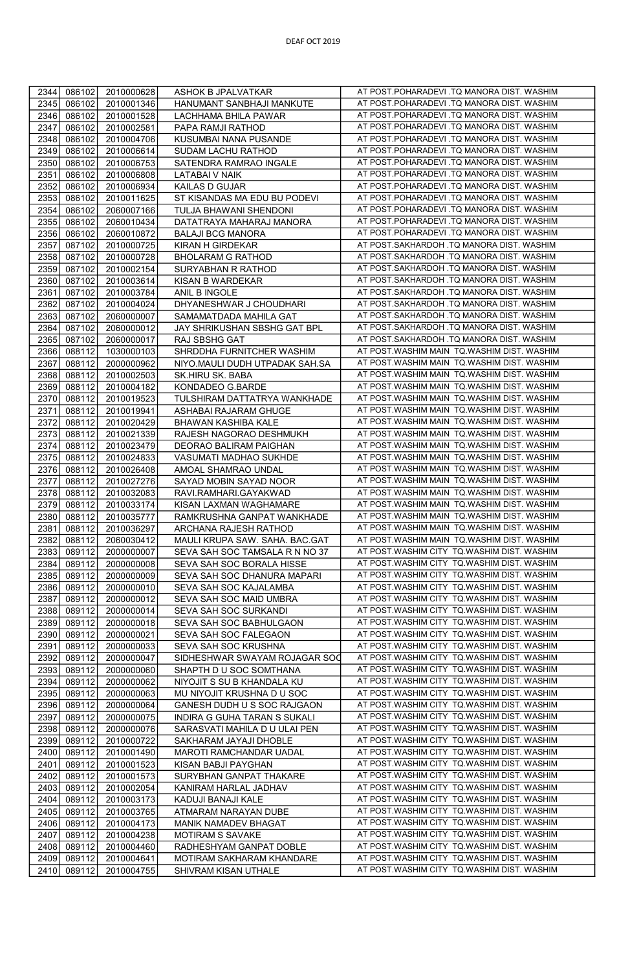| 2344 | 086102 | 2010000628 | ASHOK B JPALVATKAR             | AT POST.POHARADEVI .TQ MANORA DIST. WASHIM |
|------|--------|------------|--------------------------------|--------------------------------------------|
| 2345 | 086102 | 2010001346 | HANUMANT SANBHAJI MANKUTE      | AT POST.POHARADEVI .TQ MANORA DIST. WASHIM |
| 2346 | 086102 | 2010001528 | LACHHAMA BHILA PAWAR           | AT POST.POHARADEVI .TQ MANORA DIST. WASHIM |
| 2347 | 086102 | 2010002581 | PAPA RAMJI RATHOD              | AT POST.POHARADEVI .TQ MANORA DIST. WASHIM |
| 2348 |        | 2010004706 | KUSUMBAI NANA PUSANDE          | AT POST.POHARADEVI .TQ MANORA DIST. WASHIM |
|      | 086102 |            |                                | AT POST.POHARADEVI .TQ MANORA DIST. WASHIM |
| 2349 | 086102 | 2010006614 | SUDAM LACHU RATHOD             |                                            |
| 2350 | 086102 | 2010006753 | SATENDRA RAMRAO INGALE         | AT POST.POHARADEVI .TQ MANORA DIST. WASHIM |
| 2351 | 086102 | 2010006808 | <b>LATABAI V NAIK</b>          | AT POST.POHARADEVI .TQ MANORA DIST. WASHIM |
| 2352 | 086102 | 2010006934 | KAILAS D GUJAR                 | AT POST.POHARADEVI .TQ MANORA DIST. WASHIM |
| 2353 | 086102 | 2010011625 | ST KISANDAS MA EDU BU PODEVI   | AT POST.POHARADEVI .TQ MANORA DIST. WASHIM |
| 2354 | 086102 | 2060007166 | TULJA BHAWANI SHENDONI         | AT POST.POHARADEVI .TQ MANORA DIST. WASHIM |
| 2355 | 086102 | 2060010434 | DATATRAYA MAHARAJ MANORA       | AT POST.POHARADEVI .TQ MANORA DIST. WASHIM |
| 2356 | 086102 | 2060010872 | <b>BALAJI BCG MANORA</b>       | AT POST.POHARADEVI .TQ MANORA DIST. WASHIM |
| 2357 | 087102 | 2010000725 | <b>KIRAN H GIRDEKAR</b>        | AT POST.SAKHARDOH .TQ MANORA DIST. WASHIM  |
| 2358 | 087102 | 2010000728 | <b>BHOLARAM G RATHOD</b>       | AT POST.SAKHARDOH .TQ MANORA DIST. WASHIM  |
| 2359 | 087102 | 2010002154 | SURYABHAN R RATHOD             | AT POST.SAKHARDOH .TQ MANORA DIST. WASHIM  |
| 2360 | 087102 | 2010003614 | KISAN B WARDEKAR               | AT POST.SAKHARDOH .TQ MANORA DIST. WASHIM  |
| 2361 | 087102 | 2010003784 | ANIL B INGOLE                  | AT POST.SAKHARDOH .TQ MANORA DIST. WASHIM  |
| 2362 | 087102 | 2010004024 | DHYANESHWAR J CHOUDHARI        | AT POST.SAKHARDOH .TQ MANORA DIST. WASHIM  |
| 2363 | 087102 | 2060000007 | SAMAMATDADA MAHILA GAT         | AT POST.SAKHARDOH .TQ MANORA DIST. WASHIM  |
| 2364 | 087102 | 2060000012 | JAY SHRIKUSHAN SBSHG GAT BPL   | AT POST.SAKHARDOH .TQ MANORA DIST. WASHIM  |
|      |        |            |                                | AT POST.SAKHARDOH .TQ MANORA DIST. WASHIM  |
| 2365 | 087102 | 2060000017 | RAJ SBSHG GAT                  |                                            |
| 2366 | 088112 | 1030000103 | SHRDDHA FURNITCHER WASHIM      | AT POST.WASHIM MAIN TQ.WASHIM DIST. WASHIM |
| 2367 | 088112 | 2000000962 | NIYO.MAULI DUDH UTPADAK SAH.SA | AT POST.WASHIM MAIN TQ.WASHIM DIST. WASHIM |
| 2368 | 088112 | 2010002503 | SK.HIRU SK. BABA               | AT POST.WASHIM MAIN TQ.WASHIM DIST. WASHIM |
| 2369 | 088112 | 2010004182 | KONDADEO G.BARDE               | AT POST.WASHIM MAIN TQ.WASHIM DIST. WASHIM |
| 2370 | 088112 | 2010019523 | TULSHIRAM DATTATRYA WANKHADE   | AT POST.WASHIM MAIN TQ.WASHIM DIST. WASHIM |
| 2371 | 088112 | 2010019941 | ASHABAI RAJARAM GHUGE          | AT POST.WASHIM MAIN TQ.WASHIM DIST. WASHIM |
| 2372 | 088112 | 2010020429 | BHAWAN KASHIBA KALE            | AT POST.WASHIM MAIN TQ.WASHIM DIST. WASHIM |
| 2373 | 088112 | 2010021339 | RAJESH NAGORAO DESHMUKH        | AT POST.WASHIM MAIN TQ.WASHIM DIST. WASHIM |
| 2374 | 088112 | 2010023479 | DEORAO BALIRAM PAIGHAN         | AT POST.WASHIM MAIN TQ.WASHIM DIST. WASHIM |
| 2375 | 088112 | 2010024833 | VASUMATI MADHAO SUKHDE         | AT POST.WASHIM MAIN TQ.WASHIM DIST. WASHIM |
| 2376 | 088112 | 2010026408 | AMOAL SHAMRAO UNDAL            | AT POST.WASHIM MAIN TQ.WASHIM DIST. WASHIM |
| 2377 | 088112 | 2010027276 | SAYAD MOBIN SAYAD NOOR         | AT POST.WASHIM MAIN TQ.WASHIM DIST. WASHIM |
| 2378 | 088112 | 2010032083 | RAVI.RAMHARI.GAYAKWAD          | AT POST.WASHIM MAIN TQ.WASHIM DIST. WASHIM |
| 2379 | 088112 | 2010033174 | KISAN LAXMAN WAGHAMARE         | AT POST.WASHIM MAIN TQ.WASHIM DIST. WASHIM |
| 2380 | 088112 | 2010035777 | RAMKRUSHNA GANPAT WANKHADE     | AT POST.WASHIM MAIN TQ.WASHIM DIST. WASHIM |
|      | 088112 | 2010036297 | ARCHANA RAJESH RATHOD          | AT POST.WASHIM MAIN TQ.WASHIM DIST. WASHIM |
| 2381 |        |            |                                | AT POST.WASHIM MAIN TQ.WASHIM DIST. WASHIM |
| 2382 | 088112 | 2060030412 | MAULI KRUPA SAW. SAHA. BAC.GAT |                                            |
| 2383 | 089112 | 2000000007 | SEVA SAH SOC TAMSALA R N NO 37 | AT POST.WASHIM CITY TO.WASHIM DIST. WASHIM |
| 2384 | 089112 | 2000000008 | SEVA SAH SOC BORALA HISSE      | AT POST.WASHIM CITY TQ.WASHIM DIST. WASHIM |
| 2385 | 089112 | 2000000009 | SEVA SAH SOC DHANURA MAPARI    | AT POST.WASHIM CITY TQ.WASHIM DIST. WASHIM |
| 2386 | 089112 | 2000000010 | SEVA SAH SOC KAJALAMBA         | AT POST.WASHIM CITY TQ.WASHIM DIST. WASHIM |
| 2387 | 089112 | 2000000012 | SEVA SAH SOC MAID UMBRA        | AT POST.WASHIM CITY TQ.WASHIM DIST. WASHIM |
| 2388 | 089112 | 2000000014 | SEVA SAH SOC SURKANDI          | AT POST.WASHIM CITY TQ.WASHIM DIST. WASHIM |
| 2389 | 089112 | 2000000018 | SEVA SAH SOC BABHULGAON        | AT POST.WASHIM CITY TQ.WASHIM DIST. WASHIM |
| 2390 | 089112 | 2000000021 | SEVA SAH SOC FALEGAON          | AT POST.WASHIM CITY TQ.WASHIM DIST. WASHIM |
| 2391 | 089112 | 2000000033 | SEVA SAH SOC KRUSHNA           | AT POST.WASHIM CITY TQ.WASHIM DIST. WASHIM |
| 2392 | 089112 | 2000000047 | SIDHESHWAR SWAYAM ROJAGAR SOC  | AT POST.WASHIM CITY TO.WASHIM DIST. WASHIM |
| 2393 | 089112 | 2000000060 | SHAPTH D U SOC SOMTHANA        | AT POST.WASHIM CITY TQ.WASHIM DIST. WASHIM |
| 2394 | 089112 | 2000000062 | NIYOJIT S SU B KHANDALA KU     | AT POST.WASHIM CITY TQ.WASHIM DIST. WASHIM |
| 2395 | 089112 | 2000000063 | MU NIYOJIT KRUSHNA D U SOC     | AT POST.WASHIM CITY TQ.WASHIM DIST. WASHIM |
| 2396 | 089112 | 2000000064 | GANESH DUDH U S SOC RAJGAON    | AT POST.WASHIM CITY TO.WASHIM DIST. WASHIM |
| 2397 | 089112 | 2000000075 | INDIRA G GUHA TARAN S SUKALI   | AT POST.WASHIM CITY TQ.WASHIM DIST. WASHIM |
| 2398 | 089112 | 2000000076 | SARASVATI MAHILA D U ULAI PEN  | AT POST.WASHIM CITY TQ.WASHIM DIST. WASHIM |
|      |        |            |                                | AT POST.WASHIM CITY TQ.WASHIM DIST. WASHIM |
| 2399 | 089112 | 2010000722 | SAKHARAM JAYAJI DHOBLE         |                                            |
| 2400 | 089112 | 2010001490 | MAROTI RAMCHANDAR UADAL        | AT POST.WASHIM CITY TQ.WASHIM DIST. WASHIM |
| 2401 | 089112 | 2010001523 | KISAN BABJI PAYGHAN            | AT POST.WASHIM CITY TQ.WASHIM DIST. WASHIM |
| 2402 | 089112 | 2010001573 | SURYBHAN GANPAT THAKARE        | AT POST.WASHIM CITY TQ.WASHIM DIST. WASHIM |
| 2403 | 089112 | 2010002054 | KANIRAM HARLAL JADHAV          | AT POST.WASHIM CITY TQ.WASHIM DIST. WASHIM |
| 2404 | 089112 | 2010003173 | KADUJI BANAJI KALE             | AT POST.WASHIM CITY TQ.WASHIM DIST. WASHIM |
| 2405 | 089112 | 2010003765 | ATMARAM NARAYAN DUBE           | AT POST.WASHIM CITY TQ.WASHIM DIST. WASHIM |
| 2406 | 089112 | 2010004173 | MANIK NAMADEV BHAGAT           | AT POST.WASHIM CITY TO.WASHIM DIST. WASHIM |
| 2407 | 089112 | 2010004238 | MOTIRAM S SAVAKE               | AT POST.WASHIM CITY TQ.WASHIM DIST. WASHIM |
| 2408 | 089112 | 2010004460 | RADHESHYAM GANPAT DOBLE        | AT POST.WASHIM CITY TO.WASHIM DIST. WASHIM |
| 2409 | 089112 | 2010004641 | MOTIRAM SAKHARAM KHANDARE      | AT POST.WASHIM CITY TQ.WASHIM DIST. WASHIM |
| 2410 | 089112 | 2010004755 | SHIVRAM KISAN UTHALE           | AT POST.WASHIM CITY TQ.WASHIM DIST. WASHIM |
|      |        |            |                                |                                            |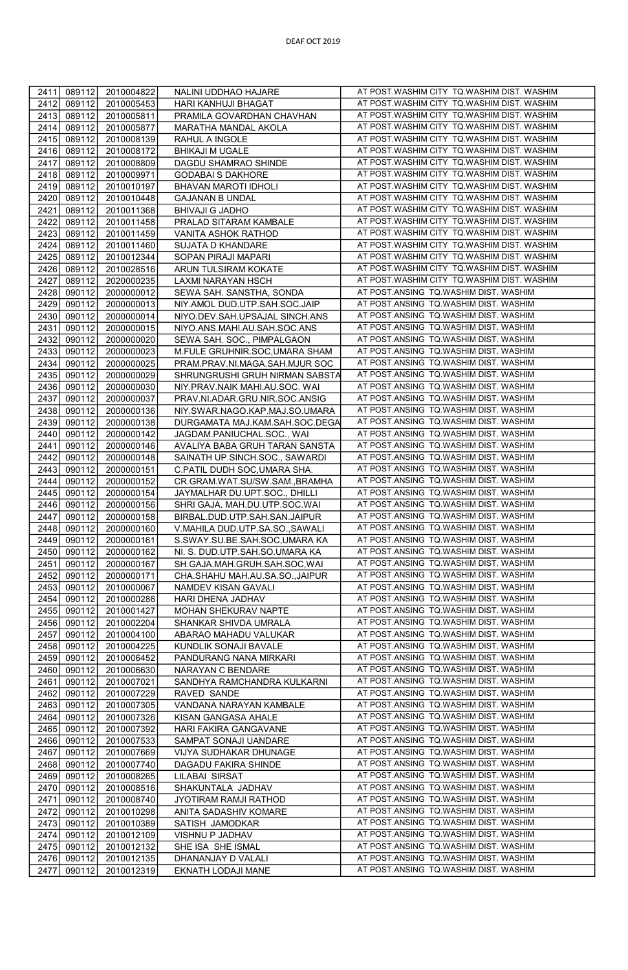| 2411         | 089112 | 2010004822 | NALINI UDDHAO HAJARE            | AT POST.WASHIM CITY TQ.WASHIM DIST. WASHIM |
|--------------|--------|------------|---------------------------------|--------------------------------------------|
| 2412         | 089112 | 2010005453 | HARI KANHUJI BHAGAT             | AT POST.WASHIM CITY TQ.WASHIM DIST. WASHIM |
| 2413         | 089112 | 2010005811 | PRAMILA GOVARDHAN CHAVHAN       | AT POST.WASHIM CITY TQ.WASHIM DIST. WASHIM |
| 2414         | 089112 | 2010005877 | MARATHA MANDAL AKOLA            | AT POST.WASHIM CITY TQ.WASHIM DIST. WASHIM |
| 2415         | 089112 | 2010008139 | RAHUL A INGOLE                  | AT POST.WASHIM CITY TQ.WASHIM DIST. WASHIM |
| 2416         | 089112 | 2010008172 | <b>BHIKAJI M UGALE</b>          | AT POST.WASHIM CITY TQ.WASHIM DIST. WASHIM |
| 2417         | 089112 | 2010008809 | DAGDU SHAMRAO SHINDE            | AT POST.WASHIM CITY TQ.WASHIM DIST. WASHIM |
|              |        |            | <b>GODABAI S DAKHORE</b>        | AT POST.WASHIM CITY TQ.WASHIM DIST. WASHIM |
| 2418<br>2419 | 089112 | 2010009971 |                                 | AT POST.WASHIM CITY TQ.WASHIM DIST. WASHIM |
|              | 089112 | 2010010197 | BHAVAN MAROTI IDHOLI            |                                            |
| 2420         | 089112 | 2010010448 | <b>GAJANAN B UNDAL</b>          | AT POST.WASHIM CITY TQ.WASHIM DIST. WASHIM |
| 2421         | 089112 | 2010011368 | <b>BHIVAJI G JADHO</b>          | AT POST.WASHIM CITY TQ.WASHIM DIST. WASHIM |
| 2422         | 089112 | 2010011458 | PRALAD SITARAM KAMBALE          | AT POST.WASHIM CITY TQ.WASHIM DIST. WASHIM |
| 2423         | 089112 | 2010011459 | VANITA ASHOK RATHOD             | AT POST.WASHIM CITY TQ.WASHIM DIST. WASHIM |
| 2424         | 089112 | 2010011460 | SUJATA D KHANDARE               | AT POST.WASHIM CITY TQ.WASHIM DIST. WASHIM |
| 2425         | 089112 | 2010012344 | SOPAN PIRAJI MAPARI             | AT POST.WASHIM CITY TQ.WASHIM DIST. WASHIM |
| 2426         | 089112 | 2010028516 | ARUN TULSIRAM KOKATE            | AT POST.WASHIM CITY TQ.WASHIM DIST. WASHIM |
| 2427         | 089112 | 2020000235 | LAXMI NARAYAN HSCH              | AT POST.WASHIM CITY TQ.WASHIM DIST. WASHIM |
| 2428         | 090112 | 2000000012 | SEWA SAH. SANSTHA, SONDA        | AT POST.ANSING TQ.WASHIM DIST. WASHIM      |
| 2429         | 090112 | 2000000013 | NIY.AMOL DUD.UTP.SAH.SOC.JAIP   | AT POST.ANSING TQ.WASHIM DIST. WASHIM      |
| 2430         | 090112 | 2000000014 | NIYO.DEV.SAH.UPSAJAL SINCH.ANS  | AT POST.ANSING TQ.WASHIM DIST. WASHIM      |
| 2431         | 090112 | 2000000015 | NIYO.ANS.MAHI.AU.SAH.SOC.ANS    | AT POST.ANSING TQ.WASHIM DIST. WASHIM      |
| 2432         | 090112 | 2000000020 | SEWA SAH. SOC., PIMPALGAON      | AT POST.ANSING TQ.WASHIM DIST. WASHIM      |
| 2433         | 090112 | 2000000023 | M.FULE GRUHNIR.SOC,UMARA SHAM   | AT POST.ANSING TQ.WASHIM DIST. WASHIM      |
| 2434         | 090112 | 2000000025 | PRAM.PRAV.NI.MAGA.SAH.MJUR SOC  | AT POST.ANSING TQ.WASHIM DIST. WASHIM      |
| 2435         | 090112 | 2000000029 | SHRUNGRUSHI GRUH NIRMAN SABSTA  | AT POST.ANSING TQ.WASHIM DIST. WASHIM      |
| 2436         | 090112 | 2000000030 | NIY.PRAV.NAIK MAHI.AU.SOC. WAI  | AT POST.ANSING TQ.WASHIM DIST. WASHIM      |
| 2437         | 090112 | 2000000037 | PRAV.NI.ADAR.GRU.NIR.SOC.ANSIG  | AT POST.ANSING TQ.WASHIM DIST. WASHIM      |
| 2438         | 090112 | 2000000136 | NIY.SWAR.NAGO.KAP.MAJ.SO.UMARA  | AT POST.ANSING TQ.WASHIM DIST. WASHIM      |
| 2439         |        |            |                                 | AT POST.ANSING TQ.WASHIM DIST. WASHIM      |
|              | 090112 | 2000000138 | DURGAMATA MAJ.KAM.SAH.SOC.DEGA  | AT POST.ANSING TQ.WASHIM DIST. WASHIM      |
| 2440         | 090112 | 2000000142 | JAGDAM.PANIUCHAL.SOC., WAI      |                                            |
| 2441         | 090112 | 2000000146 | AVALIYA BABA GRUH TARAN SANSTA  | AT POST.ANSING TQ.WASHIM DIST. WASHIM      |
| 2442         | 090112 | 2000000148 | SAINATH UP.SINCH.SOC., SAWARDI  | AT POST.ANSING TQ.WASHIM DIST. WASHIM      |
| 2443         | 090112 | 2000000151 | C.PATIL DUDH SOC,UMARA SHA.     | AT POST.ANSING TQ.WASHIM DIST. WASHIM      |
| 2444         | 090112 | 2000000152 | CR.GRAM.WAT.SU/SW.SAM., BRAMHA  | AT POST.ANSING TQ.WASHIM DIST. WASHIM      |
| 2445         | 090112 | 2000000154 | JAYMALHAR DU.UPT.SOC., DHILLI   | AT POST.ANSING TQ.WASHIM DIST. WASHIM      |
| 2446         | 090112 | 2000000156 | SHRI GAJA. MAH.DU.UTP.SOC.WAI   | AT POST.ANSING TQ.WASHIM DIST. WASHIM      |
| 2447         | 090112 | 2000000158 | BIRBAL.DUD.UTP.SAH.SAN.JAIPUR   | AT POST.ANSING TQ.WASHIM DIST. WASHIM      |
| 2448         | 090112 | 2000000160 | V.MAHILA DUD.UTP.SA.SO.,SAWALI  | AT POST.ANSING TQ.WASHIM DIST. WASHIM      |
| 2449         | 090112 | 2000000161 | S.SWAY.SU.BE.SAH.SOC,UMARA KA   | AT POST.ANSING TQ.WASHIM DIST. WASHIM      |
| 2450         | 090112 | 2000000162 | NI. S. DUD.UTP.SAH.SO.UMARA KA  | AT POST.ANSING TQ.WASHIM DIST. WASHIM      |
| 2451         | 090112 | 2000000167 | SH.GAJA.MAH.GRUH.SAH.SOC,WAI    | AT POST.ANSING TQ.WASHIM DIST. WASHIM      |
| 2452         | 090112 | 2000000171 | CHA.SHAHU MAH.AU.SA.SO., JAIPUR | AT POST.ANSING TQ.WASHIM DIST. WASHIM      |
| 2453         | 090112 | 2010000067 | NAMDEV KISAN GAVALI             | AT POST.ANSING TQ.WASHIM DIST. WASHIM      |
| 2454         | 090112 | 2010000286 | HARI DHENA JADHAV               | AT POST.ANSING TQ.WASHIM DIST. WASHIM      |
| 2455         | 090112 | 2010001427 | MOHAN SHEKURAV NAPTE            | AT POST.ANSING TQ.WASHIM DIST. WASHIM      |
| 2456         | 090112 | 2010002204 | SHANKAR SHIVDA UMRALA           | AT POST.ANSING TQ.WASHIM DIST. WASHIM      |
| 2457         | 090112 | 2010004100 | ABARAO MAHADU VALUKAR           | AT POST.ANSING TQ.WASHIM DIST. WASHIM      |
| 2458         | 090112 | 2010004225 | KUNDLIK SONAJI BAVALE           | AT POST.ANSING TQ.WASHIM DIST. WASHIM      |
| 2459         | 090112 | 2010006452 | PANDURANG NANA MIRKARI          | AT POST.ANSING TQ.WASHIM DIST. WASHIM      |
| 2460         | 090112 | 2010006630 | NARAYAN C BENDARE               | AT POST.ANSING TQ.WASHIM DIST. WASHIM      |
|              |        |            |                                 | AT POST.ANSING TQ.WASHIM DIST. WASHIM      |
| 2461<br>2462 | 090112 | 2010007021 | SANDHYA RAMCHANDRA KULKARNI     | AT POST.ANSING TQ.WASHIM DIST. WASHIM      |
|              | 090112 | 2010007229 | RAVED SANDE                     |                                            |
| 2463         | 090112 | 2010007305 | VANDANA NARAYAN KAMBALE         | AT POST.ANSING TQ.WASHIM DIST. WASHIM      |
| 2464         | 090112 | 2010007326 | KISAN GANGASA AHALE             | AT POST.ANSING TQ.WASHIM DIST. WASHIM      |
| 2465         | 090112 | 2010007392 | HARI FAKIRA GANGAVANE           | AT POST.ANSING TQ.WASHIM DIST. WASHIM      |
| 2466         | 090112 | 2010007533 | SAMPAT SONAJI UANDARE           | AT POST.ANSING TQ.WASHIM DIST. WASHIM      |
| 2467         | 090112 | 2010007669 | VIJYA SUDHAKAR DHUNAGE          | AT POST.ANSING TQ.WASHIM DIST. WASHIM      |
| 2468         | 090112 | 2010007740 | DAGADU FAKIRA SHINDE            | AT POST.ANSING TQ.WASHIM DIST. WASHIM      |
| 2469         | 090112 | 2010008265 | LILABAI SIRSAT                  | AT POST.ANSING TQ.WASHIM DIST. WASHIM      |
| 2470         | 090112 | 2010008516 | SHAKUNTALA JADHAV               | AT POST.ANSING TQ.WASHIM DIST. WASHIM      |
|              |        | 2010008740 | JYOTIRAM RAMJI RATHOD           | AT POST.ANSING TQ.WASHIM DIST. WASHIM      |
| 2471         | 090112 |            |                                 |                                            |
| 2472         | 090112 | 2010010298 | ANITA SADASHIV KOMARE           | AT POST.ANSING TQ.WASHIM DIST. WASHIM      |
| 2473         | 090112 | 2010010389 | SATISH JAMODKAR                 | AT POST.ANSING TQ.WASHIM DIST. WASHIM      |
| 2474         | 090112 | 2010012109 | VISHNU P JADHAV                 | AT POST.ANSING TQ.WASHIM DIST. WASHIM      |
| 2475         | 090112 | 2010012132 | SHE ISA SHE ISMAL               | AT POST.ANSING TQ.WASHIM DIST. WASHIM      |
| 2476         | 090112 | 2010012135 | DHANANJAY D VALALI              | AT POST.ANSING TQ.WASHIM DIST. WASHIM      |

|<br>|-<br>|-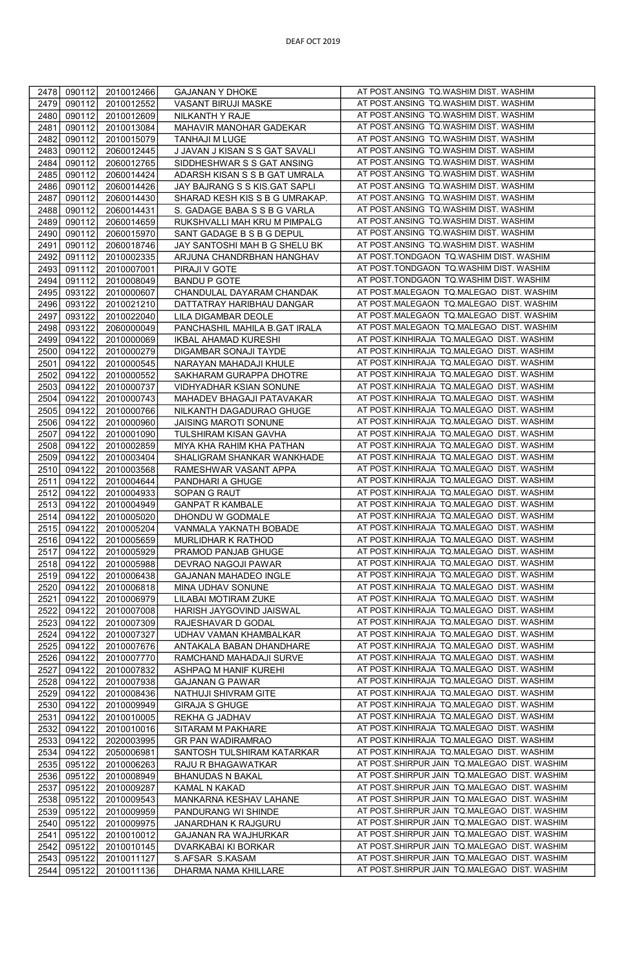| 2478         | 090112           | 2010012466               | <b>GAJANAN Y DHOKE</b>                       | AT POST.ANSING TQ.WASHIM DIST. WASHIM                                                  |
|--------------|------------------|--------------------------|----------------------------------------------|----------------------------------------------------------------------------------------|
| 2479         | 090112           | 2010012552               | VASANT BIRUJI MASKE                          | AT POST.ANSING TQ.WASHIM DIST. WASHIM                                                  |
| 2480         | 090112           | 2010012609               | NILKANTH Y RAJE                              | AT POST.ANSING TQ.WASHIM DIST. WASHIM                                                  |
| 2481         | 090112           | 2010013084               | MAHAVIR MANOHAR GADEKAR                      | AT POST.ANSING TQ.WASHIM DIST. WASHIM                                                  |
| 2482         | 090112           | 2010015079               | TANHAJI M LUGE                               | AT POST.ANSING TQ.WASHIM DIST. WASHIM                                                  |
| 2483         | 090112           | 2060012445               | J JAVAN J KISAN S S GAT SAVALI               | AT POST.ANSING TQ.WASHIM DIST. WASHIM                                                  |
| 2484         | 090112           |                          | SIDDHESHWAR S S GAT ANSING                   | AT POST.ANSING TQ.WASHIM DIST. WASHIM                                                  |
|              |                  | 2060012765               |                                              | AT POST.ANSING TQ.WASHIM DIST. WASHIM                                                  |
| 2485         | 090112           | 2060014424               | ADARSH KISAN S S B GAT UMRALA                | AT POST.ANSING TQ.WASHIM DIST. WASHIM                                                  |
| 2486<br>2487 | 090112           | 2060014426<br>2060014430 | JAY BAJRANG S S KIS.GAT SAPLI                | AT POST.ANSING TQ.WASHIM DIST. WASHIM                                                  |
|              | 090112           |                          | SHARAD KESH KIS S B G UMRAKAP.               | AT POST.ANSING TQ.WASHIM DIST. WASHIM                                                  |
| 2488         | 090112           | 2060014431               | S. GADAGE BABA S S B G VARLA                 | AT POST.ANSING TQ.WASHIM DIST. WASHIM                                                  |
| 2489         | 090112           | 2060014659               | RUKSHVALLI MAH KRU M PIMPALG                 |                                                                                        |
| 2490         | 090112           | 2060015970               | SANT GADAGE B S B G DEPUL                    | AT POST.ANSING TQ.WASHIM DIST. WASHIM<br>AT POST.ANSING TQ.WASHIM DIST. WASHIM         |
| 2491         | 090112           | 2060018746               | JAY SANTOSHI MAH B G SHELU BK                |                                                                                        |
| 2492         | 091112           | 2010002335               | ARJUNA CHANDRBHAN HANGHAV                    | AT POST.TONDGAON TQ.WASHIM DIST. WASHIM<br>AT POST.TONDGAON TQ.WASHIM DIST. WASHIM     |
| 2493         | 091112           | 2010007001               | PIRAJI V GOTE                                |                                                                                        |
| 2494         | 091112           | 2010008049               | <b>BANDU P GOTE</b>                          | AT POST.TONDGAON TQ.WASHIM DIST. WASHIM                                                |
| 2495         | 093122           | 2010000607               | CHANDULAL DAYARAM CHANDAK                    | AT POST.MALEGAON TQ.MALEGAO DIST. WASHIM                                               |
| 2496         | 093122           | 2010021210               | DATTATRAY HARIBHAU DANGAR                    | AT POST.MALEGAON TQ.MALEGAO DIST. WASHIM                                               |
| 2497         | 093122           | 2010022040               | LILA DIGAMBAR DEOLE                          | AT POST.MALEGAON TQ.MALEGAO DIST. WASHIM                                               |
| 2498         | 093122           | 2060000049               | PANCHASHIL MAHILA B.GAT IRALA                | AT POST.MALEGAON TQ.MALEGAO DIST. WASHIM                                               |
| 2499         | 094122           | 2010000069               | <b>IKBAL AHAMAD KURESHI</b>                  | AT POST.KINHIRAJA TQ.MALEGAO DIST. WASHIM                                              |
| 2500         | 094122           | 2010000279               | DIGAMBAR SONAJI TAYDE                        | AT POST.KINHIRAJA TQ.MALEGAO DIST. WASHIM                                              |
| 2501         | 094122           | 2010000545               | NARAYAN MAHADAJI KHULE                       | AT POST.KINHIRAJA TQ.MALEGAO DIST. WASHIM                                              |
| 2502         | 094122           | 2010000552               | SAKHARAM GURAPPA DHOTRE                      | AT POST.KINHIRAJA TQ.MALEGAO DIST. WASHIM                                              |
| 2503         | 094122           | 2010000737               | VIDHYADHAR KSIAN SONUNE                      | AT POST.KINHIRAJA TQ.MALEGAO DIST. WASHIM                                              |
| 2504         | 094122           | 2010000743               | MAHADEV BHAGAJI PATAVAKAR                    | AT POST.KINHIRAJA TQ.MALEGAO DIST. WASHIM                                              |
| 2505         | 094122           | 2010000766               | NILKANTH DAGADURAO GHUGE                     | AT POST.KINHIRAJA TQ.MALEGAO DIST. WASHIM                                              |
| 2506         | 094122           | 2010000960               | JAISING MAROTI SONUNE                        | AT POST.KINHIRAJA TQ.MALEGAO DIST. WASHIM                                              |
| 2507         | 094122           | 2010001090               | TULSHIRAM KISAN GAVHA                        | AT POST.KINHIRAJA TQ.MALEGAO DIST. WASHIM                                              |
| 2508         | 094122           | 2010002859               | MIYA KHA RAHIM KHA PATHAN                    | AT POST.KINHIRAJA TQ.MALEGAO DIST. WASHIM                                              |
| 2509         | 094122           | 2010003404               | SHALIGRAM SHANKAR WANKHADE                   | AT POST.KINHIRAJA TQ.MALEGAO DIST. WASHIM                                              |
| 2510         | 094122           | 2010003568               | RAMESHWAR VASANT APPA                        | AT POST.KINHIRAJA TQ.MALEGAO DIST. WASHIM                                              |
| 2511         | 094122           | 2010004644               | PANDHARI A GHUGE                             | AT POST.KINHIRAJA TQ.MALEGAO DIST. WASHIM                                              |
| 2512         | 094122           | 2010004933               | SOPAN G RAUT                                 | AT POST.KINHIRAJA TQ.MALEGAO DIST. WASHIM<br>AT POST.KINHIRAJA TQ.MALEGAO DIST. WASHIM |
| 2513         | 094122           | 2010004949               | <b>GANPAT R KAMBALE</b>                      | AT POST.KINHIRAJA TQ.MALEGAO DIST. WASHIM                                              |
| 2514         | 094122           | 2010005020               | DHONDU W GODMALE                             | AT POST.KINHIRAJA TQ.MALEGAO DIST. WASHIM                                              |
| 2515<br>2516 | 094122<br>094122 | 2010005204<br>2010005659 | VANMALA YAKNATH BOBADE<br>MURLIDHAR K RATHOD | AT POST.KINHIRAJA TQ.MALEGAO DIST. WASHIM                                              |
| 2517         | 094122           | 2010005929               | PRAMOD PANJAB GHUGE                          | AT POST.KINHIRAJA TQ.MALEGAO DIST. WASHIM                                              |
| 2518         | 094122           | 2010005988               | DEVRAO NAGOJI PAWAR                          | AT POST.KINHIRAJA TQ.MALEGAO DIST. WASHIM                                              |
| 2519         | 094122           | 2010006438               | GAJANAN MAHADEO INGLE                        | AT POST.KINHIRAJA TQ.MALEGAO DIST. WASHIM                                              |
| 2520         | 094122           | 2010006818               | MINA UDHAV SONUNE                            | AT POST.KINHIRAJA TQ.MALEGAO DIST. WASHIM                                              |
| 2521         | 094122           | 2010006979               | LILABAI MOTIRAM ZUKE                         | AT POST.KINHIRAJA TQ.MALEGAO DIST. WASHIM                                              |
| 2522         | 094122           | 2010007008               | HARISH JAYGOVIND JAISWAL                     | AT POST.KINHIRAJA TQ.MALEGAO DIST. WASHIM                                              |
| 2523         | 094122           | 2010007309               | RAJESHAVAR D GODAL                           | AT POST.KINHIRAJA TQ.MALEGAO DIST. WASHIM                                              |
| 2524         | 094122           | 2010007327               | UDHAV VAMAN KHAMBALKAR                       | AT POST.KINHIRAJA TQ.MALEGAO DIST. WASHIM                                              |
| 2525         | 094122           | 2010007676               | ANTAKALA BABAN DHANDHARE                     | AT POST.KINHIRAJA TQ.MALEGAO DIST. WASHIM                                              |
| 2526         | 094122           | 2010007770               | RAMCHAND MAHADAJI SURVE                      | AT POST.KINHIRAJA TQ.MALEGAO DIST. WASHIM                                              |
| 2527         | 094122           | 2010007832               | ASHPAQ M HANIF KUREHI                        | AT POST.KINHIRAJA TQ.MALEGAO DIST. WASHIM                                              |
| 2528         | 094122           | 2010007938               | <b>GAJANAN G PAWAR</b>                       | AT POST.KINHIRAJA TQ.MALEGAO DIST. WASHIM                                              |
| 2529         | 094122           | 2010008436               | NATHUJI SHIVRAM GITE                         | AT POST.KINHIRAJA TQ.MALEGAO DIST. WASHIM                                              |
| 2530         | 094122           | 2010009949               | <b>GIRAJA S GHUGE</b>                        | AT POST.KINHIRAJA TQ.MALEGAO DIST. WASHIM                                              |
| 2531         | 094122           | 2010010005               | REKHA G JADHAV                               | AT POST.KINHIRAJA TQ.MALEGAO DIST. WASHIM                                              |
| 2532         | 094122           | 2010010016               | SITARAM M PAKHARE                            | AT POST.KINHIRAJA TQ.MALEGAO DIST. WASHIM                                              |
| 2533         | 094122           | 2020003995               | GR PAN WADIRAMRAO                            | AT POST.KINHIRAJA TQ.MALEGAO DIST. WASHIM                                              |
| 2534         | 094122           | 2050006981               | SANTOSH TULSHIRAM KATARKAR                   | AT POST.KINHIRAJA TQ.MALEGAO DIST. WASHIM                                              |
| 2535         | 095122           | 2010006263               | RAJU R BHAGAWATKAR                           | AT POST.SHIRPUR JAIN TQ.MALEGAO DIST. WASHIM                                           |
| 2536         | 095122           | 2010008949               | <b>BHANUDAS N BAKAL</b>                      | AT POST.SHIRPUR JAIN TQ.MALEGAO DIST. WASHIM                                           |
| 2537         | 095122           | 2010009287               | KAMAL N KAKAD                                | AT POST.SHIRPUR JAIN TQ.MALEGAO DIST. WASHIM                                           |
| 2538         | 095122           | 2010009543               | MANKARNA KESHAV LAHANE                       | AT POST.SHIRPUR JAIN TQ.MALEGAO DIST. WASHIM                                           |
| 2539         | 095122           | 2010009959               | PANDURANG WI SHINDE                          | AT POST.SHIRPUR JAIN TQ.MALEGAO DIST. WASHIM                                           |
| 2540         | 095122           | 2010009975               | JANARDHAN K RAJGURU                          | AT POST.SHIRPUR JAIN TQ.MALEGAO DIST. WASHIM                                           |
| 2541         | 095122           | 2010010012               | GAJANAN RA WAJHURKAR                         | AT POST.SHIRPUR JAIN TQ.MALEGAO DIST. WASHIM                                           |
| 2542         | 095122           | 2010010145               | DVARKABAI KI BORKAR                          | AT POST.SHIRPUR JAIN TQ.MALEGAO DIST. WASHIM                                           |
| 2543         | 095122           | 2010011127               | S.AFSAR S.KASAM                              | AT POST.SHIRPUR JAIN TQ.MALEGAO DIST. WASHIM                                           |
| 2544         | 095122           | 2010011136               | DHARMA NAMA KHILLARE                         | AT POST.SHIRPUR JAIN TQ.MALEGAO DIST. WASHIM                                           |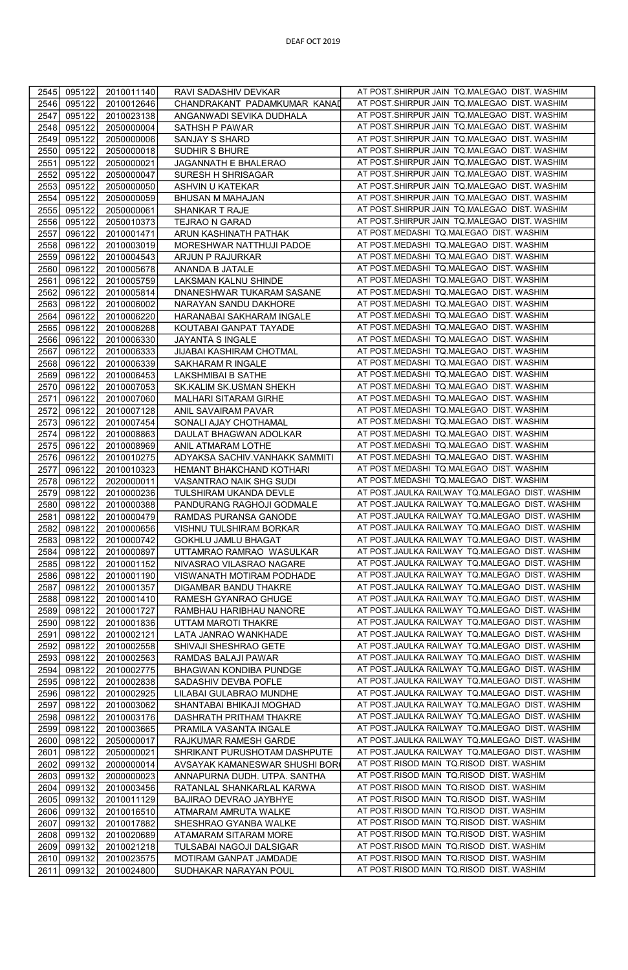| 2545 | 095122 | 2010011140 | RAVI SADASHIV DEVKAR           | AT POST.SHIRPUR JAIN TQ.MALEGAO DIST. WASHIM   |
|------|--------|------------|--------------------------------|------------------------------------------------|
| 2546 | 095122 | 2010012646 | CHANDRAKANT PADAMKUMAR KANAD   | AT POST.SHIRPUR JAIN TQ.MALEGAO DIST. WASHIM   |
| 2547 | 095122 | 2010023138 | ANGANWADI SEVIKA DUDHALA       | AT POST.SHIRPUR JAIN TQ.MALEGAO DIST. WASHIM   |
| 2548 | 095122 | 2050000004 | SATHSH P PAWAR                 | AT POST.SHIRPUR JAIN TQ.MALEGAO DIST. WASHIM   |
| 2549 | 095122 | 2050000006 | SANJAY S SHARD                 | AT POST.SHIRPUR JAIN TQ.MALEGAO DIST. WASHIM   |
| 2550 | 095122 | 2050000018 | SUDHIR S BHURE                 | AT POST.SHIRPUR JAIN TQ.MALEGAO DIST. WASHIM   |
| 2551 | 095122 | 2050000021 | JAGANNATH E BHALERAO           | AT POST.SHIRPUR JAIN TQ.MALEGAO DIST. WASHIM   |
|      |        |            |                                | AT POST.SHIRPUR JAIN TQ.MALEGAO DIST. WASHIM   |
| 2552 | 095122 | 2050000047 | SURESH H SHRISAGAR             | AT POST.SHIRPUR JAIN TQ.MALEGAO DIST. WASHIM   |
| 2553 | 095122 | 2050000050 | ASHVIN U KATEKAR               |                                                |
| 2554 | 095122 | 2050000059 | BHUSAN M MAHAJAN               | AT POST.SHIRPUR JAIN TQ.MALEGAO DIST. WASHIM   |
| 2555 | 095122 | 2050000061 | SHANKAR T RAJE                 | AT POST.SHIRPUR JAIN TQ.MALEGAO DIST. WASHIM   |
| 2556 | 095122 | 2050010373 | TEJRAO N GARAD                 | AT POST.SHIRPUR JAIN TQ.MALEGAO DIST. WASHIM   |
| 2557 | 096122 | 2010001471 | ARUN KASHINATH PATHAK          | AT POST.MEDASHI TQ.MALEGAO DIST. WASHIM        |
| 2558 | 096122 | 2010003019 | MORESHWAR NATTHUJI PADOE       | AT POST.MEDASHI TQ.MALEGAO DIST. WASHIM        |
| 2559 | 096122 | 2010004543 | ARJUN P RAJURKAR               | AT POST.MEDASHI TQ.MALEGAO DIST. WASHIM        |
| 2560 | 096122 | 2010005678 | ANANDA B JATALE                | AT POST.MEDASHI TQ.MALEGAO DIST. WASHIM        |
| 2561 | 096122 | 2010005759 | LAKSMAN KALNU SHINDE           | AT POST.MEDASHI TQ.MALEGAO DIST. WASHIM        |
| 2562 | 096122 | 2010005814 | DNANESHWAR TUKARAM SASANE      | AT POST.MEDASHI TQ.MALEGAO DIST. WASHIM        |
| 2563 | 096122 | 2010006002 | NARAYAN SANDU DAKHORE          | AT POST.MEDASHI TQ.MALEGAO DIST. WASHIM        |
| 2564 | 096122 | 2010006220 | HARANABAI SAKHARAM INGALE      | AT POST.MEDASHI TQ.MALEGAO DIST. WASHIM        |
| 2565 | 096122 | 2010006268 | KOUTABAI GANPAT TAYADE         | AT POST.MEDASHI TQ.MALEGAO DIST. WASHIM        |
| 2566 | 096122 | 2010006330 | JAYANTA S INGALE               | AT POST.MEDASHI TQ.MALEGAO DIST. WASHIM        |
| 2567 | 096122 | 2010006333 | JIJABAI KASHIRAM CHOTMAL       | AT POST.MEDASHI TQ.MALEGAO DIST. WASHIM        |
| 2568 | 096122 | 2010006339 | SAKHARAM R INGALE              | AT POST.MEDASHI TQ.MALEGAO DIST. WASHIM        |
| 2569 | 096122 | 2010006453 | <b>LAKSHMIBAI B SATHE</b>      | AT POST.MEDASHI TQ.MALEGAO DIST. WASHIM        |
| 2570 | 096122 | 2010007053 | SK.KALIM SK.USMAN SHEKH        | AT POST.MEDASHI TQ.MALEGAO DIST. WASHIM        |
| 2571 | 096122 | 2010007060 | MALHARI SITARAM GIRHE          | AT POST.MEDASHI TQ.MALEGAO DIST. WASHIM        |
| 2572 | 096122 | 2010007128 | ANIL SAVAIRAM PAVAR            | AT POST.MEDASHI TQ.MALEGAO DIST. WASHIM        |
| 2573 | 096122 | 2010007454 | SONALI AJAY CHOTHAMAL          | AT POST.MEDASHI TQ.MALEGAO DIST. WASHIM        |
| 2574 | 096122 | 2010008863 | DAULAT BHAGWAN ADOLKAR         | AT POST.MEDASHI TQ.MALEGAO DIST. WASHIM        |
| 2575 | 096122 | 2010008969 | ANIL ATMARAM LOTHE             | AT POST.MEDASHI TQ.MALEGAO DIST. WASHIM        |
| 2576 | 096122 | 2010010275 | ADYAKSA SACHIV.VANHAKK SAMMITI | AT POST.MEDASHI TQ.MALEGAO DIST. WASHIM        |
| 2577 | 096122 | 2010010323 | HEMANT BHAKCHAND KOTHARI       | AT POST.MEDASHI TQ.MALEGAO DIST. WASHIM        |
| 2578 | 096122 | 2020000011 | VASANTRAO NAIK SHG SUDI        | AT POST.MEDASHI TQ.MALEGAO DIST. WASHIM        |
| 2579 | 098122 | 2010000236 | TULSHIRAM UKANDA DEVLE         | AT POST.JAULKA RAILWAY TQ.MALEGAO DIST. WASHIM |
|      |        |            |                                | AT POST.JAULKA RAILWAY TQ.MALEGAO DIST. WASHIM |
| 2580 | 098122 | 2010000388 | PANDURANG RAGHOJI GODMALE      | AT POST.JAULKA RAILWAY TQ.MALEGAO DIST. WASHIM |
| 2581 | 098122 | 2010000479 | RAMDAS PURANSA GANODE          |                                                |
| 2582 | 098122 | 2010000656 | VISHNU TULSHIRAM BORKAR        | AT POST.JAULKA RAILWAY TQ.MALEGAO DIST. WASHIM |
| 2583 | 098122 | 2010000742 | GOKHLU JAMLU BHAGAT            | AT POST.JAULKA RAILWAY TQ.MALEGAO DIST. WASHIM |
| 2584 | 098122 | 2010000897 | UTTAMRAO RAMRAO WASULKAR       | AT POST.JAULKA RAILWAY TQ.MALEGAO DIST. WASHIM |
| 2585 | 098122 | 2010001152 | NIVASRAO VILASRAO NAGARE       | AT POST.JAULKA RAILWAY TQ.MALEGAO DIST. WASHIM |
| 2586 | 098122 | 2010001190 | VISWANATH MOTIRAM PODHADE      | AT POST.JAULKA RAILWAY TQ.MALEGAO DIST. WASHIM |
| 2587 | 098122 | 2010001357 | DIGAMBAR BANDU THAKRE          | AT POST.JAULKA RAILWAY TQ.MALEGAO DIST. WASHIM |
| 2588 | 098122 | 2010001410 | RAMESH GYANRAO GHUGE           | AT POST.JAULKA RAILWAY TQ.MALEGAO DIST. WASHIM |
| 2589 | 098122 | 2010001727 | RAMBHAU HARIBHAU NANORE        | AT POST.JAULKA RAILWAY TQ.MALEGAO DIST. WASHIM |
| 2590 | 098122 | 2010001836 | UTTAM MAROTI THAKRE            | AT POST.JAULKA RAILWAY TQ.MALEGAO DIST. WASHIM |
| 2591 | 098122 | 2010002121 | LATA JANRAO WANKHADE           | AT POST.JAULKA RAILWAY TQ.MALEGAO DIST. WASHIM |
| 2592 | 098122 | 2010002558 | SHIVAJI SHESHRAO GETE          | AT POST.JAULKA RAILWAY TQ.MALEGAO DIST. WASHIM |
| 2593 | 098122 | 2010002563 | RAMDAS BALAJI PAWAR            | AT POST.JAULKA RAILWAY TQ.MALEGAO DIST. WASHIM |
| 2594 | 098122 | 2010002775 | BHAGWAN KONDIBA PUNDGE         | AT POST.JAULKA RAILWAY TQ.MALEGAO DIST. WASHIM |
| 2595 | 098122 | 2010002838 | SADASHIV DEVBA POFLE           | AT POST.JAULKA RAILWAY TQ.MALEGAO DIST. WASHIM |
| 2596 | 098122 | 2010002925 | LILABAI GULABRAO MUNDHE        | AT POST.JAULKA RAILWAY TQ.MALEGAO DIST. WASHIM |
| 2597 | 098122 | 2010003062 | SHANTABAI BHIKAJI MOGHAD       | AT POST.JAULKA RAILWAY TQ.MALEGAO DIST. WASHIM |
| 2598 | 098122 | 2010003176 | DASHRATH PRITHAM THAKRE        | AT POST.JAULKA RAILWAY TQ.MALEGAO DIST. WASHIM |
| 2599 | 098122 | 2010003665 | PRAMILA VASANTA INGALE         | AT POST.JAULKA RAILWAY TQ.MALEGAO DIST. WASHIM |
| 2600 | 098122 | 2050000017 | RAJKUMAR RAMESH GARDE          | AT POST.JAULKA RAILWAY TQ.MALEGAO DIST. WASHIM |
| 2601 | 098122 | 2050000021 | SHRIKANT PURUSHOTAM DASHPUTE   | AT POST.JAULKA RAILWAY TQ.MALEGAO DIST. WASHIM |
| 2602 | 099132 | 2000000014 | AVSAYAK KAMANESWAR SHUSHI BOR  | AT POST.RISOD MAIN TQ.RISOD DIST. WASHIM       |
| 2603 | 099132 | 2000000023 | ANNAPURNA DUDH. UTPA. SANTHA   | AT POST.RISOD MAIN TQ.RISOD DIST. WASHIM       |
| 2604 | 099132 | 2010003456 | RATANLAL SHANKARLAL KARWA      | AT POST.RISOD MAIN TO.RISOD DIST. WASHIM       |
| 2605 | 099132 | 2010011129 | BAJIRAO DEVRAO JAYBHYE         | AT POST.RISOD MAIN TQ.RISOD DIST. WASHIM       |
| 2606 | 099132 | 2010016510 | ATMARAM AMRUTA WALKE           | AT POST.RISOD MAIN TQ.RISOD DIST. WASHIM       |
| 2607 | 099132 | 2010017882 | SHESHRAO GYANBA WALKE          | AT POST.RISOD MAIN TQ.RISOD DIST. WASHIM       |
| 2608 | 099132 | 2010020689 | ATAMARAM SITARAM MORE          | AT POST.RISOD MAIN TQ.RISOD DIST. WASHIM       |
| 2609 | 099132 | 2010021218 | TULSABAI NAGOJI DALSIGAR       | AT POST.RISOD MAIN TQ.RISOD DIST. WASHIM       |
| 2610 | 099132 | 2010023575 | MOTIRAM GANPAT JAMDADE         | AT POST.RISOD MAIN TQ.RISOD DIST. WASHIM       |
| 2611 | 099132 | 2010024800 | SUDHAKAR NARAYAN POUL          | AT POST.RISOD MAIN TQ.RISOD DIST. WASHIM       |
|      |        |            |                                |                                                |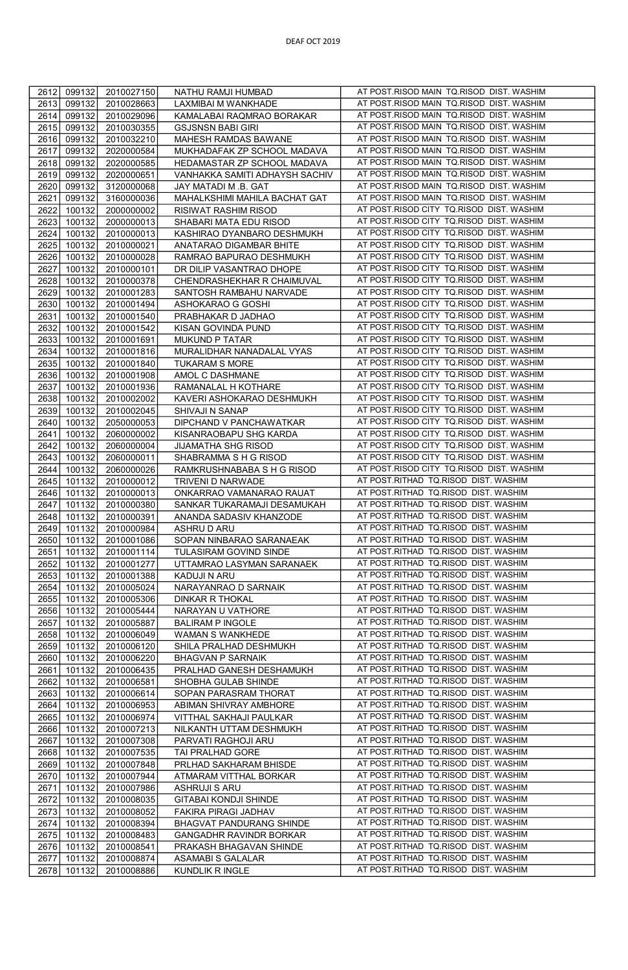| 2612 | 099132 | 2010027150 | NATHU RAMJI HUMBAD             | AT POST.RISOD MAIN TQ.RISOD DIST. WASHIM |
|------|--------|------------|--------------------------------|------------------------------------------|
| 2613 | 099132 | 2010028663 | LAXMIBAI M WANKHADE            | AT POST.RISOD MAIN TQ.RISOD DIST. WASHIM |
| 2614 | 099132 | 2010029096 | KAMALABAI RAQMRAO BORAKAR      | AT POST.RISOD MAIN TQ.RISOD DIST. WASHIM |
| 2615 | 099132 | 2010030355 | <b>GSJSNSN BABI GIRI</b>       | AT POST.RISOD MAIN TQ.RISOD DIST. WASHIM |
| 2616 | 099132 | 2010032210 | MAHESH RAMDAS BAWANE           | AT POST.RISOD MAIN TQ.RISOD DIST. WASHIM |
| 2617 | 099132 | 2020000584 | MUKHADAFAK ZP SCHOOL MADAVA    | AT POST.RISOD MAIN TQ.RISOD DIST. WASHIM |
|      |        |            |                                | AT POST.RISOD MAIN TQ.RISOD DIST. WASHIM |
| 2618 | 099132 | 2020000585 | HEDAMASTAR ZP SCHOOL MADAVA    |                                          |
| 2619 | 099132 | 2020000651 | VANHAKKA SAMITI ADHAYSH SACHIV | AT POST.RISOD MAIN TQ.RISOD DIST. WASHIM |
| 2620 | 099132 | 3120000068 | JAY MATADI M .B. GAT           | AT POST.RISOD MAIN TQ.RISOD DIST. WASHIM |
| 2621 | 099132 | 3160000036 | MAHALKSHIMI MAHILA BACHAT GAT  | AT POST.RISOD MAIN TQ.RISOD DIST. WASHIM |
| 2622 | 100132 | 2000000002 | RISIWAT RASHIM RISOD           | AT POST.RISOD CITY TQ.RISOD DIST. WASHIM |
| 2623 | 100132 | 2000000013 | SHABARI MATA EDU RISOD         | AT POST.RISOD CITY TO.RISOD DIST. WASHIM |
| 2624 | 100132 | 2010000013 | KASHIRAO DYANBARO DESHMUKH     | AT POST.RISOD CITY TQ.RISOD DIST. WASHIM |
| 2625 | 100132 | 2010000021 | ANATARAO DIGAMBAR BHITE        | AT POST.RISOD CITY TQ.RISOD DIST. WASHIM |
| 2626 | 100132 | 2010000028 | RAMRAO BAPURAO DESHMUKH        | AT POST.RISOD CITY TQ.RISOD DIST. WASHIM |
| 2627 | 100132 | 2010000101 | DR DILIP VASANTRAO DHOPE       | AT POST.RISOD CITY TQ.RISOD DIST. WASHIM |
| 2628 | 100132 | 2010000378 | CHENDRASHEKHAR R CHAIMUVAL     | AT POST.RISOD CITY TQ.RISOD DIST. WASHIM |
| 2629 | 100132 | 2010001283 | SANTOSH RAMBAHU NARVADE        | AT POST.RISOD CITY TQ.RISOD DIST. WASHIM |
| 2630 | 100132 | 2010001494 | ASHOKARAO G GOSHI              | AT POST.RISOD CITY TQ.RISOD DIST. WASHIM |
| 2631 | 100132 | 2010001540 | PRABHAKAR D JADHAO             | AT POST.RISOD CITY TQ.RISOD DIST. WASHIM |
| 2632 | 100132 | 2010001542 | KISAN GOVINDA PUND             | AT POST.RISOD CITY TQ.RISOD DIST. WASHIM |
| 2633 | 100132 | 2010001691 | MUKUND P TATAR                 | AT POST.RISOD CITY TQ.RISOD DIST. WASHIM |
| 2634 | 100132 | 2010001816 | MURALIDHAR NANADALAL VYAS      | AT POST.RISOD CITY TQ.RISOD DIST. WASHIM |
| 2635 | 100132 | 2010001840 | <b>TUKARAM S MORE</b>          | AT POST.RISOD CITY TQ.RISOD DIST. WASHIM |
| 2636 | 100132 | 2010001908 | AMOL C DASHMANE                | AT POST.RISOD CITY TQ.RISOD DIST. WASHIM |
| 2637 | 100132 | 2010001936 | RAMANALAL H KOTHARE            | AT POST.RISOD CITY TQ.RISOD DIST. WASHIM |
| 2638 | 100132 | 2010002002 | KAVERI ASHOKARAO DESHMUKH      | AT POST.RISOD CITY TQ.RISOD DIST. WASHIM |
| 2639 | 100132 | 2010002045 | SHIVAJI N SANAP                | AT POST.RISOD CITY TQ.RISOD DIST. WASHIM |
| 2640 | 100132 | 2050000053 | DIPCHAND V PANCHAWATKAR        | AT POST.RISOD CITY TQ.RISOD DIST. WASHIM |
| 2641 | 100132 | 2060000002 | KISANRAOBAPU SHG KARDA         | AT POST.RISOD CITY TQ.RISOD DIST. WASHIM |
| 2642 | 100132 | 2060000004 | <b>JIJAMATHA SHG RISOD</b>     | AT POST.RISOD CITY TQ.RISOD DIST. WASHIM |
|      |        |            |                                | AT POST.RISOD CITY TQ.RISOD DIST. WASHIM |
| 2643 | 100132 | 2060000011 | SHABRAMMA S H G RISOD          |                                          |
| 2644 | 100132 | 2060000026 | RAMKRUSHNABABA S H G RISOD     | AT POST.RISOD CITY TQ.RISOD DIST. WASHIM |
| 2645 | 101132 | 2010000012 | TRIVENI D NARWADE              | AT POST.RITHAD TQ.RISOD DIST. WASHIM     |
| 2646 | 101132 | 2010000013 | ONKARRAO VAMANARAO RAUAT       | AT POST.RITHAD TQ.RISOD DIST. WASHIM     |
| 2647 | 101132 | 2010000380 | SANKAR TUKARAMAJI DESAMUKAH    | AT POST.RITHAD TQ.RISOD DIST. WASHIM     |
| 2648 | 101132 | 2010000391 | ANANDA SADASIV KHANZODE        | AT POST.RITHAD TQ.RISOD DIST. WASHIM     |
| 2649 | 101132 | 2010000984 | ASHRU D ARU                    | AT POST.RITHAD TQ.RISOD DIST. WASHIM     |
| 2650 | 101132 | 2010001086 | SOPAN NINBARAO SARANAEAK       | AT POST.RITHAD TO.RISOD DIST. WASHIM     |
| 2651 | 101132 | 2010001114 | TULASIRAM GOVIND SINDE         | AT POST.RITHAD TQ.RISOD DIST. WASHIM     |
| 2652 | 101132 | 2010001277 | UTTAMRAO LASYMAN SARANAEK      | AT POST.RITHAD TQ.RISOD DIST. WASHIM     |
| 2653 | 101132 | 2010001388 | KADUJI N ARU                   | AT POST.RITHAD TQ.RISOD DIST. WASHIM     |
| 2654 | 101132 | 2010005024 | NARAYANRAO D SARNAIK           | AT POST.RITHAD TQ.RISOD DIST. WASHIM     |
| 2655 | 101132 | 2010005306 | <b>DINKAR R THOKAL</b>         | AT POST.RITHAD TQ.RISOD DIST. WASHIM     |
| 2656 | 101132 | 2010005444 | NARAYAN U VATHORE              | AT POST.RITHAD TQ.RISOD DIST. WASHIM     |
| 2657 | 101132 | 2010005887 | <b>BALIRAM P INGOLE</b>        | AT POST.RITHAD TQ.RISOD DIST. WASHIM     |
| 2658 | 101132 | 2010006049 | WAMAN S WANKHEDE               | AT POST.RITHAD TQ.RISOD DIST. WASHIM     |
| 2659 | 101132 | 2010006120 | SHILA PRALHAD DESHMUKH         | AT POST.RITHAD TQ.RISOD DIST. WASHIM     |
| 2660 | 101132 | 2010006220 | <b>BHAGVAN P SARNAIK</b>       | AT POST.RITHAD TQ.RISOD DIST. WASHIM     |
| 2661 | 101132 | 2010006435 | PRALHAD GANESH DESHAMUKH       | AT POST.RITHAD TQ.RISOD DIST. WASHIM     |
| 2662 | 101132 | 2010006581 | SHOBHA GULAB SHINDE            | AT POST.RITHAD TQ.RISOD DIST. WASHIM     |
| 2663 | 101132 | 2010006614 | SOPAN PARASRAM THORAT          | AT POST.RITHAD TQ.RISOD DIST. WASHIM     |
| 2664 | 101132 | 2010006953 | ABIMAN SHIVRAY AMBHORE         | AT POST.RITHAD TQ.RISOD DIST. WASHIM     |
| 2665 | 101132 | 2010006974 | VITTHAL SAKHAJI PAULKAR        | AT POST.RITHAD TQ.RISOD DIST. WASHIM     |
| 2666 | 101132 | 2010007213 | NILKANTH UTTAM DESHMUKH        | AT POST.RITHAD TQ.RISOD DIST. WASHIM     |
| 2667 | 101132 | 2010007308 | PARVATI RAGHOJI ARU            | AT POST.RITHAD TQ.RISOD DIST. WASHIM     |
| 2668 | 101132 | 2010007535 | TAI PRALHAD GORE               | AT POST.RITHAD TQ.RISOD DIST. WASHIM     |
| 2669 | 101132 | 2010007848 | PRLHAD SAKHARAM BHISDE         | AT POST.RITHAD TQ.RISOD DIST. WASHIM     |
| 2670 | 101132 | 2010007944 | ATMARAM VITTHAL BORKAR         | AT POST.RITHAD TQ.RISOD DIST. WASHIM     |
| 2671 | 101132 | 2010007986 | ASHRUJI S ARU                  | AT POST.RITHAD TQ.RISOD DIST. WASHIM     |
| 2672 | 101132 | 2010008035 | <b>GITABAI KONDJI SHINDE</b>   | AT POST.RITHAD TQ.RISOD DIST. WASHIM     |
| 2673 | 101132 | 2010008052 | FAKIRA PIRAGI JADHAV           | AT POST.RITHAD TQ.RISOD DIST. WASHIM     |
| 2674 | 101132 | 2010008394 | BHAGVAT PANDURANG SHINDE       | AT POST.RITHAD TQ.RISOD DIST. WASHIM     |
|      |        |            |                                | AT POST.RITHAD TQ.RISOD DIST. WASHIM     |
| 2675 | 101132 | 2010008483 | GANGADHR RAVINDR BORKAR        | AT POST.RITHAD TQ.RISOD DIST. WASHIM     |
| 2676 | 101132 | 2010008541 | PRAKASH BHAGAVAN SHINDE        | AT POST.RITHAD TO.RISOD DIST. WASHIM     |
| 2677 | 101132 | 2010008874 | ASAMABI S GALALAR              |                                          |
| 2678 | 101132 | 2010008886 | KUNDLIK R INGLE                | AT POST.RITHAD TQ.RISOD DIST. WASHIM     |